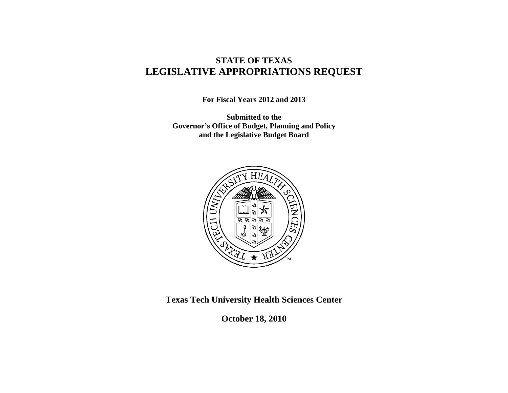# **STATE OF TEXAS LEGISLATIVE APPROPRIATIONS REQUEST**

**For Fiscal Years 2012 and 2013** 

**Submitted to the Governor's Office of Budget, Planning and Policy and the Legislative Budget Board** 



**Texas Tech University Health Sciences Center** 

**October 18, 2010**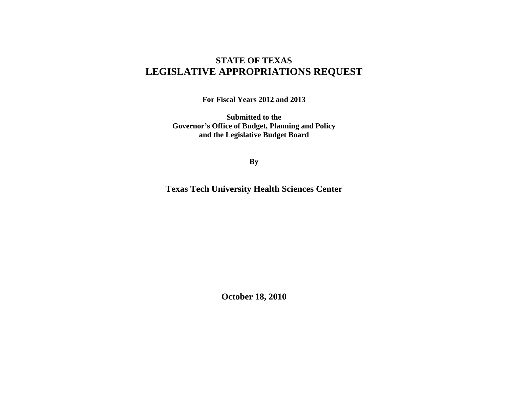# **STATE OF TEXAS LEGISLATIVE APPROPRIATIONS REQUEST**

**For Fiscal Years 2012 and 2013** 

**Submitted to the Governor's Office of Budget, Planning and Policy and the Legislative Budget Board** 

**By**

**Texas Tech University Health Sciences Center** 

**October 18, 2010**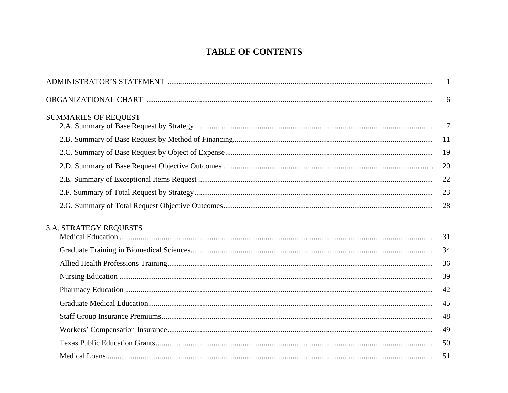# **TABLE OF CONTENTS**

|                               | 1               |
|-------------------------------|-----------------|
|                               | 6               |
| <b>SUMMARIES OF REQUEST</b>   |                 |
|                               | $7\phantom{.0}$ |
|                               | <sup>11</sup>   |
|                               | 19              |
|                               | 20              |
|                               | 22              |
|                               | 23              |
|                               | 28              |
|                               |                 |
| <b>3.A. STRATEGY REQUESTS</b> | 31              |
|                               | 34              |
|                               | 36              |
|                               | 39              |
|                               | 42              |
|                               | 45              |
|                               | 48              |
|                               | 49              |
|                               | 50              |
|                               | 51              |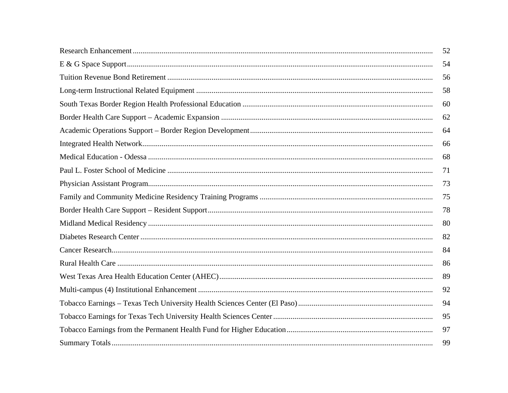| 52 |
|----|
| 54 |
| 56 |
| 58 |
| 60 |
| 62 |
| 64 |
| 66 |
| 68 |
| 71 |
| 73 |
| 75 |
| 78 |
| 80 |
| 82 |
| 84 |
| 86 |
| 89 |
| 92 |
| 94 |
| 95 |
| 97 |
| 99 |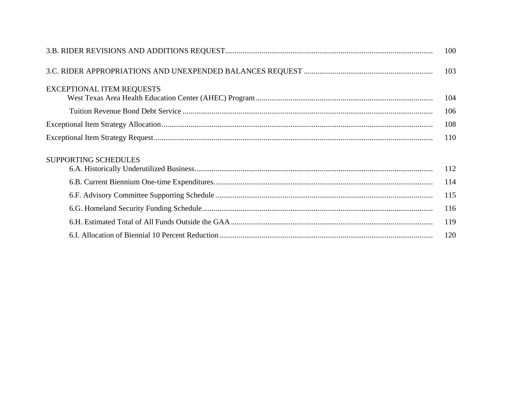|                                  | 100 |
|----------------------------------|-----|
|                                  | 103 |
| <b>EXCEPTIONAL ITEM REQUESTS</b> | 104 |
|                                  | 106 |
|                                  | 108 |
|                                  | 110 |
| <b>SUPPORTING SCHEDULES</b>      |     |
|                                  | 112 |
|                                  | 114 |
|                                  | 115 |
|                                  | 116 |
|                                  | 119 |
|                                  | 120 |
|                                  |     |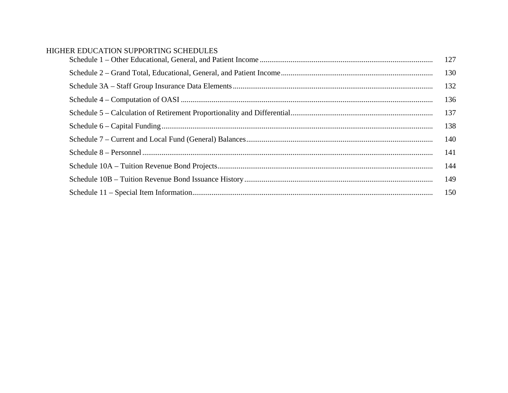| HIGHER EDUCATION SUPPORTING SCHEDULES |     |
|---------------------------------------|-----|
|                                       | 127 |
|                                       | 130 |
|                                       | 132 |
|                                       | 136 |
|                                       | 137 |
|                                       | 138 |
|                                       | 140 |
|                                       | 141 |
|                                       | 144 |
|                                       | 149 |
|                                       | 150 |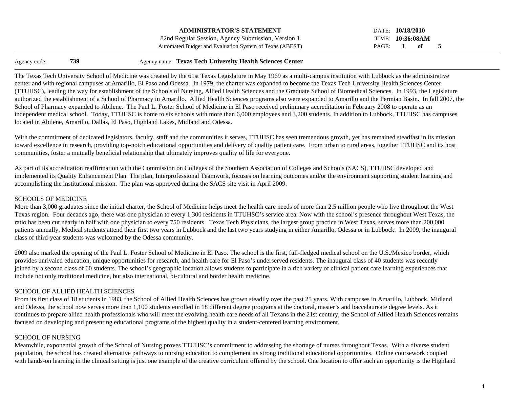82nd Regular Session, Agency Submission, Version 1 Automated Budget and Evaluation System of Texas (ABEST)

DATE:**10/18/2010**TIME: **10:36:08AM**PAGE:**1of 5**

### Agency code: **739 Agency name: Texas Tech University Health Sciences Center**

The Texas Tech University School of Medicine was created by the 61st Texas Legislature in May 1969 as a multi-campus institution with Lubbock as the administrative center and with regional campuses at Amarillo, El Paso and Odessa. In 1979, the charter was expanded to become the Texas Tech University Health Sciences Center (TTUHSC), leading the way for establishment of the Schools of Nursing, Allied Health Sciences and the Graduate School of Biomedical Sciences. In 1993, the Legislature authorized the establishment of a School of Pharmacy in Amarillo. Allied Health Sciences programs also were expanded to Amarillo and the Permian Basin. In fall 2007, the School of Pharmacy expanded to Abilene. The Paul L. Foster School of Medicine in El Paso received preliminary accreditation in February 2008 to operate as an independent medical school. Today, TTUHSC is home to six schools with more than 6,000 employees and 3,200 students. In addition to Lubbock, TTUHSC has campuses located in Abilene, Amarillo, Dallas, El Paso, Highland Lakes, Midland and Odessa.

With the commitment of dedicated legislators, faculty, staff and the communities it serves, TTUHSC has seen tremendous growth, yet has remained steadfast in its mission toward excellence in research, providing top-notch educational opportunities and delivery of quality patient care. From urban to rural areas, together TTUHSC and its host communities, foster a mutually beneficial relationship that ultimately improves quality of life for everyone.

As part of its accreditation reaffirmation with the Commission on Colleges of the Southern Association of Colleges and Schools (SACS), TTUHSC developed and implemented its Quality Enhancement Plan. The plan, Interprofessional Teamwork, focuses on learning outcomes and/or the environment supporting student learning and accomplishing the institutional mission. The plan was approved during the SACS site visit in April 2009.

# SCHOOLS OF MEDICINE

More than 3,000 graduates since the initial charter, the School of Medicine helps meet the health care needs of more than 2.5 million people who live throughout the West Texas region. Four decades ago, there was one physician to every 1,300 residents in TTUHSC's service area. Now with the school's presence throughout West Texas, the ratio has been cut nearly in half with one physician to every 750 residents. Texas Tech Physicians, the largest group practice in West Texas, serves more than 200,000 patients annually. Medical students attend their first two years in Lubbock and the last two years studying in either Amarillo, Odessa or in Lubbock. In 2009, the inaugural class of third-year students was welcomed by the Odessa community.

2009 also marked the opening of the Paul L. Foster School of Medicine in El Paso. The school is the first, full-fledged medical school on the U.S./Mexico border, which provides unrivaled education, unique opportunities for research, and health care for El Paso's underserved residents. The inaugural class of 40 students was recently joined by a second class of 60 students. The school's geographic location allows students to participate in a rich variety of clinical patient care learning experiences that include not only traditional medicine, but also international, bi-cultural and border health medicine.

# SCHOOL OF ALLIED HEALTH SCIENCES

From its first class of 18 students in 1983, the School of Allied Health Sciences has grown steadily over the past 25 years. With campuses in Amarillo, Lubbock, Midland and Odessa, the school now serves more than 1,100 students enrolled in 18 different degree programs at the doctoral, master's and baccalaureate degree levels. As it continues to prepare allied health professionals who will meet the evolving health care needs of all Texans in the 21st century, the School of Allied Health Sciences remains focused on developing and presenting educational programs of the highest quality in a student-centered learning environment.

# SCHOOL OF NURSING

Meanwhile, exponential growth of the School of Nursing proves TTUHSC's commitment to addressing the shortage of nurses throughout Texas. With a diverse student population, the school has created alternative pathways to nursing education to complement its strong traditional educational opportunities. Online coursework coupled with hands-on learning in the clinical setting is just one example of the creative curriculum offered by the school. One location to offer such an opportunity is the Highland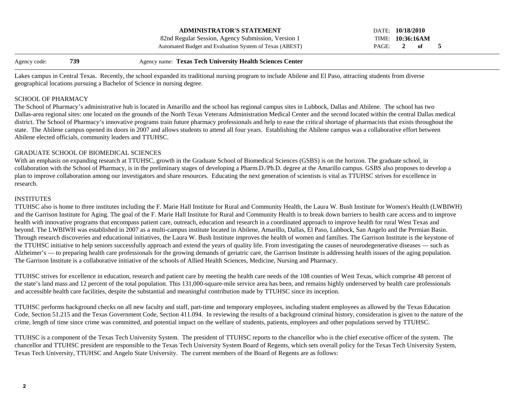82nd Regular Session, Agency Submission, Version 1 Automated Budget and Evaluation System of Texas (ABEST)

DATE:**10/18/2010**TIME:**10:36:16AM**PAGE:**2of 5**

| 739<br>Agency code: | Agency name: Texas Tech University Health Sciences Center |
|---------------------|-----------------------------------------------------------|
|---------------------|-----------------------------------------------------------|

Lakes campus in Central Texas. Recently, the school expanded its traditional nursing program to include Abilene and El Paso, attracting students from diverse geographical locations pursuing a Bachelor of Science in nursing degree.

# SCHOOL OF PHARMACY

The School of Pharmacy's administrative hub is located in Amarillo and the school has regional campus sites in Lubbock, Dallas and Abilene. The school has two Dallas-area regional sites: one located on the grounds of the North Texas Veterans Administration Medical Center and the second located within the central Dallas medical district. The School of Pharmacy's innovative programs train future pharmacy professionals and help to ease the critical shortage of pharmacists that exists throughout the state. The Abilene campus opened its doors in 2007 and allows students to attend all four years. Establishing the Abilene campus was a collaborative effort between Abilene elected officials, community leaders and TTUHSC.

# GRADUATE SCHOOL OF BIOMEDICAL SCIENCES

With an emphasis on expanding research at TTUHSC, growth in the Graduate School of Biomedical Sciences (GSBS) is on the horizon. The graduate school, in collaboration with the School of Pharmacy, is in the preliminary stages of developing a Pharm.D./Ph.D. degree at the Amarillo campus. GSBS also proposes to develop a plan to improve collaboration among our investigators and share resources. Educating the next generation of scientists is vital as TTUHSC strives for excellence in research.

# INSTITUTES

TTUHSC also is home to three institutes including the F. Marie Hall Institute for Rural and Community Health, the Laura W. Bush Institute for Women's Health (LWBIWH) and the Garrison Institute for Aging. The goal of the F. Marie Hall Institute for Rural and Community Health is to break down barriers to health care access and to improve health with innovative programs that encompass patient care, outreach, education and research in a coordinated approach to improve health for rural West Texas and beyond. The LWBIWH was established in 2007 as a multi-campus institute located in Abilene, Amarillo, Dallas, El Paso, Lubbock, San Angelo and the Permian Basin. Through research discoveries and educational initiatives, the Laura W. Bush Institute improves the health of women and families. The Garrison Institute is the keystone of the TTUHSC initiative to help seniors successfully approach and extend the years of quality life. From investigating the causes of neurodegenerative diseases — such as Alzheimer's — to preparing health care professionals for the growing demands of geriatric care, the Garrison Institute is addressing health issues of the aging population. The Garrison Institute is a collaborative initiative of the schools of Allied Health Sciences, Medicine, Nursing and Pharmacy.

TTUHSC strives for excellence in education, research and patient care by meeting the health care needs of the 108 counties of West Texas, which comprise 48 percent of the state's land mass and 12 percent of the total population. This 131,000-square-mile service area has been, and remains highly underserved by health care professionals and accessible health care facilities, despite the substantial and meaningful contribution made by TTUHSC since its inception.

TTUHSC performs background checks on all new faculty and staff, part-time and temporary employees, including student employees as allowed by the Texas Education Code, Section 51.215 and the Texas Government Code, Section 411.094. In reviewing the results of a background criminal history, consideration is given to the nature of the crime, length of time since crime was committed, and potential impact on the welfare of students, patients, employees and other populations served by TTUHSC.

TTUHSC is a component of the Texas Tech University System. The president of TTUHSC reports to the chancellor who is the chief executive officer of the system. The chancellor and TTUHSC president are responsible to the Texas Tech University System Board of Regents, which sets overall policy for the Texas Tech University System, Texas Tech University, TTUHSC and Angelo State University. The current members of the Board of Regents are as follows: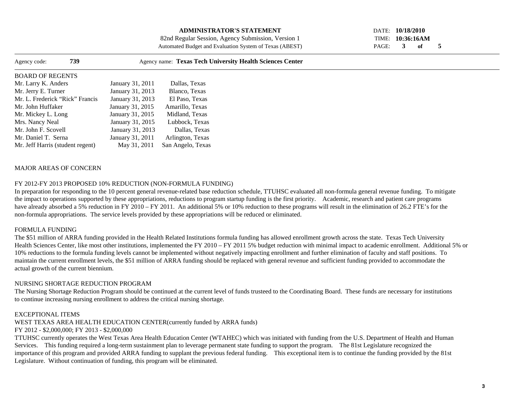82nd Regular Session, Agency Submission, Version 1 Automated Budget and Evaluation System of Texas (ABEST)

DATE:**10/18/2010**TIME:**10:36:16AM**PAGE:**3of 5**

| Agency code:                     | 739 |                  |                   | Agency name: Texas Tech University Health Sciences Center |
|----------------------------------|-----|------------------|-------------------|-----------------------------------------------------------|
| <b>BOARD OF REGENTS</b>          |     |                  |                   |                                                           |
| Mr. Larry K. Anders              |     | January 31, 2011 | Dallas, Texas     |                                                           |
| Mr. Jerry E. Turner              |     | January 31, 2013 | Blanco, Texas     |                                                           |
| Mr. L. Frederick "Rick" Francis  |     | January 31, 2013 | El Paso, Texas    |                                                           |
| Mr. John Huffaker                |     | January 31, 2015 | Amarillo, Texas   |                                                           |
| Mr. Mickey L. Long               |     | January 31, 2015 | Midland, Texas    |                                                           |
| Mrs. Nancy Neal                  |     | January 31, 2015 | Lubbock, Texas    |                                                           |
| Mr. John F. Scovell              |     | January 31, 2013 | Dallas, Texas     |                                                           |
| Mr. Daniel T. Serna              |     | January 31, 2011 | Arlington, Texas  |                                                           |
| Mr. Jeff Harris (student regent) |     | May 31, 2011     | San Angelo, Texas |                                                           |

# MAJOR AREAS OF CONCERN

# FY 2012-FY 2013 PROPOSED 10% REDUCTION (NON-FORMULA FUNDING)

In preparation for responding to the 10 percent general revenue-related base reduction schedule, TTUHSC evaluated all non-formula general revenue funding. To mitigate the impact to operations supported by these appropriations, reductions to program startup funding is the first priority. Academic, research and patient care programs have already absorbed a 5% reduction in FY 2010 – FY 2011. An additional 5% or 10% reduction to these programs will result in the elimination of 26.2 FTE's for the non-formula appropriations. The service levels provided by these appropriations will be reduced or eliminated.

# FORMULA FUNDING

The \$51 million of ARRA funding provided in the Health Related Institutions formula funding has allowed enrollment growth across the state. Texas Tech University Health Sciences Center, like most other institutions, implemented the FY 2010 – FY 2011 5% budget reduction with minimal impact to academic enrollment. Additional 5% or 10% reductions to the formula funding levels cannot be implemented without negatively impacting enrollment and further elimination of faculty and staff positions. To maintain the current enrollment levels, the \$51 million of ARRA funding should be replaced with general revenue and sufficient funding provided to accommodate the actual growth of the current biennium.

# NURSING SHORTAGE REDUCTION PROGRAM

The Nursing Shortage Reduction Program should be continued at the current level of funds trusteed to the Coordinating Board. These funds are necessary for institutions to continue increasing nursing enrollment to address the critical nursing shortage.

# EXCEPTIONAL ITEMS

WEST TEXAS AREA HEALTH EDUCATION CENTER(currently funded by ARRA funds)

# FY 2012 - \$2,000,000; FY 2013 - \$2,000,000

TTUHSC currently operates the West Texas Area Health Education Center (WTAHEC) which was initiated with funding from the U.S. Department of Health and Human Services. This funding required a long-term sustainment plan to leverage permanent state funding to support the program. The 81st Legislature recognized the importance of this program and provided ARRA funding to supplant the previous federal funding. This exceptional item is to continue the funding provided by the 81st Legislature. Without continuation of funding, this program will be eliminated.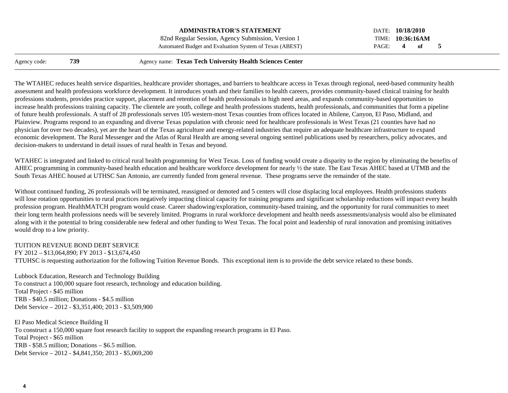82nd Regular Session, Agency Submission, Version 1 Automated Budget and Evaluation System of Texas (ABEST)

### Agency code: **739 Agency name: Texas Tech University Health Sciences Center**

The WTAHEC reduces health service disparities, healthcare provider shortages, and barriers to healthcare access in Texas through regional, need-based community health assessment and health professions workforce development. It introduces youth and their families to health careers, provides community-based clinical training for health professions students, provides practice support, placement and retention of health professionals in high need areas, and expands community-based opportunities to increase health professions training capacity. The clientele are youth, college and health professions students, health professionals, and communities that form a pipeline of future health professionals. A staff of 28 professionals serves 105 western-most Texas counties from offices located in Abilene, Canyon, El Paso, Midland, and Plainview. Programs respond to an expanding and diverse Texas population with chronic need for healthcare professionals in West Texas (21 counties have had no physician for over two decades), yet are the heart of the Texas agriculture and energy-related industries that require an adequate healthcare infrastructure to expand economic development. The Rural Messenger and the Atlas of Rural Health are among several ongoing sentinel publications used by researchers, policy advocates, and decision-makers to understand in detail issues of rural health in Texas and beyond.

WTAHEC is integrated and linked to critical rural health programming for West Texas. Loss of funding would create a disparity to the region by eliminating the benefits of AHEC programming in community-based health education and healthcare workforce development for nearly  $\frac{1}{2}$  the state. The East Texas AHEC based at UTMB and the South Texas AHEC housed at UTHSC San Antonio, are currently funded from general revenue. These programs serve the remainder of the state.

Without continued funding, 26 professionals will be terminated, reassigned or demoted and 5 centers will close displacing local employees. Health professions students will lose rotation opportunities to rural practices negatively impacting clinical capacity for training programs and significant scholarship reductions will impact every health profession program. HealthMATCH program would cease. Career shadowing/exploration, community-based training, and the opportunity for rural communities to meet their long term health professions needs will be severely limited. Programs in rural workforce development and health needs assessments/analysis would also be eliminated along with it the potential to bring considerable new federal and other funding to West Texas. The focal point and leadership of rural innovation and promising initiatives would drop to a low priority.

TUITION REVENUE BOND DEBT SERVICEFY 2012 – \$13,064,890; FY 2013 - \$13,674,450 TTUHSC is requesting authorization for the following Tuition Revenue Bonds. This exceptional item is to provide the debt service related to these bonds.

Lubbock Education, Research and Technology Building To construct a 100,000 square foot research, technology and education building. Total Project - \$45 million TRB - \$40.5 million; Donations - \$4.5 million Debt Service – 2012 - \$3,351,400; 2013 - \$3,509,900

El Paso Medical Science Building II To construct a 150,000 square foot research facility to support the expanding research programs in El Paso. Total Project - \$65 million TRB - \$58.5 million; Donations – \$6.5 million. Debt Service – 2012 - \$4,841,350; 2013 - \$5,069,200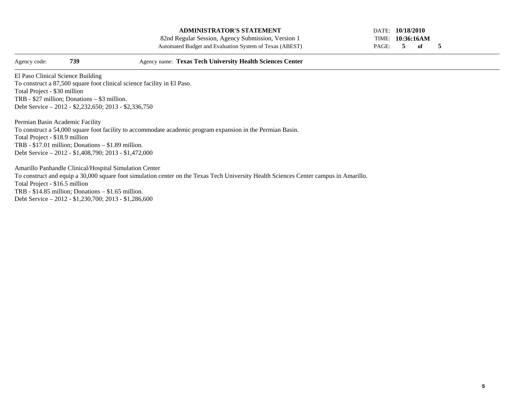82nd Regular Session, Agency Submission, Version 1 Automated Budget and Evaluation System of Texas (ABEST) DATE: **10/18/2010** TIME: **10:36:16AM**PAGE: **5of 5**

### Agency code: **739 Agency name: Texas Tech University Health Sciences Center**

El Paso Clinical Science Building To construct a 87,500 square foot clinical science facility in El Paso. Total Project - \$30 million TRB - \$27 million; Donations – \$3 million. Debt Service – 2012 - \$2,232,650; 2013 - \$2,336,750

Permian Basin Academic Facility To construct a 54,000 square foot facility to accommodate academic program expansion in the Permian Basin. Total Project - \$18.9 million TRB - \$17.01 million; Donations – \$1.89 million. Debt Service – 2012 - \$1,408,790; 2013 - \$1,472,000

Amarillo Panhandle Clinical/Hospital Simulation Center

To construct and equip a 30,000 square foot simulation center on the Texas Tech University Health Sciences Center campus in Amarillo. Total Project - \$16.5 million TRB - \$14.85 million; Donations – \$1.65 million. Debt Service – 2012 - \$1,230,700; 2013 - \$1,286,600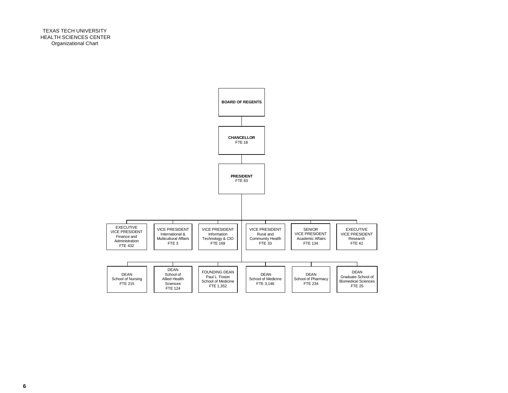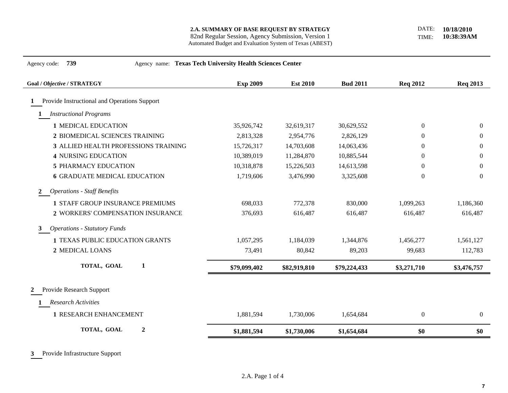Automated Budget and Evaluation System of Texas (ABEST) 82nd Regular Session, Agency Submission, Version 1

TIME: **10:38:39AM 10/18/2010**

| 739<br>Agency code:<br>Agency name:                  | <b>Texas Tech University Health Sciences Center</b> |                 |                 |                  |                  |
|------------------------------------------------------|-----------------------------------------------------|-----------------|-----------------|------------------|------------------|
| Goal / Objective / STRATEGY                          | <b>Exp 2009</b>                                     | <b>Est 2010</b> | <b>Bud 2011</b> | <b>Req 2012</b>  | <b>Req 2013</b>  |
| Provide Instructional and Operations Support<br>1    |                                                     |                 |                 |                  |                  |
| <b>Instructional Programs</b><br>1                   |                                                     |                 |                 |                  |                  |
| <b>1 MEDICAL EDUCATION</b>                           | 35,926,742                                          | 32,619,317      | 30,629,552      | $\mathbf{0}$     | $\boldsymbol{0}$ |
| 2 BIOMEDICAL SCIENCES TRAINING                       | 2,813,328                                           | 2,954,776       | 2,826,129       | $\overline{0}$   | $\overline{0}$   |
| 3 ALLIED HEALTH PROFESSIONS TRAINING                 | 15,726,317                                          | 14,703,608      | 14,063,436      | $\theta$         | $\boldsymbol{0}$ |
| <b>4 NURSING EDUCATION</b>                           | 10,389,019                                          | 11,284,870      | 10,885,544      | $\theta$         | $\boldsymbol{0}$ |
| <b>5 PHARMACY EDUCATION</b>                          | 10,318,878                                          | 15,226,503      | 14,613,598      | $\theta$         | $\boldsymbol{0}$ |
| <b>6 GRADUATE MEDICAL EDUCATION</b>                  | 1,719,606                                           | 3,476,990       | 3,325,608       | $\theta$         | $\boldsymbol{0}$ |
| <b>Operations - Staff Benefits</b><br>$\mathbf{2}^-$ |                                                     |                 |                 |                  |                  |
| 1 STAFF GROUP INSURANCE PREMIUMS                     | 698,033                                             | 772,378         | 830,000         | 1,099,263        | 1,186,360        |
| 2 WORKERS' COMPENSATION INSURANCE                    | 376,693                                             | 616,487         | 616,487         | 616,487          | 616,487          |
| <b>Operations - Statutory Funds</b><br>3             |                                                     |                 |                 |                  |                  |
| 1 TEXAS PUBLIC EDUCATION GRANTS                      | 1,057,295                                           | 1,184,039       | 1,344,876       | 1,456,277        | 1,561,127        |
| 2 MEDICAL LOANS                                      | 73,491                                              | 80,842          | 89,203          | 99,683           | 112,783          |
| TOTAL, GOAL<br>$\mathbf{1}$                          | \$79,099,402                                        | \$82,919,810    | \$79,224,433    | \$3,271,710      | \$3,476,757      |
| Provide Research Support<br>2                        |                                                     |                 |                 |                  |                  |
| Research Activities                                  |                                                     |                 |                 |                  |                  |
| 1 RESEARCH ENHANCEMENT                               | 1,881,594                                           | 1,730,006       | 1,654,684       | $\boldsymbol{0}$ | $\boldsymbol{0}$ |
| $\boldsymbol{2}$<br>TOTAL, GOAL                      | \$1,881,594                                         | \$1,730,006     | \$1,654,684     | \$0              | \$0              |

### **3** Provide Infrastructure Support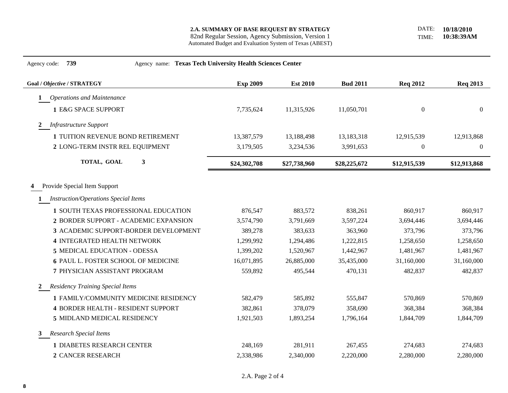Automated Budget and Evaluation System of Texas (ABEST) 82nd Regular Session, Agency Submission, Version 1

TIME: **10:38:39AM 10/18/2010**

| Agency name: Texas Tech University Health Sciences Center<br>739<br>Agency code: |                 |                 |                 |                  |                  |
|----------------------------------------------------------------------------------|-----------------|-----------------|-----------------|------------------|------------------|
| Goal / Objective / STRATEGY                                                      | <b>Exp 2009</b> | <b>Est 2010</b> | <b>Bud 2011</b> | <b>Req 2012</b>  | <b>Req 2013</b>  |
| <b>Operations and Maintenance</b><br>1                                           |                 |                 |                 |                  |                  |
| 1 E&G SPACE SUPPORT                                                              | 7,735,624       | 11,315,926      | 11,050,701      | $\boldsymbol{0}$ | $\boldsymbol{0}$ |
| <b>Infrastructure Support</b><br>$\mathbf{2}$                                    |                 |                 |                 |                  |                  |
| 1 TUITION REVENUE BOND RETIREMENT                                                | 13,387,579      | 13,188,498      | 13,183,318      | 12,915,539       | 12,913,868       |
| 2 LONG-TERM INSTR REL EQUIPMENT                                                  | 3,179,505       | 3,234,536       | 3,991,653       | $\boldsymbol{0}$ | $\boldsymbol{0}$ |
| $\mathbf{3}$<br>TOTAL, GOAL                                                      | \$24,302,708    | \$27,738,960    | \$28,225,672    | \$12,915,539     | \$12,913,868     |
| Provide Special Item Support<br>4<br><b>Instruction/Operations Special Items</b> |                 |                 |                 |                  |                  |
| 1 SOUTH TEXAS PROFESSIONAL EDUCATION                                             | 876,547         | 883,572         | 838,261         | 860,917          | 860,917          |
| 2 BORDER SUPPORT - ACADEMIC EXPANSION                                            | 3,574,790       | 3,791,669       | 3,597,224       | 3,694,446        | 3,694,446        |
| 3 ACADEMIC SUPPORT-BORDER DEVELOPMENT                                            | 389,278         | 383,633         | 363,960         | 373,796          | 373,796          |
| <b>4 INTEGRATED HEALTH NETWORK</b>                                               | 1,299,992       | 1,294,486       | 1,222,815       | 1,258,650        | 1,258,650        |
| <b>5 MEDICAL EDUCATION - ODESSA</b>                                              | 1,399,202       | 1,520,967       | 1,442,967       | 1,481,967        | 1,481,967        |
| 6 PAUL L. FOSTER SCHOOL OF MEDICINE                                              | 16,071,895      | 26,885,000      | 35,435,000      | 31,160,000       | 31,160,000       |
| 7 PHYSICIAN ASSISTANT PROGRAM                                                    | 559,892         | 495,544         | 470,131         | 482,837          | 482,837          |
| <b>Residency Training Special Items</b><br>2                                     |                 |                 |                 |                  |                  |
| 1 FAMILY/COMMUNITY MEDICINE RESIDENCY                                            | 582,479         | 585,892         | 555,847         | 570,869          | 570,869          |
| <b>4 BORDER HEALTH - RESIDENT SUPPORT</b>                                        | 382,861         | 378,079         | 358,690         | 368,384          | 368,384          |
| 5 MIDLAND MEDICAL RESIDENCY                                                      | 1,921,503       | 1,893,254       | 1,796,164       | 1,844,709        | 1,844,709        |
| <b>Research Special Items</b><br>3                                               |                 |                 |                 |                  |                  |
| <b>1 DIABETES RESEARCH CENTER</b>                                                | 248,169         | 281,911         | 267,455         | 274,683          | 274,683          |
| <b>2 CANCER RESEARCH</b>                                                         | 2,338,986       | 2,340,000       | 2,220,000       | 2,280,000        | 2,280,000        |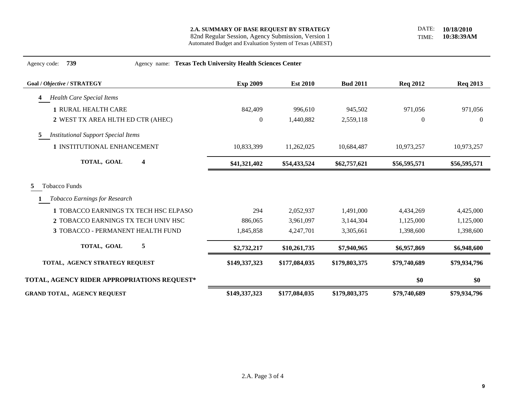Automated Budget and Evaluation System of Texas (ABEST) 82nd Regular Session, Agency Submission, Version 1

TIME: **10:38:39AM 10/18/2010**

| Agency name: Texas Tech University Health Sciences Center<br>739<br>Agency code: |                 |                 |                 |                 |                 |  |  |  |
|----------------------------------------------------------------------------------|-----------------|-----------------|-----------------|-----------------|-----------------|--|--|--|
| Goal / Objective / STRATEGY                                                      | <b>Exp 2009</b> | <b>Est 2010</b> | <b>Bud 2011</b> | <b>Req 2012</b> | <b>Req 2013</b> |  |  |  |
| <b>Health Care Special Items</b><br>4                                            |                 |                 |                 |                 |                 |  |  |  |
| 1 RURAL HEALTH CARE                                                              | 842,409         | 996,610         | 945,502         | 971,056         | 971,056         |  |  |  |
| 2 WEST TX AREA HLTH ED CTR (AHEC)                                                | $\mathbf{0}$    | 1,440,882       | 2,559,118       | $\mathbf{0}$    | $\Omega$        |  |  |  |
| <b>Institutional Support Special Items</b><br>5                                  |                 |                 |                 |                 |                 |  |  |  |
| 1 INSTITUTIONAL ENHANCEMENT                                                      | 10,833,399      | 11,262,025      | 10,684,487      | 10,973,257      | 10,973,257      |  |  |  |
| TOTAL, GOAL<br>$\overline{\mathbf{4}}$                                           | \$41,321,402    | \$54,433,524    | \$62,757,621    | \$56,595,571    | \$56,595,571    |  |  |  |
| <b>Tobacco Funds</b><br>5<br><b>Tobacco Earnings for Research</b>                |                 |                 |                 |                 |                 |  |  |  |
| 1 TOBACCO EARNINGS TX TECH HSC ELPASO                                            | 294             | 2,052,937       | 1,491,000       | 4,434,269       | 4,425,000       |  |  |  |
| 2 TOBACCO EARNINGS TX TECH UNIV HSC                                              | 886,065         | 3,961,097       | 3,144,304       | 1,125,000       | 1,125,000       |  |  |  |
| 3 TOBACCO - PERMANENT HEALTH FUND                                                | 1,845,858       | 4,247,701       | 3,305,661       | 1,398,600       | 1,398,600       |  |  |  |
| 5<br>TOTAL, GOAL                                                                 | \$2,732,217     | \$10,261,735    | \$7,940,965     | \$6,957,869     | \$6,948,600     |  |  |  |
| TOTAL, AGENCY STRATEGY REQUEST                                                   | \$149,337,323   | \$177,084,035   | \$179,803,375   | \$79,740,689    | \$79,934,796    |  |  |  |
| TOTAL, AGENCY RIDER APPROPRIATIONS REQUEST*                                      |                 |                 |                 | \$0             | \$0             |  |  |  |
| <b>GRAND TOTAL, AGENCY REQUEST</b>                                               | \$149,337,323   | \$177,084,035   | \$179,803,375   | \$79,740,689    | \$79,934,796    |  |  |  |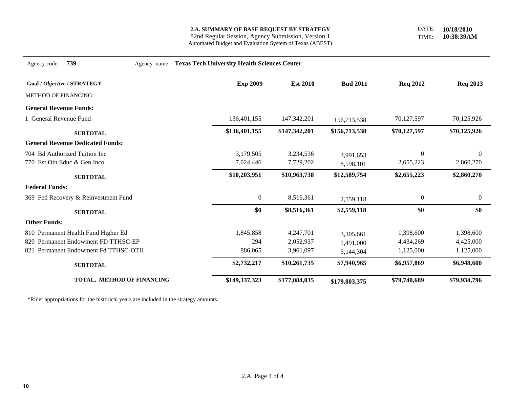Automated Budget and Evaluation System of Texas (ABEST) 82nd Regular Session, Agency Submission, Version 1

TIME: **10:38:39AM10/18/2010**

| 739<br>Agency code:                     | Agency name: Texas Tech University Health Sciences Center |                 |                 |                 |                  |
|-----------------------------------------|-----------------------------------------------------------|-----------------|-----------------|-----------------|------------------|
| Goal / Objective / STRATEGY             | <b>Exp 2009</b>                                           | <b>Est 2010</b> | <b>Bud 2011</b> | <b>Req 2012</b> | <b>Req 2013</b>  |
| <b>METHOD OF FINANCING:</b>             |                                                           |                 |                 |                 |                  |
| <b>General Revenue Funds:</b>           |                                                           |                 |                 |                 |                  |
| 1 General Revenue Fund                  | 136,401,155                                               | 147,342,201     | 156,713,538     | 70,127,597      | 70,125,926       |
| <b>SUBTOTAL</b>                         | \$136,401,155                                             | \$147,342,201   | \$156,713,538   | \$70,127,597    | \$70,125,926     |
| <b>General Revenue Dedicated Funds:</b> |                                                           |                 |                 |                 |                  |
| 704 Bd Authorized Tuition Inc           | 3,179,505                                                 | 3,234,536       | 3,991,653       | $\theta$        | $\mathbf{0}$     |
| 770 Est Oth Educ & Gen Inco             | 7,024,446                                                 | 7,729,202       | 8,598,101       | 2,655,223       | 2,860,270        |
| <b>SUBTOTAL</b>                         | \$10,203,951                                              | \$10,963,738    | \$12,589,754    | \$2,655,223     | \$2,860,270      |
| <b>Federal Funds:</b>                   |                                                           |                 |                 |                 |                  |
| 369 Fed Recovery & Reinvestment Fund    | $\overline{0}$                                            | 8,516,361       | 2,559,118       | $\mathbf{0}$    | $\boldsymbol{0}$ |
| <b>SUBTOTAL</b>                         | \$0                                                       | \$8,516,361     | \$2,559,118     | \$0             | \$0              |
| <b>Other Funds:</b>                     |                                                           |                 |                 |                 |                  |
| 810 Permanent Health Fund Higher Ed     | 1,845,858                                                 | 4,247,701       | 3,305,661       | 1,398,600       | 1,398,600        |
| 820 Permanent Endowment FD TTHSC-EP     | 294                                                       | 2,052,937       | 1,491,000       | 4,434,269       | 4,425,000        |
| 821 Permanent Endowment Fd TTHSC-OTH    | 886,065                                                   | 3,961,097       | 3,144,304       | 1,125,000       | 1,125,000        |
| <b>SUBTOTAL</b>                         | \$2,732,217                                               | \$10,261,735    | \$7,940,965     | \$6,957,869     | \$6,948,600      |
| TOTAL, METHOD OF FINANCING              | \$149,337,323                                             | \$177,084,035   | \$179,803,375   | \$79,740,689    | \$79,934,796     |

\*Rider appropriations for the historical years are included in the strategy amounts.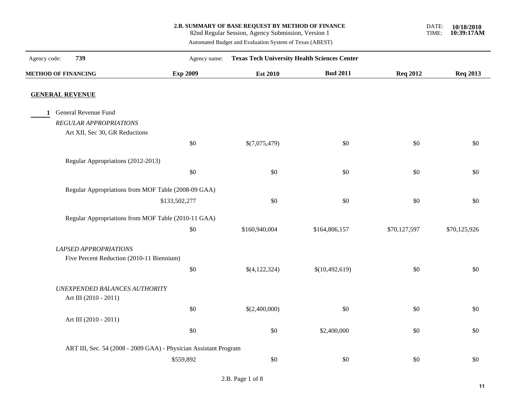82nd Regular Session, Agency Submission, Version 1

Automated Budget and Evaluation System of Texas (ABEST)

| 739<br>Agency code:                                              |                 | <b>Texas Tech University Health Sciences Center</b><br>Agency name: |                 |                 |                 |  |
|------------------------------------------------------------------|-----------------|---------------------------------------------------------------------|-----------------|-----------------|-----------------|--|
| <b>METHOD OF FINANCING</b>                                       | <b>Exp 2009</b> | <b>Est 2010</b>                                                     | <b>Bud 2011</b> | <b>Req 2012</b> | <b>Req 2013</b> |  |
| <b>GENERAL REVENUE</b>                                           |                 |                                                                     |                 |                 |                 |  |
| General Revenue Fund<br>$\mathbf{1}$                             |                 |                                                                     |                 |                 |                 |  |
| <b>REGULAR APPROPRIATIONS</b>                                    |                 |                                                                     |                 |                 |                 |  |
| Art XII, Sec 30, GR Reductions                                   |                 |                                                                     |                 |                 |                 |  |
|                                                                  | \$0             | \$(7,075,479)                                                       | \$0             | \$0             | \$0             |  |
| Regular Appropriations (2012-2013)                               |                 |                                                                     |                 |                 |                 |  |
|                                                                  | \$0             | \$0                                                                 | \$0             | \$0             | \$0             |  |
| Regular Appropriations from MOF Table (2008-09 GAA)              |                 |                                                                     |                 |                 |                 |  |
|                                                                  | \$133,502,277   | \$0                                                                 | \$0             | \$0             | \$0             |  |
| Regular Appropriations from MOF Table (2010-11 GAA)              |                 |                                                                     |                 |                 |                 |  |
|                                                                  | \$0             | \$160,940,004                                                       | \$164,806,157   | \$70,127,597    | \$70,125,926    |  |
| <b>LAPSED APPROPRIATIONS</b>                                     |                 |                                                                     |                 |                 |                 |  |
| Five Percent Reduction (2010-11 Biennium)                        |                 |                                                                     |                 |                 |                 |  |
|                                                                  | $\$0$           | \$(4,122,324)                                                       | \$(10,492,619)  | \$0             | $\$0$           |  |
| <b>UNEXPENDED BALANCES AUTHORITY</b>                             |                 |                                                                     |                 |                 |                 |  |
| Art III (2010 - 2011)                                            |                 |                                                                     |                 |                 |                 |  |
|                                                                  | \$0             | \$(2,400,000)                                                       | \$0             | \$0             | \$0             |  |
| Art III (2010 - 2011)                                            |                 |                                                                     |                 |                 |                 |  |
|                                                                  | \$0             | \$0                                                                 | \$2,400,000     | \$0             | \$0             |  |
| ART III, Sec. 54 (2008 - 2009 GAA) - Physician Assistant Program |                 |                                                                     |                 |                 |                 |  |
|                                                                  | \$559,892       | \$0                                                                 | \$0             | \$0             | \$0             |  |

DATE: **10/18/2010**<br>TIME: **10:39:17AM** DATE: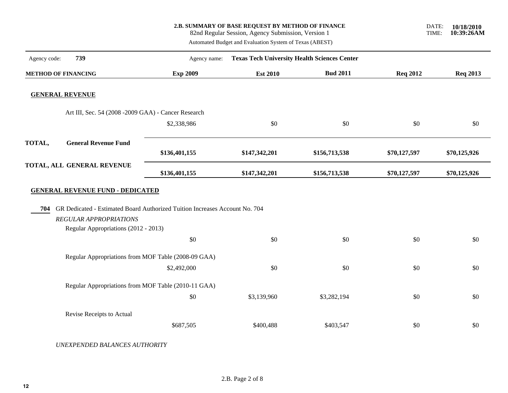82nd Regular Session, Agency Submission, Version 1

Automated Budget and Evaluation System of Texas (ABEST)

**10/18/2010 10:39:26AM**

DATE: TIME:

| Agency code:               | 739                                                                                                          | Agency name:    | <b>Texas Tech University Health Sciences Center</b> |                 |                 |                 |
|----------------------------|--------------------------------------------------------------------------------------------------------------|-----------------|-----------------------------------------------------|-----------------|-----------------|-----------------|
| <b>METHOD OF FINANCING</b> |                                                                                                              | <b>Exp 2009</b> | <b>Est 2010</b>                                     | <b>Bud 2011</b> | <b>Req 2012</b> | <b>Req 2013</b> |
| <b>GENERAL REVENUE</b>     |                                                                                                              |                 |                                                     |                 |                 |                 |
|                            | Art III, Sec. 54 (2008 - 2009 GAA) - Cancer Research                                                         |                 |                                                     |                 |                 |                 |
|                            |                                                                                                              | \$2,338,986     | \$0                                                 | \$0             | \$0             | \$0             |
| TOTAL,                     | <b>General Revenue Fund</b>                                                                                  |                 |                                                     |                 |                 |                 |
|                            |                                                                                                              | \$136,401,155   | \$147,342,201                                       | \$156,713,538   | \$70,127,597    | \$70,125,926    |
|                            | TOTAL, ALL GENERAL REVENUE                                                                                   | \$136,401,155   | \$147,342,201                                       | \$156,713,538   | \$70,127,597    | \$70,125,926    |
|                            | <b>GENERAL REVENUE FUND - DEDICATED</b>                                                                      |                 |                                                     |                 |                 |                 |
|                            |                                                                                                              |                 |                                                     |                 |                 |                 |
| 704                        | GR Dedicated - Estimated Board Authorized Tuition Increases Account No. 704<br><b>REGULAR APPROPRIATIONS</b> |                 |                                                     |                 |                 |                 |
|                            | Regular Appropriations (2012 - 2013)                                                                         |                 |                                                     |                 |                 |                 |
|                            |                                                                                                              | \$0             | \$0                                                 | \$0             | \$0             | \$0             |
|                            | Regular Appropriations from MOF Table (2008-09 GAA)                                                          |                 |                                                     |                 |                 |                 |
|                            |                                                                                                              | \$2,492,000     | \$0                                                 | \$0             | \$0             | \$0             |
|                            | Regular Appropriations from MOF Table (2010-11 GAA)                                                          |                 |                                                     |                 |                 |                 |
|                            |                                                                                                              | \$0             | \$3,139,960                                         | \$3,282,194     | \$0             | \$0             |
|                            | Revise Receipts to Actual                                                                                    |                 |                                                     |                 |                 |                 |
|                            |                                                                                                              | \$687,505       | \$400,488                                           | \$403,547       | \$0             | \$0             |

*UNEXPENDED BALANCES AUTHORITY*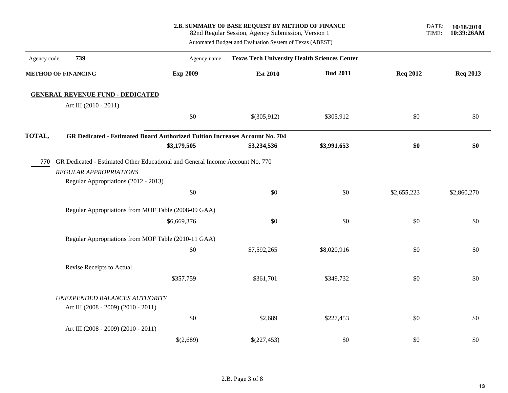82nd Regular Session, Agency Submission, Version 1

Automated Budget and Evaluation System of Texas (ABEST)

**Texas Tech University Health Sciences Center** Agency code: **739** Agency name: **METHOD OF FINANCING Exp 2009 Est 2010 Bud 2011 Req 2012 Req 2013 GENERAL REVENUE FUND - DEDICATED** Art III (2010 - 2011) \$0 \$(305,912) \$305,912 \$0 \$0 \$0 **TOTAL, GR Dedicated - Estimated Board Authorized Tuition Increases Account No. 704 \$3,179,505 \$3,234,536 \$3,991,653 \$0 \$0 770** GR Dedicated - Estimated Other Educational and General Income Account No. 770 *REGULAR APPROPRIATIONS*Regular Appropriations (2012 - 2013) \$0 \$0 \$2,655,223 \$2,860,270 Regular Appropriations from MOF Table (2008-09 GAA)  $$6,669,376$  \$0 \$0 \$0 \$0 \$0 \$0 Regular Appropriations from MOF Table (2010-11 GAA) \$0 \$7,592,265 \$8,020,916 \$0 \$0 \$0 \$0 Revise Receipts to Actual \$357,759 \$361,701 \$349,732 \$0 \$0 \$0 \$0 *UNEXPENDED BALANCES AUTHORITY*Art III (2008 - 2009) (2010 - 2011)  $$0$   $$2,689$   $$227,453$   $$0$   $$0$   $$0$ Art III (2008 - 2009) (2010 - 2011)  $$(2,689)$   $$(227,453)$   $(60,60)$   $)(7,689)$   $(80,60)$   $(10,60)$   $(10,60)$   $(10,60)$   $(10,60)$   $(10,60)$   $(10,60)$   $(10,60)$   $(10,60)$   $(10,60)$   $(10,60)$   $(10,60)$   $(10,60)$   $(10,60)$   $(10,60)$   $(10,60)$   $(10,60)$   $(10,60)$ 

**10/18/2010 10:39:26AM**DATE:TIME: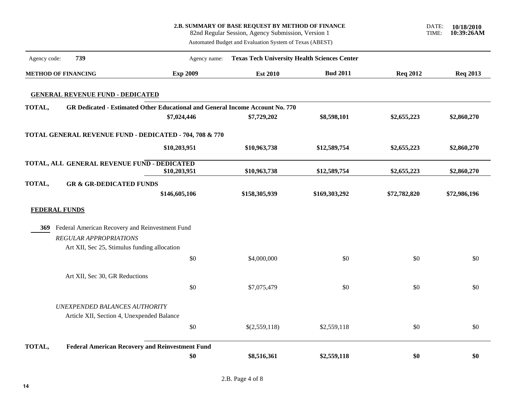82nd Regular Session, Agency Submission, Version 1

Automated Budget and Evaluation System of Texas (ABEST)

**10/18/2010 10:39:26AM**

DATE: TIME:

| Agency code: | 739                                             | Agency name:                                                                  |                 | <b>Texas Tech University Health Sciences Center</b> |                 |                 |
|--------------|-------------------------------------------------|-------------------------------------------------------------------------------|-----------------|-----------------------------------------------------|-----------------|-----------------|
|              | <b>METHOD OF FINANCING</b>                      | <b>Exp 2009</b>                                                               | <b>Est 2010</b> | <b>Bud 2011</b>                                     | <b>Req 2012</b> | <b>Req 2013</b> |
|              |                                                 |                                                                               |                 |                                                     |                 |                 |
|              | <b>GENERAL REVENUE FUND - DEDICATED</b>         |                                                                               |                 |                                                     |                 |                 |
| TOTAL,       |                                                 | GR Dedicated - Estimated Other Educational and General Income Account No. 770 |                 |                                                     |                 |                 |
|              |                                                 | \$7,024,446                                                                   | \$7,729,202     | \$8,598,101                                         | \$2,655,223     | \$2,860,270     |
|              |                                                 | TOTAL GENERAL REVENUE FUND - DEDICATED - 704, 708 & 770                       |                 |                                                     |                 |                 |
|              |                                                 | \$10,203,951                                                                  | \$10,963,738    | \$12,589,754                                        | \$2,655,223     | \$2,860,270     |
|              | TOTAL, ALL GENERAL REVENUE FUND - DEDICATED     | \$10,203,951                                                                  | \$10,963,738    | \$12,589,754                                        | \$2,655,223     | \$2,860,270     |
| TOTAL,       | <b>GR &amp; GR-DEDICATED FUNDS</b>              |                                                                               |                 |                                                     |                 |                 |
|              |                                                 | \$146,605,106                                                                 | \$158,305,939   | \$169,303,292                                       | \$72,782,820    | \$72,986,196    |
|              | <b>FEDERAL FUNDS</b>                            |                                                                               |                 |                                                     |                 |                 |
| 369          | Federal American Recovery and Reinvestment Fund |                                                                               |                 |                                                     |                 |                 |
|              | <b>REGULAR APPROPRIATIONS</b>                   |                                                                               |                 |                                                     |                 |                 |
|              | Art XII, Sec 25, Stimulus funding allocation    |                                                                               |                 |                                                     |                 |                 |
|              |                                                 | \$0                                                                           | \$4,000,000     | \$0                                                 | \$0             | \$0             |
|              | Art XII, Sec 30, GR Reductions                  |                                                                               |                 |                                                     |                 |                 |
|              |                                                 | \$0                                                                           | \$7,075,479     | \$0                                                 | \$0             | \$0             |
|              | UNEXPENDED BALANCES AUTHORITY                   |                                                                               |                 |                                                     |                 |                 |
|              | Article XII, Section 4, Unexpended Balance      |                                                                               |                 |                                                     |                 |                 |
|              |                                                 | \$0                                                                           | \$(2,559,118)   | \$2,559,118                                         | \$0             | \$0             |
| TOTAL,       |                                                 | <b>Federal American Recovery and Reinvestment Fund</b>                        |                 |                                                     |                 |                 |
|              |                                                 | \$0                                                                           | \$8,516,361     | \$2,559,118                                         | \$0             | \$0             |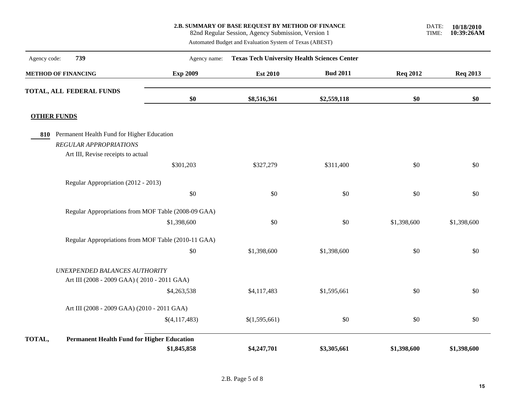82nd Regular Session, Agency Submission, Version 1

Automated Budget and Evaluation System of Texas (ABEST)

| 739<br>Agency code:                                         | Agency name:    | <b>Texas Tech University Health Sciences Center</b> |                 |                 |                 |
|-------------------------------------------------------------|-----------------|-----------------------------------------------------|-----------------|-----------------|-----------------|
| <b>METHOD OF FINANCING</b>                                  | <b>Exp 2009</b> | <b>Est 2010</b>                                     | <b>Bud 2011</b> | <b>Req 2012</b> | <b>Req 2013</b> |
| TOTAL, ALL FEDERAL FUNDS                                    | \$0             |                                                     |                 | \$0             |                 |
|                                                             |                 | \$8,516,361                                         | \$2,559,118     |                 | \$0             |
| <b>OTHER FUNDS</b>                                          |                 |                                                     |                 |                 |                 |
| Permanent Health Fund for Higher Education<br>810           |                 |                                                     |                 |                 |                 |
| <b>REGULAR APPROPRIATIONS</b>                               |                 |                                                     |                 |                 |                 |
| Art III, Revise receipts to actual                          |                 |                                                     |                 |                 |                 |
|                                                             | \$301,203       | \$327,279                                           | \$311,400       | \$0             | \$0             |
| Regular Appropriation (2012 - 2013)                         |                 |                                                     |                 |                 |                 |
|                                                             | \$0             | \$0                                                 | $\$0$           | \$0             | \$0             |
| Regular Appropriations from MOF Table (2008-09 GAA)         |                 |                                                     |                 |                 |                 |
|                                                             | \$1,398,600     | \$0                                                 | \$0             | \$1,398,600     | \$1,398,600     |
| Regular Appropriations from MOF Table (2010-11 GAA)         |                 |                                                     |                 |                 |                 |
|                                                             | \$0             | \$1,398,600                                         | \$1,398,600     | \$0             | \$0             |
| UNEXPENDED BALANCES AUTHORITY                               |                 |                                                     |                 |                 |                 |
| Art III (2008 - 2009 GAA) (2010 - 2011 GAA)                 |                 |                                                     |                 |                 |                 |
|                                                             | \$4,263,538     | \$4,117,483                                         | \$1,595,661     | \$0             | \$0             |
| Art III (2008 - 2009 GAA) (2010 - 2011 GAA)                 |                 |                                                     |                 |                 |                 |
|                                                             | \$(4,117,483)   | \$(1,595,661)                                       | \$0             | \$0             | \$0             |
| TOTAL,<br><b>Permanent Health Fund for Higher Education</b> |                 |                                                     |                 |                 |                 |
|                                                             | \$1,845,858     | \$4,247,701                                         | \$3,305,661     | \$1,398,600     | \$1,398,600     |

**10/18/2010 10:39:26AM**

DATE: TIME: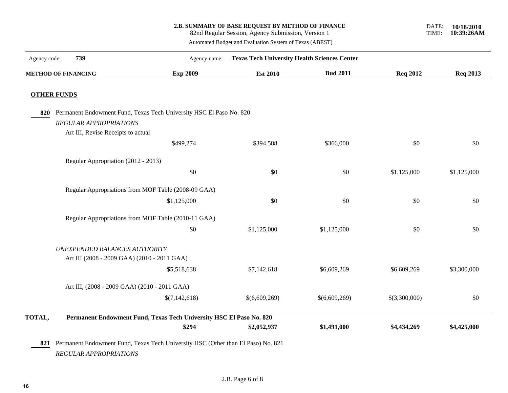82nd Regular Session, Agency Submission, Version 1

Automated Budget and Evaluation System of Texas (ABEST)

**10/18/2010 10:39:26AM**

DATE: TIME:

| 739<br>Agency code:                          | Agency name:                                                        | <b>Texas Tech University Health Sciences Center</b> |                 |                 |                 |
|----------------------------------------------|---------------------------------------------------------------------|-----------------------------------------------------|-----------------|-----------------|-----------------|
| <b>METHOD OF FINANCING</b>                   | <b>Exp 2009</b>                                                     | <b>Est 2010</b>                                     | <b>Bud 2011</b> | <b>Req 2012</b> | <b>Req 2013</b> |
| <b>OTHER FUNDS</b>                           |                                                                     |                                                     |                 |                 |                 |
| 820                                          | Permanent Endowment Fund, Texas Tech University HSC El Paso No. 820 |                                                     |                 |                 |                 |
| <b>REGULAR APPROPRIATIONS</b>                |                                                                     |                                                     |                 |                 |                 |
| Art III, Revise Receipts to actual           |                                                                     |                                                     |                 |                 |                 |
|                                              | \$499,274                                                           | \$394,588                                           | \$366,000       | \$0             | \$0             |
| Regular Appropriation (2012 - 2013)          |                                                                     |                                                     |                 |                 |                 |
|                                              | \$0                                                                 | \$0                                                 | \$0             | \$1,125,000     | \$1,125,000     |
|                                              | Regular Appropriations from MOF Table (2008-09 GAA)                 |                                                     |                 |                 |                 |
|                                              | \$1,125,000                                                         | \$0                                                 | \$0             | \$0             | \$0             |
|                                              | Regular Appropriations from MOF Table (2010-11 GAA)                 |                                                     |                 |                 |                 |
|                                              | \$0                                                                 | \$1,125,000                                         | \$1,125,000     | \$0             | \$0             |
| UNEXPENDED BALANCES AUTHORITY                |                                                                     |                                                     |                 |                 |                 |
| Art III (2008 - 2009 GAA) (2010 - 2011 GAA)  |                                                                     |                                                     |                 |                 |                 |
|                                              | \$5,518,638                                                         | \$7,142,618                                         | \$6,609,269     | \$6,609,269     | \$3,300,000     |
| Art III, (2008 - 2009 GAA) (2010 - 2011 GAA) |                                                                     |                                                     |                 |                 |                 |
|                                              | \$(7,142,618)                                                       | \$(6,609,269)                                       | \$(6,609,269)   | \$(3,300,000)   | \$0             |
| TOTAL,                                       | Permanent Endowment Fund, Texas Tech University HSC El Paso No. 820 |                                                     |                 |                 |                 |
|                                              | \$294                                                               | \$2,052,937                                         | \$1,491,000     | \$4,434,269     | \$4,425,000     |
|                                              |                                                                     |                                                     |                 |                 |                 |

**821** Permanent Endowment Fund, Texas Tech University HSC (Other than El Paso) No. 821 *REGULAR APPROPRIATIONS*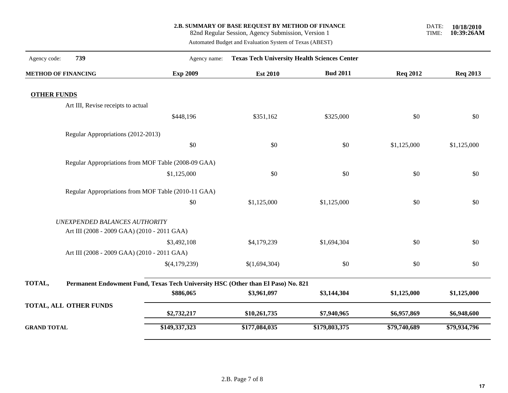82nd Regular Session, Agency Submission, Version 1

Automated Budget and Evaluation System of Texas (ABEST)

**Texas Tech University Health Sciences Center** Agency code: **739** Agency name: **METHOD OF FINANCING Exp 2009 Est 2010 Bud 2011 Req 2012 Req 2013 OTHER FUNDS** Art III, Revise receipts to actual  $$351,162$   $$351,162$   $$325,000$  \$0 \$0 \$0 Regular Appropriations (2012-2013) \$0 \$0 \$1,125,000 \$1,125,000 \$1,125,000 Regular Appropriations from MOF Table (2008-09 GAA)  $$0$  \$0 \$0 \$0 \$0 \$0 \$0 \$0 Regular Appropriations from MOF Table (2010-11 GAA) \$0 \$1,125,000 \$1,125,000 \$0 \$0 \$0 \$0 *UNEXPENDED BALANCES AUTHORITY* Art III (2008 - 2009 GAA) (2010 - 2011 GAA) \$3,492,108 \$4,179,239 \$1,694,304 \$0 \$0 \$0 \$0 Art III (2008 - 2009 GAA) (2010 - 2011 GAA)  $\{(4,179,239)\qquad \qquad \{(1,694,304)\}$  \$0 \$0 \$0 \$0 **TOTAL, Permanent Endowment Fund, Texas Tech University HSC (Other than El Paso) No. 821 \$886,065 \$3,961,097 \$3,144,304 \$1,125,000 \$1,125,000 \$2,732,217 TOTAL, ALL OTHER FUNDS \$10,261,735 \$7,940,965 \$6,957,869 \$6,948,600 GRAND TOTAL\$149,337,323 \$177,084,035 \$179,803,375 \$79,740,689 \$79,934,796**

**10/18/2010 10:39:26AM**DATE:TIME: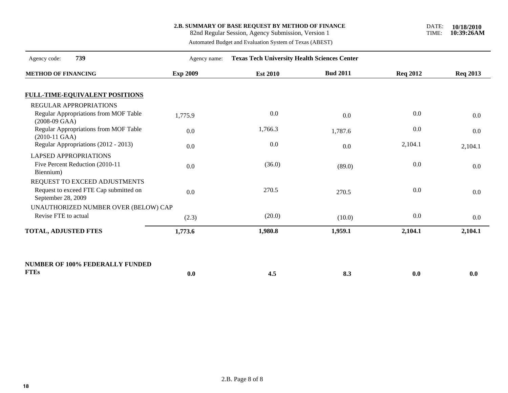82nd Regular Session, Agency Submission, Version 1

Automated Budget and Evaluation System of Texas (ABEST)

**10/18/2010 10:39:26AM**

DATE: TIME:

| 739<br>Agency code:                                                                           | Agency name:    |                 |                 |                 |                 |
|-----------------------------------------------------------------------------------------------|-----------------|-----------------|-----------------|-----------------|-----------------|
| <b>METHOD OF FINANCING</b>                                                                    | <b>Exp 2009</b> | <b>Est 2010</b> | <b>Bud 2011</b> | <b>Req 2012</b> | <b>Req 2013</b> |
| FULL-TIME-EQUIVALENT POSITIONS                                                                |                 |                 |                 |                 |                 |
| REGULAR APPROPRIATIONS                                                                        |                 |                 |                 |                 |                 |
| Regular Appropriations from MOF Table<br>$(2008-09 \text{ GAA})$                              | 1,775.9         | 0.0             | 0.0             | 0.0             | 0.0             |
| Regular Appropriations from MOF Table<br>$(2010-11 \text{ GAA})$                              | 0.0             | 1,766.3         | 1,787.6         | 0.0             | 0.0             |
| Regular Appropriations (2012 - 2013)                                                          | 0.0             | 0.0             | 0.0             | 2,104.1         | 2,104.1         |
| <b>LAPSED APPROPRIATIONS</b>                                                                  |                 |                 |                 |                 |                 |
| Five Percent Reduction (2010-11<br>Biennium)                                                  | 0.0             | (36.0)          | (89.0)          | 0.0             | 0.0             |
| REQUEST TO EXCEED ADJUSTMENTS<br>Request to exceed FTE Cap submitted on<br>September 28, 2009 | 0.0             | 270.5           | 270.5           | 0.0             | $0.0\,$         |
| UNAUTHORIZED NUMBER OVER (BELOW) CAP                                                          |                 |                 |                 |                 |                 |
| Revise FTE to actual                                                                          | (2.3)           | (20.0)          | (10.0)          | 0.0             | 0.0             |
| <b>TOTAL, ADJUSTED FTES</b>                                                                   | 1,773.6         | 1,980.8         | 1,959.1         | 2,104.1         | 2,104.1         |
| <b>NUMBER OF 100% FEDERALLY FUNDED</b>                                                        |                 |                 |                 |                 |                 |
| <b>FTEs</b>                                                                                   | 0.0             | 4.5             | 8.3             | 0.0             | 0.0             |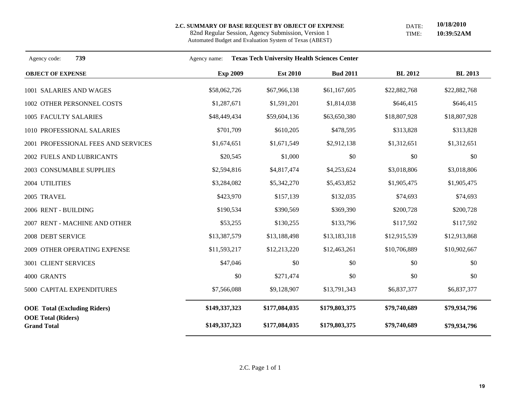# **2.C. SUMMARY OF BASE REQUEST BY OBJECT OF EXPENSE**

Automated Budget and Evaluation System of Texas (ABEST) 82nd Regular Session, Agency Submission, Version 1

**10/18/2010 10:39:52AM** DATE: TIME:

| 739<br>Agency code:                             | Agency name:    | <b>Texas Tech University Health Sciences Center</b> |                 |                |                |
|-------------------------------------------------|-----------------|-----------------------------------------------------|-----------------|----------------|----------------|
| <b>OBJECT OF EXPENSE</b>                        | <b>Exp 2009</b> | <b>Est 2010</b>                                     | <b>Bud 2011</b> | <b>BL</b> 2012 | <b>BL</b> 2013 |
| 1001 SALARIES AND WAGES                         | \$58,062,726    | \$67,966,138                                        | \$61,167,605    | \$22,882,768   | \$22,882,768   |
| 1002 OTHER PERSONNEL COSTS                      | \$1,287,671     | \$1,591,201                                         | \$1,814,038     | \$646,415      | \$646,415      |
| 1005 FACULTY SALARIES                           | \$48,449,434    | \$59,604,136                                        | \$63,650,380    | \$18,807,928   | \$18,807,928   |
| 1010 PROFESSIONAL SALARIES                      | \$701,709       | \$610,205                                           | \$478,595       | \$313,828      | \$313,828      |
| 2001 PROFESSIONAL FEES AND SERVICES             | \$1,674,651     | \$1,671,549                                         | \$2,912,138     | \$1,312,651    | \$1,312,651    |
| 2002 FUELS AND LUBRICANTS                       | \$20,545        | \$1,000                                             | \$0             | \$0            | \$0            |
| 2003 CONSUMABLE SUPPLIES                        | \$2,594,816     | \$4,817,474                                         | \$4,253,624     | \$3,018,806    | \$3,018,806    |
| 2004 UTILITIES                                  | \$3,284,082     | \$5,342,270                                         | \$5,453,852     | \$1,905,475    | \$1,905,475    |
| 2005 TRAVEL                                     | \$423,970       | \$157,139                                           | \$132,035       | \$74,693       | \$74,693       |
| 2006 RENT - BUILDING                            | \$190,534       | \$390,569                                           | \$369,390       | \$200,728      | \$200,728      |
| 2007 RENT - MACHINE AND OTHER                   | \$53,255        | \$130,255                                           | \$133,796       | \$117,592      | \$117,592      |
| 2008 DEBT SERVICE                               | \$13,387,579    | \$13,188,498                                        | \$13,183,318    | \$12,915,539   | \$12,913,868   |
| 2009 OTHER OPERATING EXPENSE                    | \$11,593,217    | \$12,213,220                                        | \$12,463,261    | \$10,706,889   | \$10,902,667   |
| <b>3001 CLIENT SERVICES</b>                     | \$47,046        | \$0                                                 | \$0             | \$0            | \$0            |
| 4000 GRANTS                                     | \$0             | \$271,474                                           | \$0             | \$0            | \$0            |
| 5000 CAPITAL EXPENDITURES                       | \$7,566,088     | \$9,128,907                                         | \$13,791,343    | \$6,837,377    | \$6,837,377    |
| <b>OOE</b> Total (Excluding Riders)             | \$149,337,323   | \$177,084,035                                       | \$179,803,375   | \$79,740,689   | \$79,934,796   |
| <b>OOE Total (Riders)</b><br><b>Grand Total</b> | \$149,337,323   | \$177,084,035                                       | \$179,803,375   | \$79,740,689   | \$79,934,796   |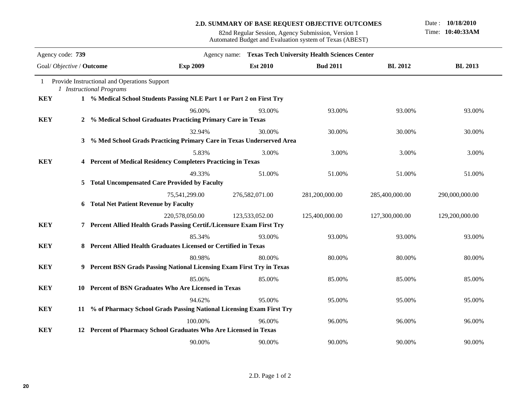# **2.D. SUMMARY OF BASE REQUEST OBJECTIVE OUTCOMES**

Automated Budget and Evaluation system of Texas (ABEST) 82nd Regular Session, Agency Submission, Version 1

Date : **10/18/2010**

Time: **10:40:33AM**

| Agency code: 739 |                          |                                                                          | Agency name:                                                            |                 |                 |                |                |
|------------------|--------------------------|--------------------------------------------------------------------------|-------------------------------------------------------------------------|-----------------|-----------------|----------------|----------------|
|                  | Goal/Objective / Outcome |                                                                          | <b>Exp 2009</b>                                                         | <b>Est 2010</b> | <b>Bud 2011</b> | <b>BL</b> 2012 | <b>BL</b> 2013 |
|                  |                          | Provide Instructional and Operations Support<br>1 Instructional Programs |                                                                         |                 |                 |                |                |
| <b>KEY</b>       |                          |                                                                          | 1 % Medical School Students Passing NLE Part 1 or Part 2 on First Try   |                 |                 |                |                |
|                  |                          |                                                                          | 96.00%                                                                  | 93.00%          | 93.00%          | 93.00%         | 93.00%         |
| <b>KEY</b>       | $\overline{2}$           |                                                                          | % Medical School Graduates Practicing Primary Care in Texas             |                 |                 |                |                |
|                  |                          |                                                                          | 32.94%                                                                  | 30.00%          | 30.00%          | 30.00%         | 30.00%         |
|                  | 3                        |                                                                          | % Med School Grads Practicing Primary Care in Texas Underserved Area    |                 |                 |                |                |
|                  |                          |                                                                          | 5.83%                                                                   | 3.00%           | 3.00%           | 3.00%          | 3.00%          |
| <b>KEY</b>       |                          |                                                                          | 4 Percent of Medical Residency Completers Practicing in Texas           |                 |                 |                |                |
|                  |                          |                                                                          | 49.33%                                                                  | 51.00%          | 51.00%          | 51.00%         | 51.00%         |
|                  | 5                        |                                                                          | <b>Total Uncompensated Care Provided by Faculty</b>                     |                 |                 |                |                |
|                  |                          |                                                                          | 75,541,299.00                                                           | 276,582,071.00  | 281,200,000.00  | 285,400,000.00 | 290,000,000.00 |
|                  | 6                        | <b>Total Net Patient Revenue by Faculty</b>                              |                                                                         |                 |                 |                |                |
|                  |                          |                                                                          | 220,578,050.00                                                          | 123,533,052.00  | 125,400,000.00  | 127,300,000.00 | 129,200,000.00 |
| <b>KEY</b>       |                          |                                                                          | 7 Percent Allied Health Grads Passing Certif./Licensure Exam First Try  |                 |                 |                |                |
|                  |                          |                                                                          | 85.34%                                                                  | 93.00%          | 93.00%          | 93.00%         | 93.00%         |
| <b>KEY</b>       |                          |                                                                          | 8 Percent Allied Health Graduates Licensed or Certified in Texas        |                 |                 |                |                |
|                  |                          |                                                                          | 80.98%                                                                  | 80.00%          | 80.00%          | 80.00%         | 80.00%         |
| <b>KEY</b>       |                          |                                                                          | 9 Percent BSN Grads Passing National Licensing Exam First Try in Texas  |                 |                 |                |                |
|                  |                          |                                                                          | 85.06%                                                                  | 85.00%          | 85.00%          | 85.00%         | 85.00%         |
| <b>KEY</b>       |                          |                                                                          | 10 Percent of BSN Graduates Who Are Licensed in Texas                   |                 |                 |                |                |
| <b>KEY</b>       |                          |                                                                          | 94.62%                                                                  | 95.00%          | 95.00%          | 95.00%         | 95.00%         |
|                  |                          |                                                                          | 11 % of Pharmacy School Grads Passing National Licensing Exam First Try |                 |                 |                |                |
| <b>KEY</b>       |                          |                                                                          | 100.00%                                                                 | 96.00%          | 96.00%          | 96.00%         | 96.00%         |
|                  | 12                       |                                                                          | Percent of Pharmacy School Graduates Who Are Licensed in Texas          |                 |                 |                |                |
|                  |                          |                                                                          | 90.00%                                                                  | 90.00%          | 90.00%          | 90.00%         | 90.00%         |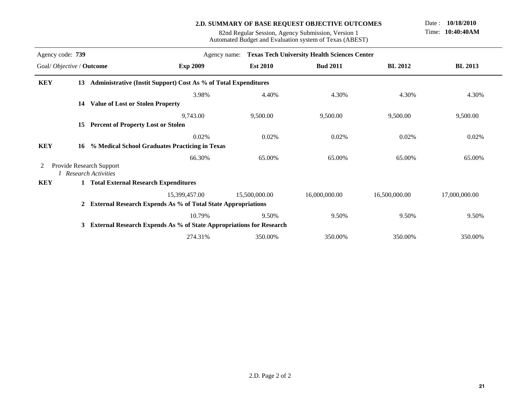# **2.D. SUMMARY OF BASE REQUEST OBJECTIVE OUTCOMES**

Automated Budget and Evaluation system of Texas (ABEST) 82nd Regular Session, Agency Submission, Version 1

Date : **10/18/2010**

Time: **10:40:40AM**

| Agency code: 739         |                                                             | Agency name:                                                               |                 | <b>Texas Tech University Health Sciences Center</b> |               |                |
|--------------------------|-------------------------------------------------------------|----------------------------------------------------------------------------|-----------------|-----------------------------------------------------|---------------|----------------|
| Goal/Objective / Outcome |                                                             | <b>Exp 2009</b>                                                            | <b>Est 2010</b> | <b>Bud 2011</b>                                     |               | <b>BL</b> 2013 |
| <b>KEY</b><br>13         |                                                             | Administrative (Instit Support) Cost As % of Total Expenditures            |                 |                                                     |               |                |
|                          |                                                             | 3.98%                                                                      | 4.40%           | 4.30%                                               | 4.30%         | 4.30%          |
| 14                       | <b>Value of Lost or Stolen Property</b>                     |                                                                            |                 |                                                     |               |                |
|                          |                                                             | 9,743.00                                                                   | 9,500.00        | 9,500.00                                            | 9,500.00      | 9,500.00       |
| 15                       | <b>Percent of Property Lost or Stolen</b>                   |                                                                            |                 |                                                     |               |                |
|                          |                                                             | 0.02%                                                                      | 0.02%           | 0.02%                                               | 0.02%         | 0.02%          |
| <b>KEY</b><br>16         |                                                             | % Medical School Graduates Practicing in Texas                             |                 |                                                     |               |                |
|                          |                                                             | 66.30%                                                                     | 65.00%          | 65.00%                                              | 65.00%        | 65.00%         |
| 2                        | Provide Research Support<br><b>Research Activities</b>      |                                                                            |                 |                                                     |               |                |
| <b>KEY</b>               | <b>Total External Research Expenditures</b><br>$\mathbf{1}$ |                                                                            |                 |                                                     |               |                |
|                          |                                                             | 15.399.457.00                                                              | 15,500,000.00   | 16,000,000.00                                       | 16,500,000.00 | 17,000,000.00  |
|                          | $\mathbf{2}$                                                | <b>External Research Expends As % of Total State Appropriations</b>        |                 |                                                     |               |                |
|                          |                                                             | 10.79%                                                                     | 9.50%           | 9.50%                                               | 9.50%         | 9.50%          |
|                          | 3                                                           | <b>External Research Expends As % of State Appropriations for Research</b> |                 |                                                     |               |                |
|                          |                                                             | 274.31%                                                                    | 350.00%         | 350.00%                                             | 350.00%       | 350.00%        |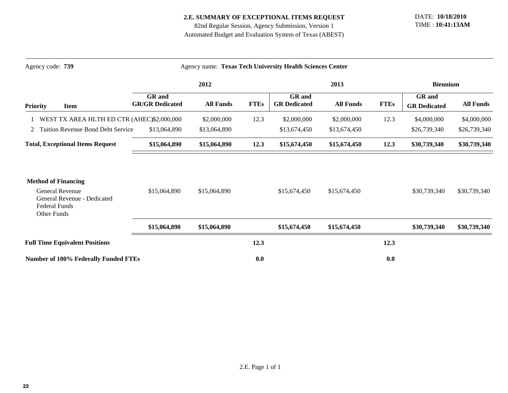# **2.E. SUMMARY OF EXCEPTIONAL ITEMS REQUEST**

82nd Regular Session, Agency Submission, Version 1 Automated Budget and Evaluation System of Texas (ABEST)

| Agency code: 739                                                                                                           | <b>Agency name: Texas Tech University Health Sciences Center</b> |                  |             |                                      |                  |             |                               |                  |  |
|----------------------------------------------------------------------------------------------------------------------------|------------------------------------------------------------------|------------------|-------------|--------------------------------------|------------------|-------------|-------------------------------|------------------|--|
|                                                                                                                            |                                                                  | 2012             |             |                                      | 2013             |             |                               | <b>Biennium</b>  |  |
| <b>Item</b><br><b>Priority</b>                                                                                             | <b>GR</b> and<br><b>GR/GR Dedicated</b>                          | <b>All Funds</b> | <b>FTEs</b> | <b>GR</b> and<br><b>GR</b> Dedicated | <b>All Funds</b> | <b>FTEs</b> | GR and<br><b>GR</b> Dedicated | <b>All Funds</b> |  |
| WEST TX AREA HLTH ED CTR (AHEC)\$2,000,000                                                                                 |                                                                  | \$2,000,000      | 12.3        | \$2,000,000                          | \$2,000,000      | 12.3        | \$4,000,000                   | \$4,000,000      |  |
| <b>Tuition Revenue Bond Debt Service</b><br>2                                                                              | \$13,064,890                                                     | \$13,064,890     |             | \$13,674,450                         | \$13,674,450     |             | \$26,739,340                  | \$26,739,340     |  |
| <b>Total, Exceptional Items Request</b>                                                                                    | \$15,064,890                                                     | \$15,064,890     | 12.3        | \$15,674,450                         | \$15,674,450     | 12.3        | \$30,739,340                  | \$30,739,340     |  |
|                                                                                                                            |                                                                  |                  |             |                                      |                  |             |                               |                  |  |
| <b>Method of Financing</b><br><b>General Revenue</b><br>General Revenue - Dedicated<br><b>Federal Funds</b><br>Other Funds | \$15,064,890                                                     | \$15,064,890     |             | \$15,674,450                         | \$15,674,450     |             | \$30,739,340                  | \$30,739,340     |  |
|                                                                                                                            | \$15,064,890                                                     | \$15,064,890     |             | \$15,674,450                         | \$15,674,450     |             | \$30,739,340                  | \$30,739,340     |  |
| <b>Full Time Equivalent Positions</b>                                                                                      |                                                                  |                  | 12.3        |                                      |                  | 12.3        |                               |                  |  |
| <b>Number of 100% Federally Funded FTEs</b>                                                                                |                                                                  |                  | 0.0         |                                      |                  | 0.0         |                               |                  |  |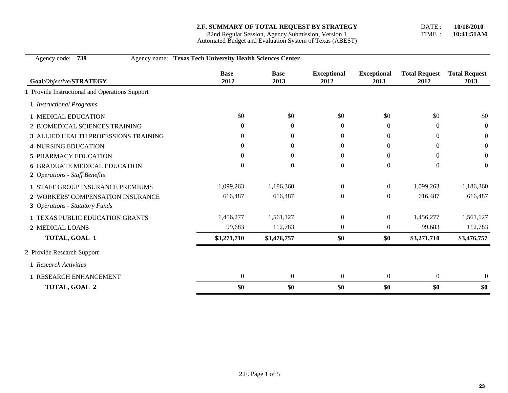Automated Budget and Evaluation System of Texas (ABEST) 82nd Regular Session, Agency Submission, Version 1

| Goal/Objective/STRATEGY                                                    | <b>Base</b><br>2012 | <b>Base</b><br>2013 | <b>Exceptional</b><br>2012 | <b>Exceptional</b><br>2013 | <b>Total Request</b><br>2012 | <b>Total Request</b><br>2013 |
|----------------------------------------------------------------------------|---------------------|---------------------|----------------------------|----------------------------|------------------------------|------------------------------|
| 1 Provide Instructional and Operations Support                             |                     |                     |                            |                            |                              |                              |
| <b>1</b> Instructional Programs                                            |                     |                     |                            |                            |                              |                              |
| 1 MEDICAL EDUCATION                                                        | \$0                 | \$0                 | \$0                        | \$0                        | \$0                          | \$0                          |
| 2 BIOMEDICAL SCIENCES TRAINING                                             | $\Omega$            | $\Omega$            | $\theta$                   | $\Omega$                   | $\Omega$                     | $\theta$                     |
| 3 ALLIED HEALTH PROFESSIONS TRAINING                                       | $\theta$            | $\Omega$            | $\Omega$                   | $\overline{0}$             | $\overline{0}$               | $\overline{0}$               |
| <b>4 NURSING EDUCATION</b>                                                 | $\theta$            | $\mathbf{0}$        | $\boldsymbol{0}$           | $\overline{0}$             | $\theta$                     | $\overline{0}$               |
| <b>5 PHARMACY EDUCATION</b>                                                | $\Omega$            | $\Omega$            | $\theta$                   | $\overline{0}$             | $\Omega$                     | $\Omega$                     |
| <b>6 GRADUATE MEDICAL EDUCATION</b><br>2 Operations - Staff Benefits       | $\theta$            | $\boldsymbol{0}$    | $\mathbf{0}$               | $\boldsymbol{0}$           | $\theta$                     | $\Omega$                     |
| 1 STAFF GROUP INSURANCE PREMIUMS                                           | 1,099,263           | 1,186,360           | $\overline{0}$             | $\mathbf{0}$               | 1,099,263                    | 1,186,360                    |
| 2 WORKERS' COMPENSATION INSURANCE<br><b>3</b> Operations - Statutory Funds | 616,487             | 616,487             | $\overline{0}$             | $\overline{0}$             | 616,487                      | 616,487                      |
| <b>1 TEXAS PUBLIC EDUCATION GRANTS</b>                                     | 1,456,277           | 1,561,127           | $\overline{0}$             | $\mathbf{0}$               | 1,456,277                    | 1,561,127                    |
| 2 MEDICAL LOANS                                                            | 99,683              | 112,783             | $\theta$                   | $\overline{0}$             | 99,683                       | 112,783                      |
| TOTAL, GOAL 1                                                              | \$3,271,710         | \$3,476,757         | \$0                        | \$0                        | \$3,271,710                  | \$3,476,757                  |
| 2 Provide Research Support                                                 |                     |                     |                            |                            |                              |                              |
| 1 Research Activities                                                      |                     |                     |                            |                            |                              |                              |
| 1 RESEARCH ENHANCEMENT                                                     | $\Omega$            | $\Omega$            | $\theta$                   | $\overline{0}$             | $\theta$                     | $\Omega$                     |
| TOTAL, GOAL 2                                                              | \$0                 | \$0                 | \$0                        | \$0                        | \$0                          | \$0                          |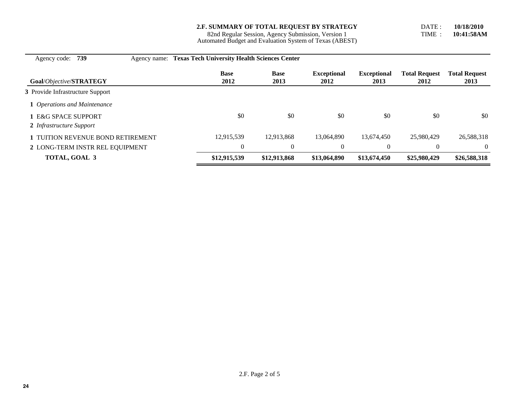Automated Budget and Evaluation System of Texas (ABEST) 82nd Regular Session, Agency Submission, Version 1

| 739<br>Agency code:                             | Agency name: | <b>Texas Tech University Health Sciences Center</b> |                     |                            |                            |                              |                              |
|-------------------------------------------------|--------------|-----------------------------------------------------|---------------------|----------------------------|----------------------------|------------------------------|------------------------------|
| Goal/Objective/STRATEGY                         |              | <b>Base</b><br>2012                                 | <b>Base</b><br>2013 | <b>Exceptional</b><br>2012 | <b>Exceptional</b><br>2013 | <b>Total Request</b><br>2012 | <b>Total Request</b><br>2013 |
| <b>3</b> Provide Infrastructure Support         |              |                                                     |                     |                            |                            |                              |                              |
| 1 Operations and Maintenance                    |              |                                                     |                     |                            |                            |                              |                              |
| 1 E&G SPACE SUPPORT<br>2 Infrastructure Support |              | \$0                                                 | \$0                 | \$0                        | \$0                        | \$0                          | \$0                          |
| 1 TUITION REVENUE BOND RETIREMENT               |              | 12.915.539                                          | 12.913.868          | 13.064.890                 | 13.674.450                 | 25,980,429                   | 26,588,318                   |
| 2 LONG-TERM INSTR REL EQUIPMENT                 |              | $\boldsymbol{0}$                                    | $\theta$            | $\overline{0}$             | $\mathbf{0}$               | 0                            | $\Omega$                     |
| <b>TOTAL, GOAL 3</b>                            |              | \$12,915,539                                        | \$12,913,868        | \$13,064,890               | \$13,674,450               | \$25,980,429                 | \$26,588,318                 |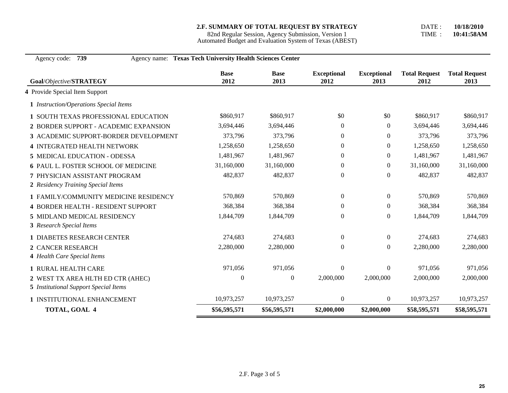Automated Budget and Evaluation System of Texas (ABEST) 82nd Regular Session, Agency Submission, Version 1

| 739<br>Agency code:<br>Agency name:          | <b>Texas Tech University Health Sciences Center</b> |                     |                            |                            |                              |                              |
|----------------------------------------------|-----------------------------------------------------|---------------------|----------------------------|----------------------------|------------------------------|------------------------------|
| Goal/Objective/STRATEGY                      | <b>Base</b><br>2012                                 | <b>Base</b><br>2013 | <b>Exceptional</b><br>2012 | <b>Exceptional</b><br>2013 | <b>Total Request</b><br>2012 | <b>Total Request</b><br>2013 |
| 4 Provide Special Item Support               |                                                     |                     |                            |                            |                              |                              |
| 1 Instruction/Operations Special Items       |                                                     |                     |                            |                            |                              |                              |
| 1 SOUTH TEXAS PROFESSIONAL EDUCATION         | \$860,917                                           | \$860,917           | \$0                        | \$0                        | \$860,917                    | \$860,917                    |
| 2 BORDER SUPPORT - ACADEMIC EXPANSION        | 3,694,446                                           | 3,694,446           | $\Omega$                   | $\mathbf{0}$               | 3,694,446                    | 3,694,446                    |
| 3 ACADEMIC SUPPORT-BORDER DEVELOPMENT        | 373,796                                             | 373,796             | $\Omega$                   | $\overline{0}$             | 373,796                      | 373,796                      |
| <b>4 INTEGRATED HEALTH NETWORK</b>           | 1,258,650                                           | 1,258,650           | $\Omega$                   | $\boldsymbol{0}$           | 1,258,650                    | 1,258,650                    |
| <b>5 MEDICAL EDUCATION - ODESSA</b>          | 1,481,967                                           | 1,481,967           | $\Omega$                   | $\boldsymbol{0}$           | 1,481,967                    | 1,481,967                    |
| <b>6 PAUL L. FOSTER SCHOOL OF MEDICINE</b>   | 31,160,000                                          | 31,160,000          | $\Omega$                   | $\boldsymbol{0}$           | 31,160,000                   | 31,160,000                   |
| 7 PHYSICIAN ASSISTANT PROGRAM                | 482,837                                             | 482,837             | $\Omega$                   | $\overline{0}$             | 482,837                      | 482,837                      |
| 2 Residency Training Special Items           |                                                     |                     |                            |                            |                              |                              |
| 1 FAMILY/COMMUNITY MEDICINE RESIDENCY        | 570,869                                             | 570,869             | $\Omega$                   | $\boldsymbol{0}$           | 570,869                      | 570,869                      |
| <b>4 BORDER HEALTH - RESIDENT SUPPORT</b>    | 368,384                                             | 368,384             | $\Omega$                   | $\overline{0}$             | 368,384                      | 368,384                      |
| 5 MIDLAND MEDICAL RESIDENCY                  | 1,844,709                                           | 1,844,709           | $\mathbf{0}$               | $\boldsymbol{0}$           | 1,844,709                    | 1,844,709                    |
| 3 Research Special Items                     |                                                     |                     |                            |                            |                              |                              |
| 1 DIABETES RESEARCH CENTER                   | 274,683                                             | 274,683             | $\overline{0}$             | $\boldsymbol{0}$           | 274,683                      | 274,683                      |
| <b>2 CANCER RESEARCH</b>                     | 2,280,000                                           | 2,280,000           | $\Omega$                   | $\overline{0}$             | 2,280,000                    | 2,280,000                    |
| 4 Health Care Special Items                  |                                                     |                     |                            |                            |                              |                              |
| 1 RURAL HEALTH CARE                          | 971,056                                             | 971,056             | $\Omega$                   | $\mathbf{0}$               | 971,056                      | 971,056                      |
| 2 WEST TX AREA HLTH ED CTR (AHEC)            | $\Omega$                                            | 0                   | 2,000,000                  | 2,000,000                  | 2,000,000                    | 2,000,000                    |
| <b>5</b> Institutional Support Special Items |                                                     |                     |                            |                            |                              |                              |
| 1 INSTITUTIONAL ENHANCEMENT                  | 10,973,257                                          | 10,973,257          | $\theta$                   | $\overline{0}$             | 10,973,257                   | 10,973,257                   |
| TOTAL, GOAL 4                                | \$56,595,571                                        | \$56,595,571        | \$2,000,000                | \$2,000,000                | \$58,595,571                 | \$58,595,571                 |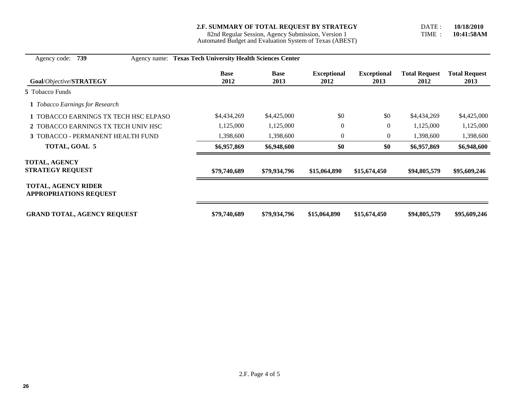Automated Budget and Evaluation System of Texas (ABEST) 82nd Regular Session, Agency Submission, Version 1

| 739<br>Agency code:                                         | Agency name: | <b>Texas Tech University Health Sciences Center</b> |                     |                            |                            |                              |                              |
|-------------------------------------------------------------|--------------|-----------------------------------------------------|---------------------|----------------------------|----------------------------|------------------------------|------------------------------|
| Goal/Objective/STRATEGY                                     |              | <b>Base</b><br>2012                                 | <b>Base</b><br>2013 | <b>Exceptional</b><br>2012 | <b>Exceptional</b><br>2013 | <b>Total Request</b><br>2012 | <b>Total Request</b><br>2013 |
| <b>5</b> Tobacco Funds                                      |              |                                                     |                     |                            |                            |                              |                              |
| 1 Tobacco Earnings for Research                             |              |                                                     |                     |                            |                            |                              |                              |
| 1 TOBACCO EARNINGS TX TECH HSC ELPASO                       |              | \$4,434,269                                         | \$4,425,000         | \$0                        | \$0                        | \$4,434,269                  | \$4,425,000                  |
| 2 TOBACCO EARNINGS TX TECH UNIV HSC                         |              | 1,125,000                                           | 1,125,000           | $\Omega$                   | $\mathbf{0}$               | 1,125,000                    | 1,125,000                    |
| 3 TOBACCO - PERMANENT HEALTH FUND                           |              | 1,398,600                                           | 1,398,600           | $\Omega$                   | $\mathbf{0}$               | 1,398,600                    | 1,398,600                    |
| TOTAL, GOAL 5                                               |              | \$6,957,869                                         | \$6,948,600         | \$0                        | \$0                        | \$6,957,869                  | \$6,948,600                  |
| <b>TOTAL, AGENCY</b><br><b>STRATEGY REQUEST</b>             |              | \$79,740,689                                        | \$79,934,796        | \$15,064,890               | \$15,674,450               | \$94,805,579                 | \$95,609,246                 |
| <b>TOTAL, AGENCY RIDER</b><br><b>APPROPRIATIONS REQUEST</b> |              |                                                     |                     |                            |                            |                              |                              |
| <b>GRAND TOTAL, AGENCY REQUEST</b>                          |              | \$79,740,689                                        | \$79,934,796        | \$15,064,890               | \$15,674,450               | \$94,805,579                 | \$95,609,246                 |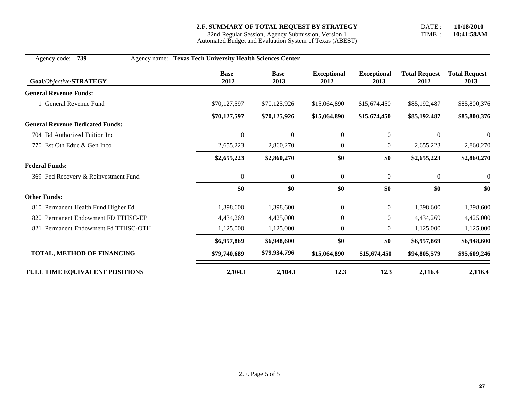Automated Budget and Evaluation System of Texas (ABEST) 82nd Regular Session, Agency Submission, Version 1

| 739<br>Agency code:                     | <b>Agency name: Texas Tech University Health Sciences Center</b> |                     |                            |                            |                              |                              |
|-----------------------------------------|------------------------------------------------------------------|---------------------|----------------------------|----------------------------|------------------------------|------------------------------|
| Goal/Objective/STRATEGY                 | <b>Base</b><br>2012                                              | <b>Base</b><br>2013 | <b>Exceptional</b><br>2012 | <b>Exceptional</b><br>2013 | <b>Total Request</b><br>2012 | <b>Total Request</b><br>2013 |
| <b>General Revenue Funds:</b>           |                                                                  |                     |                            |                            |                              |                              |
| <b>General Revenue Fund</b>             | \$70,127,597                                                     | \$70,125,926        | \$15,064,890               | \$15,674,450               | \$85,192,487                 | \$85,800,376                 |
|                                         | \$70,127,597                                                     | \$70,125,926        | \$15,064,890               | \$15,674,450               | \$85,192,487                 | \$85,800,376                 |
| <b>General Revenue Dedicated Funds:</b> |                                                                  |                     |                            |                            |                              |                              |
| 704 Bd Authorized Tuition Inc           | $\overline{0}$                                                   | $\theta$            | $\overline{0}$             | $\overline{0}$             | $\theta$                     | $\theta$                     |
| 770 Est Oth Educ & Gen Inco             | 2,655,223                                                        | 2,860,270           | $\overline{0}$             | $\mathbf{0}$               | 2,655,223                    | 2,860,270                    |
|                                         | \$2,655,223                                                      | \$2,860,270         | \$0                        | \$0                        | \$2,655,223                  | \$2,860,270                  |
| <b>Federal Funds:</b>                   |                                                                  |                     |                            |                            |                              |                              |
| 369 Fed Recovery & Reinvestment Fund    | $\boldsymbol{0}$                                                 | $\overline{0}$      | $\boldsymbol{0}$           | $\boldsymbol{0}$           | $\boldsymbol{0}$             | $\boldsymbol{0}$             |
|                                         | \$0                                                              | \$0                 | \$0                        | \$0                        | \$0                          | \$0                          |
| <b>Other Funds:</b>                     |                                                                  |                     |                            |                            |                              |                              |
| 810 Permanent Health Fund Higher Ed     | 1,398,600                                                        | 1,398,600           | $\overline{0}$             | $\boldsymbol{0}$           | 1,398,600                    | 1,398,600                    |
| 820 Permanent Endowment FD TTHSC-EP     | 4,434,269                                                        | 4,425,000           | $\overline{0}$             | $\mathbf{0}$               | 4,434,269                    | 4,425,000                    |
| Permanent Endowment Fd TTHSC-OTH<br>821 | 1,125,000                                                        | 1,125,000           | $\mathbf{0}$               | $\mathbf{0}$               | 1,125,000                    | 1,125,000                    |
|                                         | \$6,957,869                                                      | \$6,948,600         | \$0                        | \$0                        | \$6,957,869                  | \$6,948,600                  |
| TOTAL, METHOD OF FINANCING              | \$79,740,689                                                     | \$79,934,796        | \$15,064,890               | \$15,674,450               | \$94,805,579                 | \$95,609,246                 |
| <b>FULL TIME EQUIVALENT POSITIONS</b>   | 2,104.1                                                          | 2,104.1             | 12.3                       | 12.3                       | 2,116.4                      | 2,116.4                      |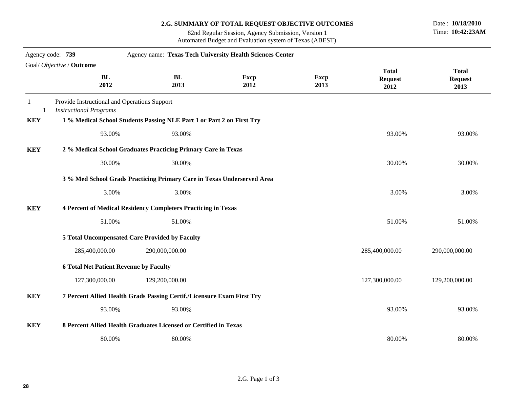|            | 82nd Regular Session, Agency Submission, Version 1<br>Automated Budget and Evaluation system of Texas (ABEST) |                                                                        |                     |                     |                                        |                                        |
|------------|---------------------------------------------------------------------------------------------------------------|------------------------------------------------------------------------|---------------------|---------------------|----------------------------------------|----------------------------------------|
|            | Agency code: 739                                                                                              | Agency name: Texas Tech University Health Sciences Center              |                     |                     |                                        |                                        |
|            | Goal/Objective / Outcome                                                                                      |                                                                        |                     |                     |                                        |                                        |
|            | BL<br>2012                                                                                                    | <b>BL</b><br>2013                                                      | <b>Excp</b><br>2012 | <b>Excp</b><br>2013 | <b>Total</b><br><b>Request</b><br>2012 | <b>Total</b><br><b>Request</b><br>2013 |
|            | Provide Instructional and Operations Support<br><b>Instructional Programs</b>                                 |                                                                        |                     |                     |                                        |                                        |
| <b>KEY</b> |                                                                                                               | 1 % Medical School Students Passing NLE Part 1 or Part 2 on First Try  |                     |                     |                                        |                                        |
|            | 93.00%                                                                                                        | 93.00%                                                                 |                     |                     | 93.00%                                 | 93.00%                                 |
| <b>KEY</b> |                                                                                                               | 2 % Medical School Graduates Practicing Primary Care in Texas          |                     |                     |                                        |                                        |
|            | 30.00%                                                                                                        | 30.00%                                                                 |                     |                     | 30.00%                                 | 30.00%                                 |
|            |                                                                                                               | 3 % Med School Grads Practicing Primary Care in Texas Underserved Area |                     |                     |                                        |                                        |
|            | 3.00%                                                                                                         | 3.00%                                                                  |                     |                     | 3.00%                                  | 3.00%                                  |
| <b>KEY</b> |                                                                                                               | 4 Percent of Medical Residency Completers Practicing in Texas          |                     |                     |                                        |                                        |
|            | 51.00%                                                                                                        | 51.00%                                                                 |                     |                     | 51.00%                                 | 51.00%                                 |
|            | 5 Total Uncompensated Care Provided by Faculty                                                                |                                                                        |                     |                     |                                        |                                        |
|            | 285,400,000.00                                                                                                | 290,000,000.00                                                         |                     |                     | 285,400,000.00                         | 290,000,000.00                         |
|            | <b>6 Total Net Patient Revenue by Faculty</b>                                                                 |                                                                        |                     |                     |                                        |                                        |
|            | 127,300,000.00                                                                                                | 129,200,000.00                                                         |                     |                     | 127,300,000.00                         | 129,200,000.00                         |
| <b>KEY</b> |                                                                                                               | 7 Percent Allied Health Grads Passing Certif./Licensure Exam First Try |                     |                     |                                        |                                        |
|            | 93.00%                                                                                                        | 93.00%                                                                 |                     |                     | 93.00%                                 | 93.00%                                 |
| <b>KEY</b> |                                                                                                               | 8 Percent Allied Health Graduates Licensed or Certified in Texas       |                     |                     |                                        |                                        |
|            | 80.00%                                                                                                        | 80.00%                                                                 |                     |                     | 80.00%                                 | 80.00%                                 |

**2.G. SUMMARY OF TOTAL REQUEST OBJECTIVE OUTCOMES**

Date : **10/18/2010**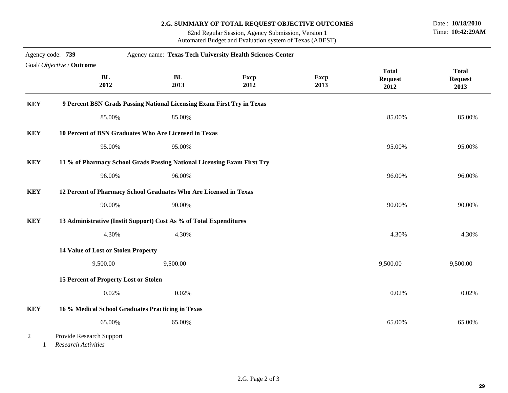|                |                                                                         |                                                           | 2.G. SUMMARY OF TOTAL REQUEST OBJECTIVE OUTCOMES<br>82nd Regular Session, Agency Submission, Version 1<br>Automated Budget and Evaluation system of Texas (ABEST) |                     |                        | Date: 10/18/2010<br>Time: 10:42:29AM |
|----------------|-------------------------------------------------------------------------|-----------------------------------------------------------|-------------------------------------------------------------------------------------------------------------------------------------------------------------------|---------------------|------------------------|--------------------------------------|
|                | Agency code: 739                                                        | Agency name: Texas Tech University Health Sciences Center |                                                                                                                                                                   |                     |                        |                                      |
|                | Goal/Objective / Outcome                                                |                                                           |                                                                                                                                                                   |                     | <b>Total</b>           | <b>Total</b>                         |
|                | <b>BL</b><br>2012                                                       | BL<br>2013                                                | <b>Excp</b><br>2012                                                                                                                                               | <b>Excp</b><br>2013 | <b>Request</b><br>2012 | <b>Request</b><br>2013               |
| <b>KEY</b>     | 9 Percent BSN Grads Passing National Licensing Exam First Try in Texas  |                                                           |                                                                                                                                                                   |                     |                        |                                      |
|                | 85.00%                                                                  | 85.00%                                                    |                                                                                                                                                                   |                     | 85.00%                 | 85.00%                               |
| <b>KEY</b>     | 10 Percent of BSN Graduates Who Are Licensed in Texas                   |                                                           |                                                                                                                                                                   |                     |                        |                                      |
|                | 95.00%                                                                  | 95.00%                                                    |                                                                                                                                                                   |                     | 95.00%                 | 95.00%                               |
| <b>KEY</b>     | 11 % of Pharmacy School Grads Passing National Licensing Exam First Try |                                                           |                                                                                                                                                                   |                     |                        |                                      |
|                | 96.00%                                                                  | 96.00%                                                    |                                                                                                                                                                   |                     | 96.00%                 | 96.00%                               |
| <b>KEY</b>     | 12 Percent of Pharmacy School Graduates Who Are Licensed in Texas       |                                                           |                                                                                                                                                                   |                     |                        |                                      |
|                | 90.00%                                                                  | 90.00%                                                    |                                                                                                                                                                   |                     | 90.00%                 | 90.00%                               |
| <b>KEY</b>     | 13 Administrative (Instit Support) Cost As % of Total Expenditures      |                                                           |                                                                                                                                                                   |                     |                        |                                      |
|                | 4.30%                                                                   | 4.30%                                                     |                                                                                                                                                                   |                     | 4.30%                  | 4.30%                                |
|                | 14 Value of Lost or Stolen Property                                     |                                                           |                                                                                                                                                                   |                     |                        |                                      |
|                | 9,500.00                                                                | 9,500.00                                                  |                                                                                                                                                                   |                     | 9,500.00               | 9,500.00                             |
|                | 15 Percent of Property Lost or Stolen                                   |                                                           |                                                                                                                                                                   |                     |                        |                                      |
|                | 0.02%                                                                   | 0.02%                                                     |                                                                                                                                                                   |                     | 0.02%                  | 0.02%                                |
| <b>KEY</b>     | 16 % Medical School Graduates Practicing in Texas                       |                                                           |                                                                                                                                                                   |                     |                        |                                      |
|                | 65.00%                                                                  | 65.00%                                                    |                                                                                                                                                                   |                     | 65.00%                 | 65.00%                               |
| $\overline{2}$ | Provide Research Support                                                |                                                           |                                                                                                                                                                   |                     |                        |                                      |

1*Research Activities*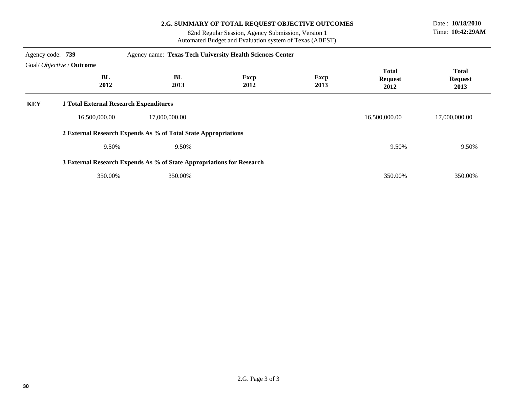|                  | 2.G. SUMMARY OF TOTAL REQUEST OBJECTIVE OUTCOMES                                                                                                                                  |                                                                       |                     |              |                                        |                                        |  |  |  |  |  |
|------------------|-----------------------------------------------------------------------------------------------------------------------------------------------------------------------------------|-----------------------------------------------------------------------|---------------------|--------------|----------------------------------------|----------------------------------------|--|--|--|--|--|
|                  | 82nd Regular Session, Agency Submission, Version 1<br>Automated Budget and Evaluation system of Texas (ABEST)<br><b>Agency name: Texas Tech University Health Sciences Center</b> |                                                                       |                     |              |                                        |                                        |  |  |  |  |  |
| Agency code: 739 |                                                                                                                                                                                   |                                                                       |                     |              |                                        |                                        |  |  |  |  |  |
|                  | Goal/ <i>Objective</i> / <b>Outcome</b>                                                                                                                                           |                                                                       |                     |              |                                        |                                        |  |  |  |  |  |
|                  | BL<br>2012                                                                                                                                                                        | BL<br>2013                                                            | <b>Excp</b><br>2012 | Excp<br>2013 | <b>Total</b><br><b>Request</b><br>2012 | <b>Total</b><br><b>Request</b><br>2013 |  |  |  |  |  |
| <b>KEY</b>       | <b>1 Total External Research Expenditures</b>                                                                                                                                     |                                                                       |                     |              |                                        |                                        |  |  |  |  |  |
|                  | 16,500,000.00                                                                                                                                                                     | 17,000,000.00                                                         |                     |              | 16,500,000.00                          | 17,000,000.00                          |  |  |  |  |  |
|                  |                                                                                                                                                                                   | 2 External Research Expends As % of Total State Appropriations        |                     |              |                                        |                                        |  |  |  |  |  |
|                  | 9.50%                                                                                                                                                                             | 9.50%                                                                 |                     |              | 9.50%                                  | 9.50%                                  |  |  |  |  |  |
|                  |                                                                                                                                                                                   | 3 External Research Expends As % of State Appropriations for Research |                     |              |                                        |                                        |  |  |  |  |  |
|                  | 350.00%                                                                                                                                                                           | 350.00%                                                               |                     |              | 350.00%                                | 350.00%                                |  |  |  |  |  |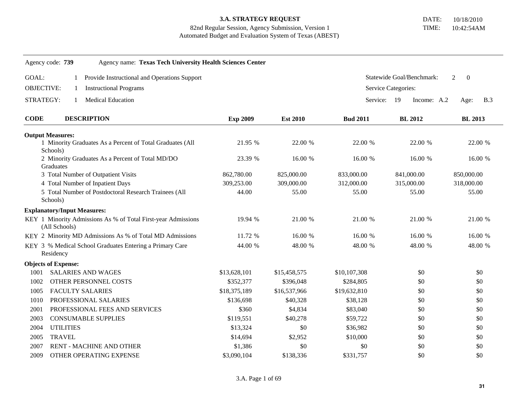| $\mathbf{2}$<br>Statewide Goal/Benchmark:<br>$\overline{0}$<br>Provide Instructional and Operations Support<br><b>OBJECTIVE:</b><br><b>Instructional Programs</b><br>Service Categories:<br>1<br>STRATEGY:<br><b>Medical Education</b><br>Service: 19<br>Income: A.2<br>B.3<br>$\mathbf{1}$<br>Age:<br><b>DESCRIPTION</b><br><b>Exp 2009</b><br><b>Est 2010</b><br><b>Bud 2011</b><br><b>BL</b> 2012<br><b>BL</b> 2013<br><b>Output Measures:</b><br>1 Minority Graduates As a Percent of Total Graduates (All<br>21.95 %<br>22.00 %<br>22.00 %<br>22.00 %<br>22.00 %<br>Schools)<br>23.39 %<br>16.00 %<br>16.00 %<br>16.00 %<br>2 Minority Graduates As a Percent of Total MD/DO<br>16.00 %<br>Graduates<br>3 Total Number of Outpatient Visits<br>862,780.00<br>825,000.00<br>850,000.00<br>833,000.00<br>841,000.00<br>4 Total Number of Inpatient Days<br>309,253.00<br>318,000.00<br>309,000.00<br>312,000.00<br>315,000.00<br>5 Total Number of Postdoctoral Research Trainees (All<br>44.00<br>55.00<br>55.00<br>55.00<br>55.00<br>Schools)<br><b>Explanatory/Input Measures:</b><br>KEY 1 Minority Admissions As % of Total First-year Admissions<br>19.94 %<br>21.00 %<br>21.00 %<br>21.00 %<br>21.00 %<br>(All Schools)<br>11.72 %<br>16.00 %<br>16.00 %<br>16.00 %<br>KEY 2 Minority MD Admissions As % of Total MD Admissions<br>16.00 %<br>KEY 3 % Medical School Graduates Entering a Primary Care<br>44.00 %<br>48.00 %<br>48.00 %<br>48.00 %<br>48.00 %<br>Residency<br><b>Objects of Expense:</b><br>1001<br><b>SALARIES AND WAGES</b><br>\$13,628,101<br>\$15,458,575<br>\$10,107,308<br>\$0<br>\$0<br>OTHER PERSONNEL COSTS<br>1002<br>\$352,377<br>\$396,048<br>\$284,805<br>\$0<br>\$0<br>\$0<br>1005<br><b>FACULTY SALARIES</b><br>\$18,375,189<br>\$16,537,966<br>\$19,632,810<br>\$0<br>PROFESSIONAL SALARIES<br>\$0<br>1010<br>\$40,328<br>\$38,128<br>\$136,698<br>\$0<br>2001<br>PROFESSIONAL FEES AND SERVICES<br>\$360<br>\$4,834<br>\$83,040<br>\$0<br>\$0<br>2003<br><b>CONSUMABLE SUPPLIES</b><br>\$119,551<br>\$40,278<br>\$59,722<br>\$0<br>\$0<br><b>UTILITIES</b><br>2004<br>\$13,324<br>\$0<br>\$36,982<br>\$0<br>\$0<br><b>TRAVEL</b><br>\$14,694<br>\$10,000<br>\$0<br>2005<br>\$2,952<br>\$0<br>2007<br><b>RENT - MACHINE AND OTHER</b><br>\$0<br>\$1,386<br>\$0<br>\$0<br>\$0 |             | Agency name: Texas Tech University Health Sciences Center<br>Agency code: 739 |             |           |           |     |     |
|------------------------------------------------------------------------------------------------------------------------------------------------------------------------------------------------------------------------------------------------------------------------------------------------------------------------------------------------------------------------------------------------------------------------------------------------------------------------------------------------------------------------------------------------------------------------------------------------------------------------------------------------------------------------------------------------------------------------------------------------------------------------------------------------------------------------------------------------------------------------------------------------------------------------------------------------------------------------------------------------------------------------------------------------------------------------------------------------------------------------------------------------------------------------------------------------------------------------------------------------------------------------------------------------------------------------------------------------------------------------------------------------------------------------------------------------------------------------------------------------------------------------------------------------------------------------------------------------------------------------------------------------------------------------------------------------------------------------------------------------------------------------------------------------------------------------------------------------------------------------------------------------------------------------------------------------------------------------------------------------------------------------------------------------------------------------------------------------------------------------------------------------------------------------------------------------------------------------------------------------------------------------------------------------------------------------|-------------|-------------------------------------------------------------------------------|-------------|-----------|-----------|-----|-----|
|                                                                                                                                                                                                                                                                                                                                                                                                                                                                                                                                                                                                                                                                                                                                                                                                                                                                                                                                                                                                                                                                                                                                                                                                                                                                                                                                                                                                                                                                                                                                                                                                                                                                                                                                                                                                                                                                                                                                                                                                                                                                                                                                                                                                                                                                                                                        | GOAL:       |                                                                               |             |           |           |     |     |
|                                                                                                                                                                                                                                                                                                                                                                                                                                                                                                                                                                                                                                                                                                                                                                                                                                                                                                                                                                                                                                                                                                                                                                                                                                                                                                                                                                                                                                                                                                                                                                                                                                                                                                                                                                                                                                                                                                                                                                                                                                                                                                                                                                                                                                                                                                                        |             |                                                                               |             |           |           |     |     |
|                                                                                                                                                                                                                                                                                                                                                                                                                                                                                                                                                                                                                                                                                                                                                                                                                                                                                                                                                                                                                                                                                                                                                                                                                                                                                                                                                                                                                                                                                                                                                                                                                                                                                                                                                                                                                                                                                                                                                                                                                                                                                                                                                                                                                                                                                                                        |             |                                                                               |             |           |           |     |     |
|                                                                                                                                                                                                                                                                                                                                                                                                                                                                                                                                                                                                                                                                                                                                                                                                                                                                                                                                                                                                                                                                                                                                                                                                                                                                                                                                                                                                                                                                                                                                                                                                                                                                                                                                                                                                                                                                                                                                                                                                                                                                                                                                                                                                                                                                                                                        | <b>CODE</b> |                                                                               |             |           |           |     |     |
|                                                                                                                                                                                                                                                                                                                                                                                                                                                                                                                                                                                                                                                                                                                                                                                                                                                                                                                                                                                                                                                                                                                                                                                                                                                                                                                                                                                                                                                                                                                                                                                                                                                                                                                                                                                                                                                                                                                                                                                                                                                                                                                                                                                                                                                                                                                        |             |                                                                               |             |           |           |     |     |
|                                                                                                                                                                                                                                                                                                                                                                                                                                                                                                                                                                                                                                                                                                                                                                                                                                                                                                                                                                                                                                                                                                                                                                                                                                                                                                                                                                                                                                                                                                                                                                                                                                                                                                                                                                                                                                                                                                                                                                                                                                                                                                                                                                                                                                                                                                                        |             |                                                                               |             |           |           |     |     |
|                                                                                                                                                                                                                                                                                                                                                                                                                                                                                                                                                                                                                                                                                                                                                                                                                                                                                                                                                                                                                                                                                                                                                                                                                                                                                                                                                                                                                                                                                                                                                                                                                                                                                                                                                                                                                                                                                                                                                                                                                                                                                                                                                                                                                                                                                                                        |             |                                                                               |             |           |           |     |     |
|                                                                                                                                                                                                                                                                                                                                                                                                                                                                                                                                                                                                                                                                                                                                                                                                                                                                                                                                                                                                                                                                                                                                                                                                                                                                                                                                                                                                                                                                                                                                                                                                                                                                                                                                                                                                                                                                                                                                                                                                                                                                                                                                                                                                                                                                                                                        |             |                                                                               |             |           |           |     |     |
|                                                                                                                                                                                                                                                                                                                                                                                                                                                                                                                                                                                                                                                                                                                                                                                                                                                                                                                                                                                                                                                                                                                                                                                                                                                                                                                                                                                                                                                                                                                                                                                                                                                                                                                                                                                                                                                                                                                                                                                                                                                                                                                                                                                                                                                                                                                        |             |                                                                               |             |           |           |     |     |
|                                                                                                                                                                                                                                                                                                                                                                                                                                                                                                                                                                                                                                                                                                                                                                                                                                                                                                                                                                                                                                                                                                                                                                                                                                                                                                                                                                                                                                                                                                                                                                                                                                                                                                                                                                                                                                                                                                                                                                                                                                                                                                                                                                                                                                                                                                                        |             |                                                                               |             |           |           |     |     |
|                                                                                                                                                                                                                                                                                                                                                                                                                                                                                                                                                                                                                                                                                                                                                                                                                                                                                                                                                                                                                                                                                                                                                                                                                                                                                                                                                                                                                                                                                                                                                                                                                                                                                                                                                                                                                                                                                                                                                                                                                                                                                                                                                                                                                                                                                                                        |             |                                                                               |             |           |           |     |     |
|                                                                                                                                                                                                                                                                                                                                                                                                                                                                                                                                                                                                                                                                                                                                                                                                                                                                                                                                                                                                                                                                                                                                                                                                                                                                                                                                                                                                                                                                                                                                                                                                                                                                                                                                                                                                                                                                                                                                                                                                                                                                                                                                                                                                                                                                                                                        |             |                                                                               |             |           |           |     |     |
|                                                                                                                                                                                                                                                                                                                                                                                                                                                                                                                                                                                                                                                                                                                                                                                                                                                                                                                                                                                                                                                                                                                                                                                                                                                                                                                                                                                                                                                                                                                                                                                                                                                                                                                                                                                                                                                                                                                                                                                                                                                                                                                                                                                                                                                                                                                        |             |                                                                               |             |           |           |     |     |
|                                                                                                                                                                                                                                                                                                                                                                                                                                                                                                                                                                                                                                                                                                                                                                                                                                                                                                                                                                                                                                                                                                                                                                                                                                                                                                                                                                                                                                                                                                                                                                                                                                                                                                                                                                                                                                                                                                                                                                                                                                                                                                                                                                                                                                                                                                                        |             |                                                                               |             |           |           |     |     |
|                                                                                                                                                                                                                                                                                                                                                                                                                                                                                                                                                                                                                                                                                                                                                                                                                                                                                                                                                                                                                                                                                                                                                                                                                                                                                                                                                                                                                                                                                                                                                                                                                                                                                                                                                                                                                                                                                                                                                                                                                                                                                                                                                                                                                                                                                                                        |             |                                                                               |             |           |           |     |     |
|                                                                                                                                                                                                                                                                                                                                                                                                                                                                                                                                                                                                                                                                                                                                                                                                                                                                                                                                                                                                                                                                                                                                                                                                                                                                                                                                                                                                                                                                                                                                                                                                                                                                                                                                                                                                                                                                                                                                                                                                                                                                                                                                                                                                                                                                                                                        |             |                                                                               |             |           |           |     |     |
|                                                                                                                                                                                                                                                                                                                                                                                                                                                                                                                                                                                                                                                                                                                                                                                                                                                                                                                                                                                                                                                                                                                                                                                                                                                                                                                                                                                                                                                                                                                                                                                                                                                                                                                                                                                                                                                                                                                                                                                                                                                                                                                                                                                                                                                                                                                        |             |                                                                               |             |           |           |     |     |
|                                                                                                                                                                                                                                                                                                                                                                                                                                                                                                                                                                                                                                                                                                                                                                                                                                                                                                                                                                                                                                                                                                                                                                                                                                                                                                                                                                                                                                                                                                                                                                                                                                                                                                                                                                                                                                                                                                                                                                                                                                                                                                                                                                                                                                                                                                                        |             |                                                                               |             |           |           |     |     |
|                                                                                                                                                                                                                                                                                                                                                                                                                                                                                                                                                                                                                                                                                                                                                                                                                                                                                                                                                                                                                                                                                                                                                                                                                                                                                                                                                                                                                                                                                                                                                                                                                                                                                                                                                                                                                                                                                                                                                                                                                                                                                                                                                                                                                                                                                                                        |             |                                                                               |             |           |           |     |     |
|                                                                                                                                                                                                                                                                                                                                                                                                                                                                                                                                                                                                                                                                                                                                                                                                                                                                                                                                                                                                                                                                                                                                                                                                                                                                                                                                                                                                                                                                                                                                                                                                                                                                                                                                                                                                                                                                                                                                                                                                                                                                                                                                                                                                                                                                                                                        |             |                                                                               |             |           |           |     |     |
|                                                                                                                                                                                                                                                                                                                                                                                                                                                                                                                                                                                                                                                                                                                                                                                                                                                                                                                                                                                                                                                                                                                                                                                                                                                                                                                                                                                                                                                                                                                                                                                                                                                                                                                                                                                                                                                                                                                                                                                                                                                                                                                                                                                                                                                                                                                        |             |                                                                               |             |           |           |     |     |
|                                                                                                                                                                                                                                                                                                                                                                                                                                                                                                                                                                                                                                                                                                                                                                                                                                                                                                                                                                                                                                                                                                                                                                                                                                                                                                                                                                                                                                                                                                                                                                                                                                                                                                                                                                                                                                                                                                                                                                                                                                                                                                                                                                                                                                                                                                                        |             |                                                                               |             |           |           |     |     |
|                                                                                                                                                                                                                                                                                                                                                                                                                                                                                                                                                                                                                                                                                                                                                                                                                                                                                                                                                                                                                                                                                                                                                                                                                                                                                                                                                                                                                                                                                                                                                                                                                                                                                                                                                                                                                                                                                                                                                                                                                                                                                                                                                                                                                                                                                                                        |             |                                                                               |             |           |           |     |     |
|                                                                                                                                                                                                                                                                                                                                                                                                                                                                                                                                                                                                                                                                                                                                                                                                                                                                                                                                                                                                                                                                                                                                                                                                                                                                                                                                                                                                                                                                                                                                                                                                                                                                                                                                                                                                                                                                                                                                                                                                                                                                                                                                                                                                                                                                                                                        |             |                                                                               |             |           |           |     |     |
|                                                                                                                                                                                                                                                                                                                                                                                                                                                                                                                                                                                                                                                                                                                                                                                                                                                                                                                                                                                                                                                                                                                                                                                                                                                                                                                                                                                                                                                                                                                                                                                                                                                                                                                                                                                                                                                                                                                                                                                                                                                                                                                                                                                                                                                                                                                        |             |                                                                               |             |           |           |     |     |
|                                                                                                                                                                                                                                                                                                                                                                                                                                                                                                                                                                                                                                                                                                                                                                                                                                                                                                                                                                                                                                                                                                                                                                                                                                                                                                                                                                                                                                                                                                                                                                                                                                                                                                                                                                                                                                                                                                                                                                                                                                                                                                                                                                                                                                                                                                                        |             |                                                                               |             |           |           |     |     |
|                                                                                                                                                                                                                                                                                                                                                                                                                                                                                                                                                                                                                                                                                                                                                                                                                                                                                                                                                                                                                                                                                                                                                                                                                                                                                                                                                                                                                                                                                                                                                                                                                                                                                                                                                                                                                                                                                                                                                                                                                                                                                                                                                                                                                                                                                                                        |             |                                                                               |             |           |           |     |     |
|                                                                                                                                                                                                                                                                                                                                                                                                                                                                                                                                                                                                                                                                                                                                                                                                                                                                                                                                                                                                                                                                                                                                                                                                                                                                                                                                                                                                                                                                                                                                                                                                                                                                                                                                                                                                                                                                                                                                                                                                                                                                                                                                                                                                                                                                                                                        | 2009        | OTHER OPERATING EXPENSE                                                       | \$3,090,104 | \$138,336 | \$331,757 | \$0 | \$0 |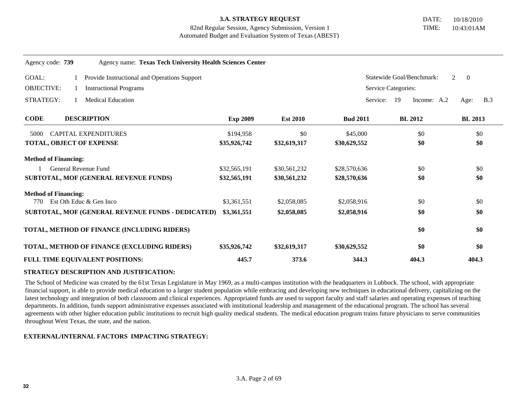## Automated Budget and Evaluation System of Texas (ABEST) 82nd Regular Session, Agency Submission, Version 1 10:43:01 TIME: 10:43:01 AM

| Agency name: Texas Tech University Health Sciences Center<br>Agency code: 739 |                 |                 |                 |                           |                                  |
|-------------------------------------------------------------------------------|-----------------|-----------------|-----------------|---------------------------|----------------------------------|
| GOAL:<br>Provide Instructional and Operations Support                         |                 |                 |                 | Statewide Goal/Benchmark: | $\overline{2}$<br>$\overline{0}$ |
| <b>OBJECTIVE:</b><br><b>Instructional Programs</b>                            |                 |                 |                 | Service Categories:       |                                  |
| STRATEGY:<br><b>Medical Education</b>                                         |                 |                 | Service:        | -19<br>Income: A.2        | B.3<br>Age:                      |
| <b>DESCRIPTION</b><br><b>CODE</b>                                             | <b>Exp 2009</b> | <b>Est 2010</b> | <b>Bud 2011</b> | <b>BL</b> 2012            | <b>BL</b> 2013                   |
| <b>CAPITAL EXPENDITURES</b><br>5000                                           | \$194,958       | \$0             | \$45,000        | \$0                       | \$0                              |
| TOTAL, OBJECT OF EXPENSE                                                      | \$35,926,742    | \$32,619,317    | \$30,629,552    | \$0                       | \$0                              |
| <b>Method of Financing:</b>                                                   |                 |                 |                 |                           |                                  |
| General Revenue Fund                                                          | \$32,565,191    | \$30,561,232    | \$28,570,636    | \$0                       | \$0                              |
| SUBTOTAL, MOF (GENERAL REVENUE FUNDS)                                         | \$32,565,191    | \$30,561,232    | \$28,570,636    | \$0                       | \$0                              |
| <b>Method of Financing:</b>                                                   |                 |                 |                 |                           |                                  |
| Est Oth Educ & Gen Inco<br>770                                                | \$3,361,551     | \$2,058,085     | \$2,058,916     | \$0                       | \$0                              |
| SUBTOTAL, MOF (GENERAL REVENUE FUNDS - DEDICATED)                             | \$3,361,551     | \$2,058,085     | \$2,058,916     | \$0                       | \$0                              |
| TOTAL, METHOD OF FINANCE (INCLUDING RIDERS)                                   |                 |                 |                 | \$0                       | \$0                              |
| TOTAL, METHOD OF FINANCE (EXCLUDING RIDERS)                                   | \$35,926,742    | \$32,619,317    | \$30,629,552    | \$0                       | \$0                              |
| FULL TIME EQUIVALENT POSITIONS:                                               | 445.7           | 373.6           | 344.3           | 404.3                     | 404.3                            |

#### **STRATEGY DESCRIPTION AND JUSTIFICATION:**

The School of Medicine was created by the 61st Texas Legislature in May 1969, as a multi-campus institution with the headquarters in Lubbock. The school, with appropriate financial support, is able to provide medical education to a larger student population while embracing and developing new techniques in educational delivery, capitalizing on the latest technology and integration of both classroom and clinical experiences. Appropriated funds are used to support faculty and staff salaries and operating expenses of teaching departments. In addition, funds support administrative expenses associated with institutional leadership and management of the educational program. The school has several agreements with other higher education public institutions to recruit high quality medical students. The medical education program trains future physicians to serve communities throughout West Texas, the state, and the nation.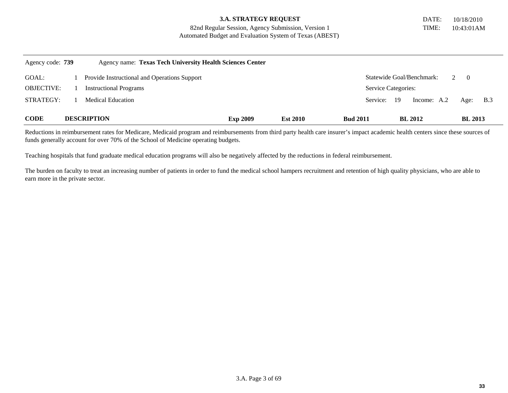## Automated Budget and Evaluation System of Texas (ABEST) 82nd Regular Session, Agency Submission, Version 1 10:43:01 TIME: 10:43:01 AM

| Agency code: 739  | <b>Agency name: Texas Tech University Health Sciences Center</b> |                 |                 |                 |                           |                |                |     |
|-------------------|------------------------------------------------------------------|-----------------|-----------------|-----------------|---------------------------|----------------|----------------|-----|
| GOAL:             | Provide Instructional and Operations Support                     |                 |                 |                 | Statewide Goal/Benchmark: |                | 2 0            |     |
| <b>OBJECTIVE:</b> | <b>Instructional Programs</b>                                    |                 |                 |                 | Service Categories:       |                |                |     |
| STRATEGY:         | <b>Medical Education</b>                                         |                 |                 |                 | Service: 19               | Income: $A.2$  | Age:           | B.3 |
| <b>CODE</b>       | <b>DESCRIPTION</b>                                               | <b>Exp 2009</b> | <b>Est 2010</b> | <b>Bud 2011</b> |                           | <b>BL 2012</b> | <b>BL 2013</b> |     |

Reductions in reimbursement rates for Medicare, Medicaid program and reimbursements from third party health care insurer's impact academic health centers since these sources of funds generally account for over 70% of the School of Medicine operating budgets.

Teaching hospitals that fund graduate medical education programs will also be negatively affected by the reductions in federal reimbursement.

The burden on faculty to treat an increasing number of patients in order to fund the medical school hampers recruitment and retention of high quality physicians, who are able to earn more in the private sector.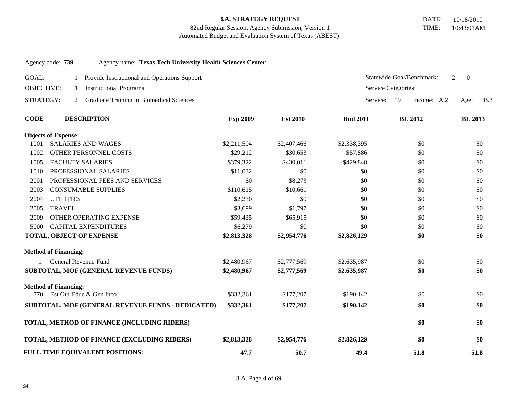| <b>Agency name: Texas Tech University Health Sciences Center</b><br>Agency code: 739 |                 |                 |                 |                           |                     |  |  |  |
|--------------------------------------------------------------------------------------|-----------------|-----------------|-----------------|---------------------------|---------------------|--|--|--|
| GOAL:<br>Provide Instructional and Operations Support<br>1                           |                 |                 |                 | Statewide Goal/Benchmark: | 2<br>$\overline{0}$ |  |  |  |
| <b>OBJECTIVE:</b><br><b>Instructional Programs</b><br>1                              |                 |                 |                 | Service Categories:       |                     |  |  |  |
| STRATEGY:<br><b>Graduate Training in Biomedical Sciences</b><br>2                    |                 |                 | Service: 19     | Income: A.2               | B.3<br>Age:         |  |  |  |
| <b>CODE</b><br><b>DESCRIPTION</b>                                                    | <b>Exp 2009</b> | <b>Est 2010</b> | <b>Bud 2011</b> | <b>BL</b> 2012            | <b>BL</b> 2013      |  |  |  |
| <b>Objects of Expense:</b>                                                           |                 |                 |                 |                           |                     |  |  |  |
| <b>SALARIES AND WAGES</b><br>1001                                                    | \$2,211,504     | \$2,407,466     | \$2,338,395     | \$0                       | \$0                 |  |  |  |
| OTHER PERSONNEL COSTS<br>1002                                                        | \$29,212        | \$30,653        | \$57,886        | \$0                       | \$0                 |  |  |  |
| <b>FACULTY SALARIES</b><br>1005                                                      | \$379,322       | \$430,011       | \$429,848       | \$0                       | \$0                 |  |  |  |
| PROFESSIONAL SALARIES<br>1010                                                        | \$11,032        | \$0             | \$0             | \$0                       | \$0                 |  |  |  |
| 2001<br>PROFESSIONAL FEES AND SERVICES                                               | \$0             | \$8,273         | \$0             | \$0                       | \$0                 |  |  |  |
| <b>CONSUMABLE SUPPLIES</b><br>2003                                                   | \$110,615       | \$10,661        | \$0             | \$0                       | \$0                 |  |  |  |
| <b>UTILITIES</b><br>2004                                                             | \$2,230         | \$0             | \$0             | \$0                       | \$0                 |  |  |  |
| 2005<br><b>TRAVEL</b>                                                                | \$3,699         | \$1,797         | \$0             | \$0                       | \$0                 |  |  |  |
| 2009<br>OTHER OPERATING EXPENSE                                                      | \$59,435        | \$65,915        | \$0             | \$0                       | \$0                 |  |  |  |
| <b>CAPITAL EXPENDITURES</b><br>5000                                                  | \$6,279         | \$0             | \$0             | \$0                       | \$0                 |  |  |  |
| TOTAL, OBJECT OF EXPENSE                                                             | \$2,813,328     | \$2,954,776     | \$2,826,129     | \$0                       | \$0                 |  |  |  |
| <b>Method of Financing:</b>                                                          |                 |                 |                 |                           |                     |  |  |  |
| General Revenue Fund                                                                 | \$2,480,967     | \$2,777,569     | \$2,635,987     | \$0                       | \$0                 |  |  |  |
| SUBTOTAL, MOF (GENERAL REVENUE FUNDS)                                                | \$2,480,967     | \$2,777,569     | \$2,635,987     | \$0                       | \$0                 |  |  |  |
| <b>Method of Financing:</b>                                                          |                 |                 |                 |                           |                     |  |  |  |
| 770 Est Oth Educ & Gen Inco                                                          | \$332,361       | \$177,207       | \$190,142       | \$0                       | \$0                 |  |  |  |
| SUBTOTAL, MOF (GENERAL REVENUE FUNDS - DEDICATED)                                    | \$332,361       | \$177,207       | \$190,142       | \$0                       | \$0                 |  |  |  |
| TOTAL, METHOD OF FINANCE (INCLUDING RIDERS)                                          |                 |                 |                 | \$0                       | \$0                 |  |  |  |
| TOTAL, METHOD OF FINANCE (EXCLUDING RIDERS)                                          | \$2,813,328     | \$2,954,776     | \$2,826,129     | \$0                       | \$0                 |  |  |  |
| FULL TIME EQUIVALENT POSITIONS:                                                      | 47.7            | 50.7            | 49.4            | 51.8                      | 51.8                |  |  |  |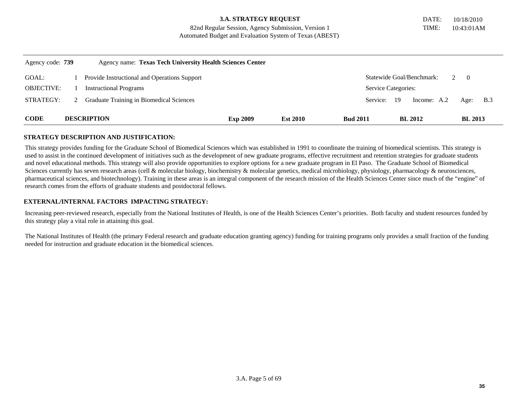| Agency code: 739  |   | <b>Agency name: Texas Tech University Health Sciences Center</b> |                 |                 |                 |                     |                           |                |     |
|-------------------|---|------------------------------------------------------------------|-----------------|-----------------|-----------------|---------------------|---------------------------|----------------|-----|
| GOAL:             |   | Provide Instructional and Operations Support                     |                 |                 |                 |                     | Statewide Goal/Benchmark: | 2 0            |     |
| <b>OBJECTIVE:</b> |   | <b>Instructional Programs</b>                                    |                 |                 |                 | Service Categories: |                           |                |     |
| STRATEGY:         | 2 | Graduate Training in Biomedical Sciences                         |                 |                 |                 | Service: 19         | Income: $A.2$             | Age:           | B.3 |
| <b>CODE</b>       |   | <b>DESCRIPTION</b>                                               | <b>Exp 2009</b> | <b>Est 2010</b> | <b>Bud 2011</b> |                     | <b>BL 2012</b>            | <b>BL 2013</b> |     |

#### **STRATEGY DESCRIPTION AND JUSTIFICATION:**

This strategy provides funding for the Graduate School of Biomedical Sciences which was established in 1991 to coordinate the training of biomedical scientists. This strategy is used to assist in the continued development of initiatives such as the development of new graduate programs, effective recruitment and retention strategies for graduate students and novel educational methods. This strategy will also provide opportunities to explore options for a new graduate program in El Paso. The Graduate School of Biomedical Sciences currently has seven research areas (cell & molecular biology, biochemistry & molecular genetics, medical microbiology, physiology, pharmacology & neurosciences, pharmaceutical sciences, and biotechnology). Training in these areas is an integral component of the research mission of the Health Sciences Center since much of the "engine" of research comes from the efforts of graduate students and postdoctoral fellows.

## **EXTERNAL/INTERNAL FACTORS IMPACTING STRATEGY:**

Increasing peer-reviewed research, especially from the National Institutes of Health, is one of the Health Sciences Center's priorities. Both faculty and student resources funded by this strategy play a vital role in attaining this goal.

The National Institutes of Health (the primary Federal research and graduate education granting agency) funding for training programs only provides a small fraction of the funding needed for instruction and graduate education in the biomedical sciences.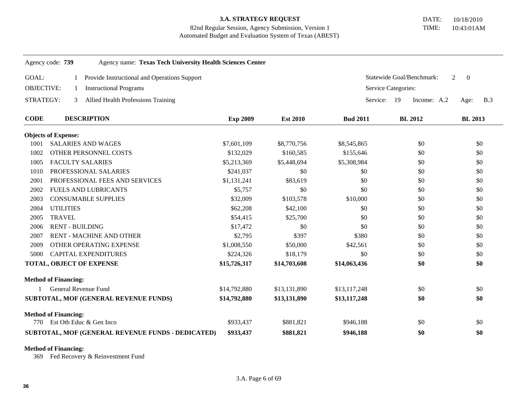# Automated Budget and Evaluation System of Texas (ABEST) 82nd Regular Session, Agency Submission, Version 1 TIME: 10:43:01AM

| Agency code: 739<br>Agency name: Texas Tech University Health Sciences Center |                 |                 |                 |                           |                                  |
|-------------------------------------------------------------------------------|-----------------|-----------------|-----------------|---------------------------|----------------------------------|
| GOAL:<br>Provide Instructional and Operations Support<br>1                    |                 |                 |                 | Statewide Goal/Benchmark: | $\overline{2}$<br>$\overline{0}$ |
| <b>OBJECTIVE:</b><br><b>Instructional Programs</b><br>$\mathbf{1}$            |                 |                 |                 | Service Categories:       |                                  |
| STRATEGY:<br><b>Allied Health Professions Training</b><br>3                   |                 |                 | Service: 19     | Income: A.2               | B.3<br>Age:                      |
| <b>DESCRIPTION</b><br><b>CODE</b>                                             | <b>Exp 2009</b> | <b>Est 2010</b> | <b>Bud 2011</b> | <b>BL</b> 2012            | <b>BL</b> 2013                   |
| <b>Objects of Expense:</b>                                                    |                 |                 |                 |                           |                                  |
| <b>SALARIES AND WAGES</b><br>1001                                             | \$7,601,109     | \$8,770,756     | \$8,545,865     | \$0                       | \$0                              |
| OTHER PERSONNEL COSTS<br>1002                                                 | \$132,029       | \$160,585       | \$155,646       | \$0                       | \$0                              |
| <b>FACULTY SALARIES</b><br>1005                                               | \$5,213,369     | \$5,448,694     | \$5,308,984     | \$0                       | \$0                              |
| PROFESSIONAL SALARIES<br>1010                                                 | \$241,037       | \$0             | \$0             | \$0                       | \$0                              |
| PROFESSIONAL FEES AND SERVICES<br>2001                                        | \$1,131,241     | \$83,619        | \$0             | \$0                       | \$0                              |
| 2002<br><b>FUELS AND LUBRICANTS</b>                                           | \$5,757         | \$0             | \$0             | \$0                       | \$0                              |
| 2003<br><b>CONSUMABLE SUPPLIES</b>                                            | \$32,009        | \$103,578       | \$10,000        | \$0                       | \$0                              |
| 2004<br><b>UTILITIES</b>                                                      | \$62,208        | \$42,100        | \$0             | \$0                       | \$0                              |
| <b>TRAVEL</b><br>2005                                                         | \$54,415        | \$25,700        | \$0             | \$0                       | \$0                              |
| <b>RENT - BUILDING</b><br>2006                                                | \$17,472        | \$0             | \$0             | \$0                       | \$0                              |
| <b>RENT - MACHINE AND OTHER</b><br>2007                                       | \$2,795         | \$397           | \$380           | \$0                       | \$0                              |
| 2009<br>OTHER OPERATING EXPENSE                                               | \$1,008,550     | \$50,000        | \$42,561        | \$0                       | \$0                              |
| <b>CAPITAL EXPENDITURES</b><br>5000                                           | \$224,326       | \$18,179        | \$0             | \$0                       | \$0                              |
| TOTAL, OBJECT OF EXPENSE                                                      | \$15,726,317    | \$14,703,608    | \$14,063,436    | \$0                       | \$0                              |
| <b>Method of Financing:</b>                                                   |                 |                 |                 |                           |                                  |
| <b>General Revenue Fund</b>                                                   | \$14,792,880    | \$13,131,890    | \$13,117,248    | \$0                       | \$0                              |
| SUBTOTAL, MOF (GENERAL REVENUE FUNDS)                                         | \$14,792,880    | \$13,131,890    | \$13,117,248    | \$0                       | \$0                              |
| <b>Method of Financing:</b>                                                   |                 |                 |                 |                           |                                  |
| Est Oth Educ & Gen Inco<br>770                                                | \$933,437       | \$881,821       | \$946,188       | \$0                       | \$0                              |
| SUBTOTAL, MOF (GENERAL REVENUE FUNDS - DEDICATED)                             | \$933,437       | \$881,821       | \$946,188       | \$0                       | \$0                              |

# **Method of Financing:**

369 Fed Recovery & Reinvestment Fund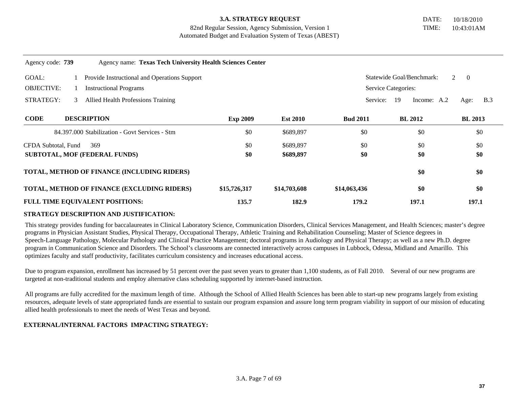| Agency code: 739                                                                        | Agency name: Texas Tech University Health Sciences Center |                 |                 |                 |                     |                    |  |  |
|-----------------------------------------------------------------------------------------|-----------------------------------------------------------|-----------------|-----------------|-----------------|---------------------|--------------------|--|--|
| 2<br>GOAL:<br>Statewide Goal/Benchmark:<br>Provide Instructional and Operations Support |                                                           |                 |                 |                 |                     |                    |  |  |
| <b>OBJECTIVE:</b><br><b>Instructional Programs</b><br>Service Categories:               |                                                           |                 |                 |                 |                     |                    |  |  |
| STRATEGY:<br>3                                                                          | Allied Health Professions Training                        |                 |                 | Service:        | 19<br>Income: $A.2$ | <b>B.3</b><br>Age: |  |  |
| <b>CODE</b>                                                                             | <b>DESCRIPTION</b>                                        | <b>Exp 2009</b> | <b>Est 2010</b> | <b>Bud 2011</b> | <b>BL 2012</b>      | <b>BL 2013</b>     |  |  |
|                                                                                         | 84.397.000 Stabilization - Govt Services - Stm            | \$0             | \$689,897       | \$0             | \$0                 | \$0                |  |  |
| CFDA Subtotal, Fund                                                                     | 369                                                       | \$0             | \$689,897       | \$0             | \$0                 | \$0                |  |  |
|                                                                                         | <b>SUBTOTAL, MOF (FEDERAL FUNDS)</b>                      | \$0             | \$689,897       | \$0             | \$0                 | \$0                |  |  |
|                                                                                         | TOTAL, METHOD OF FINANCE (INCLUDING RIDERS)               |                 |                 |                 | \$0                 | \$0                |  |  |
|                                                                                         | TOTAL, METHOD OF FINANCE (EXCLUDING RIDERS)               | \$15,726,317    | \$14,703,608    | \$14,063,436    | \$0                 | \$0                |  |  |
|                                                                                         | FULL TIME EQUIVALENT POSITIONS:                           | 135.7           | 182.9           | 179.2           | 197.1               | 197.1              |  |  |

#### **STRATEGY DESCRIPTION AND JUSTIFICATION:**

This strategy provides funding for baccalaureates in Clinical Laboratory Science, Communication Disorders, Clinical Services Management, and Health Sciences; master's degree programs in Physician Assistant Studies, Physical Therapy, Occupational Therapy, Athletic Training and Rehabilitation Counseling; Master of Science degrees in Speech-Language Pathology, Molecular Pathology and Clinical Practice Management; doctoral programs in Audiology and Physical Therapy; as well as a new Ph.D. degree program in Communication Science and Disorders. The School's classrooms are connected interactively across campuses in Lubbock, Odessa, Midland and Amarillo. This optimizes faculty and staff productivity, facilitates curriculum consistency and increases educational access.

Due to program expansion, enrollment has increased by 51 percent over the past seven years to greater than 1,100 students, as of Fall 2010. Several of our new programs are targeted at non-traditional students and employ alternative class scheduling supported by internet-based instruction.

All programs are fully accredited for the maximum length of time. Although the School of Allied Health Sciences has been able to start-up new programs largely from existing resources, adequate levels of state appropriated funds are essential to sustain our program expansion and assure long term program viability in support of our mission of educating allied health professionals to meet the needs of West Texas and beyond.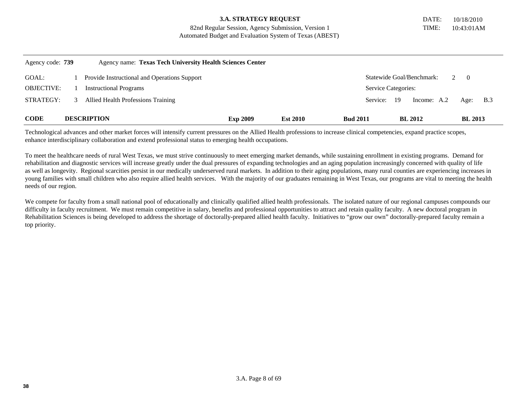| Agency code: 739  |   | Agency name: Texas Tech University Health Sciences Center |                 |                 |                 |                           |                |                |     |
|-------------------|---|-----------------------------------------------------------|-----------------|-----------------|-----------------|---------------------------|----------------|----------------|-----|
| GOAL:             |   | Provide Instructional and Operations Support              |                 |                 |                 | Statewide Goal/Benchmark: |                | $2 \quad 0$    |     |
| <b>OBJECTIVE:</b> |   | <b>Instructional Programs</b>                             |                 |                 |                 | Service Categories:       |                |                |     |
| STRATEGY:         | 3 | Allied Health Professions Training                        |                 |                 |                 | Service: 19               | Income: A.2    | Age:           | B.3 |
| <b>CODE</b>       |   | <b>DESCRIPTION</b>                                        | <b>Exp 2009</b> | <b>Est 2010</b> | <b>Bud 2011</b> |                           | <b>BL 2012</b> | <b>BL 2013</b> |     |

Technological advances and other market forces will intensify current pressures on the Allied Health professions to increase clinical competencies, expand practice scopes, enhance interdisciplinary collaboration and extend professional status to emerging health occupations.

To meet the healthcare needs of rural West Texas, we must strive continuously to meet emerging market demands, while sustaining enrollment in existing programs. Demand for rehabilitation and diagnostic services will increase greatly under the dual pressures of expanding technologies and an aging population increasingly concerned with quality of life as well as longevity. Regional scarcities persist in our medically underserved rural markets. In addition to their aging populations, many rural counties are experiencing increases in young families with small children who also require allied health services. With the majority of our graduates remaining in West Texas, our programs are vital to meeting the health needs of our region.

We compete for faculty from a small national pool of educationally and clinically qualified allied health professionals. The isolated nature of our regional campuses compounds our difficulty in faculty recruitment. We must remain competitive in salary, benefits and professional opportunities to attract and retain quality faculty. A new doctoral program in Rehabilitation Sciences is being developed to address the shortage of doctorally-prepared allied health faculty. Initiatives to "grow our own" doctorally-prepared faculty remain a top priority.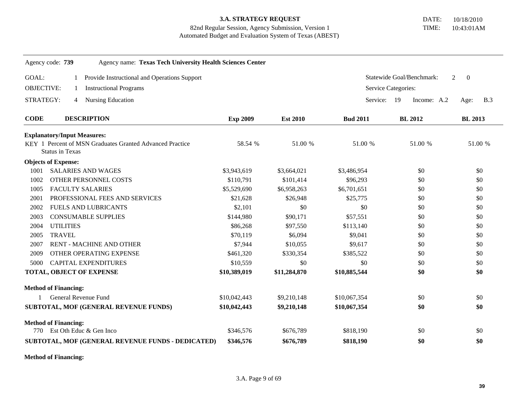# Automated Budget and Evaluation System of Texas (ABEST) 82nd Regular Session, Agency Submission, Version 1 TIME: 10:43:01AM

|                   | Agency code: 739                   | Agency name: Texas Tech University Health Sciences Center |                 |                 |                 |                           |                          |
|-------------------|------------------------------------|-----------------------------------------------------------|-----------------|-----------------|-----------------|---------------------------|--------------------------|
| GOAL:             |                                    | Provide Instructional and Operations Support              |                 |                 |                 | Statewide Goal/Benchmark: | $\mathbf{2}$<br>$\Omega$ |
| <b>OBJECTIVE:</b> | 1                                  | <b>Instructional Programs</b>                             |                 |                 |                 | Service Categories:       |                          |
| STRATEGY:         | $\overline{4}$                     | Nursing Education                                         |                 |                 | Service: 19     | Income: A.2               | B.3<br>Age:              |
| <b>CODE</b>       |                                    | <b>DESCRIPTION</b>                                        | <b>Exp 2009</b> | <b>Est 2010</b> | <b>Bud 2011</b> | <b>BL</b> 2012            | <b>BL</b> 2013           |
|                   | <b>Explanatory/Input Measures:</b> |                                                           |                 |                 |                 |                           |                          |
|                   | <b>Status in Texas</b>             | KEY 1 Percent of MSN Graduates Granted Advanced Practice  | 58.54 %         | 51.00 %         | 51.00 %         | 51.00 %                   | 51.00 %                  |
|                   | <b>Objects of Expense:</b>         |                                                           |                 |                 |                 |                           |                          |
| 1001              |                                    | <b>SALARIES AND WAGES</b>                                 | \$3,943,619     | \$3,664,021     | \$3,486,954     | \$0                       | \$0                      |
| 1002              |                                    | OTHER PERSONNEL COSTS                                     | \$110,791       | \$101,414       | \$96,293        | \$0                       | \$0                      |
| 1005              | <b>FACULTY SALARIES</b>            |                                                           | \$5,529,690     | \$6,958,263     | \$6,701,651     | \$0                       | \$0                      |
| 2001              |                                    | PROFESSIONAL FEES AND SERVICES                            | \$21,628        | \$26,948        | \$25,775        | \$0                       | \$0                      |
| 2002              |                                    | <b>FUELS AND LUBRICANTS</b>                               | \$2,101         | \$0             | \$0             | \$0                       | \$0                      |
| 2003              |                                    | <b>CONSUMABLE SUPPLIES</b>                                | \$144,980       | \$90,171        | \$57,551        | \$0                       | \$0                      |
| 2004              | <b>UTILITIES</b>                   |                                                           | \$86,268        | \$97,550        | \$113,140       | \$0                       | \$0                      |
| 2005              | <b>TRAVEL</b>                      |                                                           | \$70,119        | \$6,094         | \$9,041         | \$0                       | \$0                      |
| 2007              |                                    | <b>RENT - MACHINE AND OTHER</b>                           | \$7,944         | \$10,055        | \$9,617         | \$0                       | \$0                      |
| 2009              |                                    | OTHER OPERATING EXPENSE                                   | \$461,320       | \$330,354       | \$385,522       | \$0                       | \$0                      |
| 5000              |                                    | <b>CAPITAL EXPENDITURES</b>                               | \$10,559        | \$0             | \$0             | \$0                       | \$0                      |
|                   |                                    | <b>TOTAL, OBJECT OF EXPENSE</b>                           | \$10,389,019    | \$11,284,870    | \$10,885,544    | \$0                       | \$0                      |
|                   | <b>Method of Financing:</b>        |                                                           |                 |                 |                 |                           |                          |
|                   | General Revenue Fund               |                                                           | \$10,042,443    | \$9,210,148     | \$10,067,354    | \$0                       | \$0                      |
|                   |                                    | SUBTOTAL, MOF (GENERAL REVENUE FUNDS)                     | \$10,042,443    | \$9,210,148     | \$10,067,354    | \$0                       | \$0                      |
|                   | <b>Method of Financing:</b>        |                                                           |                 |                 |                 |                           |                          |
| 770               |                                    | Est Oth Educ & Gen Inco                                   | \$346,576       | \$676,789       | \$818,190       | \$0                       | \$0                      |
|                   |                                    | SUBTOTAL, MOF (GENERAL REVENUE FUNDS - DEDICATED)         | \$346,576       | \$676,789       | \$818,190       | \$0                       | \$0                      |

**Method of Financing:**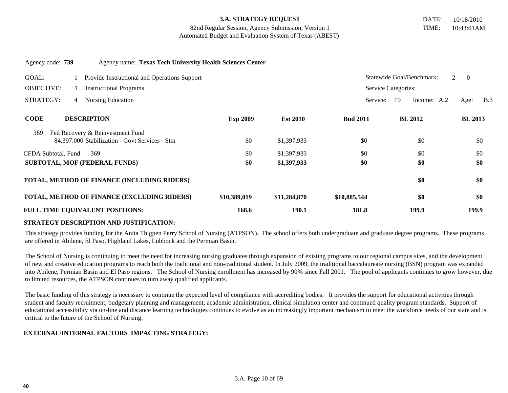#### Automated Budget and Evaluation System of Texas (ABEST) 82nd Regular Session, Agency Submission, Version 1 10:43:01 AM

| Agency code: 739                                                                                                       | <b>Agency name: Texas Tech University Health Sciences Center</b> |                 |                 |                 |                |                |  |  |  |
|------------------------------------------------------------------------------------------------------------------------|------------------------------------------------------------------|-----------------|-----------------|-----------------|----------------|----------------|--|--|--|
| $\overline{2}$<br>GOAL:<br>Statewide Goal/Benchmark:<br>Provide Instructional and Operations Support<br>$\overline{0}$ |                                                                  |                 |                 |                 |                |                |  |  |  |
| <b>OBJECTIVE:</b><br><b>Instructional Programs</b><br>Service Categories:                                              |                                                                  |                 |                 |                 |                |                |  |  |  |
| STRATEGY:<br>19<br>Income: A.2<br>Nursing Education<br>Service:<br>4<br>Age:                                           |                                                                  |                 |                 |                 |                |                |  |  |  |
| <b>CODE</b>                                                                                                            | <b>DESCRIPTION</b>                                               | <b>Exp 2009</b> | <b>Est 2010</b> | <b>Bud 2011</b> | <b>BL 2012</b> | <b>BL 2013</b> |  |  |  |
| 369                                                                                                                    | Fed Recovery & Reinvestment Fund                                 |                 |                 |                 |                |                |  |  |  |
|                                                                                                                        | 84.397.000 Stabilization - Govt Services - Stm                   | \$0             | \$1,397,933     | \$0             | \$0            | \$0            |  |  |  |
| CFDA Subtotal, Fund                                                                                                    | 369                                                              | \$0             | \$1,397,933     | \$0             | \$0            | \$0            |  |  |  |
| <b>SUBTOTAL, MOF (FEDERAL FUNDS)</b>                                                                                   |                                                                  | \$0             | \$1,397,933     | \$0             | \$0            | \$0            |  |  |  |
|                                                                                                                        | TOTAL, METHOD OF FINANCE (INCLUDING RIDERS)                      |                 |                 |                 | \$0            | \$0            |  |  |  |
|                                                                                                                        | TOTAL, METHOD OF FINANCE (EXCLUDING RIDERS)                      | \$10,389,019    | \$11,284,870    | \$10,885,544    | \$0            | \$0            |  |  |  |
| <b>FULL TIME EQUIVALENT POSITIONS:</b>                                                                                 |                                                                  | 168.6           | <b>190.1</b>    | 181.8           | 199.9          | 199.9          |  |  |  |

#### **STRATEGY DESCRIPTION AND JUSTIFICATION:**

This strategy provides funding for the Anita Thigpen Perry School of Nursing (ATPSON). The school offers both undergraduate and graduate degree programs. These programs are offered in Abilene, El Paso, Highland Lakes, Lubbock and the Permian Basin.

The School of Nursing is continuing to meet the need for increasing nursing graduates through expansion of existing programs to our regional campus sites, and the development of new and creative education programs to reach both the traditional and non-traditional student. In July 2009, the traditional baccalaureate nursing (BSN) program was expanded into Abilene, Permian Basin and El Paso regions. The School of Nursing enrollment has increased by 90% since Fall 2001. The pool of applicants continues to grow however, due to limited resources, the ATPSON continues to turn away qualified applicants.

The basic funding of this strategy is necessary to continue the expected level of compliance with accrediting bodies. It provides the support for educational activities through student and faculty recruitment, budgetary planning and management, academic administration, clinical simulation center and continued quality program standards. Support of educational accessibility via on-line and distance learning technologies continues to evolve as an increasingly important mechanism to meet the workforce needs of our state and is critical to the future of the School of Nursing.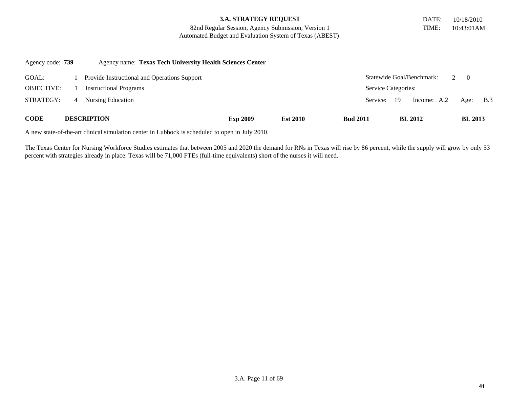## Automated Budget and Evaluation System of Texas (ABEST) 82nd Regular Session, Agency Submission, Version 1 TIME: 10:43:01AM

| Agency code: 739  |   | <b>Agency name: Texas Tech University Health Sciences Center</b> |                 |                 |                 |                     |     |                           |                |     |
|-------------------|---|------------------------------------------------------------------|-----------------|-----------------|-----------------|---------------------|-----|---------------------------|----------------|-----|
| GOAL:             |   | Provide Instructional and Operations Support                     |                 |                 |                 |                     |     | Statewide Goal/Benchmark: | $\overline{0}$ |     |
| <b>OBJECTIVE:</b> |   | <b>Instructional Programs</b>                                    |                 |                 |                 | Service Categories: |     |                           |                |     |
| STRATEGY:         | 4 | Nursing Education                                                |                 |                 |                 | Service:            | -19 | Income: A.2               | Age:           | B.3 |
| <b>CODE</b>       |   | <b>DESCRIPTION</b>                                               | <b>Exp 2009</b> | <b>Est 2010</b> | <b>Bud 2011</b> |                     |     | <b>BL 2012</b>            | <b>BL</b> 2013 |     |

A new state-of-the-art clinical simulation center in Lubbock is scheduled to open in July 2010.

The Texas Center for Nursing Workforce Studies estimates that between 2005 and 2020 the demand for RNs in Texas will rise by 86 percent, while the supply will grow by only 53 percent with strategies already in place. Texas will be 71,000 FTEs (full-time equivalents) short of the nurses it will need.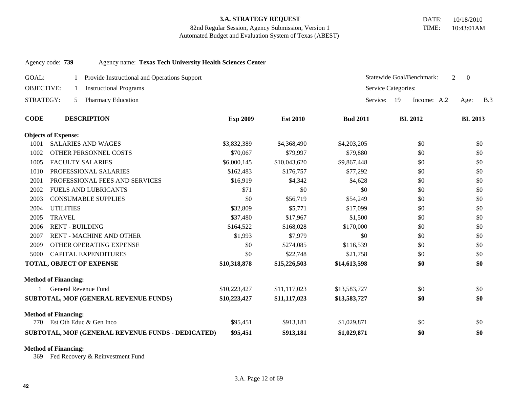# Automated Budget and Evaluation System of Texas (ABEST) 82nd Regular Session, Agency Submission, Version 1 TIME: 10:43:01AM

| Agency name: Texas Tech University Health Sciences Center<br>Agency code: 739 |                 |                 |                 |                           |                                  |
|-------------------------------------------------------------------------------|-----------------|-----------------|-----------------|---------------------------|----------------------------------|
| GOAL:<br>Provide Instructional and Operations Support<br>1                    |                 |                 |                 | Statewide Goal/Benchmark: | $\overline{2}$<br>$\overline{0}$ |
| <b>OBJECTIVE:</b><br><b>Instructional Programs</b><br>-1                      |                 |                 |                 | Service Categories:       |                                  |
| STRATEGY:<br><b>Pharmacy Education</b><br>5                                   |                 |                 | Service: 19     | Income: A.2               | B.3<br>Age:                      |
| <b>DESCRIPTION</b><br><b>CODE</b>                                             | <b>Exp 2009</b> | <b>Est 2010</b> | <b>Bud 2011</b> | <b>BL</b> 2012            | <b>BL</b> 2013                   |
| <b>Objects of Expense:</b>                                                    |                 |                 |                 |                           |                                  |
| <b>SALARIES AND WAGES</b><br>1001                                             | \$3,832,389     | \$4,368,490     | \$4,203,205     | \$0                       | \$0                              |
| 1002<br>OTHER PERSONNEL COSTS                                                 | \$70,067        | \$79,997        | \$79,880        | \$0                       | \$0                              |
| <b>FACULTY SALARIES</b><br>1005                                               | \$6,000,145     | \$10,043,620    | \$9,867,448     | \$0                       | \$0                              |
| PROFESSIONAL SALARIES<br>1010                                                 | \$162,483       | \$176,757       | \$77,292        | \$0                       | \$0                              |
| 2001<br>PROFESSIONAL FEES AND SERVICES                                        | \$16,919        | \$4,342         | \$4,628         | \$0                       | \$0                              |
| <b>FUELS AND LUBRICANTS</b><br>2002                                           | \$71            | \$0             | \$0             | \$0                       | \$0                              |
| <b>CONSUMABLE SUPPLIES</b><br>2003                                            | \$0             | \$56,719        | \$54,249        | \$0                       | \$0                              |
| 2004<br><b>UTILITIES</b>                                                      | \$32,809        | \$5,771         | \$17,099        | \$0                       | \$0                              |
| 2005<br><b>TRAVEL</b>                                                         | \$37,480        | \$17,967        | \$1,500         | \$0                       | \$0                              |
| <b>RENT - BUILDING</b><br>2006                                                | \$164,522       | \$168,028       | \$170,000       | \$0                       | \$0                              |
| <b>RENT - MACHINE AND OTHER</b><br>2007                                       | \$1,993         | \$7,979         | \$0             | \$0                       | \$0                              |
| 2009<br>OTHER OPERATING EXPENSE                                               | \$0             | \$274,085       | \$116,539       | \$0                       | \$0                              |
| <b>CAPITAL EXPENDITURES</b><br>5000                                           | \$0             | \$22,748        | \$21,758        | \$0                       | \$0                              |
| <b>TOTAL, OBJECT OF EXPENSE</b>                                               | \$10,318,878    | \$15,226,503    | \$14,613,598    | \$0                       | \$0                              |
| <b>Method of Financing:</b>                                                   |                 |                 |                 |                           |                                  |
| General Revenue Fund                                                          | \$10,223,427    | \$11,117,023    | \$13,583,727    | \$0                       | \$0                              |
| SUBTOTAL, MOF (GENERAL REVENUE FUNDS)                                         | \$10,223,427    | \$11,117,023    | \$13,583,727    | \$0                       | \$0                              |
| <b>Method of Financing:</b>                                                   |                 |                 |                 |                           |                                  |
| Est Oth Educ & Gen Inco<br>770                                                | \$95,451        | \$913,181       | \$1,029,871     | \$0                       | \$0                              |
| SUBTOTAL, MOF (GENERAL REVENUE FUNDS - DEDICATED)                             | \$95,451        | \$913,181       | \$1,029,871     | \$0                       | \$0                              |

# **Method of Financing:**

369 Fed Recovery & Reinvestment Fund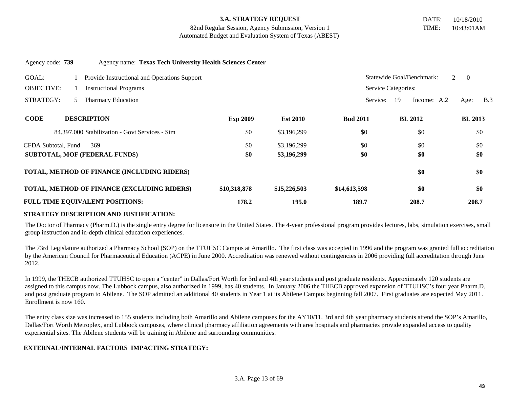## Automated Budget and Evaluation System of Texas (ABEST) 82nd Regular Session, Agency Submission, Version 1 10:43:01 AM

| Agency code: 739                | <b>Agency name: Texas Tech University Health Sciences Center</b>              |                 |                 |                            |                           |                     |
|---------------------------------|-------------------------------------------------------------------------------|-----------------|-----------------|----------------------------|---------------------------|---------------------|
| GOAL:<br><b>OBJECTIVE:</b>      | Provide Instructional and Operations Support<br><b>Instructional Programs</b> |                 |                 | <b>Service Categories:</b> | Statewide Goal/Benchmark: | 2<br>$\overline{0}$ |
| STRATEGY:<br>5                  | <b>Pharmacy Education</b>                                                     |                 |                 | Service:                   | 19<br>Income: A.2         | <b>B.3</b><br>Age:  |
| <b>CODE</b>                     | <b>DESCRIPTION</b>                                                            | <b>Exp 2009</b> | <b>Est 2010</b> | <b>Bud 2011</b>            | <b>BL 2012</b>            | <b>BL</b> 2013      |
|                                 | 84.397.000 Stabilization - Govt Services - Stm                                | \$0             | \$3,196,299     | \$0                        | \$0                       | \$0                 |
| CFDA Subtotal, Fund             | 369                                                                           | \$0             | \$3,196,299     | \$0                        | \$0                       | \$0                 |
| SUBTOTAL, MOF (FEDERAL FUNDS)   |                                                                               | \$0             | \$3,196,299     | \$0                        | \$0                       | \$0                 |
|                                 | TOTAL, METHOD OF FINANCE (INCLUDING RIDERS)                                   |                 |                 |                            | \$0                       | \$0                 |
|                                 | TOTAL, METHOD OF FINANCE (EXCLUDING RIDERS)                                   | \$10,318,878    | \$15,226,503    | \$14,613,598               | \$0                       | \$0                 |
| FULL TIME EQUIVALENT POSITIONS: |                                                                               | 178.2           | 195.0           | 189.7                      | 208.7                     | 208.7               |

#### **STRATEGY DESCRIPTION AND JUSTIFICATION:**

The Doctor of Pharmacy (Pharm.D.) is the single entry degree for licensure in the United States. The 4-year professional program provides lectures, labs, simulation exercises, small group instruction and in-depth clinical education experiences.

The 73rd Legislature authorized a Pharmacy School (SOP) on the TTUHSC Campus at Amarillo. The first class was accepted in 1996 and the program was granted full accreditation by the American Council for Pharmaceutical Education (ACPE) in June 2000. Accreditation was renewed without contingencies in 2006 providing full accreditation through June 2012.

In 1999, the THECB authorized TTUHSC to open a "center" in Dallas/Fort Worth for 3rd and 4th year students and post graduate residents. Approximately 120 students are assigned to this campus now. The Lubbock campus, also authorized in 1999, has 40 students. In January 2006 the THECB approved expansion of TTUHSC's four year Pharm.D. and post graduate program to Abilene. The SOP admitted an additional 40 students in Year 1 at its Abilene Campus beginning fall 2007. First graduates are expected May 2011. Enrollment is now 160.

The entry class size was increased to 155 students including both Amarillo and Abilene campuses for the AY10/11. 3rd and 4th year pharmacy students attend the SOP's Amarillo, Dallas/Fort Worth Metroplex, and Lubbock campuses, where clinical pharmacy affiliation agreements with area hospitals and pharmacies provide expanded access to quality experiential sites. The Abilene students will be training in Abilene and surrounding communities.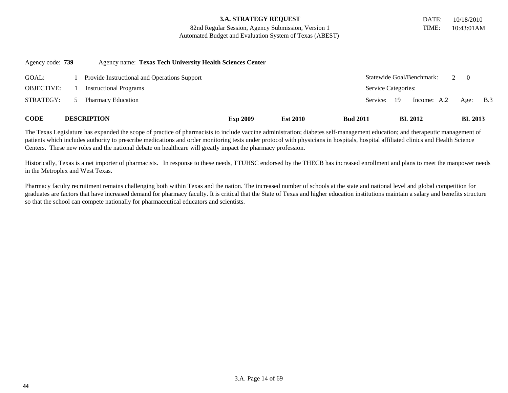| Agency code: 739  |   | <b>Agency name: Texas Tech University Health Sciences Center</b> |                 |                 |                 |                           |                |                |     |
|-------------------|---|------------------------------------------------------------------|-----------------|-----------------|-----------------|---------------------------|----------------|----------------|-----|
| GOAL:             |   | Provide Instructional and Operations Support                     |                 |                 |                 | Statewide Goal/Benchmark: |                | $2 \quad 0$    |     |
| <b>OBJECTIVE:</b> |   | <b>Instructional Programs</b>                                    |                 |                 |                 | Service Categories:       |                |                |     |
| STRATEGY:         | 5 | <b>Pharmacy Education</b>                                        |                 |                 |                 | Service: 19               | Income: $A.2$  | Age:           | B.3 |
| <b>CODE</b>       |   | <b>DESCRIPTION</b>                                               | <b>Exp 2009</b> | <b>Est 2010</b> | <b>Bud 2011</b> |                           | <b>BL 2012</b> | <b>BL 2013</b> |     |

The Texas Legislature has expanded the scope of practice of pharmacists to include vaccine administration; diabetes self-management education; and therapeutic management of patients which includes authority to prescribe medications and order monitoring tests under protocol with physicians in hospitals, hospital affiliated clinics and Health Science Centers. These new roles and the national debate on healthcare will greatly impact the pharmacy profession.

Historically, Texas is a net importer of pharmacists. In response to these needs, TTUHSC endorsed by the THECB has increased enrollment and plans to meet the manpower needs in the Metroplex and West Texas.

Pharmacy faculty recruitment remains challenging both within Texas and the nation. The increased number of schools at the state and national level and global competition for graduates are factors that have increased demand for pharmacy faculty. It is critical that the State of Texas and higher education institutions maintain a salary and benefits structure so that the school can compete nationally for pharmaceutical educators and scientists.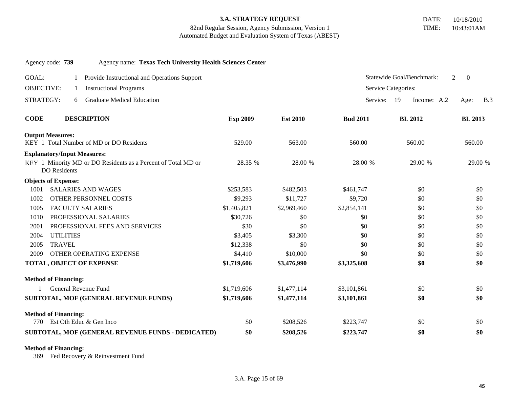# Automated Budget and Evaluation System of Texas (ABEST) 82nd Regular Session, Agency Submission, Version 1 TIME: 10:43:01AM

| Agency name: Texas Tech University Health Sciences Center<br>Agency code: 739                                              |                 |                 |                 |                           |                |
|----------------------------------------------------------------------------------------------------------------------------|-----------------|-----------------|-----------------|---------------------------|----------------|
| Provide Instructional and Operations Support<br>GOAL:<br>1                                                                 |                 |                 |                 | Statewide Goal/Benchmark: | 2<br>$\Omega$  |
| <b>OBJECTIVE:</b><br><b>Instructional Programs</b><br>1                                                                    |                 |                 |                 | Service Categories:       |                |
| STRATEGY:<br><b>Graduate Medical Education</b><br>6                                                                        |                 |                 | Service: 19     | Income: A.2               | B.3<br>Age:    |
| <b>CODE</b><br><b>DESCRIPTION</b>                                                                                          | <b>Exp 2009</b> | <b>Est 2010</b> | <b>Bud 2011</b> | <b>BL</b> 2012            | <b>BL</b> 2013 |
| <b>Output Measures:</b><br>KEY 1 Total Number of MD or DO Residents                                                        |                 |                 |                 |                           |                |
|                                                                                                                            | 529.00          | 563.00          | 560.00          | 560.00                    | 560.00         |
| <b>Explanatory/Input Measures:</b><br>KEY 1 Minority MD or DO Residents as a Percent of Total MD or<br><b>DO</b> Residents | 28.35 %         | 28.00 %         | 28.00 %         | 29.00 %                   | 29.00 %        |
| <b>Objects of Expense:</b>                                                                                                 |                 |                 |                 |                           |                |
| <b>SALARIES AND WAGES</b><br>1001                                                                                          | \$253,583       | \$482,503       | \$461,747       | \$0                       | \$0            |
| OTHER PERSONNEL COSTS<br>1002                                                                                              | \$9,293         | \$11,727        | \$9,720         | \$0                       | \$0            |
| <b>FACULTY SALARIES</b><br>1005                                                                                            | \$1,405,821     | \$2,969,460     | \$2,854,141     | \$0                       | \$0            |
| PROFESSIONAL SALARIES<br>1010                                                                                              | \$30,726        | \$0             | \$0             | \$0                       | \$0            |
| PROFESSIONAL FEES AND SERVICES<br>2001                                                                                     | \$30            | \$0             | \$0             | \$0                       | \$0            |
| <b>UTILITIES</b><br>2004                                                                                                   | \$3,405         | \$3,300         | \$0             | \$0                       | \$0            |
| 2005<br><b>TRAVEL</b>                                                                                                      | \$12,338        | \$0             | \$0             | \$0                       | \$0            |
| OTHER OPERATING EXPENSE<br>2009                                                                                            | \$4,410         | \$10,000        | \$0             | \$0                       | \$0            |
| TOTAL, OBJECT OF EXPENSE                                                                                                   | \$1,719,606     | \$3,476,990     | \$3,325,608     | \$0                       | \$0            |
| <b>Method of Financing:</b>                                                                                                |                 |                 |                 |                           |                |
| General Revenue Fund                                                                                                       | \$1,719,606     | \$1,477,114     | \$3,101,861     | \$0                       | \$0            |
| SUBTOTAL, MOF (GENERAL REVENUE FUNDS)                                                                                      | \$1,719,606     | \$1,477,114     | \$3,101,861     | \$0                       | \$0            |
| <b>Method of Financing:</b>                                                                                                |                 |                 |                 |                           |                |
| Est Oth Educ & Gen Inco<br>770                                                                                             | \$0             | \$208,526       | \$223,747       | \$0                       | \$0            |
| SUBTOTAL, MOF (GENERAL REVENUE FUNDS - DEDICATED)                                                                          | \$0             | \$208,526       | \$223,747       | \$0                       | \$0            |

## **Method of Financing:**

369 Fed Recovery & Reinvestment Fund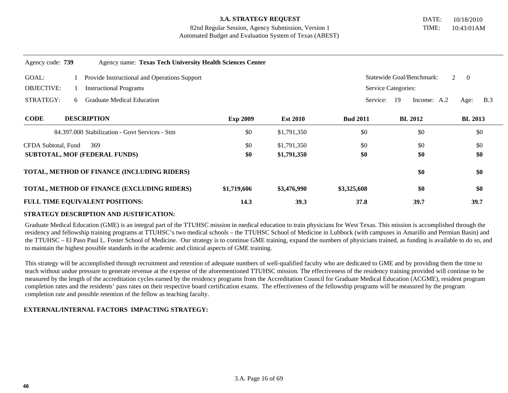| <b>Agency name: Texas Tech University Health Sciences Center</b><br>Agency code: 739                                                                                                          |                 |                 |                 |                    |                    |  |  |  |
|-----------------------------------------------------------------------------------------------------------------------------------------------------------------------------------------------|-----------------|-----------------|-----------------|--------------------|--------------------|--|--|--|
| $\mathfrak{D}$<br>GOAL:<br>Provide Instructional and Operations Support<br>Statewide Goal/Benchmark:<br>$\theta$<br><b>OBJECTIVE:</b><br><b>Instructional Programs</b><br>Service Categories: |                 |                 |                 |                    |                    |  |  |  |
| STRATEGY:<br><b>Graduate Medical Education</b><br>6                                                                                                                                           |                 |                 | Service:        | -19<br>Income: A.2 | <b>B.3</b><br>Age: |  |  |  |
| <b>CODE</b><br><b>DESCRIPTION</b>                                                                                                                                                             | <b>Exp 2009</b> | <b>Est 2010</b> | <b>Bud 2011</b> | <b>BL 2012</b>     | <b>BL 2013</b>     |  |  |  |
| 84.397.000 Stabilization - Govt Services - Stm                                                                                                                                                | \$0             | \$1,791,350     | \$0             | \$0                | \$0                |  |  |  |
| CFDA Subtotal, Fund<br>369                                                                                                                                                                    | \$0             | \$1,791,350     | \$0             | \$0                | \$0                |  |  |  |
| <b>SUBTOTAL, MOF (FEDERAL FUNDS)</b>                                                                                                                                                          | \$0             | \$1,791,350     | \$0             | \$0                | \$0                |  |  |  |
| TOTAL, METHOD OF FINANCE (INCLUDING RIDERS)                                                                                                                                                   |                 |                 |                 | \$0                | \$0                |  |  |  |
| TOTAL, METHOD OF FINANCE (EXCLUDING RIDERS)                                                                                                                                                   | \$1,719,606     | \$3,476,990     | \$3,325,608     | \$0                | \$0                |  |  |  |
| <b>FULL TIME EQUIVALENT POSITIONS:</b>                                                                                                                                                        | 14.3            | 39.3            | 37.8            | 39.7               | 39.7               |  |  |  |

## **STRATEGY DESCRIPTION AND JUSTIFICATION:**

Graduate Medical Education (GME) is an integral part of the TTUHSC mission in medical education to train physicians for West Texas. This mission is accomplished through the residency and fellowship training programs at TTUHSC's two medical schools – the TTUHSC School of Medicine in Lubbock (with campuses in Amarillo and Permian Basin) and the TTUHSC – El Paso Paul L. Foster School of Medicine. Our strategy is to continue GME training, expand the numbers of physicians trained, as funding is available to do so, and to maintain the highest possible standards in the academic and clinical aspects of GME training.

This strategy will be accomplished through recruitment and retention of adequate numbers of well-qualified faculty who are dedicated to GME and by providing them the time to teach without undue pressure to generate revenue at the expense of the aforementioned TTUHSC mission. The effectiveness of the residency training provided will continue to be measured by the length of the accreditation cycles earned by the residency programs from the Accreditation Council for Graduate Medical Education (ACGME), resident program completion rates and the residents' pass rates on their respective board certification exams. The effectiveness of the fellowship programs will be measured by the program completion rate and possible retention of the fellow as teaching faculty.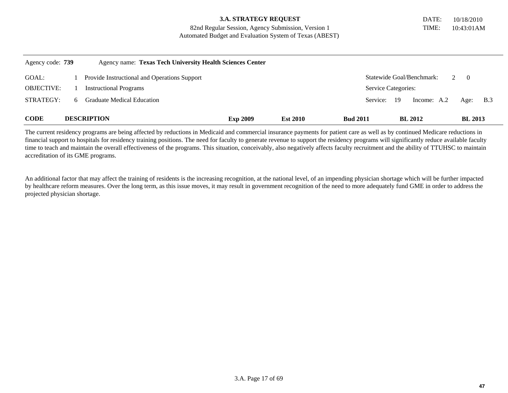| Agency code: 739  |   | <b>Agency name: Texas Tech University Health Sciences Center</b> |                 |                 |                 |                           |                |   |                |     |
|-------------------|---|------------------------------------------------------------------|-----------------|-----------------|-----------------|---------------------------|----------------|---|----------------|-----|
| GOAL:             |   | Provide Instructional and Operations Support                     |                 |                 |                 | Statewide Goal/Benchmark: |                | 2 | $\overline{0}$ |     |
| <b>OBJECTIVE:</b> |   | <b>Instructional Programs</b>                                    |                 |                 |                 | Service Categories:       |                |   |                |     |
| STRATEGY:         | 6 | <b>Graduate Medical Education</b>                                |                 |                 |                 | Service: 19               | Income: A.2    |   | Age:           | B.3 |
| <b>CODE</b>       |   | <b>DESCRIPTION</b>                                               | <b>Exp 2009</b> | <b>Est 2010</b> | <b>Bud 2011</b> |                           | <b>BL 2012</b> |   | <b>BL</b> 2013 |     |

The current residency programs are being affected by reductions in Medicaid and commercial insurance payments for patient care as well as by continued Medicare reductions in financial support to hospitals for residency training positions. The need for faculty to generate revenue to support the residency programs will significantly reduce available faculty time to teach and maintain the overall effectiveness of the programs. This situation, conceivably, also negatively affects faculty recruitment and the ability of TTUHSC to maintain accreditation of its GME programs.

An additional factor that may affect the training of residents is the increasing recognition, at the national level, of an impending physician shortage which will be further impacted by healthcare reform measures. Over the long term, as this issue moves, it may result in government recognition of the need to more adequately fund GME in order to address the projected physician shortage.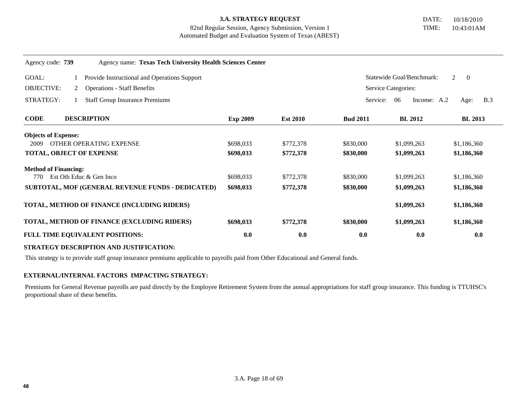# Automated Budget and Evaluation System of Texas (ABEST) 82nd Regular Session, Agency Submission, Version 1 TIME: 10:43:01AM

| Agency code: 739<br><b>Agency name: Texas Tech University Health Sciences Center</b> |                 |                 |                 |                           |                                  |  |  |
|--------------------------------------------------------------------------------------|-----------------|-----------------|-----------------|---------------------------|----------------------------------|--|--|
| GOAL:<br>Provide Instructional and Operations Support                                |                 |                 |                 | Statewide Goal/Benchmark: | $\overline{2}$<br>$\overline{0}$ |  |  |
| <b>OBJECTIVE:</b><br><b>Operations - Staff Benefits</b><br>Service Categories:<br>2  |                 |                 |                 |                           |                                  |  |  |
| STRATEGY:<br><b>Staff Group Insurance Premiums</b>                                   |                 |                 | Service:        | 06<br>Income: A.2         | <b>B.3</b><br>Age:               |  |  |
| <b>DESCRIPTION</b><br><b>CODE</b>                                                    | <b>Exp 2009</b> | <b>Est 2010</b> | <b>Bud 2011</b> | <b>BL 2012</b>            | <b>BL</b> 2013                   |  |  |
| <b>Objects of Expense:</b>                                                           |                 |                 |                 |                           |                                  |  |  |
| OTHER OPERATING EXPENSE<br>2009                                                      | \$698,033       | \$772,378       | \$830,000       | \$1,099,263               | \$1,186,360                      |  |  |
| <b>TOTAL, OBJECT OF EXPENSE</b>                                                      | \$698,033       | \$772,378       | \$830,000       | \$1,099,263               | \$1,186,360                      |  |  |
| <b>Method of Financing:</b>                                                          |                 |                 |                 |                           |                                  |  |  |
| Est Oth Educ & Gen Inco<br>770.                                                      | \$698,033       | \$772,378       | \$830,000       | \$1,099,263               | \$1,186,360                      |  |  |
| SUBTOTAL, MOF (GENERAL REVENUE FUNDS - DEDICATED)                                    | \$698,033       | \$772,378       | \$830,000       | \$1,099,263               | \$1,186,360                      |  |  |
| TOTAL, METHOD OF FINANCE (INCLUDING RIDERS)                                          |                 |                 |                 | \$1,099,263               | \$1,186,360                      |  |  |
| TOTAL, METHOD OF FINANCE (EXCLUDING RIDERS)                                          | \$698,033       | \$772,378       | \$830,000       | \$1,099,263               | \$1,186,360                      |  |  |
| <b>FULL TIME EQUIVALENT POSITIONS:</b>                                               | 0.0             | 0.0             | 0.0             | 0.0                       | 0.0                              |  |  |

#### **STRATEGY DESCRIPTION AND JUSTIFICATION:**

This strategy is to provide staff group insurance premiums applicable to payrolls paid from Other Educational and General funds.

## **EXTERNAL/INTERNAL FACTORS IMPACTING STRATEGY:**

Premiums for General Revenue payrolls are paid directly by the Employee Retirement System from the annual appropriations for staff group insurance. This funding is TTUHSC's proportional share of these benefits.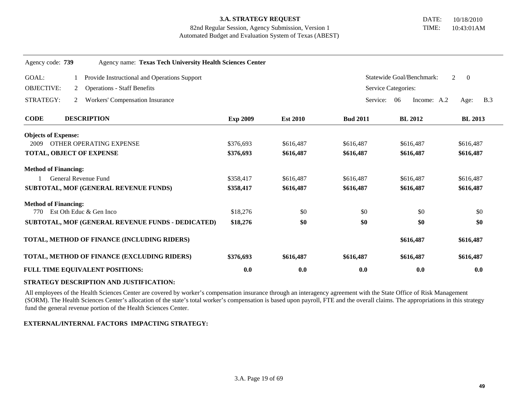# Automated Budget and Evaluation System of Texas (ABEST) 82nd Regular Session, Agency Submission, Version 1 TIME: 10:43:01AM

| Agency name: Texas Tech University Health Sciences Center<br>Agency code: 739 |                 |                 |                 |                           |                                  |
|-------------------------------------------------------------------------------|-----------------|-----------------|-----------------|---------------------------|----------------------------------|
| GOAL:<br>Provide Instructional and Operations Support                         |                 |                 |                 | Statewide Goal/Benchmark: | $\overline{2}$<br>$\overline{0}$ |
| <b>OBJECTIVE:</b><br><b>Operations - Staff Benefits</b><br>2                  |                 |                 |                 | Service Categories:       |                                  |
| STRATEGY:<br>Workers' Compensation Insurance<br>2                             |                 |                 | Service:        | 06<br>Income: A.2         | B.3<br>Age:                      |
| <b>CODE</b><br><b>DESCRIPTION</b>                                             | <b>Exp 2009</b> | <b>Est 2010</b> | <b>Bud 2011</b> | <b>BL 2012</b>            | <b>BL</b> 2013                   |
| <b>Objects of Expense:</b>                                                    |                 |                 |                 |                           |                                  |
| OTHER OPERATING EXPENSE<br>2009                                               | \$376,693       | \$616,487       | \$616,487       | \$616,487                 | \$616,487                        |
| TOTAL, OBJECT OF EXPENSE                                                      | \$376,693       | \$616,487       | \$616,487       | \$616,487                 | \$616,487                        |
| <b>Method of Financing:</b>                                                   |                 |                 |                 |                           |                                  |
| General Revenue Fund                                                          | \$358,417       | \$616,487       | \$616,487       | \$616,487                 | \$616,487                        |
| SUBTOTAL, MOF (GENERAL REVENUE FUNDS)                                         | \$358,417       | \$616,487       | \$616,487       | \$616,487                 | \$616,487                        |
| <b>Method of Financing:</b>                                                   |                 |                 |                 |                           |                                  |
| Est Oth Educ & Gen Inco<br>770                                                | \$18,276        | \$0             | \$0             | \$0                       | \$0                              |
| SUBTOTAL, MOF (GENERAL REVENUE FUNDS - DEDICATED)                             | \$18,276        | \$0             | \$0             | \$0                       | \$0                              |
| TOTAL, METHOD OF FINANCE (INCLUDING RIDERS)                                   |                 |                 |                 | \$616,487                 | \$616,487                        |
| TOTAL, METHOD OF FINANCE (EXCLUDING RIDERS)                                   | \$376,693       | \$616,487       | \$616,487       | \$616,487                 | \$616,487                        |
| FULL TIME EQUIVALENT POSITIONS:                                               | 0.0             | 0.0             | 0.0             | 0.0                       | 0.0                              |

#### **STRATEGY DESCRIPTION AND JUSTIFICATION:**

All employees of the Health Sciences Center are covered by worker's compensation insurance through an interagency agreement with the State Office of Risk Management (SORM). The Health Sciences Center's allocation of the state's total worker's compensation is based upon payroll, FTE and the overall claims. The appropriations in this strategy fund the general revenue portion of the Health Sciences Center.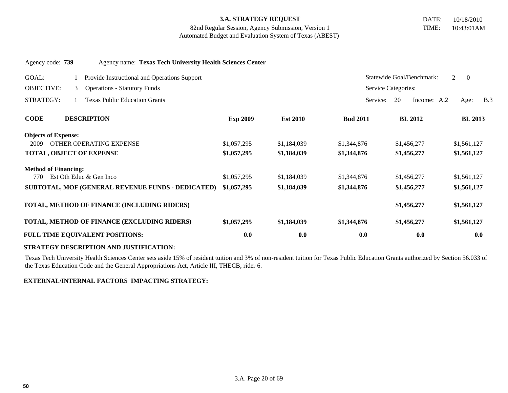# Automated Budget and Evaluation System of Texas (ABEST) 82nd Regular Session, Agency Submission, Version 1 TIME: 10:43:01AM

| Agency code: 739                                              | <b>Agency name: Texas Tech University Health Sciences Center</b> |                     |                 |                 |                           |                     |  |  |  |  |
|---------------------------------------------------------------|------------------------------------------------------------------|---------------------|-----------------|-----------------|---------------------------|---------------------|--|--|--|--|
| GOAL:                                                         | Provide Instructional and Operations Support                     |                     |                 |                 | Statewide Goal/Benchmark: | 2<br>$\overline{0}$ |  |  |  |  |
| <b>OBJECTIVE:</b><br><b>Operations - Statutory Funds</b><br>3 |                                                                  | Service Categories: |                 |                 |                           |                     |  |  |  |  |
| STRATEGY:<br><b>Texas Public Education Grants</b>             |                                                                  |                     |                 | Service:        | 20<br>Income: A.2         | B.3<br>Age:         |  |  |  |  |
| <b>CODE</b><br><b>DESCRIPTION</b>                             |                                                                  | <b>Exp 2009</b>     | <b>Est 2010</b> | <b>Bud 2011</b> | <b>BL 2012</b>            | <b>BL 2013</b>      |  |  |  |  |
| <b>Objects of Expense:</b>                                    |                                                                  |                     |                 |                 |                           |                     |  |  |  |  |
| OTHER OPERATING EXPENSE<br>2009                               |                                                                  | \$1,057,295         | \$1,184,039     | \$1,344,876     | \$1,456,277               | \$1,561,127         |  |  |  |  |
| <b>TOTAL, OBJECT OF EXPENSE</b>                               |                                                                  | \$1,057,295         | \$1,184,039     | \$1,344,876     | \$1,456,277               | \$1,561,127         |  |  |  |  |
| <b>Method of Financing:</b>                                   |                                                                  |                     |                 |                 |                           |                     |  |  |  |  |
| Est Oth Educ & Gen Inco<br>770.                               |                                                                  | \$1,057,295         | \$1,184,039     | \$1,344,876     | \$1,456,277               | \$1,561,127         |  |  |  |  |
| SUBTOTAL, MOF (GENERAL REVENUE FUNDS - DEDICATED)             |                                                                  | \$1,057,295         | \$1,184,039     | \$1,344,876     | \$1,456,277               | \$1,561,127         |  |  |  |  |
| TOTAL, METHOD OF FINANCE (INCLUDING RIDERS)                   |                                                                  |                     |                 |                 | \$1,456,277               | \$1,561,127         |  |  |  |  |
| TOTAL, METHOD OF FINANCE (EXCLUDING RIDERS)                   |                                                                  | \$1,057,295         | \$1,184,039     | \$1,344,876     | \$1,456,277               | \$1,561,127         |  |  |  |  |
| FULL TIME EQUIVALENT POSITIONS:                               |                                                                  | 0.0                 | 0.0             | 0.0             | 0.0                       | 0.0                 |  |  |  |  |

#### **STRATEGY DESCRIPTION AND JUSTIFICATION:**

Texas Tech University Health Sciences Center sets aside 15% of resident tuition and 3% of non-resident tuition for Texas Public Education Grants authorized by Section 56.033 of the Texas Education Code and the General Appropriations Act, Article III, THECB, rider 6.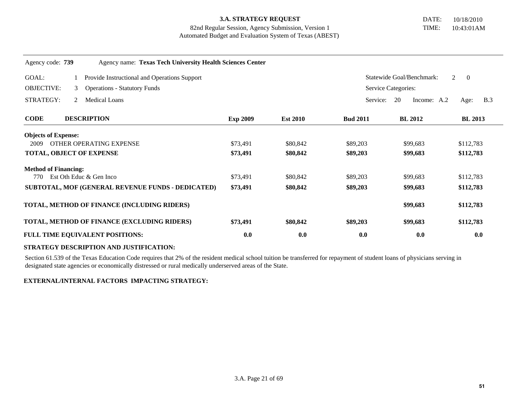## Automated Budget and Evaluation System of Texas (ABEST) 82nd Regular Session, Agency Submission, Version 1 TIME: 10:43:01AM

| Agency code: 739                | Agency name: Texas Tech University Health Sciences Center |                 |                 |                 |                           |                     |
|---------------------------------|-----------------------------------------------------------|-----------------|-----------------|-----------------|---------------------------|---------------------|
| GOAL:                           | Provide Instructional and Operations Support              |                 |                 |                 | Statewide Goal/Benchmark: | 2<br>$\overline{0}$ |
| <b>OBJECTIVE:</b>               | <b>Operations - Statutory Funds</b><br>3                  |                 |                 |                 | Service Categories:       |                     |
| STRATEGY:                       | <b>Medical Loans</b><br>2                                 |                 |                 | Service:        | 20<br>Income: A.2         | <b>B.3</b><br>Age:  |
| <b>CODE</b>                     | <b>DESCRIPTION</b>                                        | <b>Exp 2009</b> | <b>Est 2010</b> | <b>Bud 2011</b> | <b>BL 2012</b>            | <b>BL 2013</b>      |
| <b>Objects of Expense:</b>      |                                                           |                 |                 |                 |                           |                     |
| 2009                            | OTHER OPERATING EXPENSE                                   | \$73,491        | \$80,842        | \$89,203        | \$99,683                  | \$112,783           |
| <b>TOTAL, OBJECT OF EXPENSE</b> |                                                           | \$73,491        | \$80,842        | \$89,203        | \$99,683                  | \$112,783           |
| <b>Method of Financing:</b>     |                                                           |                 |                 |                 |                           |                     |
| 770                             | Est Oth Educ & Gen Inco                                   | \$73,491        | \$80,842        | \$89,203        | \$99,683                  | \$112,783           |
|                                 | SUBTOTAL, MOF (GENERAL REVENUE FUNDS - DEDICATED)         | \$73,491        | \$80,842        | \$89,203        | \$99,683                  | \$112,783           |
|                                 | TOTAL, METHOD OF FINANCE (INCLUDING RIDERS)               |                 |                 |                 | \$99,683                  | \$112,783           |
|                                 | TOTAL, METHOD OF FINANCE (EXCLUDING RIDERS)               | \$73,491        | \$80,842        | \$89,203        | \$99,683                  | \$112,783           |
|                                 | FULL TIME EQUIVALENT POSITIONS:                           | 0.0             | 0.0             | 0.0             | 0.0                       | 0.0                 |

#### **STRATEGY DESCRIPTION AND JUSTIFICATION:**

Section 61.539 of the Texas Education Code requires that 2% of the resident medical school tuition be transferred for repayment of student loans of physicians serving in designated state agencies or economically distressed or rural medically underserved areas of the State.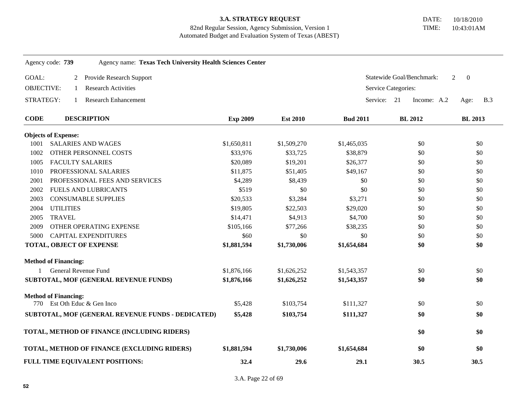|                   | Agency name: Texas Tech University Health Sciences Center<br>Agency code: 739 |                 |                 |                 |                           |                     |
|-------------------|-------------------------------------------------------------------------------|-----------------|-----------------|-----------------|---------------------------|---------------------|
| GOAL:             | Provide Research Support<br>2                                                 |                 |                 |                 | Statewide Goal/Benchmark: | 2<br>$\overline{0}$ |
| <b>OBJECTIVE:</b> | <b>Research Activities</b><br>1                                               |                 |                 |                 | Service Categories:       |                     |
| STRATEGY:         | <b>Research Enhancement</b><br>$\mathbf{1}$                                   |                 |                 | Service: 21     | Income: A.2               | B.3<br>Age:         |
| <b>CODE</b>       | <b>DESCRIPTION</b>                                                            | <b>Exp 2009</b> | <b>Est 2010</b> | <b>Bud 2011</b> | <b>BL</b> 2012            | <b>BL 2013</b>      |
|                   | <b>Objects of Expense:</b>                                                    |                 |                 |                 |                           |                     |
| 1001              | <b>SALARIES AND WAGES</b>                                                     | \$1,650,811     | \$1,509,270     | \$1,465,035     | \$0                       | \$0                 |
| 1002              | OTHER PERSONNEL COSTS                                                         | \$33,976        | \$33,725        | \$38,879        | \$0                       | \$0                 |
| 1005              | <b>FACULTY SALARIES</b>                                                       | \$20,089        | \$19,201        | \$26,377        | \$0                       | \$0                 |
| 1010              | PROFESSIONAL SALARIES                                                         | \$11,875        | \$51,405        | \$49,167        | \$0                       | \$0                 |
| 2001              | PROFESSIONAL FEES AND SERVICES                                                | \$4,289         | \$8,439         | \$0             | \$0                       | \$0                 |
| 2002              | <b>FUELS AND LUBRICANTS</b>                                                   | \$519           | \$0             | \$0             | \$0                       | \$0                 |
| 2003              | <b>CONSUMABLE SUPPLIES</b>                                                    | \$20,533        | \$3,284         | \$3,271         | \$0                       | \$0                 |
| 2004              | <b>UTILITIES</b>                                                              | \$19,805        | \$22,503        | \$29,020        | \$0                       | \$0                 |
| 2005              | <b>TRAVEL</b>                                                                 | \$14,471        | \$4,913         | \$4,700         | \$0                       | \$0                 |
| 2009              | OTHER OPERATING EXPENSE                                                       | \$105,166       | \$77,266        | \$38,235        | \$0                       | \$0                 |
| 5000              | <b>CAPITAL EXPENDITURES</b>                                                   | \$60            | \$0             | \$0             | \$0                       | \$0                 |
|                   | <b>TOTAL, OBJECT OF EXPENSE</b>                                               | \$1,881,594     | \$1,730,006     | \$1,654,684     | \$0                       | \$0                 |
|                   | <b>Method of Financing:</b>                                                   |                 |                 |                 |                           |                     |
|                   | General Revenue Fund                                                          | \$1,876,166     | \$1,626,252     | \$1,543,357     | \$0                       | \$0                 |
|                   | SUBTOTAL, MOF (GENERAL REVENUE FUNDS)                                         | \$1,876,166     | \$1,626,252     | \$1,543,357     | \$0                       | \$0                 |
|                   | <b>Method of Financing:</b>                                                   |                 |                 |                 |                           |                     |
| 770               | Est Oth Educ & Gen Inco                                                       | \$5,428         | \$103,754       | \$111,327       | \$0                       | \$0                 |
|                   | SUBTOTAL, MOF (GENERAL REVENUE FUNDS - DEDICATED)                             | \$5,428         | \$103,754       | \$111,327       | \$0                       | \$0                 |
|                   | TOTAL, METHOD OF FINANCE (INCLUDING RIDERS)                                   |                 |                 |                 | \$0                       | \$0                 |
|                   | TOTAL, METHOD OF FINANCE (EXCLUDING RIDERS)                                   | \$1,881,594     | \$1,730,006     | \$1,654,684     | \$0                       | \$0                 |
|                   | FULL TIME EQUIVALENT POSITIONS:                                               | 32.4            | 29.6            | 29.1            | 30.5                      | 30.5                |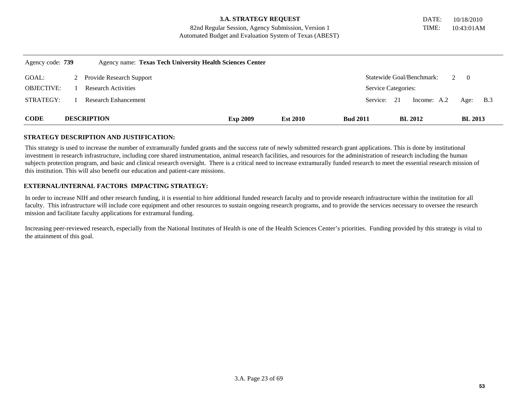| Agency code: 739  |   | <b>Agency name: Texas Tech University Health Sciences Center</b> |                 |                 |                 |          |    |                           |                |     |
|-------------------|---|------------------------------------------------------------------|-----------------|-----------------|-----------------|----------|----|---------------------------|----------------|-----|
| GOAL:             | 2 | <b>Provide Research Support</b>                                  |                 |                 |                 |          |    | Statewide Goal/Benchmark: | $\overline{0}$ |     |
| <b>OBJECTIVE:</b> |   | Service Categories:<br><b>Research Activities</b>                |                 |                 |                 |          |    |                           |                |     |
| STRATEGY:         |   | <b>Research Enhancement</b>                                      |                 |                 |                 | Service: | 21 | Income: A.2               | Age:           | B.3 |
| <b>CODE</b>       |   | <b>DESCRIPTION</b>                                               | <b>Exp 2009</b> | <b>Est 2010</b> | <b>Bud 2011</b> |          |    | <b>BL 2012</b>            | <b>BL</b> 2013 |     |

#### **STRATEGY DESCRIPTION AND JUSTIFICATION:**

This strategy is used to increase the number of extramurally funded grants and the success rate of newly submitted research grant applications. This is done by institutional investment in research infrastructure, including core shared instrumentation, animal research facilities, and resources for the administration of research including the human subjects protection program, and basic and clinical research oversight. There is a critical need to increase extramurally funded research to meet the essential research mission of this institution. This will also benefit our education and patient-care missions.

## **EXTERNAL/INTERNAL FACTORS IMPACTING STRATEGY:**

In order to increase NIH and other research funding, it is essential to hire additional funded research faculty and to provide research infrastructure within the institution for all faculty. This infrastructure will include core equipment and other resources to sustain ongoing research programs, and to provide the services necessary to oversee the research mission and facilitate faculty applications for extramural funding.

Increasing peer-reviewed research, especially from the National Institutes of Health is one of the Health Sciences Center's priorities. Funding provided by this strategy is vital to the attainment of this goal.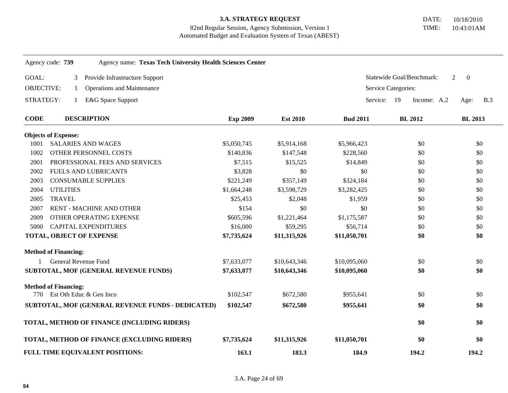|                   | Agency code: 739            | <b>Agency name: Texas Tech University Health Sciences Center</b> |                 |                 |                 |                           |                                  |
|-------------------|-----------------------------|------------------------------------------------------------------|-----------------|-----------------|-----------------|---------------------------|----------------------------------|
| GOAL:             | 3                           | Provide Infrastructure Support                                   |                 |                 |                 | Statewide Goal/Benchmark: | $\overline{2}$<br>$\overline{0}$ |
| <b>OBJECTIVE:</b> | 1                           | <b>Operations and Maintenance</b>                                |                 |                 |                 | Service Categories:       |                                  |
| STRATEGY:         | $\mathbf{1}$                | E&G Space Support                                                |                 |                 | Service:        | - 19<br>Income: A.2       | B.3<br>Age:                      |
| <b>CODE</b>       |                             | <b>DESCRIPTION</b>                                               | <b>Exp 2009</b> | <b>Est 2010</b> | <b>Bud 2011</b> | <b>BL</b> 2012            | <b>BL</b> 2013                   |
|                   | <b>Objects of Expense:</b>  |                                                                  |                 |                 |                 |                           |                                  |
| 1001              |                             | <b>SALARIES AND WAGES</b>                                        | \$5,050,745     | \$5,914,168     | \$5,966,423     | \$0                       | \$0                              |
| 1002              |                             | OTHER PERSONNEL COSTS                                            | \$140,836       | \$147,548       | \$228,560       | \$0                       | \$0                              |
| 2001              |                             | PROFESSIONAL FEES AND SERVICES                                   | \$7,515         | \$15,525        | \$14,849        | \$0                       | \$0                              |
| 2002              |                             | <b>FUELS AND LUBRICANTS</b>                                      | \$3,828         | \$0             | \$0             | \$0                       | \$0                              |
| 2003              |                             | <b>CONSUMABLE SUPPLIES</b>                                       | \$221,249       | \$357,149       | \$324,184       | \$0                       | \$0                              |
| 2004              | <b>UTILITIES</b>            |                                                                  | \$1,664,248     | \$3,598,729     | \$3,282,425     | \$0                       | \$0                              |
| 2005              | <b>TRAVEL</b>               |                                                                  | \$25,453        | \$2,048         | \$1,959         | \$0                       | \$0                              |
| 2007              |                             | <b>RENT - MACHINE AND OTHER</b>                                  | \$154           | \$0             | \$0             | \$0                       | \$0                              |
| 2009              |                             | OTHER OPERATING EXPENSE                                          | \$605,596       | \$1,221,464     | \$1,175,587     | \$0                       | \$0                              |
| 5000              |                             | <b>CAPITAL EXPENDITURES</b>                                      | \$16,000        | \$59,295        | \$56,714        | \$0                       | \$0                              |
|                   |                             | <b>TOTAL, OBJECT OF EXPENSE</b>                                  | \$7,735,624     | \$11,315,926    | \$11,050,701    | \$0                       | \$0                              |
|                   | <b>Method of Financing:</b> |                                                                  |                 |                 |                 |                           |                                  |
|                   | General Revenue Fund        |                                                                  | \$7,633,077     | \$10,643,346    | \$10,095,060    | \$0                       | \$0                              |
|                   |                             | SUBTOTAL, MOF (GENERAL REVENUE FUNDS)                            | \$7,633,077     | \$10,643,346    | \$10,095,060    | \$0                       | \$0                              |
|                   | <b>Method of Financing:</b> |                                                                  |                 |                 |                 |                           |                                  |
|                   |                             | 770 Est Oth Educ & Gen Inco                                      | \$102,547       | \$672,580       | \$955,641       | \$0                       | \$0                              |
|                   |                             | SUBTOTAL, MOF (GENERAL REVENUE FUNDS - DEDICATED)                | \$102,547       | \$672,580       | \$955,641       | \$0                       | \$0                              |
|                   |                             | TOTAL, METHOD OF FINANCE (INCLUDING RIDERS)                      |                 |                 |                 | \$0                       | \$0                              |
|                   |                             | TOTAL, METHOD OF FINANCE (EXCLUDING RIDERS)                      | \$7,735,624     | \$11,315,926    | \$11,050,701    | \$0                       | \$0                              |
|                   |                             | FULL TIME EQUIVALENT POSITIONS:                                  | 163.1           | 183.3           | 184.9           | 194.2                     | 194.2                            |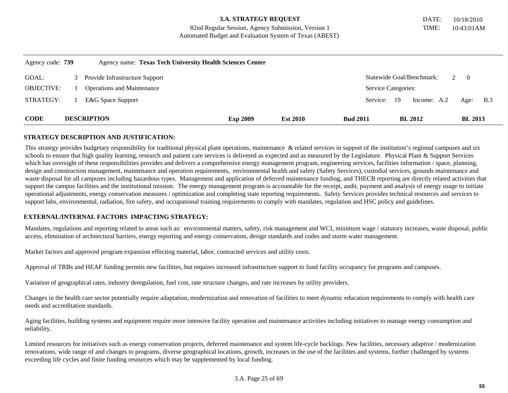| Agency code: 739  |   | <b>Agency name: Texas Tech University Health Sciences Center</b> |                 |                 |                 |                     |                           |                |     |
|-------------------|---|------------------------------------------------------------------|-----------------|-----------------|-----------------|---------------------|---------------------------|----------------|-----|
| GOAL:             | 3 | Provide Infrastructure Support                                   |                 |                 |                 |                     | Statewide Goal/Benchmark: | $2 \quad 0$    |     |
| <b>OBJECTIVE:</b> |   | <b>Operations and Maintenance</b>                                |                 |                 |                 | Service Categories: |                           |                |     |
| STRATEGY:         |   | E&G Space Support                                                |                 |                 |                 | Service: 19         | Income: A.2               | Age:           | B.3 |
| <b>CODE</b>       |   | <b>DESCRIPTION</b>                                               | <b>Exp 2009</b> | <b>Est 2010</b> | <b>Bud 2011</b> |                     | <b>BL 2012</b>            | <b>BL 2013</b> |     |

#### **STRATEGY DESCRIPTION AND JUSTIFICATION:**

This strategy provides budgetary responsibility for traditional physical plant operations, maintenance & related services in support of the institution's regional campuses and six schools to ensure that high quality learning, research and patient care services is delivered as expected and as measured by the Legislature. Physical Plant & Support Services which has oversight of these responsibilities provides and delivers a comprehensive energy management program, engineering services, facilities information / space, planning, design and construction management, maintenance and operation requirements, environmental health and safety (Safety Services), custodial services, grounds maintenance and waste disposal for all campuses including hazardous types. Management and application of deferred maintenance funding, and THECB reporting are directly related activities that support the campus facilities and the institutional mission. The energy management program is accountable for the receipt, audit, payment and analysis of energy usage to initiate operational adjustments, energy conservation measures / optimization and completing state reporting requirements. Safety Services provides technical resources and services to support labs, environmental, radiation, fire safety, and occupational training requirements to comply with mandates, regulation and HSC policy and guidelines.

## **EXTERNAL/INTERNAL FACTORS IMPACTING STRATEGY:**

Mandates, regulations and reporting related to areas such as: environmental matters, safety, risk management and WCI, minimum wage / statutory increases, waste disposal, public access, elimination of architectural barriers, energy reporting and energy conservation, design standards and codes and storm water management.

Market factors and approved program expansion effecting material, labor, contracted services and utility costs.

Approval of TRBs and HEAF funding permits new facilities, but requires increased infrastructure support to fund facility occupancy for programs and campuses.

Variation of geographical rates, industry deregulation, fuel cost, rate structure changes, and rate increases by utility providers.

Changes in the health care sector potentially require adaptation, modernization and renovation of facilities to meet dynamic education requirements to comply with health care needs and accreditation standards.

Aging facilities, building systems and equipment require more intensive facility operation and maintenance activities including initiatives to manage energy consumption and reliability.

Limited resources for initiatives such as energy conservation projects, deferred maintenance and system life-cycle backlogs. New facilities, necessary adaptive / modernization renovations, wide range of and changes to programs, diverse geographical locations, growth, increases in the use of the facilities and systems, further challenged by systems exceeding life cycles and finite funding resources which may be supplemented by local funding.

## 3.A. Page 25 of 69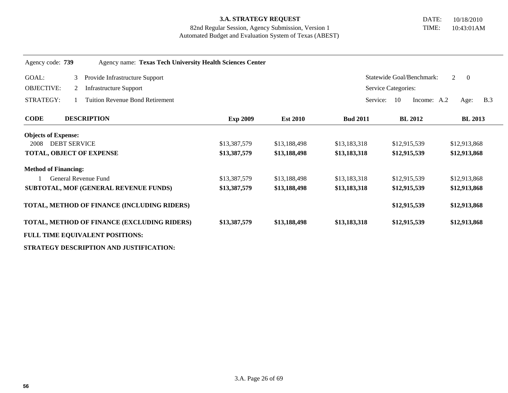| <b>Agency name: Texas Tech University Health Sciences Center</b><br>Agency code: 739 |                 |                 |                 |                           |                            |
|--------------------------------------------------------------------------------------|-----------------|-----------------|-----------------|---------------------------|----------------------------|
| GOAL:<br>Provide Infrastructure Support<br>3                                         |                 |                 |                 | Statewide Goal/Benchmark: | $\overline{2}$<br>$\Omega$ |
| <b>OBJECTIVE:</b><br><b>Infrastructure Support</b><br>2                              |                 |                 |                 | Service Categories:       |                            |
| STRATEGY:<br><b>Tuition Revenue Bond Retirement</b>                                  |                 |                 | Service:        | 10<br>Income: A.2         | B.3<br>Age:                |
| <b>DESCRIPTION</b><br><b>CODE</b>                                                    | <b>Exp 2009</b> | <b>Est 2010</b> | <b>Bud 2011</b> | <b>BL 2012</b>            | <b>BL</b> 2013             |
| <b>Objects of Expense:</b>                                                           |                 |                 |                 |                           |                            |
| <b>DEBT SERVICE</b><br>2008                                                          | \$13,387,579    | \$13,188,498    | \$13,183,318    | \$12,915,539              | \$12,913,868               |
| <b>TOTAL, OBJECT OF EXPENSE</b>                                                      | \$13,387,579    | \$13,188,498    | \$13,183,318    | \$12,915,539              | \$12,913,868               |
| <b>Method of Financing:</b>                                                          |                 |                 |                 |                           |                            |
| General Revenue Fund                                                                 | \$13,387,579    | \$13,188,498    | \$13,183,318    | \$12,915,539              | \$12,913,868               |
| SUBTOTAL, MOF (GENERAL REVENUE FUNDS)                                                | \$13,387,579    | \$13,188,498    | \$13,183,318    | \$12,915,539              | \$12,913,868               |
| TOTAL, METHOD OF FINANCE (INCLUDING RIDERS)                                          |                 |                 |                 | \$12,915,539              | \$12,913,868               |
| TOTAL, METHOD OF FINANCE (EXCLUDING RIDERS)                                          | \$13,387,579    | \$13,188,498    | \$13,183,318    | \$12,915,539              | \$12,913,868               |
| FULL TIME EQUIVALENT POSITIONS:                                                      |                 |                 |                 |                           |                            |
| STRATEGY DESCRIPTION AND JUSTIFICATION:                                              |                 |                 |                 |                           |                            |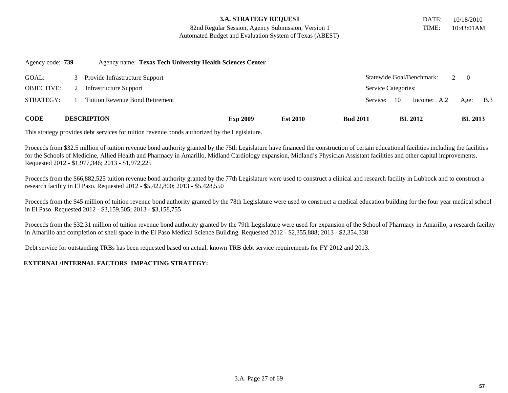| Agency code: 739  |   | <b>Agency name: Texas Tech University Health Sciences Center</b> |                 |                 |                 |                     |                           |                |     |
|-------------------|---|------------------------------------------------------------------|-----------------|-----------------|-----------------|---------------------|---------------------------|----------------|-----|
| GOAL:             | 3 | Provide Infrastructure Support                                   |                 |                 |                 |                     | Statewide Goal/Benchmark: | $2 \quad 0$    |     |
| <b>OBJECTIVE:</b> |   | <b>Infrastructure Support</b>                                    |                 |                 |                 | Service Categories: |                           |                |     |
| STRATEGY:         |   | <b>Tuition Revenue Bond Retirement</b>                           |                 |                 |                 | Service: 10         | Income: A.2               | Age:           | B.3 |
| <b>CODE</b>       |   | <b>DESCRIPTION</b>                                               | <b>Exp 2009</b> | <b>Est 2010</b> | <b>Bud 2011</b> |                     | <b>BL 2012</b>            | <b>BL 2013</b> |     |

This strategy provides debt services for tuition revenue bonds authorized by the Legislature.

Proceeds from \$32.5 million of tuition revenue bond authority granted by the 75th Legislature have financed the construction of certain educational facilities including the facilities for the Schools of Medicine, Allied Health and Pharmacy in Amarillo, Midland Cardiology expansion, Midland's Physician Assistant facilities and other capital improvements. Requested 2012 - \$1,977,346; 2013 - \$1,972,225

Proceeds from the \$66,882,525 tuition revenue bond authority granted by the 77th Legislature were used to construct a clinical and research facility in Lubbock and to construct a research facility in El Paso. Requested 2012 - \$5,422,800; 2013 - \$5,428,550

Proceeds from the \$45 million of tuition revenue bond authority granted by the 78th Legislature were used to construct a medical education building for the four year medical school in El Paso. Requested 2012 - \$3,159,505; 2013 - \$3,158,755

Proceeds from the \$32.31 million of tuition revenue bond authority granted by the 79th Legislature were used for expansion of the School of Pharmacy in Amarillo, a research facility in Amarillo and completion of shell space in the El Paso Medical Science Building. Requested 2012 - \$2,355,888; 2013 - \$2,354,338

Debt service for outstanding TRBs has been requested based on actual, known TRB debt service requirements for FY 2012 and 2013.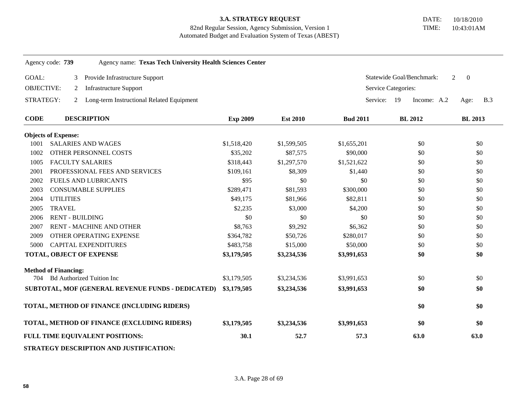| Agency code: 739                                        | <b>Agency name: Texas Tech University Health Sciences Center</b> |                 |                 |                 |                               |                                  |
|---------------------------------------------------------|------------------------------------------------------------------|-----------------|-----------------|-----------------|-------------------------------|----------------------------------|
| GOAL:<br>3                                              | Provide Infrastructure Support                                   |                 |                 |                 | Statewide Goal/Benchmark:     | $\overline{2}$<br>$\overline{0}$ |
| <b>OBJECTIVE:</b><br><b>Infrastructure Support</b><br>2 |                                                                  |                 |                 |                 | Service Categories:           |                                  |
| STRATEGY:                                               | 2 Long-term Instructional Related Equipment                      |                 |                 |                 | Service:<br>19<br>Income: A.2 | B.3<br>Age:                      |
| <b>DESCRIPTION</b><br><b>CODE</b>                       |                                                                  | <b>Exp 2009</b> | <b>Est 2010</b> | <b>Bud 2011</b> | <b>BL</b> 2012                | <b>BL</b> 2013                   |
| <b>Objects of Expense:</b>                              |                                                                  |                 |                 |                 |                               |                                  |
| <b>SALARIES AND WAGES</b><br>1001                       |                                                                  | \$1,518,420     | \$1,599,505     | \$1,655,201     | \$0                           | \$0                              |
| OTHER PERSONNEL COSTS<br>1002                           |                                                                  | \$35,202        | \$87,575        | \$90,000        | \$0                           | \$0                              |
| <b>FACULTY SALARIES</b><br>1005                         |                                                                  | \$318,443       | \$1,297,570     | \$1,521,622     | \$0                           | \$0                              |
| PROFESSIONAL FEES AND SERVICES<br>2001                  |                                                                  | \$109,161       | \$8,309         | \$1,440         | \$0                           | \$0                              |
| <b>FUELS AND LUBRICANTS</b><br>2002                     |                                                                  | \$95            | \$0             | \$0             | \$0                           | \$0                              |
| <b>CONSUMABLE SUPPLIES</b><br>2003                      |                                                                  | \$289,471       | \$81,593        | \$300,000       | \$0                           | \$0                              |
| <b>UTILITIES</b><br>2004                                |                                                                  | \$49,175        | \$81,966        | \$82,811        | \$0                           | \$0                              |
| <b>TRAVEL</b><br>2005                                   |                                                                  | \$2,235         | \$3,000         | \$4,200         | \$0                           | \$0                              |
| <b>RENT - BUILDING</b><br>2006                          |                                                                  | \$0             | \$0             | \$0             | \$0                           | \$0                              |
| <b>RENT - MACHINE AND OTHER</b><br>2007                 |                                                                  | \$8,763         | \$9,292         | \$6,362         | \$0                           | \$0                              |
| OTHER OPERATING EXPENSE<br>2009                         |                                                                  | \$364,782       | \$50,726        | \$280,017       | \$0                           | \$0                              |
| 5000<br>CAPITAL EXPENDITURES                            |                                                                  | \$483,758       | \$15,000        | \$50,000        | \$0                           | \$0                              |
| <b>TOTAL, OBJECT OF EXPENSE</b>                         |                                                                  | \$3,179,505     | \$3,234,536     | \$3,991,653     | \$0                           | \$0                              |
| <b>Method of Financing:</b>                             |                                                                  |                 |                 |                 |                               |                                  |
| <b>Bd Authorized Tuition Inc</b><br>704                 |                                                                  | \$3,179,505     | \$3,234,536     | \$3,991,653     | \$0                           | \$0                              |
|                                                         | <b>SUBTOTAL, MOF (GENERAL REVENUE FUNDS - DEDICATED)</b>         | \$3,179,505     | \$3,234,536     | \$3,991,653     | \$0                           | \$0                              |
| TOTAL, METHOD OF FINANCE (INCLUDING RIDERS)             |                                                                  |                 |                 |                 | \$0                           | \$0                              |
| TOTAL, METHOD OF FINANCE (EXCLUDING RIDERS)             |                                                                  | \$3,179,505     | \$3,234,536     | \$3,991,653     | \$0                           | \$0                              |
| FULL TIME EQUIVALENT POSITIONS:                         |                                                                  | 30.1            | 52.7            | 57.3            | 63.0                          | 63.0                             |
| STRATEGY DESCRIPTION AND JUSTIFICATION:                 |                                                                  |                 |                 |                 |                               |                                  |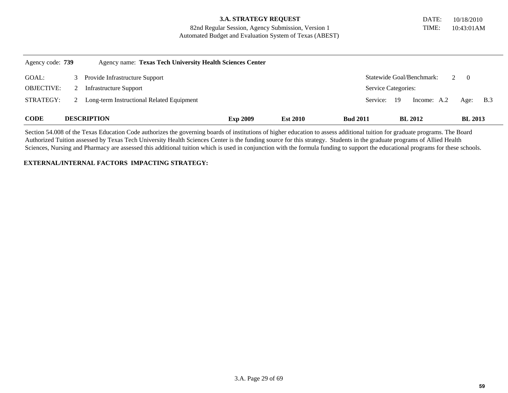| Agency code: 739  | <b>Agency name: Texas Tech University Health Sciences Center</b> |                 |                 |                 |                     |                                |                |     |
|-------------------|------------------------------------------------------------------|-----------------|-----------------|-----------------|---------------------|--------------------------------|----------------|-----|
| GOAL:             | Provide Infrastructure Support                                   |                 |                 |                 |                     | Statewide Goal/Benchmark:<br>2 | $\overline{0}$ |     |
| <b>OBJECTIVE:</b> | Infrastructure Support                                           |                 |                 |                 | Service Categories: |                                |                |     |
| STRATEGY:         | Long-term Instructional Related Equipment                        |                 |                 |                 | Service: 19         | Income: A.2                    | Age:           | B.3 |
| <b>CODE</b>       | <b>DESCRIPTION</b>                                               | <b>Exp 2009</b> | <b>Est 2010</b> | <b>Bud 2011</b> |                     | <b>BL 2012</b>                 | <b>BL</b> 2013 |     |

Section 54.008 of the Texas Education Code authorizes the governing boards of institutions of higher education to assess additional tuition for graduate programs. The Board Authorized Tuition assessed by Texas Tech University Health Sciences Center is the funding source for this strategy. Students in the graduate programs of Allied Health Sciences, Nursing and Pharmacy are assessed this additional tuition which is used in conjunction with the formula funding to support the educational programs for these schools.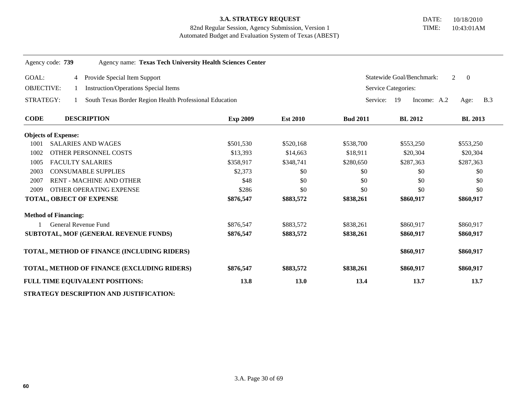| <b>Agency name: Texas Tech University Health Sciences Center</b><br>Agency code: 739 |                 |                 |                 |                           |                     |
|--------------------------------------------------------------------------------------|-----------------|-----------------|-----------------|---------------------------|---------------------|
| GOAL:<br>Provide Special Item Support<br>4                                           |                 |                 |                 | Statewide Goal/Benchmark: | 2<br>$\overline{0}$ |
| <b>OBJECTIVE:</b><br><b>Instruction/Operations Special Items</b>                     |                 |                 |                 | Service Categories:       |                     |
| STRATEGY:<br>South Texas Border Region Health Professional Education                 |                 |                 | Service:        | 19<br>Income: A.2         | <b>B.3</b><br>Age:  |
| <b>DESCRIPTION</b><br><b>CODE</b>                                                    | <b>Exp 2009</b> | <b>Est 2010</b> | <b>Bud 2011</b> | <b>BL 2012</b>            | <b>BL</b> 2013      |
| <b>Objects of Expense:</b>                                                           |                 |                 |                 |                           |                     |
| <b>SALARIES AND WAGES</b><br>1001                                                    | \$501,530       | \$520,168       | \$538,700       | \$553,250                 | \$553,250           |
| OTHER PERSONNEL COSTS<br>1002                                                        | \$13,393        | \$14,663        | \$18,911        | \$20,304                  | \$20,304            |
| <b>FACULTY SALARIES</b><br>1005                                                      | \$358,917       | \$348,741       | \$280,650       | \$287,363                 | \$287,363           |
| 2003<br><b>CONSUMABLE SUPPLIES</b>                                                   | \$2,373         | \$0             | \$0             | \$0                       | \$0                 |
| <b>RENT - MACHINE AND OTHER</b><br>2007                                              | \$48            | \$0             | \$0             | \$0                       | \$0                 |
| 2009<br>OTHER OPERATING EXPENSE                                                      | \$286           | \$0             | \$0             | \$0                       | \$0                 |
| <b>TOTAL, OBJECT OF EXPENSE</b>                                                      | \$876,547       | \$883,572       | \$838,261       | \$860,917                 | \$860,917           |
| <b>Method of Financing:</b>                                                          |                 |                 |                 |                           |                     |
| General Revenue Fund                                                                 | \$876,547       | \$883,572       | \$838,261       | \$860,917                 | \$860,917           |
| SUBTOTAL, MOF (GENERAL REVENUE FUNDS)                                                | \$876,547       | \$883,572       | \$838,261       | \$860,917                 | \$860,917           |
| TOTAL, METHOD OF FINANCE (INCLUDING RIDERS)                                          |                 |                 |                 | \$860,917                 | \$860,917           |
| TOTAL, METHOD OF FINANCE (EXCLUDING RIDERS)                                          | \$876,547       | \$883,572       | \$838,261       | \$860,917                 | \$860,917           |
| FULL TIME EQUIVALENT POSITIONS:                                                      | 13.8            | 13.0            | 13.4            | 13.7                      | 13.7                |
| STRATEGY DESCRIPTION AND JUSTIFICATION:                                              |                 |                 |                 |                           |                     |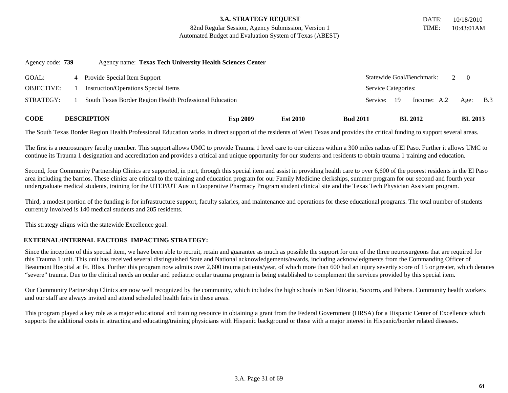| Agency code: 739  |   | <b>Agency name: Texas Tech University Health Sciences Center</b> |                 |                 |                 |                           |     |                |                |     |
|-------------------|---|------------------------------------------------------------------|-----------------|-----------------|-----------------|---------------------------|-----|----------------|----------------|-----|
| GOAL:             | 4 | Provide Special Item Support                                     |                 |                 |                 | Statewide Goal/Benchmark: |     |                | $\overline{0}$ |     |
| <b>OBJECTIVE:</b> |   | <b>Instruction/Operations Special Items</b>                      |                 |                 |                 | Service Categories:       |     |                |                |     |
| STRATEGY:         |   | South Texas Border Region Health Professional Education          |                 |                 |                 | Service:                  | -19 | Income: $A.2$  | Age:           | B.3 |
| <b>CODE</b>       |   | <b>DESCRIPTION</b>                                               | <b>Exp 2009</b> | <b>Est 2010</b> | <b>Bud 2011</b> |                           |     | <b>BL 2012</b> | <b>BL 2013</b> |     |

The South Texas Border Region Health Professional Education works in direct support of the residents of West Texas and provides the critical funding to support several areas.

The first is a neurosurgery faculty member. This support allows UMC to provide Trauma 1 level care to our citizens within a 300 miles radius of El Paso. Further it allows UMC to continue its Trauma 1 designation and accreditation and provides a critical and unique opportunity for our students and residents to obtain trauma 1 training and education.

Second, four Community Partnership Clinics are supported, in part, through this special item and assist in providing health care to over 6,600 of the poorest residents in the El Paso area including the barrios. These clinics are critical to the training and education program for our Family Medicine clerkships, summer program for our second and fourth year undergraduate medical students, training for the UTEP/UT Austin Cooperative Pharmacy Program student clinical site and the Texas Tech Physician Assistant program.

Third, a modest portion of the funding is for infrastructure support, faculty salaries, and maintenance and operations for these educational programs. The total number of students currently involved is 140 medical students and 205 residents.

This strategy aligns with the statewide Excellence goal.

#### **EXTERNAL/INTERNAL FACTORS IMPACTING STRATEGY:**

Since the inception of this special item, we have been able to recruit, retain and guarantee as much as possible the support for one of the three neurosurgeons that are required for this Trauma 1 unit. This unit has received several distinguished State and National acknowledgements/awards, including acknowledgments from the Commanding Officer of Beaumont Hospital at Ft. Bliss. Further this program now admits over 2,600 trauma patients/year, of which more than 600 had an injury severity score of 15 or greater, which denotes "severe" trauma. Due to the clinical needs an ocular and pediatric ocular trauma program is being established to complement the services provided by this special item.

Our Community Partnership Clinics are now well recognized by the community, which includes the high schools in San Elizario, Socorro, and Fabens. Community health workers and our staff are always invited and attend scheduled health fairs in these areas.

This program played a key role as a major educational and training resource in obtaining a grant from the Federal Government (HRSA) for a Hispanic Center of Excellence which supports the additional costs in attracting and educating/training physicians with Hispanic background or those with a major interest in Hispanic/border related diseases.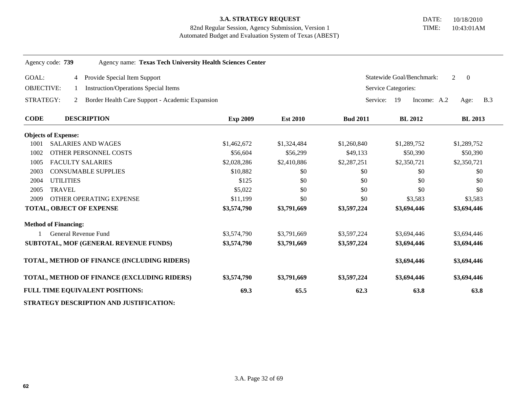|                   | Agency name: Texas Tech University Health Sciences Center<br>Agency code: 739 |                 |                 |                 |                           |                                    |
|-------------------|-------------------------------------------------------------------------------|-----------------|-----------------|-----------------|---------------------------|------------------------------------|
|                   |                                                                               |                 |                 |                 |                           |                                    |
| GOAL:             | Provide Special Item Support<br>4                                             |                 |                 |                 | Statewide Goal/Benchmark: | $\overline{2}$<br>$\boldsymbol{0}$ |
| <b>OBJECTIVE:</b> | <b>Instruction/Operations Special Items</b>                                   |                 |                 |                 | Service Categories:       |                                    |
| STRATEGY:         | Border Health Care Support - Academic Expansion<br>2                          |                 |                 | Service:        | - 19<br>Income: A.2       | B.3<br>Age:                        |
| <b>CODE</b>       | <b>DESCRIPTION</b>                                                            | <b>Exp 2009</b> | <b>Est 2010</b> | <b>Bud 2011</b> | <b>BL</b> 2012            | <b>BL</b> 2013                     |
|                   | <b>Objects of Expense:</b>                                                    |                 |                 |                 |                           |                                    |
| 1001              | <b>SALARIES AND WAGES</b>                                                     | \$1,462,672     | \$1,324,484     | \$1,260,840     | \$1,289,752               | \$1,289,752                        |
| 1002              | OTHER PERSONNEL COSTS                                                         | \$56,604        | \$56,299        | \$49,133        | \$50,390                  | \$50,390                           |
| 1005              | <b>FACULTY SALARIES</b>                                                       | \$2,028,286     | \$2,410,886     | \$2,287,251     | \$2,350,721               | \$2,350,721                        |
| 2003              | <b>CONSUMABLE SUPPLIES</b>                                                    | \$10,882        | \$0             | \$0             | \$0                       | \$0                                |
| 2004              | <b>UTILITIES</b>                                                              | \$125           | \$0             | \$0             | \$0                       | \$0                                |
| 2005              | <b>TRAVEL</b>                                                                 | \$5,022         | \$0             | \$0             | \$0                       | \$0                                |
| 2009              | OTHER OPERATING EXPENSE                                                       | \$11,199        | \$0             | \$0             | \$3,583                   | \$3,583                            |
|                   | TOTAL, OBJECT OF EXPENSE                                                      | \$3,574,790     | \$3,791,669     | \$3,597,224     | \$3,694,446               | \$3,694,446                        |
|                   | <b>Method of Financing:</b>                                                   |                 |                 |                 |                           |                                    |
|                   | General Revenue Fund                                                          | \$3,574,790     | \$3,791,669     | \$3,597,224     | \$3,694,446               | \$3,694,446                        |
|                   | SUBTOTAL, MOF (GENERAL REVENUE FUNDS)                                         | \$3,574,790     | \$3,791,669     | \$3,597,224     | \$3,694,446               | \$3,694,446                        |
|                   | TOTAL, METHOD OF FINANCE (INCLUDING RIDERS)                                   |                 |                 |                 | \$3,694,446               | \$3,694,446                        |
|                   | TOTAL, METHOD OF FINANCE (EXCLUDING RIDERS)                                   | \$3,574,790     | \$3,791,669     | \$3,597,224     | \$3,694,446               | \$3,694,446                        |
|                   | FULL TIME EQUIVALENT POSITIONS:                                               | 69.3            | 65.5            | 62.3            | 63.8                      | 63.8                               |
|                   | STRATEGY DESCRIPTION AND JUSTIFICATION:                                       |                 |                 |                 |                           |                                    |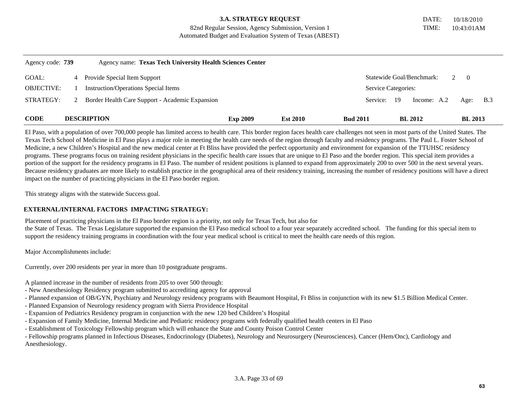| Agency code: 739  |   | Agency name: Texas Tech University Health Sciences Center |                 |                 |                 |                     |     |                           |                |            |
|-------------------|---|-----------------------------------------------------------|-----------------|-----------------|-----------------|---------------------|-----|---------------------------|----------------|------------|
| GOAL:             | 4 | Provide Special Item Support                              |                 |                 |                 |                     |     | Statewide Goal/Benchmark: | $\overline{0}$ |            |
| <b>OBJECTIVE:</b> |   | <b>Instruction/Operations Special Items</b>               |                 |                 |                 | Service Categories: |     |                           |                |            |
| STRATEGY:         | 2 | Border Health Care Support - Academic Expansion           |                 |                 |                 | Service:            | -19 | Income: $A.2$             | Age:           | <b>B.3</b> |
| <b>CODE</b>       |   | <b>DESCRIPTION</b>                                        | <b>Exp 2009</b> | <b>Est 2010</b> | <b>Bud 2011</b> |                     |     | <b>BL 2012</b>            | <b>BL</b> 2013 |            |

El Paso, with a population of over 700,000 people has limited access to health care. This border region faces health care challenges not seen in most parts of the United States. The Texas Tech School of Medicine in El Paso plays a major role in meeting the health care needs of the region through faculty and residency programs. The Paul L. Foster School of Medicine, a new Children's Hospital and the new medical center at Ft Bliss have provided the perfect opportunity and environment for expansion of the TTUHSC residency programs. These programs focus on training resident physicians in the specific health care issues that are unique to El Paso and the border region. This special item provides a portion of the support for the residency programs in El Paso. The number of resident positions is planned to expand from approximately 200 to over 500 in the next several years. Because residency graduates are more likely to establish practice in the geographical area of their residency training, increasing the number of residency positions will have a direct impact on the number of practicing physicians in the El Paso border region.

This strategy aligns with the statewide Success goal.

## **EXTERNAL/INTERNAL FACTORS IMPACTING STRATEGY:**

Placement of practicing physicians in the El Paso border region is a priority, not only for Texas Tech, but also for the State of Texas. The Texas Legislature supported the expansion the El Paso medical school to a four year separately accredited school. The funding for this special item to support the residency training programs in coordination with the four year medical school is critical to meet the health care needs of this region.

Major Accomplishments include:

Currently, over 200 residents per year in more than 10 postgraduate programs.

A planned increase in the number of residents from 205 to over 500 through:

- New Anesthesiology Residency program submitted to accrediting agency for approval
- Planned expansion of OB/GYN, Psychiatry and Neurology residency programs with Beaumont Hospital, Ft Bliss in conjunction with its new \$1.5 Billion Medical Center.
- Planned Expansion of Neurology residency program with Sierra Providence Hospital
- Expansion of Pediatrics Residency program in conjunction with the new 120 bed Children's Hospital
- Expansion of Family Medicine, Internal Medicine and Pediatric residency programs with federally qualified health centers in El Paso
- Establishment of Toxicology Fellowship program which will enhance the State and County Poison Control Center
- Fellowship programs planned in Infectious Diseases, Endocrinology (Diabetes), Neurology and Neurosurgery (Neurosciences), Cancer (Hem/Onc), Cardiology and Anesthesiology.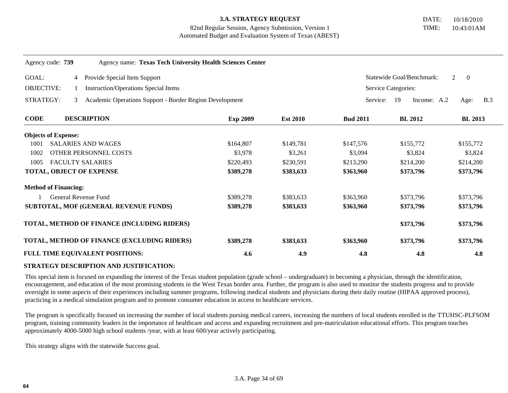| Agency code: 739                | Agency name: Texas Tech University Health Sciences Center                                                           |                 |                 |                 |                           |                                  |  |  |  |  |  |
|---------------------------------|---------------------------------------------------------------------------------------------------------------------|-----------------|-----------------|-----------------|---------------------------|----------------------------------|--|--|--|--|--|
| GOAL:                           | Provide Special Item Support<br>4                                                                                   |                 |                 |                 | Statewide Goal/Benchmark: | $\overline{2}$<br>$\overline{0}$ |  |  |  |  |  |
| <b>OBJECTIVE:</b><br>-1         | <b>Instruction/Operations Special Items</b>                                                                         |                 |                 |                 | Service Categories:       |                                  |  |  |  |  |  |
| STRATEGY:                       | Academic Operations Support - Border Region Development<br>19<br>Income: A.2<br><b>B.3</b><br>3<br>Service:<br>Age: |                 |                 |                 |                           |                                  |  |  |  |  |  |
| <b>CODE</b>                     | <b>DESCRIPTION</b>                                                                                                  | <b>Exp 2009</b> | <b>Est 2010</b> | <b>Bud 2011</b> | <b>BL 2012</b>            | <b>BL</b> 2013                   |  |  |  |  |  |
| <b>Objects of Expense:</b>      |                                                                                                                     |                 |                 |                 |                           |                                  |  |  |  |  |  |
| 1001                            | <b>SALARIES AND WAGES</b>                                                                                           | \$164,807       | \$149,781       | \$147,576       | \$155,772                 | \$155,772                        |  |  |  |  |  |
| 1002                            | OTHER PERSONNEL COSTS                                                                                               | \$3,978         | \$3,261         | \$3,094         | \$3,824                   | \$3,824                          |  |  |  |  |  |
| 1005                            | <b>FACULTY SALARIES</b>                                                                                             | \$220,493       | \$230,591       | \$213,290       | \$214,200                 | \$214,200                        |  |  |  |  |  |
| <b>TOTAL, OBJECT OF EXPENSE</b> |                                                                                                                     | \$389,278       | \$383,633       | \$363,960       | \$373,796                 | \$373,796                        |  |  |  |  |  |
| <b>Method of Financing:</b>     |                                                                                                                     |                 |                 |                 |                           |                                  |  |  |  |  |  |
|                                 | General Revenue Fund                                                                                                | \$389,278       | \$383,633       | \$363,960       | \$373,796                 | \$373,796                        |  |  |  |  |  |
|                                 | SUBTOTAL, MOF (GENERAL REVENUE FUNDS)                                                                               | \$389,278       | \$383,633       | \$363,960       | \$373,796                 | \$373,796                        |  |  |  |  |  |
|                                 | TOTAL, METHOD OF FINANCE (INCLUDING RIDERS)                                                                         |                 |                 |                 | \$373,796                 | \$373,796                        |  |  |  |  |  |
|                                 | TOTAL, METHOD OF FINANCE (EXCLUDING RIDERS)                                                                         | \$389,278       | \$383,633       | \$363,960       | \$373,796                 | \$373,796                        |  |  |  |  |  |
|                                 | FULL TIME EQUIVALENT POSITIONS:                                                                                     | 4.6             | 4.9             | 4.8             | 4.8                       | 4.8                              |  |  |  |  |  |

#### **STRATEGY DESCRIPTION AND JUSTIFICATION:**

This special item is focused on expanding the interest of the Texas student population (grade school – undergraduate) in becoming a physician, through the identification, encouragement, and education of the most promising students in the West Texas border area. Further, the program is also used to monitor the students progress and to provide oversight in some aspects of their experiences including summer programs, following medical students and physicians during their daily routine (HIPAA approved process), practicing in a medical simulation program and to promote consumer education in access to healthcare services.

The program is specifically focused on increasing the number of local students pursing medical careers, increasing the numbers of local students enrolled in the TTUHSC-PLFSOM program, training community leaders in the importance of healthcare and access and expanding recruitment and pre-matriculation educational efforts. This program touches approximately 4000-5000 high school students /year, with at least 600/year actively participating.

This strategy aligns with the statewide Success goal.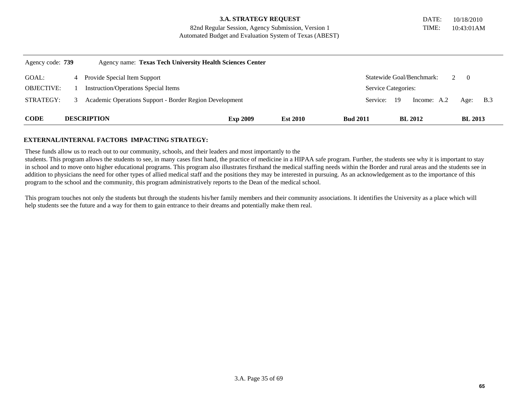| Agency code: 739  |   | Agency name: Texas Tech University Health Sciences Center |                 |                 |                 |                           |                |                |     |
|-------------------|---|-----------------------------------------------------------|-----------------|-----------------|-----------------|---------------------------|----------------|----------------|-----|
| GOAL:             | 4 | Provide Special Item Support                              |                 |                 |                 | Statewide Goal/Benchmark: |                | $\overline{0}$ |     |
| <b>OBJECTIVE:</b> |   | <b>Instruction/Operations Special Items</b>               |                 |                 |                 | Service Categories:       |                |                |     |
| STRATEGY:         | 3 | Academic Operations Support - Border Region Development   |                 |                 |                 | Service: 19               | Income: $A.2$  | Age:           | B.3 |
| <b>CODE</b>       |   | <b>DESCRIPTION</b>                                        | <b>Exp 2009</b> | <b>Est 2010</b> | <b>Bud 2011</b> |                           | <b>BL 2012</b> | <b>BL 2013</b> |     |

#### **EXTERNAL/INTERNAL FACTORS IMPACTING STRATEGY:**

These funds allow us to reach out to our community, schools, and their leaders and most importantly to the

students. This program allows the students to see, in many cases first hand, the practice of medicine in a HIPAA safe program. Further, the students see why it is important to stay in school and to move onto higher educational programs. This program also illustrates firsthand the medical staffing needs within the Border and rural areas and the students see in addition to physicians the need for other types of allied medical staff and the positions they may be interested in pursuing. As an acknowledgement as to the importance of this program to the school and the community, this program administratively reports to the Dean of the medical school.

This program touches not only the students but through the students his/her family members and their community associations. It identifies the University as a place which will help students see the future and a way for them to gain entrance to their dreams and potentially make them real.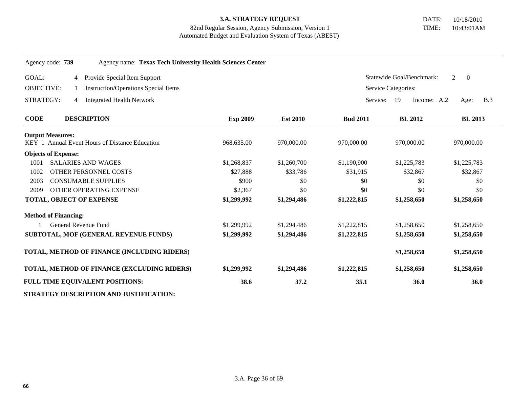| Agency code: 739                | Agency name: Texas Tech University Health Sciences Center |                 |                 |                 |                           |                                  |
|---------------------------------|-----------------------------------------------------------|-----------------|-----------------|-----------------|---------------------------|----------------------------------|
| GOAL:                           | Provide Special Item Support<br>4                         |                 |                 |                 | Statewide Goal/Benchmark: | $\overline{2}$<br>$\overline{0}$ |
| <b>OBJECTIVE:</b>               | <b>Instruction/Operations Special Items</b><br>1          |                 |                 |                 | Service Categories:       |                                  |
| STRATEGY:                       | <b>Integrated Health Network</b><br>$\overline{4}$        |                 |                 | Service:        | - 19<br>Income: A.2       | B.3<br>Age:                      |
| <b>CODE</b>                     | <b>DESCRIPTION</b>                                        | <b>Exp 2009</b> | <b>Est 2010</b> | <b>Bud 2011</b> | <b>BL</b> 2012            | <b>BL</b> 2013                   |
| <b>Output Measures:</b>         |                                                           |                 |                 |                 |                           |                                  |
|                                 | KEY 1 Annual Event Hours of Distance Education            | 968,635.00      | 970,000.00      | 970,000.00      | 970,000.00                | 970,000.00                       |
| <b>Objects of Expense:</b>      |                                                           |                 |                 |                 |                           |                                  |
| 1001                            | <b>SALARIES AND WAGES</b>                                 | \$1,268,837     | \$1,260,700     | \$1,190,900     | \$1,225,783               | \$1,225,783                      |
| 1002                            | OTHER PERSONNEL COSTS                                     | \$27,888        | \$33,786        | \$31,915        | \$32,867                  | \$32,867                         |
| 2003                            | <b>CONSUMABLE SUPPLIES</b>                                | \$900           | \$0             | \$0             | \$0                       | \$0                              |
| 2009                            | OTHER OPERATING EXPENSE                                   | \$2,367         | \$0             | \$0             | \$0                       | \$0                              |
| <b>TOTAL, OBJECT OF EXPENSE</b> |                                                           | \$1,299,992     | \$1,294,486     | \$1,222,815     | \$1,258,650               | \$1,258,650                      |
| <b>Method of Financing:</b>     |                                                           |                 |                 |                 |                           |                                  |
|                                 | General Revenue Fund                                      | \$1,299,992     | \$1,294,486     | \$1,222,815     | \$1,258,650               | \$1,258,650                      |
|                                 | SUBTOTAL, MOF (GENERAL REVENUE FUNDS)                     | \$1,299,992     | \$1,294,486     | \$1,222,815     | \$1,258,650               | \$1,258,650                      |
|                                 | TOTAL, METHOD OF FINANCE (INCLUDING RIDERS)               |                 |                 |                 | \$1,258,650               | \$1,258,650                      |
|                                 | TOTAL, METHOD OF FINANCE (EXCLUDING RIDERS)               | \$1,299,992     | \$1,294,486     | \$1,222,815     | \$1,258,650               | \$1,258,650                      |
|                                 | FULL TIME EQUIVALENT POSITIONS:                           | 38.6            | 37.2            | 35.1            | 36.0                      | 36.0                             |
|                                 | STRATEGY DESCRIPTION AND JUSTIFICATION:                   |                 |                 |                 |                           |                                  |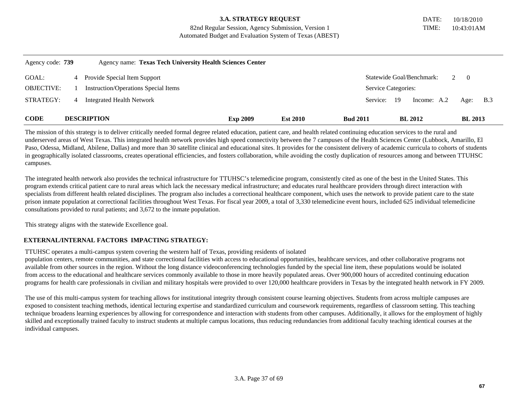| Agency code: 739  |                | Agency name: Texas Tech University Health Sciences Center |                 |                 |                     |                           |                |            |
|-------------------|----------------|-----------------------------------------------------------|-----------------|-----------------|---------------------|---------------------------|----------------|------------|
| GOAL:             | 4              | Provide Special Item Support                              |                 |                 |                     | Statewide Goal/Benchmark: | $2 \quad 0$    |            |
| <b>OBJECTIVE:</b> |                | Instruction/Operations Special Items                      |                 |                 | Service Categories: |                           |                |            |
| STRATEGY:         | $\overline{4}$ | <b>Integrated Health Network</b>                          |                 |                 | Service: 19         | Income: A.2               | Age:           | <b>B.3</b> |
| <b>CODE</b>       |                | <b>DESCRIPTION</b><br><b>Exp 2009</b>                     | <b>Est 2010</b> | <b>Bud 2011</b> |                     | <b>BL</b> 2012            | <b>BL</b> 2013 |            |

The mission of this strategy is to deliver critically needed formal degree related education, patient care, and health related continuing education services to the rural and underserved areas of West Texas. This integrated health network provides high speed connectivity between the 7 campuses of the Health Sciences Center (Lubbock, Amarillo, El Paso, Odessa, Midland, Abilene, Dallas) and more than 30 satellite clinical and educational sites. It provides for the consistent delivery of academic curricula to cohorts of students in geographically isolated classrooms, creates operational efficiencies, and fosters collaboration, while avoiding the costly duplication of resources among and between TTUHSC campuses.

The integrated health network also provides the technical infrastructure for TTUHSC's telemedicine program, consistently cited as one of the best in the United States. This program extends critical patient care to rural areas which lack the necessary medical infrastructure; and educates rural healthcare providers through direct interaction with specialists from different health related disciplines. The program also includes a correctional healthcare component, which uses the network to provide patient care to the state prison inmate population at correctional facilities throughout West Texas. For fiscal year 2009, a total of 3,330 telemedicine event hours, included 625 individual telemedicine consultations provided to rural patients; and 3,672 to the inmate population.

This strategy aligns with the statewide Excellence goal.

#### **EXTERNAL/INTERNAL FACTORS IMPACTING STRATEGY:**

TTUHSC operates a multi-campus system covering the western half of Texas, providing residents of isolated

population centers, remote communities, and state correctional facilities with access to educational opportunities, healthcare services, and other collaborative programs not available from other sources in the region. Without the long distance videoconferencing technologies funded by the special line item, these populations would be isolated from access to the educational and healthcare services commonly available to those in more heavily populated areas. Over 900,000 hours of accredited continuing education programs for health care professionals in civilian and military hospitals were provided to over 120,000 healthcare providers in Texas by the integrated health network in FY 2009.

The use of this multi-campus system for teaching allows for institutional integrity through consistent course learning objectives. Students from across multiple campuses are exposed to consistent teaching methods, identical lecturing expertise and standardized curriculum and coursework requirements, regardless of classroom setting. This teaching technique broadens learning experiences by allowing for correspondence and interaction with students from other campuses. Additionally, it allows for the employment of highly skilled and exceptionally trained faculty to instruct students at multiple campus locations, thus reducing redundancies from additional faculty teaching identical courses at the individual campuses.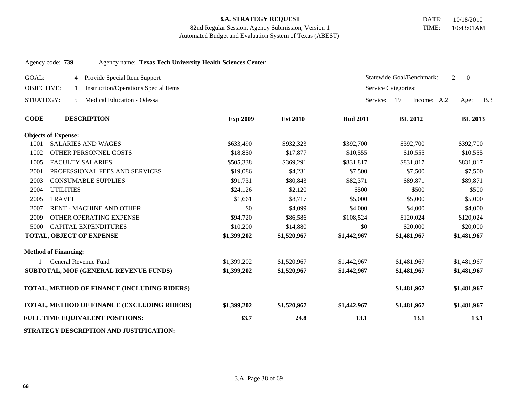| Agency code: 739<br><b>Agency name: Texas Tech University Health Sciences Center</b> |                 |                 |                 |                           |                                  |
|--------------------------------------------------------------------------------------|-----------------|-----------------|-----------------|---------------------------|----------------------------------|
| GOAL:<br>Provide Special Item Support<br>4                                           |                 |                 |                 | Statewide Goal/Benchmark: | $\overline{2}$<br>$\overline{0}$ |
| <b>OBJECTIVE:</b><br><b>Instruction/Operations Special Items</b><br>1                |                 |                 |                 | Service Categories:       |                                  |
| STRATEGY:<br>Medical Education - Odessa<br>5                                         |                 |                 | Service: 19     | Income: A.2               | B.3<br>Age:                      |
| <b>CODE</b><br><b>DESCRIPTION</b>                                                    | <b>Exp 2009</b> | <b>Est 2010</b> | <b>Bud 2011</b> | <b>BL</b> 2012            | <b>BL</b> 2013                   |
| <b>Objects of Expense:</b>                                                           |                 |                 |                 |                           |                                  |
| <b>SALARIES AND WAGES</b><br>1001                                                    | \$633,490       | \$932,323       | \$392,700       | \$392,700                 | \$392,700                        |
| OTHER PERSONNEL COSTS<br>1002                                                        | \$18,850        | \$17,877        | \$10,555        | \$10,555                  | \$10,555                         |
| <b>FACULTY SALARIES</b><br>1005                                                      | \$505,338       | \$369,291       | \$831,817       | \$831,817                 | \$831,817                        |
| 2001<br>PROFESSIONAL FEES AND SERVICES                                               | \$19,086        | \$4,231         | \$7,500         | \$7,500                   | \$7,500                          |
| 2003<br><b>CONSUMABLE SUPPLIES</b>                                                   | \$91,731        | \$80,843        | \$82,371        | \$89,871                  | \$89,871                         |
| 2004<br><b>UTILITIES</b>                                                             | \$24,126        | \$2,120         | \$500           | \$500                     | \$500                            |
| 2005<br><b>TRAVEL</b>                                                                | \$1,661         | \$8,717         | \$5,000         | \$5,000                   | \$5,000                          |
| 2007<br><b>RENT - MACHINE AND OTHER</b>                                              | \$0             | \$4,099         | \$4,000         | \$4,000                   | \$4,000                          |
| 2009<br>OTHER OPERATING EXPENSE                                                      | \$94,720        | \$86,586        | \$108,524       | \$120,024                 | \$120,024                        |
| 5000<br><b>CAPITAL EXPENDITURES</b>                                                  | \$10,200        | \$14,880        | \$0             | \$20,000                  | \$20,000                         |
| TOTAL, OBJECT OF EXPENSE                                                             | \$1,399,202     | \$1,520,967     | \$1,442,967     | \$1,481,967               | \$1,481,967                      |
| <b>Method of Financing:</b>                                                          |                 |                 |                 |                           |                                  |
| General Revenue Fund                                                                 | \$1,399,202     | \$1,520,967     | \$1,442,967     | \$1,481,967               | \$1,481,967                      |
| SUBTOTAL, MOF (GENERAL REVENUE FUNDS)                                                | \$1,399,202     | \$1,520,967     | \$1,442,967     | \$1,481,967               | \$1,481,967                      |
| TOTAL, METHOD OF FINANCE (INCLUDING RIDERS)                                          |                 |                 |                 | \$1,481,967               | \$1,481,967                      |
| TOTAL, METHOD OF FINANCE (EXCLUDING RIDERS)                                          | \$1,399,202     | \$1,520,967     | \$1,442,967     | \$1,481,967               | \$1,481,967                      |
| FULL TIME EQUIVALENT POSITIONS:                                                      | 33.7            | 24.8            | 13.1            | 13.1                      | 13.1                             |
| STRATEGY DESCRIPTION AND JUSTIFICATION:                                              |                 |                 |                 |                           |                                  |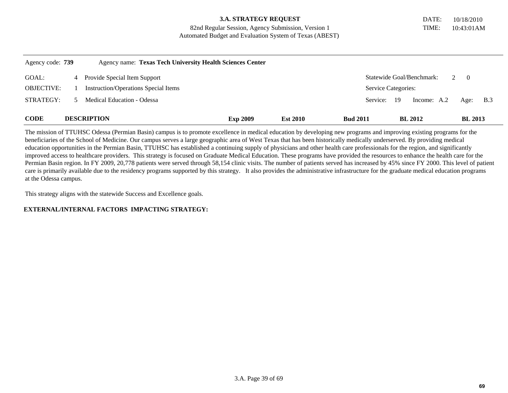| Agency code: 739  |               | <b>Agency name: Texas Tech University Health Sciences Center</b> |                 |                 |                           |                |                |     |
|-------------------|---------------|------------------------------------------------------------------|-----------------|-----------------|---------------------------|----------------|----------------|-----|
| GOAL:             |               | Provide Special Item Support                                     |                 |                 | Statewide Goal/Benchmark: |                | $2 \quad 0$    |     |
| <b>OBJECTIVE:</b> |               | <b>Instruction/Operations Special Items</b>                      |                 |                 | Service Categories:       |                |                |     |
| STRATEGY:         | $\mathcal{L}$ | Medical Education - Odessa                                       |                 |                 | Service: 19               | Income: A.2    | Age:           | B.3 |
| <b>CODE</b>       |               | <b>DESCRIPTION</b><br><b>Exp 2009</b>                            | <b>Est 2010</b> | <b>Bud 2011</b> |                           | <b>BL 2012</b> | <b>BL 2013</b> |     |

The mission of TTUHSC Odessa (Permian Basin) campus is to promote excellence in medical education by developing new programs and improving existing programs for the beneficiaries of the School of Medicine. Our campus serves a large geographic area of West Texas that has been historically medically underserved. By providing medical education opportunities in the Permian Basin, TTUHSC has established a continuing supply of physicians and other health care professionals for the region, and significantly improved access to healthcare providers. This strategy is focused on Graduate Medical Education. These programs have provided the resources to enhance the health care for the Permian Basin region. In FY 2009, 20,778 patients were served through 58,154 clinic visits. The number of patients served has increased by 45% since FY 2000. This level of patient care is primarily available due to the residency programs supported by this strategy. It also provides the administrative infrastructure for the graduate medical education programs at the Odessa campus.

This strategy aligns with the statewide Success and Excellence goals.

#### **EXTERNAL/INTERNAL FACTORS IMPACTING STRATEGY:**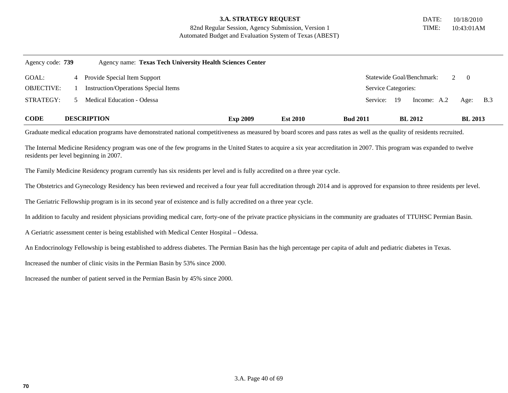| Agency code: 739  |                | Agency name: Texas Tech University Health Sciences Center |                 |                 |                 |                     |                           |                |  |
|-------------------|----------------|-----------------------------------------------------------|-----------------|-----------------|-----------------|---------------------|---------------------------|----------------|--|
| GOAL:             | $\overline{4}$ | Provide Special Item Support                              |                 |                 |                 |                     | Statewide Goal/Benchmark: | 2 0            |  |
| <b>OBJECTIVE:</b> |                | <b>Instruction/Operations Special Items</b>               |                 |                 |                 | Service Categories: |                           |                |  |
| STRATEGY:         | 5              | Medical Education - Odessa                                |                 |                 |                 | Service: 19         | Income: A.2               | Age: $B.3$     |  |
| <b>CODE</b>       |                | <b>DESCRIPTION</b>                                        | <b>Exp 2009</b> | <b>Est 2010</b> | <b>Bud 2011</b> |                     | <b>BL 2012</b>            | <b>BL 2013</b> |  |

Graduate medical education programs have demonstrated national competitiveness as measured by board scores and pass rates as well as the quality of residents recruited.

The Internal Medicine Residency program was one of the few programs in the United States to acquire a six year accreditation in 2007. This program was expanded to twelve residents per level beginning in 2007.

The Family Medicine Residency program currently has six residents per level and is fully accredited on a three year cycle.

The Obstetrics and Gynecology Residency has been reviewed and received a four year full accreditation through 2014 and is approved for expansion to three residents per level.

The Geriatric Fellowship program is in its second year of existence and is fully accredited on a three year cycle.

In addition to faculty and resident physicians providing medical care, forty-one of the private practice physicians in the community are graduates of TTUHSC Permian Basin.

A Geriatric assessment center is being established with Medical Center Hospital – Odessa.

An Endocrinology Fellowship is being established to address diabetes. The Permian Basin has the high percentage per capita of adult and pediatric diabetes in Texas.

Increased the number of clinic visits in the Permian Basin by 53% since 2000.

Increased the number of patient served in the Permian Basin by 45% since 2000.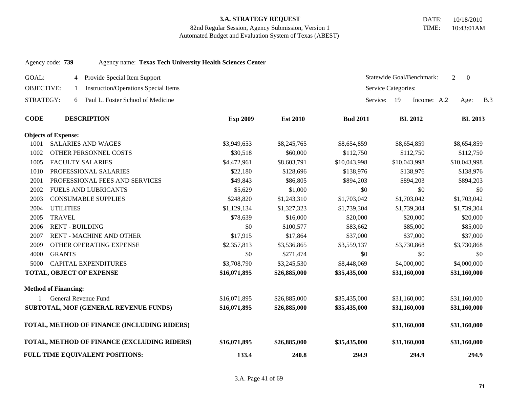|                   | Agency name: Texas Tech University Health Sciences Center<br>Agency code: 739 |                 |                 |                 |                           |                                  |
|-------------------|-------------------------------------------------------------------------------|-----------------|-----------------|-----------------|---------------------------|----------------------------------|
| GOAL:             | Provide Special Item Support<br>4                                             |                 |                 |                 | Statewide Goal/Benchmark: | $\overline{2}$<br>$\overline{0}$ |
| <b>OBJECTIVE:</b> | <b>Instruction/Operations Special Items</b><br>-1                             |                 |                 |                 | Service Categories:       |                                  |
| STRATEGY:         | Paul L. Foster School of Medicine<br>6                                        |                 |                 | Service:        | 19<br>Income: A.2         | B.3<br>Age:                      |
| <b>CODE</b>       | <b>DESCRIPTION</b>                                                            | <b>Exp 2009</b> | <b>Est 2010</b> | <b>Bud 2011</b> | <b>BL</b> 2012            | <b>BL</b> 2013                   |
|                   | <b>Objects of Expense:</b>                                                    |                 |                 |                 |                           |                                  |
| 1001              | <b>SALARIES AND WAGES</b>                                                     | \$3,949,653     | \$8,245,765     | \$8,654,859     | \$8,654,859               | \$8,654,859                      |
| 1002              | OTHER PERSONNEL COSTS                                                         | \$30,518        | \$60,000        | \$112,750       | \$112,750                 | \$112,750                        |
| 1005              | <b>FACULTY SALARIES</b>                                                       | \$4,472,961     | \$8,603,791     | \$10,043,998    | \$10,043,998              | \$10,043,998                     |
| 1010              | PROFESSIONAL SALARIES                                                         | \$22,180        | \$128,696       | \$138,976       | \$138,976                 | \$138,976                        |
| 2001              | PROFESSIONAL FEES AND SERVICES                                                | \$49,843        | \$86,805        | \$894,203       | \$894,203                 | \$894,203                        |
| 2002              | <b>FUELS AND LUBRICANTS</b>                                                   | \$5,629         | \$1,000         | \$0             | \$0                       | \$0                              |
| 2003              | <b>CONSUMABLE SUPPLIES</b>                                                    | \$248,820       | \$1,243,310     | \$1,703,042     | \$1,703,042               | \$1,703,042                      |
| 2004              | <b>UTILITIES</b>                                                              | \$1,129,134     | \$1,327,323     | \$1,739,304     | \$1,739,304               | \$1,739,304                      |
| 2005              | <b>TRAVEL</b>                                                                 | \$78,639        | \$16,000        | \$20,000        | \$20,000                  | \$20,000                         |
| 2006              | <b>RENT - BUILDING</b>                                                        | \$0             | \$100,577       | \$83,662        | \$85,000                  | \$85,000                         |
| 2007              | <b>RENT - MACHINE AND OTHER</b>                                               | \$17,915        | \$17,864        | \$37,000        | \$37,000                  | \$37,000                         |
| 2009              | OTHER OPERATING EXPENSE                                                       | \$2,357,813     | \$3,536,865     | \$3,559,137     | \$3,730,868               | \$3,730,868                      |
| 4000              | <b>GRANTS</b>                                                                 | \$0             | \$271,474       | \$0             | \$0                       | \$0                              |
| 5000              | CAPITAL EXPENDITURES                                                          | \$3,708,790     | \$3,245,530     | \$8,448,069     | \$4,000,000               | \$4,000,000                      |
|                   | <b>TOTAL, OBJECT OF EXPENSE</b>                                               | \$16,071,895    | \$26,885,000    | \$35,435,000    | \$31,160,000              | \$31,160,000                     |
|                   | <b>Method of Financing:</b>                                                   |                 |                 |                 |                           |                                  |
|                   | General Revenue Fund                                                          | \$16,071,895    | \$26,885,000    | \$35,435,000    | \$31,160,000              | \$31,160,000                     |
|                   | SUBTOTAL, MOF (GENERAL REVENUE FUNDS)                                         | \$16,071,895    | \$26,885,000    | \$35,435,000    | \$31,160,000              | \$31,160,000                     |
|                   | TOTAL, METHOD OF FINANCE (INCLUDING RIDERS)                                   |                 |                 |                 | \$31,160,000              | \$31,160,000                     |
|                   | TOTAL, METHOD OF FINANCE (EXCLUDING RIDERS)                                   | \$16,071,895    | \$26,885,000    | \$35,435,000    | \$31,160,000              | \$31,160,000                     |
|                   | FULL TIME EQUIVALENT POSITIONS:                                               | 133.4           | 240.8           | 294.9           | 294.9                     | 294.9                            |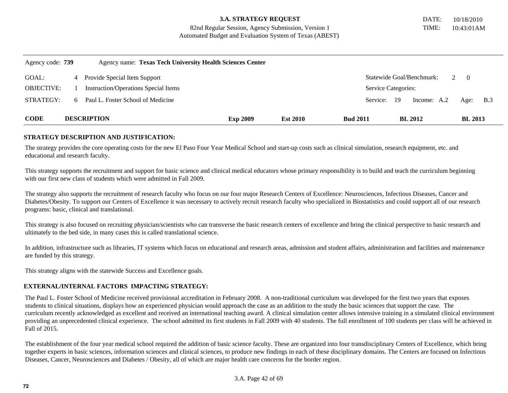| Agency code: 739  |   | <b>Agency name: Texas Tech University Health Sciences Center</b> |                 |                 |                 |                     |                           |                |     |
|-------------------|---|------------------------------------------------------------------|-----------------|-----------------|-----------------|---------------------|---------------------------|----------------|-----|
| GOAL:             | 4 | Provide Special Item Support                                     |                 |                 |                 |                     | Statewide Goal/Benchmark: | $2 \quad 0$    |     |
| <b>OBJECTIVE:</b> |   | Instruction/Operations Special Items                             |                 |                 |                 | Service Categories: |                           |                |     |
| STRATEGY:         | 6 | Paul L. Foster School of Medicine                                |                 |                 |                 | Service: 19         | Income: $A.2$             | Age:           | B.3 |
| <b>CODE</b>       |   | <b>DESCRIPTION</b>                                               | <b>Exp 2009</b> | <b>Est 2010</b> | <b>Bud 2011</b> |                     | <b>BL 2012</b>            | <b>BL 2013</b> |     |

#### **STRATEGY DESCRIPTION AND JUSTIFICATION:**

The strategy provides the core operating costs for the new El Paso Four Year Medical School and start-up costs such as clinical simulation, research equipment, etc. and educational and research faculty.

This strategy supports the recruitment and support for basic science and clinical medical educators whose primary responsibility is to build and teach the curriculum beginning with our first new class of students which were admitted in Fall 2009.

The strategy also supports the recruitment of research faculty who focus on our four major Research Centers of Excellence: Neurosciences, Infectious Diseases, Cancer and Diabetes/Obesity. To support our Centers of Excellence it was necessary to actively recruit research faculty who specialized in Biostatistics and could support all of our research programs: basic, clinical and translational.

This strategy is also focused on recruiting physician/scientists who can transverse the basic research centers of excellence and bring the clinical perspective to basic research and ultimately to the bed side, in many cases this is called translational science.

In addition, infrastructure such as libraries, IT systems which focus on educational and research areas, admission and student affairs, administration and facilities and maintenance are funded by this strategy.

This strategy aligns with the statewide Success and Excellence goals.

#### **EXTERNAL/INTERNAL FACTORS IMPACTING STRATEGY:**

The Paul L. Foster School of Medicine received provisional accreditation in February 2008. A non-traditional curriculum was developed for the first two years that exposes students to clinical situations, displays how an experienced physician would approach the case as an addition to the study the basic sciences that support the case. The curriculum recently acknowledged as excellent and received an international teaching award. A clinical simulation center allows intensive training in a simulated clinical environment providing an unprecedented clinical experience. The school admitted its first students in Fall 2009 with 40 students. The full enrollment of 100 students per class will be achieved in Fall of 2015.

The establishment of the four year medical school required the addition of basic science faculty. These are organized into four transdisciplinary Centers of Excellence, which bring together experts in basic sciences, information sciences and clinical sciences, to produce new findings in each of these disciplinary domains. The Centers are focused on Infectious Diseases, Cancer, Neurosciences and Diabetes / Obesity, all of which are major health care concerns for the border region.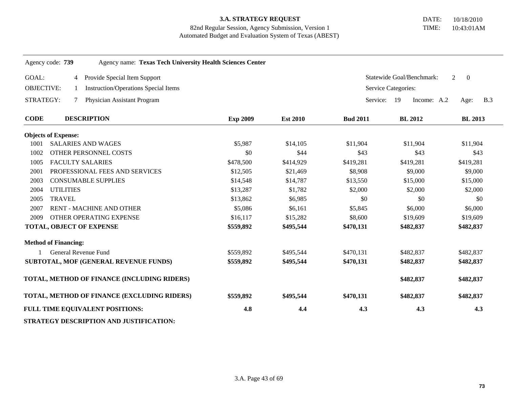| <b>Agency name: Texas Tech University Health Sciences Center</b><br>Agency code: 739 |                 |                 |                 |                                  |                                  |
|--------------------------------------------------------------------------------------|-----------------|-----------------|-----------------|----------------------------------|----------------------------------|
| Provide Special Item Support<br>GOAL:<br>4                                           |                 |                 |                 | <b>Statewide Goal/Benchmark:</b> | $\overline{2}$<br>$\overline{0}$ |
| <b>OBJECTIVE:</b><br><b>Instruction/Operations Special Items</b><br>1                |                 |                 |                 | Service Categories:              |                                  |
| STRATEGY:<br>Physician Assistant Program<br>$7\phantom{.0}$                          |                 |                 | Service:        | 19<br>Income: A.2                | B.3<br>Age:                      |
| <b>DESCRIPTION</b><br><b>CODE</b>                                                    | <b>Exp 2009</b> | <b>Est 2010</b> | <b>Bud 2011</b> | <b>BL</b> 2012                   | <b>BL</b> 2013                   |
| <b>Objects of Expense:</b>                                                           |                 |                 |                 |                                  |                                  |
| <b>SALARIES AND WAGES</b><br>1001                                                    | \$5,987         | \$14,105        | \$11,904        | \$11,904                         | \$11,904                         |
| 1002<br>OTHER PERSONNEL COSTS                                                        | \$0             | \$44            | \$43            | \$43                             | \$43                             |
| <b>FACULTY SALARIES</b><br>1005                                                      | \$478,500       | \$414,929       | \$419,281       | \$419,281                        | \$419,281                        |
| PROFESSIONAL FEES AND SERVICES<br>2001                                               | \$12,505        | \$21,469        | \$8,908         | \$9,000                          | \$9,000                          |
| 2003<br><b>CONSUMABLE SUPPLIES</b>                                                   | \$14,548        | \$14,787        | \$13,550        | \$15,000                         | \$15,000                         |
| <b>UTILITIES</b><br>2004                                                             | \$13,287        | \$1,782         | \$2,000         | \$2,000                          | \$2,000                          |
| 2005<br><b>TRAVEL</b>                                                                | \$13,862        | \$6,985         | \$0             | \$0                              | \$0                              |
| 2007<br><b>RENT - MACHINE AND OTHER</b>                                              | \$5,086         | \$6,161         | \$5,845         | \$6,000                          | \$6,000                          |
| 2009<br>OTHER OPERATING EXPENSE                                                      | \$16,117        | \$15,282        | \$8,600         | \$19,609                         | \$19,609                         |
| TOTAL, OBJECT OF EXPENSE                                                             | \$559,892       | \$495,544       | \$470,131       | \$482,837                        | \$482,837                        |
| <b>Method of Financing:</b>                                                          |                 |                 |                 |                                  |                                  |
| General Revenue Fund                                                                 | \$559,892       | \$495,544       | \$470,131       | \$482,837                        | \$482,837                        |
| SUBTOTAL, MOF (GENERAL REVENUE FUNDS)                                                | \$559,892       | \$495,544       | \$470,131       | \$482,837                        | \$482,837                        |
| TOTAL, METHOD OF FINANCE (INCLUDING RIDERS)                                          |                 |                 |                 | \$482,837                        | \$482,837                        |
| TOTAL, METHOD OF FINANCE (EXCLUDING RIDERS)                                          | \$559,892       | \$495,544       | \$470,131       | \$482,837                        | \$482,837                        |
| FULL TIME EQUIVALENT POSITIONS:                                                      | 4.8             | 4.4             | 4.3             | 4.3                              | 4.3                              |
| STRATEGY DESCRIPTION AND JUSTIFICATION:                                              |                 |                 |                 |                                  |                                  |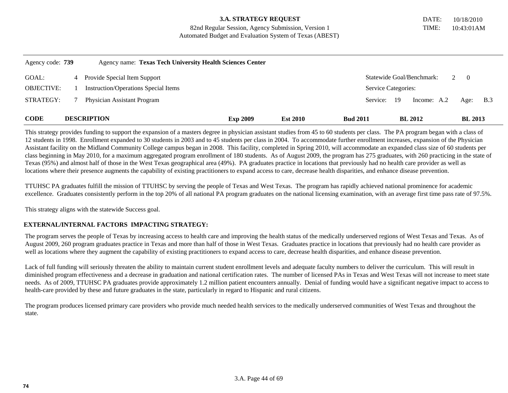| Agency code: 739  | Agency name: Texas Tech University Health Sciences Center |                 |                 |                 |                           |                |                |     |
|-------------------|-----------------------------------------------------------|-----------------|-----------------|-----------------|---------------------------|----------------|----------------|-----|
| GOAL:             | Provide Special Item Support                              |                 |                 |                 | Statewide Goal/Benchmark: |                | $\overline{0}$ |     |
| <b>OBJECTIVE:</b> | <b>Instruction/Operations Special Items</b>               |                 |                 |                 | Service Categories:       |                |                |     |
| STRATEGY:         | Physician Assistant Program                               |                 |                 |                 | Service: 19               | Income: $A.2$  | Age:           | B.3 |
| <b>CODE</b>       | <b>DESCRIPTION</b>                                        | <b>Exp 2009</b> | <b>Est 2010</b> | <b>Bud 2011</b> |                           | <b>BL 2012</b> | <b>BL 2013</b> |     |

This strategy provides funding to support the expansion of a masters degree in physician assistant studies from 45 to 60 students per class. The PA program began with a class of 12 students in 1998. Enrollment expanded to 30 students in 2003 and to 45 students per class in 2004. To accommodate further enrollment increases, expansion of the Physician Assistant facility on the Midland Community College campus began in 2008. This facility, completed in Spring 2010, will accommodate an expanded class size of 60 students per class beginning in May 2010, for a maximum aggregated program enrollment of 180 students. As of August 2009, the program has 275 graduates, with 260 practicing in the state of Texas (95%) and almost half of those in the West Texas geographical area (49%). PA graduates practice in locations that previously had no health care provider as well as locations where their presence augments the capability of existing practitioners to expand access to care, decrease health disparities, and enhance disease prevention.

TTUHSC PA graduates fulfill the mission of TTUHSC by serving the people of Texas and West Texas. The program has rapidly achieved national prominence for academic excellence. Graduates consistently perform in the top 20% of all national PA program graduates on the national licensing examination, with an average first time pass rate of 97.5%.

This strategy aligns with the statewide Success goal.

#### **EXTERNAL/INTERNAL FACTORS IMPACTING STRATEGY:**

The program serves the people of Texas by increasing access to health care and improving the health status of the medically underserved regions of West Texas and Texas. As of August 2009, 260 program graduates practice in Texas and more than half of those in West Texas. Graduates practice in locations that previously had no health care provider as well as locations where they augment the capability of existing practitioners to expand access to care, decrease health disparities, and enhance disease prevention.

Lack of full funding will seriously threaten the ability to maintain current student enrollment levels and adequate faculty numbers to deliver the curriculum. This will result in diminished program effectiveness and a decrease in graduation and national certification rates. The number of licensed PAs in Texas and West Texas will not increase to meet state needs. As of 2009, TTUHSC PA graduates provide approximately 1.2 million patient encounters annually. Denial of funding would have a significant negative impact to access to health-care provided by these and future graduates in the state, particularly in regard to Hispanic and rural citizens.

The program produces licensed primary care providers who provide much needed health services to the medically underserved communities of West Texas and throughout the state.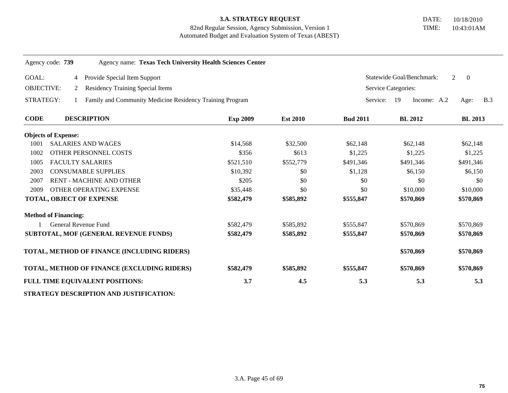|                   | Agency code: 739            | <b>Agency name: Texas Tech University Health Sciences Center</b> |                 |                 |                 |                           |                                  |
|-------------------|-----------------------------|------------------------------------------------------------------|-----------------|-----------------|-----------------|---------------------------|----------------------------------|
| GOAL:             | 4                           | Provide Special Item Support                                     |                 |                 |                 | Statewide Goal/Benchmark: | $\overline{2}$<br>$\overline{0}$ |
| <b>OBJECTIVE:</b> | 2                           | <b>Residency Training Special Items</b>                          |                 |                 |                 | Service Categories:       |                                  |
| STRATEGY:         |                             | Family and Community Medicine Residency Training Program         |                 |                 | Service:        | -19<br>Income: A.2        | B.3<br>Age:                      |
| <b>CODE</b>       |                             | <b>DESCRIPTION</b>                                               | <b>Exp 2009</b> | <b>Est 2010</b> | <b>Bud 2011</b> | <b>BL</b> 2012            | <b>BL</b> 2013                   |
|                   | <b>Objects of Expense:</b>  |                                                                  |                 |                 |                 |                           |                                  |
| 1001              |                             | <b>SALARIES AND WAGES</b>                                        | \$14,568        | \$32,500        | \$62,148        | \$62,148                  | \$62,148                         |
| 1002              |                             | OTHER PERSONNEL COSTS                                            | \$356           | \$613           | \$1,225         | \$1,225                   | \$1,225                          |
| 1005              | <b>FACULTY SALARIES</b>     |                                                                  | \$521,510       | \$552,779       | \$491,346       | \$491,346                 | \$491,346                        |
| 2003              |                             | <b>CONSUMABLE SUPPLIES</b>                                       | \$10,392        | \$0             | \$1,128         | \$6,150                   | \$6,150                          |
| 2007              |                             | <b>RENT - MACHINE AND OTHER</b>                                  | \$205           | \$0             | \$0             | \$0                       | \$0                              |
| 2009              |                             | OTHER OPERATING EXPENSE                                          | \$35,448        | \$0             | \$0             | \$10,000                  | \$10,000                         |
|                   |                             | <b>TOTAL, OBJECT OF EXPENSE</b>                                  | \$582,479       | \$585,892       | \$555,847       | \$570,869                 | \$570,869                        |
|                   | <b>Method of Financing:</b> |                                                                  |                 |                 |                 |                           |                                  |
|                   | General Revenue Fund        |                                                                  | \$582,479       | \$585,892       | \$555,847       | \$570,869                 | \$570,869                        |
|                   |                             | SUBTOTAL, MOF (GENERAL REVENUE FUNDS)                            | \$582,479       | \$585,892       | \$555,847       | \$570,869                 | \$570,869                        |
|                   |                             | TOTAL, METHOD OF FINANCE (INCLUDING RIDERS)                      |                 |                 |                 | \$570,869                 | \$570,869                        |
|                   |                             | TOTAL, METHOD OF FINANCE (EXCLUDING RIDERS)                      | \$582,479       | \$585,892       | \$555,847       | \$570,869                 | \$570,869                        |
|                   |                             | FULL TIME EQUIVALENT POSITIONS:                                  | 3.7             | 4.5             | 5.3             | 5.3                       | 5.3                              |
|                   |                             | STRATEGY DESCRIPTION AND JUSTIFICATION:                          |                 |                 |                 |                           |                                  |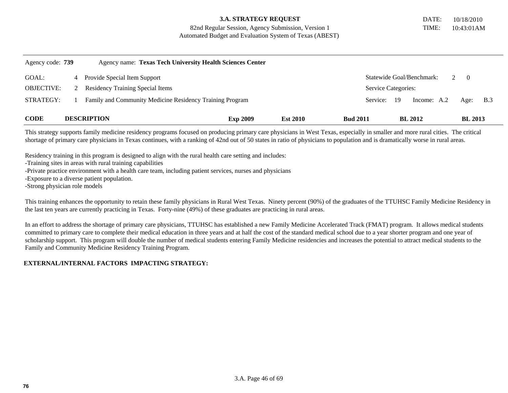| Agency code: 739  |   | <b>Agency name: Texas Tech University Health Sciences Center</b> |                 |                 |                 |                     |                           |                |     |
|-------------------|---|------------------------------------------------------------------|-----------------|-----------------|-----------------|---------------------|---------------------------|----------------|-----|
| GOAL:             | 4 | Provide Special Item Support                                     |                 |                 |                 |                     | Statewide Goal/Benchmark: | $\overline{0}$ |     |
| <b>OBJECTIVE:</b> | 2 | <b>Residency Training Special Items</b>                          |                 |                 |                 | Service Categories: |                           |                |     |
| STRATEGY:         |   | Family and Community Medicine Residency Training Program         |                 |                 |                 | Service: 19         | Income: $A.2$             | Age:           | B.3 |
| <b>CODE</b>       |   | <b>DESCRIPTION</b>                                               | <b>Exp 2009</b> | <b>Est 2010</b> | <b>Bud 2011</b> |                     | <b>BL 2012</b>            | <b>BL</b> 2013 |     |

This strategy supports family medicine residency programs focused on producing primary care physicians in West Texas, especially in smaller and more rural cities. The critical shortage of primary care physicians in Texas continues, with a ranking of 42nd out of 50 states in ratio of physicians to population and is dramatically worse in rural areas.

Residency training in this program is designed to align with the rural health care setting and includes:

-Training sites in areas with rural training capabilities

-Private practice environment with a health care team, including patient services, nurses and physicians

-Exposure to a diverse patient population.

-Strong physician role models

This training enhances the opportunity to retain these family physicians in Rural West Texas. Ninety percent (90%) of the graduates of the TTUHSC Family Medicine Residency in the last ten years are currently practicing in Texas. Forty-nine (49%) of these graduates are practicing in rural areas.

In an effort to address the shortage of primary care physicians, TTUHSC has established a new Family Medicine Accelerated Track (FMAT) program. It allows medical students committed to primary care to complete their medical education in three years and at half the cost of the standard medical school due to a year shorter program and one year of scholarship support. This program will double the number of medical students entering Family Medicine residencies and increases the potential to attract medical students to the Family and Community Medicine Residency Training Program.

#### **EXTERNAL/INTERNAL FACTORS IMPACTING STRATEGY:**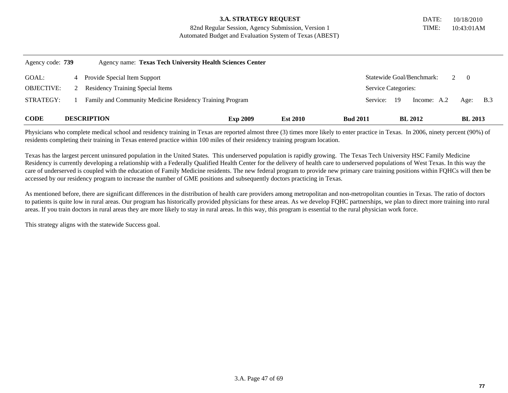| Agency code: 739  |   | Agency name: Texas Tech University Health Sciences Center |                 |                 |                 |                     |                                  |                |     |
|-------------------|---|-----------------------------------------------------------|-----------------|-----------------|-----------------|---------------------|----------------------------------|----------------|-----|
| GOAL:             | 4 | Provide Special Item Support                              |                 |                 |                 |                     | <b>Statewide Goal/Benchmark:</b> | $\bf{0}$       |     |
| <b>OBJECTIVE:</b> |   | <b>Residency Training Special Items</b>                   |                 |                 |                 | Service Categories: |                                  |                |     |
| STRATEGY:         |   | Family and Community Medicine Residency Training Program  |                 |                 |                 | Service: 19         | Income: $A.2$                    | Age:           | B.3 |
| <b>CODE</b>       |   | <b>DESCRIPTION</b>                                        | <b>Exp 2009</b> | <b>Est 2010</b> | <b>Bud 2011</b> |                     | <b>BL 2012</b>                   | <b>BL</b> 2013 |     |

Physicians who complete medical school and residency training in Texas are reported almost three (3) times more likely to enter practice in Texas. In 2006, ninety percent (90%) of residents completing their training in Texas entered practice within 100 miles of their residency training program location.

Texas has the largest percent uninsured population in the United States. This underserved population is rapidly growing. The Texas Tech University HSC Family Medicine Residency is currently developing a relationship with a Federally Qualified Health Center for the delivery of health care to underserved populations of West Texas. In this way the care of underserved is coupled with the education of Family Medicine residents. The new federal program to provide new primary care training positions within FQHCs will then be accessed by our residency program to increase the number of GME positions and subsequently doctors practicing in Texas.

As mentioned before, there are significant differences in the distribution of health care providers among metropolitan and non-metropolitan counties in Texas. The ratio of doctors to patients is quite low in rural areas. Our program has historically provided physicians for these areas. As we develop FQHC partnerships, we plan to direct more training into rural areas. If you train doctors in rural areas they are more likely to stay in rural areas. In this way, this program is essential to the rural physician work force.

This strategy aligns with the statewide Success goal.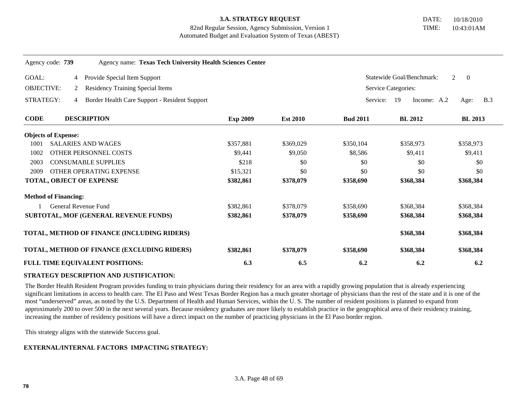|                   | Agency code: 739            | Agency name: Texas Tech University Health Sciences Center |                 |                 |                 |                           |                                  |
|-------------------|-----------------------------|-----------------------------------------------------------|-----------------|-----------------|-----------------|---------------------------|----------------------------------|
| GOAL:             | 4                           | Provide Special Item Support                              |                 |                 |                 | Statewide Goal/Benchmark: | $\overline{2}$<br>$\overline{0}$ |
| <b>OBJECTIVE:</b> | 2                           | Residency Training Special Items                          |                 |                 |                 | Service Categories:       |                                  |
| STRATEGY:         | 4                           | Border Health Care Support - Resident Support             |                 |                 | Service:        | 19<br>Income: A.2         | <b>B.3</b><br>Age:               |
| <b>CODE</b>       |                             | <b>DESCRIPTION</b>                                        | <b>Exp 2009</b> | <b>Est 2010</b> | <b>Bud 2011</b> | <b>BL</b> 2012            | <b>BL</b> 2013                   |
|                   | <b>Objects of Expense:</b>  |                                                           |                 |                 |                 |                           |                                  |
| 1001              |                             | <b>SALARIES AND WAGES</b>                                 | \$357,881       | \$369,029       | \$350,104       | \$358,973                 | \$358,973                        |
| 1002              |                             | OTHER PERSONNEL COSTS                                     | \$9,441         | \$9,050         | \$8,586         | \$9,411                   | \$9,411                          |
| 2003              |                             | <b>CONSUMABLE SUPPLIES</b>                                | \$218           | \$0             | \$0             | \$0                       | \$0                              |
| 2009              |                             | OTHER OPERATING EXPENSE                                   | \$15,321        | \$0             | \$0             | \$0                       | \$0                              |
|                   |                             | TOTAL, OBJECT OF EXPENSE                                  | \$382,861       | \$378,079       | \$358,690       | \$368,384                 | \$368,384                        |
|                   | <b>Method of Financing:</b> |                                                           |                 |                 |                 |                           |                                  |
|                   | General Revenue Fund        |                                                           | \$382,861       | \$378,079       | \$358,690       | \$368,384                 | \$368,384                        |
|                   |                             | SUBTOTAL, MOF (GENERAL REVENUE FUNDS)                     | \$382,861       | \$378,079       | \$358,690       | \$368,384                 | \$368,384                        |
|                   |                             | TOTAL, METHOD OF FINANCE (INCLUDING RIDERS)               |                 |                 |                 | \$368,384                 | \$368,384                        |
|                   |                             | TOTAL, METHOD OF FINANCE (EXCLUDING RIDERS)               | \$382,861       | \$378,079       | \$358,690       | \$368,384                 | \$368,384                        |
|                   |                             | FULL TIME EQUIVALENT POSITIONS:                           | 6.3             | 6.5             | 6.2             | 6.2                       | 6.2                              |

#### **STRATEGY DESCRIPTION AND JUSTIFICATION:**

The Border Health Resident Program provides funding to train physicians during their residency for an area with a rapidly growing population that is already experiencing significant limitations in access to health care. The El Paso and West Texas Border Region has a much greater shortage of physicians than the rest of the state and it is one of the most "underserved" areas, as noted by the U.S. Department of Health and Human Services, within the U. S. The number of resident positions is planned to expand from approximately 200 to over 500 in the next several years. Because residency graduates are more likely to establish practice in the geographical area of their residency training, increasing the number of residency positions will have a direct impact on the number of practicing physicians in the El Paso border region.

This strategy aligns with the statewide Success goal.

#### **EXTERNAL/INTERNAL FACTORS IMPACTING STRATEGY:**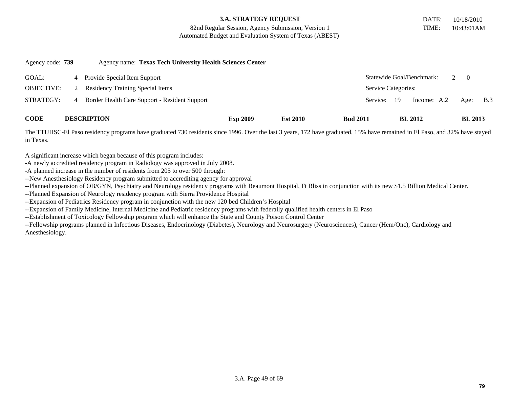| Agency code: 739  |                | <b>Agency name: Texas Tech University Health Sciences Center</b> |                 |                 |                 |                           |                |   |                |     |
|-------------------|----------------|------------------------------------------------------------------|-----------------|-----------------|-----------------|---------------------------|----------------|---|----------------|-----|
| GOAL:             |                | Provide Special Item Support                                     |                 |                 |                 | Statewide Goal/Benchmark: |                | 2 | $\overline{0}$ |     |
| <b>OBJECTIVE:</b> | 2              | <b>Residency Training Special Items</b>                          |                 |                 |                 | Service Categories:       |                |   |                |     |
| STRATEGY:         | $\overline{4}$ | Border Health Care Support - Resident Support                    |                 |                 |                 | Service: 19               | Income: $A.2$  |   | Age:           | B.3 |
| <b>CODE</b>       |                | <b>DESCRIPTION</b>                                               | <b>Exp 2009</b> | <b>Est 2010</b> | <b>Bud 2011</b> |                           | <b>BL 2012</b> |   | <b>BL</b> 2013 |     |

The TTUHSC-El Paso residency programs have graduated 730 residents since 1996. Over the last 3 years, 172 have graduated, 15% have remained in El Paso, and 32% have stayed in Texas.

A significant increase which began because of this program includes:

-A newly accredited residency program in Radiology was approved in July 2008.

-A planned increase in the number of residents from 205 to over 500 through:

--New Anesthesiology Residency program submitted to accrediting agency for approval

--Planned expansion of OB/GYN, Psychiatry and Neurology residency programs with Beaumont Hospital, Ft Bliss in conjunction with its new \$1.5 Billion Medical Center.

--Planned Expansion of Neurology residency program with Sierra Providence Hospital

--Expansion of Pediatrics Residency program in conjunction with the new 120 bed Children's Hospital

--Expansion of Family Medicine, Internal Medicine and Pediatric residency programs with federally qualified health centers in El Paso

--Establishment of Toxicology Fellowship program which will enhance the State and County Poison Control Center

--Fellowship programs planned in Infectious Diseases, Endocrinology (Diabetes), Neurology and Neurosurgery (Neurosciences), Cancer (Hem/Onc), Cardiology and Anesthesiology.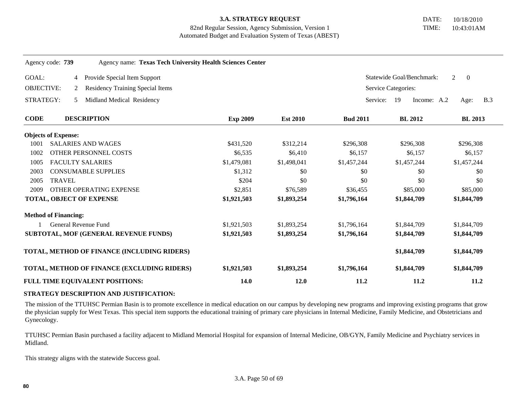#### Automated Budget and Evaluation System of Texas (ABEST) 82nd Regular Session, Agency Submission, Version 1 10:43:01 TIME: 10:43:01 AM

|                   | Agency code: 739            | <b>Agency name: Texas Tech University Health Sciences Center</b> |                 |                 |                 |                                |                                  |
|-------------------|-----------------------------|------------------------------------------------------------------|-----------------|-----------------|-----------------|--------------------------------|----------------------------------|
| GOAL:             |                             | Provide Special Item Support<br>4                                |                 |                 |                 | Statewide Goal/Benchmark:      | $\overline{2}$<br>$\overline{0}$ |
| <b>OBJECTIVE:</b> |                             | <b>Residency Training Special Items</b><br>2                     |                 |                 |                 | Service Categories:            |                                  |
| STRATEGY:         |                             | Midland Medical Residency<br>5                                   |                 |                 |                 | -19<br>Service:<br>Income: A.2 | <b>B.3</b><br>Age:               |
| <b>CODE</b>       |                             | <b>DESCRIPTION</b>                                               | <b>Exp 2009</b> | <b>Est 2010</b> | <b>Bud 2011</b> | <b>BL</b> 2012                 | <b>BL</b> 2013                   |
|                   | <b>Objects of Expense:</b>  |                                                                  |                 |                 |                 |                                |                                  |
| 1001              |                             | <b>SALARIES AND WAGES</b>                                        | \$431,520       | \$312,214       | \$296,308       | \$296,308                      | \$296,308                        |
| 1002              |                             | OTHER PERSONNEL COSTS                                            | \$6,535         | \$6,410         | \$6,157         | \$6,157                        | \$6,157                          |
| 1005              |                             | <b>FACULTY SALARIES</b>                                          | \$1,479,081     | \$1,498,041     | \$1,457,244     | \$1,457,244                    | \$1,457,244                      |
| 2003              |                             | <b>CONSUMABLE SUPPLIES</b>                                       | \$1,312         | \$0             | \$0             | \$0                            | \$0                              |
| 2005              | <b>TRAVEL</b>               |                                                                  | \$204           | \$0             | \$0             | \$0                            | \$0                              |
| 2009              |                             | OTHER OPERATING EXPENSE                                          | \$2,851         | \$76,589        | \$36,455        | \$85,000                       | \$85,000                         |
|                   |                             | TOTAL, OBJECT OF EXPENSE                                         | \$1,921,503     | \$1,893,254     | \$1,796,164     | \$1,844,709                    | \$1,844,709                      |
|                   | <b>Method of Financing:</b> |                                                                  |                 |                 |                 |                                |                                  |
|                   |                             | General Revenue Fund                                             | \$1,921,503     | \$1,893,254     | \$1,796,164     | \$1,844,709                    | \$1,844,709                      |
|                   |                             | SUBTOTAL, MOF (GENERAL REVENUE FUNDS)                            | \$1,921,503     | \$1,893,254     | \$1,796,164     | \$1,844,709                    | \$1,844,709                      |
|                   |                             | TOTAL, METHOD OF FINANCE (INCLUDING RIDERS)                      |                 |                 |                 | \$1,844,709                    | \$1,844,709                      |
|                   |                             | TOTAL, METHOD OF FINANCE (EXCLUDING RIDERS)                      | \$1,921,503     | \$1,893,254     | \$1,796,164     | \$1,844,709                    | \$1,844,709                      |
|                   |                             | FULL TIME EQUIVALENT POSITIONS:                                  | 14.0            | 12.0            | 11.2            | 11.2                           | 11.2                             |

#### **STRATEGY DESCRIPTION AND JUSTIFICATION:**

The mission of the TTUHSC Permian Basin is to promote excellence in medical education on our campus by developing new programs and improving existing programs that grow the physician supply for West Texas. This special item supports the educational training of primary care physicians in Internal Medicine, Family Medicine, and Obstetricians and Gynecology.

TTUHSC Permian Basin purchased a facility adjacent to Midland Memorial Hospital for expansion of Internal Medicine, OB/GYN, Family Medicine and Psychiatry services in Midland.

This strategy aligns with the statewide Success goal.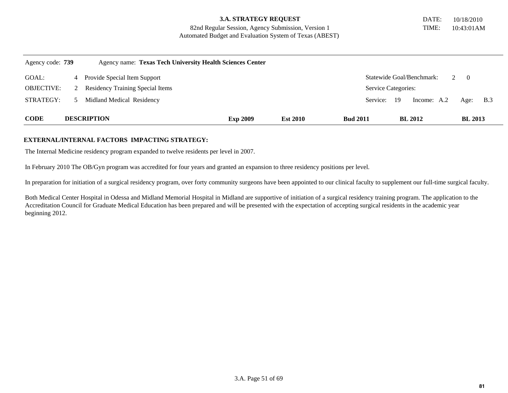| Agency code: 739  |                | <b>Agency name: Texas Tech University Health Sciences Center</b> |                 |                 |                 |                     |                           |                |     |
|-------------------|----------------|------------------------------------------------------------------|-----------------|-----------------|-----------------|---------------------|---------------------------|----------------|-----|
| GOAL:             | $\overline{4}$ | Provide Special Item Support                                     |                 |                 |                 |                     | Statewide Goal/Benchmark: | $\overline{0}$ |     |
| <b>OBJECTIVE:</b> | 2              | <b>Residency Training Special Items</b>                          |                 |                 |                 | Service Categories: |                           |                |     |
| STRATEGY:         | 5              | Midland Medical Residency                                        |                 |                 |                 | Service: 19         | Income: $A.2$             | Age:           | B.3 |
| <b>CODE</b>       |                | <b>DESCRIPTION</b>                                               | <b>Exp 2009</b> | <b>Est 2010</b> | <b>Bud 2011</b> |                     | <b>BL 2012</b>            | <b>BL</b> 2013 |     |

#### **EXTERNAL/INTERNAL FACTORS IMPACTING STRATEGY:**

The Internal Medicine residency program expanded to twelve residents per level in 2007.

In February 2010 The OB/Gyn program was accredited for four years and granted an expansion to three residency positions per level.

In preparation for initiation of a surgical residency program, over forty community surgeons have been appointed to our clinical faculty to supplement our full-time surgical faculty.

Both Medical Center Hospital in Odessa and Midland Memorial Hospital in Midland are supportive of initiation of a surgical residency training program. The application to the Accreditation Council for Graduate Medical Education has been prepared and will be presented with the expectation of accepting surgical residents in the academic year beginning 2012.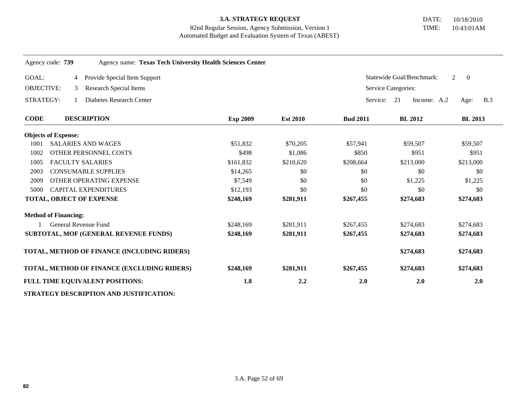| <b>Agency name: Texas Tech University Health Sciences Center</b><br>Agency code: 739 |                 |                 |                 |                           |                                  |
|--------------------------------------------------------------------------------------|-----------------|-----------------|-----------------|---------------------------|----------------------------------|
| Provide Special Item Support<br>GOAL:<br>4                                           |                 |                 |                 | Statewide Goal/Benchmark: | $\overline{2}$<br>$\overline{0}$ |
| <b>OBJECTIVE:</b><br><b>Research Special Items</b><br>3                              |                 |                 |                 | Service Categories:       |                                  |
| STRATEGY:<br>Diabetes Research Center<br>1                                           |                 |                 | Service:        | Income: A.2<br>21         | B.3<br>Age:                      |
| <b>DESCRIPTION</b><br><b>CODE</b>                                                    | <b>Exp 2009</b> | <b>Est 2010</b> | <b>Bud 2011</b> | <b>BL</b> 2012            | <b>BL</b> 2013                   |
| <b>Objects of Expense:</b>                                                           |                 |                 |                 |                           |                                  |
| <b>SALARIES AND WAGES</b><br>1001                                                    | \$51,832        | \$70,205        | \$57,941        | \$59,507                  | \$59,507                         |
| OTHER PERSONNEL COSTS<br>1002                                                        | \$498           | \$1,086         | \$850           | \$951                     | \$951                            |
| <b>FACULTY SALARIES</b><br>1005                                                      | \$161,832       | \$210,620       | \$208,664       | \$213,000                 | \$213,000                        |
| <b>CONSUMABLE SUPPLIES</b><br>2003                                                   | \$14,265        | \$0             | \$0             | \$0                       | \$0                              |
| OTHER OPERATING EXPENSE<br>2009                                                      | \$7,549         | \$0             | \$0             | \$1,225                   | \$1,225                          |
| <b>CAPITAL EXPENDITURES</b><br>5000                                                  | \$12,193        | \$0             | \$0             | \$0                       | \$0                              |
| <b>TOTAL, OBJECT OF EXPENSE</b>                                                      | \$248,169       | \$281,911       | \$267,455       | \$274,683                 | \$274,683                        |
| <b>Method of Financing:</b>                                                          |                 |                 |                 |                           |                                  |
| General Revenue Fund                                                                 | \$248,169       | \$281,911       | \$267,455       | \$274,683                 | \$274,683                        |
| SUBTOTAL, MOF (GENERAL REVENUE FUNDS)                                                | \$248,169       | \$281,911       | \$267,455       | \$274,683                 | \$274,683                        |
| TOTAL, METHOD OF FINANCE (INCLUDING RIDERS)                                          |                 |                 |                 | \$274,683                 | \$274,683                        |
| TOTAL, METHOD OF FINANCE (EXCLUDING RIDERS)                                          | \$248,169       | \$281,911       | \$267,455       | \$274,683                 | \$274,683                        |
| FULL TIME EQUIVALENT POSITIONS:                                                      | 1.8             | 2.2             | 2.0             | 2.0                       | 2.0                              |
| STRATEGY DESCRIPTION AND JUSTIFICATION:                                              |                 |                 |                 |                           |                                  |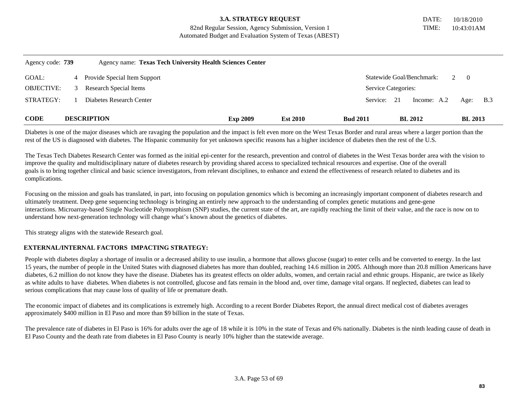| Agency code: 739  |                | <b>Agency name: Texas Tech University Health Sciences Center</b> |                 |                 |                 |                     |                           |                |     |
|-------------------|----------------|------------------------------------------------------------------|-----------------|-----------------|-----------------|---------------------|---------------------------|----------------|-----|
| GOAL:             | $\overline{4}$ | Provide Special Item Support                                     |                 |                 |                 |                     | Statewide Goal/Benchmark: | $\overline{0}$ |     |
| <b>OBJECTIVE:</b> | 3              | Research Special Items                                           |                 |                 |                 | Service Categories: |                           |                |     |
| STRATEGY:         |                | Diabetes Research Center                                         |                 |                 |                 | Service: 21         | Income: $A.2$             | Age:           | B.3 |
| <b>CODE</b>       |                | <b>DESCRIPTION</b>                                               | <b>Exp 2009</b> | <b>Est 2010</b> | <b>Bud 2011</b> |                     | <b>BL 2012</b>            | <b>BL</b> 2013 |     |

Diabetes is one of the major diseases which are ravaging the population and the impact is felt even more on the West Texas Border and rural areas where a larger portion than the rest of the US is diagnosed with diabetes. The Hispanic community for yet unknown specific reasons has a higher incidence of diabetes then the rest of the U.S.

The Texas Tech Diabetes Research Center was formed as the initial epi-center for the research, prevention and control of diabetes in the West Texas border area with the vision to improve the quality and multidisciplinary nature of diabetes research by providing shared access to specialized technical resources and expertise. One of the overall goals is to bring together clinical and basic science investigators, from relevant disciplines, to enhance and extend the effectiveness of research related to diabetes and its complications.

Focusing on the mission and goals has translated, in part, into focusing on population genomics which is becoming an increasingly important component of diabetes research and ultimately treatment. Deep gene sequencing technology is bringing an entirely new approach to the understanding of complex genetic mutations and gene-gene interactions. Microarray-based Single Nucleotide Polymorphism (SNP) studies, the current state of the art, are rapidly reaching the limit of their value, and the race is now on to understand how next-generation technology will change what's known about the genetics of diabetes.

This strategy aligns with the statewide Research goal.

#### **EXTERNAL/INTERNAL FACTORS IMPACTING STRATEGY:**

People with diabetes display a shortage of insulin or a decreased ability to use insulin, a hormone that allows glucose (sugar) to enter cells and be converted to energy. In the last 15 years, the number of people in the United States with diagnosed diabetes has more than doubled, reaching 14.6 million in 2005. Although more than 20.8 million Americans have diabetes, 6.2 million do not know they have the disease. Diabetes has its greatest effects on older adults, women, and certain racial and ethnic groups. Hispanic, are twice as likely as white adults to have diabetes. When diabetes is not controlled, glucose and fats remain in the blood and, over time, damage vital organs. If neglected, diabetes can lead to serious complications that may cause loss of quality of life or premature death.

The economic impact of diabetes and its complications is extremely high. According to a recent Border Diabetes Report, the annual direct medical cost of diabetes averages approximately \$400 million in El Paso and more than \$9 billion in the state of Texas.

The prevalence rate of diabetes in El Paso is 16% for adults over the age of 18 while it is 10% in the state of Texas and 6% nationally. Diabetes is the ninth leading cause of death in El Paso County and the death rate from diabetes in El Paso County is nearly 10% higher than the statewide average.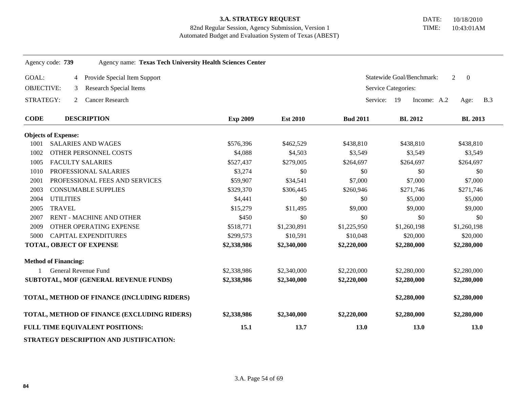| Agency code: 739<br>Agency name: Texas Tech University Health Sciences Center |                 |                 |                 |                           |                     |
|-------------------------------------------------------------------------------|-----------------|-----------------|-----------------|---------------------------|---------------------|
| GOAL:<br>Provide Special Item Support<br>4                                    |                 |                 |                 | Statewide Goal/Benchmark: | 2<br>$\overline{0}$ |
| <b>OBJECTIVE:</b><br><b>Research Special Items</b><br>3                       |                 |                 |                 | Service Categories:       |                     |
| STRATEGY:<br><b>Cancer Research</b><br>2                                      |                 |                 | Service:        | -19<br>Income: A.2        | B.3<br>Age:         |
| <b>CODE</b><br><b>DESCRIPTION</b>                                             | <b>Exp 2009</b> | <b>Est 2010</b> | <b>Bud 2011</b> | <b>BL</b> 2012            | <b>BL</b> 2013      |
| <b>Objects of Expense:</b>                                                    |                 |                 |                 |                           |                     |
| <b>SALARIES AND WAGES</b><br>1001                                             | \$576,396       | \$462,529       | \$438,810       | \$438,810                 | \$438,810           |
| 1002<br>OTHER PERSONNEL COSTS                                                 | \$4,088         | \$4,503         | \$3,549         | \$3,549                   | \$3,549             |
| 1005<br><b>FACULTY SALARIES</b>                                               | \$527,437       | \$279,005       | \$264,697       | \$264,697                 | \$264,697           |
| PROFESSIONAL SALARIES<br>1010                                                 | \$3,274         | \$0             | \$0             | \$0                       | \$0                 |
| 2001<br>PROFESSIONAL FEES AND SERVICES                                        | \$59,907        | \$34,541        | \$7,000         | \$7,000                   | \$7,000             |
| 2003<br><b>CONSUMABLE SUPPLIES</b>                                            | \$329,370       | \$306,445       | \$260,946       | \$271,746                 | \$271,746           |
| <b>UTILITIES</b><br>2004                                                      | \$4,441         | \$0             | \$0             | \$5,000                   | \$5,000             |
| 2005<br><b>TRAVEL</b>                                                         | \$15,279        | \$11,495        | \$9,000         | \$9,000                   | \$9,000             |
| 2007<br><b>RENT - MACHINE AND OTHER</b>                                       | \$450           | \$0             | \$0             | \$0                       | \$0                 |
| OTHER OPERATING EXPENSE<br>2009                                               | \$518,771       | \$1,230,891     | \$1,225,950     | \$1,260,198               | \$1,260,198         |
| 5000<br><b>CAPITAL EXPENDITURES</b>                                           | \$299,573       | \$10,591        | \$10,048        | \$20,000                  | \$20,000            |
| <b>TOTAL, OBJECT OF EXPENSE</b>                                               | \$2,338,986     | \$2,340,000     | \$2,220,000     | \$2,280,000               | \$2,280,000         |
| <b>Method of Financing:</b>                                                   |                 |                 |                 |                           |                     |
| General Revenue Fund                                                          | \$2,338,986     | \$2,340,000     | \$2,220,000     | \$2,280,000               | \$2,280,000         |
| SUBTOTAL, MOF (GENERAL REVENUE FUNDS)                                         | \$2,338,986     | \$2,340,000     | \$2,220,000     | \$2,280,000               | \$2,280,000         |
| TOTAL, METHOD OF FINANCE (INCLUDING RIDERS)                                   |                 |                 |                 | \$2,280,000               | \$2,280,000         |
| TOTAL, METHOD OF FINANCE (EXCLUDING RIDERS)                                   | \$2,338,986     | \$2,340,000     | \$2,220,000     | \$2,280,000               | \$2,280,000         |
| FULL TIME EQUIVALENT POSITIONS:                                               | 15.1            | 13.7            | 13.0            | 13.0                      | 13.0                |
| STRATEGY DESCRIPTION AND JUSTIFICATION:                                       |                 |                 |                 |                           |                     |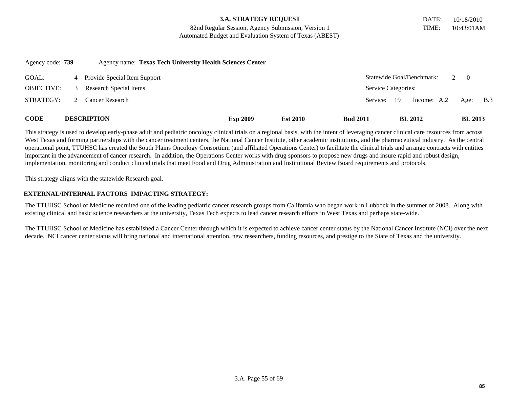| Agency code: 739  |   | Agency name: Texas Tech University Health Sciences Center |                 |                 |                 |                            |                |   |                |     |
|-------------------|---|-----------------------------------------------------------|-----------------|-----------------|-----------------|----------------------------|----------------|---|----------------|-----|
| GOAL:             |   | Provide Special Item Support                              |                 |                 |                 | Statewide Goal/Benchmark:  |                | 2 | $\overline{0}$ |     |
| <b>OBJECTIVE:</b> | 3 | Research Special Items                                    |                 |                 |                 | <b>Service Categories:</b> |                |   |                |     |
| STRATEGY:         | 2 | Cancer Research                                           |                 |                 |                 | Service: 19                | Income: $A.2$  |   | Age:           | B.3 |
| <b>CODE</b>       |   | <b>DESCRIPTION</b>                                        | <b>Exp 2009</b> | <b>Est 2010</b> | <b>Bud 2011</b> |                            | <b>BL 2012</b> |   | <b>BL 2013</b> |     |

This strategy is used to develop early-phase adult and pediatric oncology clinical trials on a regional basis, with the intent of leveraging cancer clinical care resources from across West Texas and forming partnerships with the cancer treatment centers, the National Cancer Institute, other academic institutions, and the pharmaceutical industry. As the central operational point, TTUHSC has created the South Plains Oncology Consortium (and affiliated Operations Center) to facilitate the clinical trials and arrange contracts with entities important in the advancement of cancer research. In addition, the Operations Center works with drug sponsors to propose new drugs and insure rapid and robust design, implementation, monitoring and conduct clinical trials that meet Food and Drug Administration and Institutional Review Board requirements and protocols.

This strategy aligns with the statewide Research goal.

#### **EXTERNAL/INTERNAL FACTORS IMPACTING STRATEGY:**

The TTUHSC School of Medicine recruited one of the leading pediatric cancer research groups from California who began work in Lubbock in the summer of 2008. Along with existing clinical and basic science researchers at the university, Texas Tech expects to lead cancer research efforts in West Texas and perhaps state-wide.

The TTUHSC School of Medicine has established a Cancer Center through which it is expected to achieve cancer center status by the National Cancer Institute (NCI) over the next decade. NCI cancer center status will bring national and international attention, new researchers, funding resources, and prestige to the State of Texas and the university.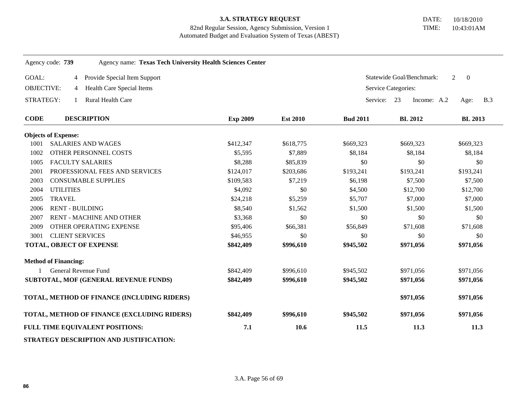| Agency name: Texas Tech University Health Sciences Center<br>Agency code: 739 |                 |                 |                 |                            |                     |
|-------------------------------------------------------------------------------|-----------------|-----------------|-----------------|----------------------------|---------------------|
| GOAL:<br>Provide Special Item Support<br>4                                    |                 |                 |                 | Statewide Goal/Benchmark:  | 2<br>$\overline{0}$ |
| <b>OBJECTIVE:</b><br>Health Care Special Items<br>4                           |                 |                 |                 | Service Categories:        |                     |
| STRATEGY:<br>Rural Health Care<br>$\mathbf{1}$                                |                 |                 |                 | Service: 23<br>Income: A.2 | B.3<br>Age:         |
| <b>DESCRIPTION</b><br><b>CODE</b>                                             | <b>Exp 2009</b> | <b>Est 2010</b> | <b>Bud 2011</b> | <b>BL 2012</b>             | <b>BL</b> 2013      |
| <b>Objects of Expense:</b>                                                    |                 |                 |                 |                            |                     |
| <b>SALARIES AND WAGES</b><br>1001                                             | \$412,347       | \$618,775       | \$669,323       | \$669,323                  | \$669,323           |
| 1002<br>OTHER PERSONNEL COSTS                                                 | \$5,595         | \$7,889         | \$8,184         | \$8,184                    | \$8,184             |
| 1005<br><b>FACULTY SALARIES</b>                                               | \$8,288         | \$85,839        | \$0             | \$0                        | \$0                 |
| PROFESSIONAL FEES AND SERVICES<br>2001                                        | \$124,017       | \$203,686       | \$193,241       | \$193,241                  | \$193,241           |
| <b>CONSUMABLE SUPPLIES</b><br>2003                                            | \$109,583       | \$7,219         | \$6,198         | \$7,500                    | \$7,500             |
| 2004<br><b>UTILITIES</b>                                                      | \$4,092         | \$0             | \$4,500         | \$12,700                   | \$12,700            |
| <b>TRAVEL</b><br>2005                                                         | \$24,218        | \$5,259         | \$5,707         | \$7,000                    | \$7,000             |
| <b>RENT - BUILDING</b><br>2006                                                | \$8,540         | \$1,562         | \$1,500         | \$1,500                    | \$1,500             |
| 2007<br><b>RENT - MACHINE AND OTHER</b>                                       | \$3,368         | \$0             | \$0             | \$0                        | \$0                 |
| 2009<br>OTHER OPERATING EXPENSE                                               | \$95,406        | \$66,381        | \$56,849        | \$71,608                   | \$71,608            |
| 3001<br><b>CLIENT SERVICES</b>                                                | \$46,955        | \$0             | \$0             | \$0                        | \$0                 |
| <b>TOTAL, OBJECT OF EXPENSE</b>                                               | \$842,409       | \$996,610       | \$945,502       | \$971,056                  | \$971,056           |
| <b>Method of Financing:</b>                                                   |                 |                 |                 |                            |                     |
| General Revenue Fund                                                          | \$842,409       | \$996,610       | \$945,502       | \$971,056                  | \$971,056           |
| SUBTOTAL, MOF (GENERAL REVENUE FUNDS)                                         | \$842,409       | \$996,610       | \$945,502       | \$971,056                  | \$971,056           |
| TOTAL, METHOD OF FINANCE (INCLUDING RIDERS)                                   |                 |                 |                 | \$971,056                  | \$971,056           |
| TOTAL, METHOD OF FINANCE (EXCLUDING RIDERS)                                   | \$842,409       | \$996,610       | \$945,502       | \$971,056                  | \$971,056           |
| FULL TIME EQUIVALENT POSITIONS:                                               | 7.1             | 10.6            | 11.5            | 11.3                       | 11.3                |
| STRATEGY DESCRIPTION AND JUSTIFICATION:                                       |                 |                 |                 |                            |                     |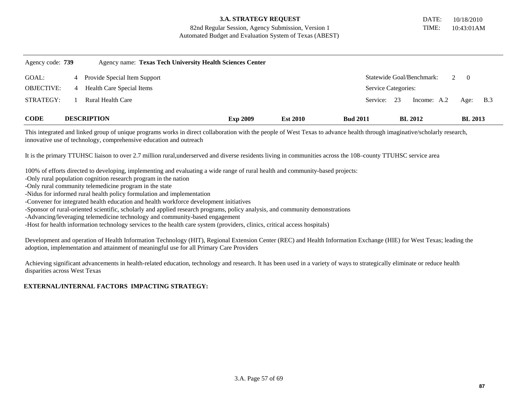#### Automated Budget and Evaluation System of Texas (ABEST) 82nd Regular Session, Agency Submission, Version 1 10:43:01 AM

| Agency code: 739  |                | <b>Agency name: Texas Tech University Health Sciences Center</b> |                 |                 |                 |                     |                           |                |     |
|-------------------|----------------|------------------------------------------------------------------|-----------------|-----------------|-----------------|---------------------|---------------------------|----------------|-----|
| GOAL:             | 4              | Provide Special Item Support                                     |                 |                 |                 |                     | Statewide Goal/Benchmark: | $2 \quad 0$    |     |
| <b>OBJECTIVE:</b> | $\overline{4}$ | Health Care Special Items                                        |                 |                 |                 | Service Categories: |                           |                |     |
| STRATEGY:         |                | <b>Rural Health Care</b>                                         |                 |                 |                 | Service: 23         | Income: $A.2$             | Age:           | B.3 |
| <b>CODE</b>       |                | <b>DESCRIPTION</b>                                               | <b>Exp 2009</b> | <b>Est 2010</b> | <b>Bud 2011</b> |                     | <b>BL 2012</b>            | <b>BL</b> 2013 |     |

This integrated and linked group of unique programs works in direct collaboration with the people of West Texas to advance health through imaginative/scholarly research, innovative use of technology, comprehensive education and outreach

It is the primary TTUHSC liaison to over 2.7 million rural,underserved and diverse residents living in communities across the 108–county TTUHSC service area

100% of efforts directed to developing, implementing and evaluating a wide range of rural health and community-based projects:

-Only rural population cognition research program in the nation

-Only rural community telemedicine program in the state

-Nidus for informed rural health policy formulation and implementation

-Convener for integrated health education and health workforce development initiatives

-Sponsor of rural-oriented scientific, scholarly and applied research programs, policy analysis, and community demonstrations

-Advancing/leveraging telemedicine technology and community-based engagement

-Host for health information technology services to the health care system (providers, clinics, critical access hospitals)

Development and operation of Health Information Technology (HIT), Regional Extension Center (REC) and Health Information Exchange (HIE) for West Texas; leading the adoption, implementation and attainment of meaningful use for all Primary Care Providers

Achieving significant advancements in health-related education, technology and research. It has been used in a variety of ways to strategically eliminate or reduce health disparities across West Texas

#### **EXTERNAL/INTERNAL FACTORS IMPACTING STRATEGY:**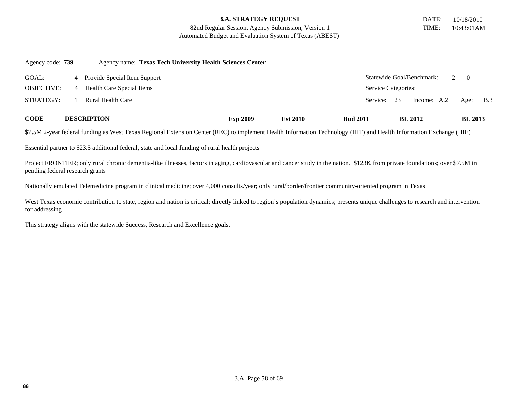| Agency code: 739  |   | <b>Agency name: Texas Tech University Health Sciences Center</b> |                 |                 |                 |             |                     |                           |                |  |
|-------------------|---|------------------------------------------------------------------|-----------------|-----------------|-----------------|-------------|---------------------|---------------------------|----------------|--|
| GOAL:             | 4 | Provide Special Item Support                                     |                 |                 |                 |             |                     | Statewide Goal/Benchmark: | $2 \quad 0$    |  |
| <b>OBJECTIVE:</b> | 4 | Health Care Special Items                                        |                 |                 |                 |             | Service Categories: |                           |                |  |
| STRATEGY:         |   | <b>Rural Health Care</b>                                         |                 |                 |                 | Service: 23 |                     | Income: $A.2$             | Age: $B.3$     |  |
| <b>CODE</b>       |   | <b>DESCRIPTION</b>                                               | <b>Exp 2009</b> | <b>Est 2010</b> | <b>Bud 2011</b> |             |                     | <b>BL 2012</b>            | <b>BL 2013</b> |  |

\$7.5M 2-year federal funding as West Texas Regional Extension Center (REC) to implement Health Information Technology (HIT) and Health Information Exchange (HIE)

Essential partner to \$23.5 additional federal, state and local funding of rural health projects

Project FRONTIER; only rural chronic dementia-like illnesses, factors in aging, cardiovascular and cancer study in the nation. \$123K from private foundations; over \$7.5M in pending federal research grants

Nationally emulated Telemedicine program in clinical medicine; over 4,000 consults/year; only rural/border/frontier community-oriented program in Texas

West Texas economic contribution to state, region and nation is critical; directly linked to region's population dynamics; presents unique challenges to research and intervention for addressing

This strategy aligns with the statewide Success, Research and Excellence goals.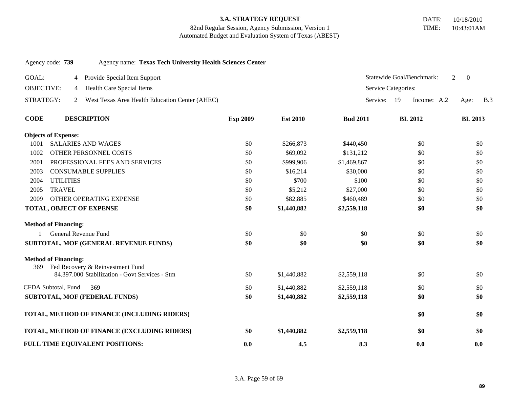| Agency name: Texas Tech University Health Sciences Center<br>Agency code: 739 |                 |                 |                 |                           |                       |
|-------------------------------------------------------------------------------|-----------------|-----------------|-----------------|---------------------------|-----------------------|
| Provide Special Item Support<br>GOAL:<br>4                                    |                 |                 |                 | Statewide Goal/Benchmark: | 2<br>$\boldsymbol{0}$ |
| <b>OBJECTIVE:</b><br>Health Care Special Items<br>4                           |                 |                 |                 | Service Categories:       |                       |
| STRATEGY:<br>2 West Texas Area Health Education Center (AHEC)                 |                 |                 | Service:        | 19<br>Income: A.2         | B.3<br>Age:           |
| <b>CODE</b><br><b>DESCRIPTION</b>                                             | <b>Exp 2009</b> | <b>Est 2010</b> | <b>Bud 2011</b> | <b>BL</b> 2012            | <b>BL</b> 2013        |
| <b>Objects of Expense:</b>                                                    |                 |                 |                 |                           |                       |
| <b>SALARIES AND WAGES</b><br>1001                                             | \$0             | \$266,873       | \$440,450       | \$0                       | \$0                   |
| OTHER PERSONNEL COSTS<br>1002                                                 | \$0             | \$69,092        | \$131,212       | \$0                       | \$0                   |
| PROFESSIONAL FEES AND SERVICES<br>2001                                        | \$0             | \$999,906       | \$1,469,867     | \$0                       | \$0                   |
| <b>CONSUMABLE SUPPLIES</b><br>2003                                            | \$0             | \$16,214        | \$30,000        | \$0                       | \$0                   |
| <b>UTILITIES</b><br>2004                                                      | \$0             | \$700           | \$100           | \$0                       | \$0                   |
| <b>TRAVEL</b><br>2005                                                         | \$0             | \$5,212         | \$27,000        | \$0                       | \$0                   |
| 2009<br>OTHER OPERATING EXPENSE                                               | \$0             | \$82,885        | \$460,489       | \$0                       | \$0                   |
| <b>TOTAL, OBJECT OF EXPENSE</b>                                               | \$0             | \$1,440,882     | \$2,559,118     | \$0                       | \$0                   |
| <b>Method of Financing:</b>                                                   |                 |                 |                 |                           |                       |
| General Revenue Fund                                                          | \$0             | \$0             | \$0             | \$0                       | \$0                   |
| SUBTOTAL, MOF (GENERAL REVENUE FUNDS)                                         | \$0             | \$0             | \$0             | \$0                       | \$0                   |
| <b>Method of Financing:</b><br>Fed Recovery & Reinvestment Fund<br>369-       |                 |                 |                 |                           |                       |
| 84.397.000 Stabilization - Govt Services - Stm                                | \$0             | \$1,440,882     | \$2,559,118     | \$0                       | \$0                   |
| CFDA Subtotal, Fund<br>369                                                    | \$0             | \$1,440,882     | \$2,559,118     | \$0                       | \$0                   |
| SUBTOTAL, MOF (FEDERAL FUNDS)                                                 | \$0             | \$1,440,882     | \$2,559,118     | \$0                       | \$0                   |
| TOTAL, METHOD OF FINANCE (INCLUDING RIDERS)                                   |                 |                 |                 | \$0                       | \$0                   |
| TOTAL, METHOD OF FINANCE (EXCLUDING RIDERS)                                   | \$0             | \$1,440,882     | \$2,559,118     | \$0                       | \$0                   |
| FULL TIME EQUIVALENT POSITIONS:                                               | 0.0             | 4.5             | 8.3             | 0.0                       | 0.0                   |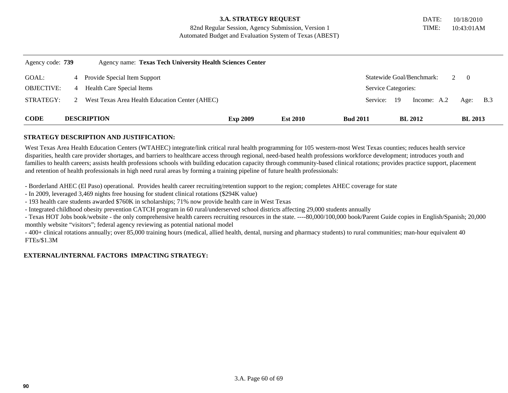| Agency code: 739  |                | <b>Agency name: Texas Tech University Health Sciences Center</b> |                 |                 |                 |                     |                           |                |     |
|-------------------|----------------|------------------------------------------------------------------|-----------------|-----------------|-----------------|---------------------|---------------------------|----------------|-----|
| GOAL:             | $\overline{4}$ | Provide Special Item Support                                     |                 |                 |                 |                     | Statewide Goal/Benchmark: | $\overline{0}$ |     |
| <b>OBJECTIVE:</b> | 4              | Health Care Special Items                                        |                 |                 |                 | Service Categories: |                           |                |     |
| STRATEGY:         | 2              | West Texas Area Health Education Center (AHEC)                   |                 |                 |                 | Service: 19         | Income: $A.2$             | Age:           | B.3 |
| <b>CODE</b>       |                | <b>DESCRIPTION</b>                                               | <b>Exp 2009</b> | <b>Est 2010</b> | <b>Bud 2011</b> |                     | <b>BL 2012</b>            | <b>BL 2013</b> |     |

#### **STRATEGY DESCRIPTION AND JUSTIFICATION:**

West Texas Area Health Education Centers (WTAHEC) integrate/link critical rural health programming for 105 western-most West Texas counties; reduces health service disparities, health care provider shortages, and barriers to healthcare access through regional, need-based health professions workforce development; introduces youth and families to health careers; assists health professions schools with building education capacity through community-based clinical rotations; provides practice support, placement and retention of health professionals in high need rural areas by forming a training pipeline of future health professionals:

- Borderland AHEC (El Paso) operational. Provides health career recruiting/retention support to the region; completes AHEC coverage for state

- In 2009, leveraged 3,469 nights free housing for student clinical rotations (\$294K value)

- 193 health care students awarded \$760K in scholarships; 71% now provide health care in West Texas

- Integrated childhood obesity prevention CATCH program in 60 rural/underserved school districts affecting 29,000 students annually

- Texas HOT Jobs book/website - the only comprehensive health careers recruiting resources in the state. ----80,000/100,000 book/Parent Guide copies in English/Spanish; 20,000 monthly website "visitors"; federal agency reviewing as potential national model

- 400+ clinical rotations annually; over 85,000 training hours (medical, allied health, dental, nursing and pharmacy students) to rural communities; man-hour equivalent 40 FTEs/\$1.3M

#### **EXTERNAL/INTERNAL FACTORS IMPACTING STRATEGY:**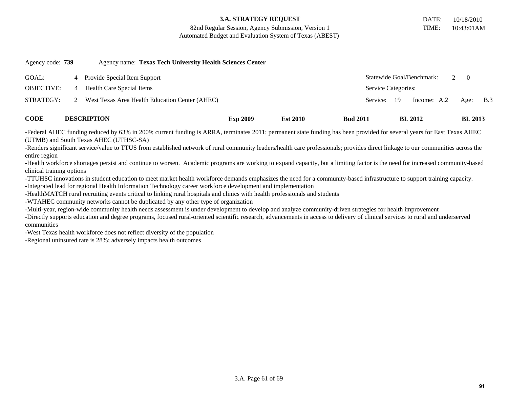| Agency code: 739  |                | <b>Agency name: Texas Tech University Health Sciences Center</b> |                 |                 |                 |                            |     |                           |                     |            |
|-------------------|----------------|------------------------------------------------------------------|-----------------|-----------------|-----------------|----------------------------|-----|---------------------------|---------------------|------------|
| GOAL:             |                | Provide Special Item Support                                     |                 |                 |                 |                            |     | Statewide Goal/Benchmark: | $\overline{0}$<br>2 |            |
| <b>OBJECTIVE:</b> | $\overline{4}$ | Health Care Special Items                                        |                 |                 |                 | <b>Service Categories:</b> |     |                           |                     |            |
| STRATEGY:         | 2              | West Texas Area Health Education Center (AHEC)                   |                 |                 |                 | Service:                   | -19 | Income: $A.2$             | Age:                | <b>B.3</b> |
| <b>CODE</b>       |                | <b>DESCRIPTION</b>                                               | <b>Exp 2009</b> | <b>Est 2010</b> | <b>Bud 2011</b> |                            |     | <b>BL 2012</b>            | <b>BL 2013</b>      |            |

-Federal AHEC funding reduced by 63% in 2009; current funding is ARRA, terminates 2011; permanent state funding has been provided for several years for East Texas AHEC (UTMB) and South Texas AHEC (UTHSC-SA)

-Renders significant service/value to TTUS from established network of rural community leaders/health care professionals; provides direct linkage to our communities across the entire region

-Health workforce shortages persist and continue to worsen. Academic programs are working to expand capacity, but a limiting factor is the need for increased community-based clinical training options

-TTUHSC innovations in student education to meet market health workforce demands emphasizes the need for a community-based infrastructure to support training capacity.

-Integrated lead for regional Health Information Technology career workforce development and implementation

-HealthMATCH rural recruiting events critical to linking rural hospitals and clinics with health professionals and students

-WTAHEC community networks cannot be duplicated by any other type of organization

-Multi-year, region-wide community health needs assessment is under development to develop and analyze community-driven strategies for health improvement

-Directly supports education and degree programs, focused rural-oriented scientific research, advancements in access to delivery of clinical services to rural and underserved communities

-West Texas health workforce does not reflect diversity of the population

-Regional uninsured rate is 28%; adversely impacts health outcomes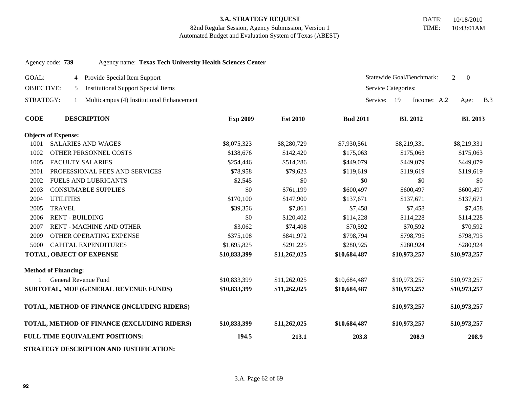| Agency code: 739                | <b>Agency name: Texas Tech University Health Sciences Center</b> |                 |                 |                 |                           |                                  |
|---------------------------------|------------------------------------------------------------------|-----------------|-----------------|-----------------|---------------------------|----------------------------------|
| GOAL:<br>$\overline{4}$         | Provide Special Item Support                                     |                 |                 |                 | Statewide Goal/Benchmark: | $\overline{2}$<br>$\overline{0}$ |
| <b>OBJECTIVE:</b><br>5          | <b>Institutional Support Special Items</b>                       |                 |                 |                 | Service Categories:       |                                  |
| STRATEGY:<br>1                  | Multicampus (4) Institutional Enhancement                        |                 |                 | Service: 19     | Income: A.2               | B.3<br>Age:                      |
| <b>CODE</b>                     | <b>DESCRIPTION</b>                                               | <b>Exp 2009</b> | <b>Est 2010</b> | <b>Bud 2011</b> | <b>BL</b> 2012            | <b>BL</b> 2013                   |
| <b>Objects of Expense:</b>      |                                                                  |                 |                 |                 |                           |                                  |
| 1001                            | <b>SALARIES AND WAGES</b>                                        | \$8,075,323     | \$8,280,729     | \$7,930,561     | \$8,219,331               | \$8,219,331                      |
| 1002                            | OTHER PERSONNEL COSTS                                            | \$138,676       | \$142,420       | \$175,063       | \$175,063                 | \$175,063                        |
| 1005<br><b>FACULTY SALARIES</b> |                                                                  | \$254,446       | \$514,286       | \$449,079       | \$449,079                 | \$449,079                        |
| 2001                            | PROFESSIONAL FEES AND SERVICES                                   | \$78,958        | \$79,623        | \$119,619       | \$119,619                 | \$119,619                        |
| 2002                            | <b>FUELS AND LUBRICANTS</b>                                      | \$2,545         | \$0             | \$0             | \$0                       | \$0                              |
| 2003                            | <b>CONSUMABLE SUPPLIES</b>                                       | \$0             | \$761,199       | \$600,497       | \$600,497                 | \$600,497                        |
| 2004<br><b>UTILITIES</b>        |                                                                  | \$170,100       | \$147,900       | \$137,671       | \$137,671                 | \$137,671                        |
| 2005<br><b>TRAVEL</b>           |                                                                  | \$39,356        | \$7,861         | \$7,458         | \$7,458                   | \$7,458                          |
| 2006<br><b>RENT - BUILDING</b>  |                                                                  | \$0             | \$120,402       | \$114,228       | \$114,228                 | \$114,228                        |
| 2007                            | <b>RENT - MACHINE AND OTHER</b>                                  | \$3,062         | \$74,408        | \$70,592        | \$70,592                  | \$70,592                         |
| 2009                            | OTHER OPERATING EXPENSE                                          | \$375,108       | \$841,972       | \$798,794       | \$798,795                 | \$798,795                        |
| 5000                            | CAPITAL EXPENDITURES                                             | \$1,695,825     | \$291,225       | \$280,925       | \$280,924                 | \$280,924                        |
| <b>TOTAL, OBJECT OF EXPENSE</b> |                                                                  | \$10,833,399    | \$11,262,025    | \$10,684,487    | \$10,973,257              | \$10,973,257                     |
| <b>Method of Financing:</b>     |                                                                  |                 |                 |                 |                           |                                  |
| General Revenue Fund            |                                                                  | \$10,833,399    | \$11,262,025    | \$10,684,487    | \$10,973,257              | \$10,973,257                     |
|                                 | SUBTOTAL, MOF (GENERAL REVENUE FUNDS)                            | \$10,833,399    | \$11,262,025    | \$10,684,487    | \$10,973,257              | \$10,973,257                     |
|                                 | TOTAL, METHOD OF FINANCE (INCLUDING RIDERS)                      |                 |                 |                 | \$10,973,257              | \$10,973,257                     |
|                                 | TOTAL, METHOD OF FINANCE (EXCLUDING RIDERS)                      | \$10,833,399    | \$11,262,025    | \$10,684,487    | \$10,973,257              | \$10,973,257                     |
| FULL TIME EQUIVALENT POSITIONS: |                                                                  | 194.5           | 213.1           | 203.8           | 208.9                     | 208.9                            |
|                                 | STRATEGY DESCRIPTION AND JUSTIFICATION:                          |                 |                 |                 |                           |                                  |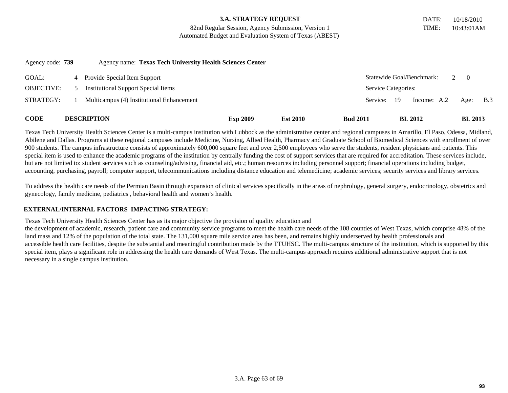| Agency code: 739  |   | <b>Agency name: Texas Tech University Health Sciences Center</b> |                 |                 |                 |                            |                           |                |     |
|-------------------|---|------------------------------------------------------------------|-----------------|-----------------|-----------------|----------------------------|---------------------------|----------------|-----|
| GOAL:             | 4 | Provide Special Item Support                                     |                 |                 |                 |                            | Statewide Goal/Benchmark: | $\overline{0}$ |     |
| <b>OBJECTIVE:</b> | 5 | <b>Institutional Support Special Items</b>                       |                 |                 |                 | <b>Service Categories:</b> |                           |                |     |
| STRATEGY:         |   | Multicampus (4) Institutional Enhancement                        |                 |                 |                 | Service: 19                | Income: $A.2$             | Age:           | B.3 |
| <b>CODE</b>       |   | <b>DESCRIPTION</b>                                               | <b>Exp 2009</b> | <b>Est 2010</b> | <b>Bud 2011</b> |                            | <b>BL 2012</b>            | <b>BL 2013</b> |     |

Texas Tech University Health Sciences Center is a multi-campus institution with Lubbock as the administrative center and regional campuses in Amarillo, El Paso, Odessa, Midland, Abilene and Dallas. Programs at these regional campuses include Medicine, Nursing, Allied Health, Pharmacy and Graduate School of Biomedical Sciences with enrollment of over 900 students. The campus infrastructure consists of approximately 600,000 square feet and over 2,500 employees who serve the students, resident physicians and patients. This special item is used to enhance the academic programs of the institution by centrally funding the cost of support services that are required for accreditation. These services include, but are not limited to: student services such as counseling/advising, financial aid, etc.; human resources including personnel support; financial operations including budget, accounting, purchasing, payroll; computer support, telecommunications including distance education and telemedicine; academic services; security services and library services.

To address the health care needs of the Permian Basin through expansion of clinical services specifically in the areas of nephrology, general surgery, endocrinology, obstetrics and gynecology, family medicine, pediatrics , behavioral health and women's health.

#### **EXTERNAL/INTERNAL FACTORS IMPACTING STRATEGY:**

Texas Tech University Health Sciences Center has as its major objective the provision of quality education and

the development of academic, research, patient care and community service programs to meet the health care needs of the 108 counties of West Texas, which comprise 48% of the land mass and 12% of the population of the total state. The 131,000 square mile service area has been, and remains highly underserved by health professionals and accessible health care facilities, despite the substantial and meaningful contribution made by the TTUHSC. The multi-campus structure of the institution, which is supported by this special item, plays a significant role in addressing the health care demands of West Texas. The multi-campus approach requires additional administrative support that is not necessary in a single campus institution.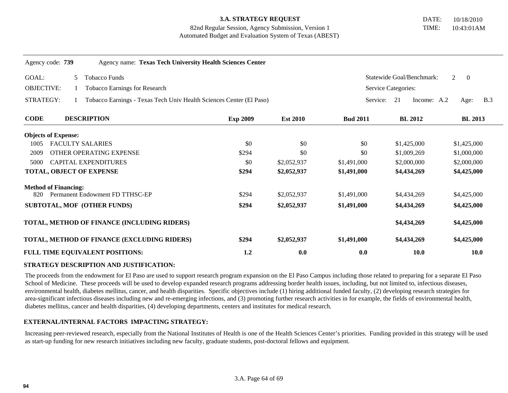#### Automated Budget and Evaluation System of Texas (ABEST) 82nd Regular Session, Agency Submission, Version 1 10:43:01 TIME: 10:43:01 AM

| Agency code: 739            |    | <b>Agency name: Texas Tech University Health Sciences Center</b>    |                 |                 |                 |                           |                                  |
|-----------------------------|----|---------------------------------------------------------------------|-----------------|-----------------|-----------------|---------------------------|----------------------------------|
| GOAL:                       | 5. | <b>Tobacco Funds</b>                                                |                 |                 |                 | Statewide Goal/Benchmark: | $\mathfrak{2}$<br>$\overline{0}$ |
| <b>OBJECTIVE:</b>           |    | <b>Tobacco Earnings for Research</b>                                |                 |                 |                 | Service Categories:       |                                  |
| STRATEGY:                   |    | Tobacco Earnings - Texas Tech Univ Health Sciences Center (El Paso) |                 |                 | Service:        | 21<br>Income: A.2         | <b>B.3</b><br>Age:               |
| <b>CODE</b>                 |    | <b>DESCRIPTION</b>                                                  | <b>Exp 2009</b> | <b>Est 2010</b> | <b>Bud 2011</b> | <b>BL 2012</b>            | <b>BL 2013</b>                   |
| <b>Objects of Expense:</b>  |    |                                                                     |                 |                 |                 |                           |                                  |
| 1005                        |    | <b>FACULTY SALARIES</b>                                             | \$0             | \$0             | \$0             | \$1,425,000               | \$1,425,000                      |
| 2009                        |    | OTHER OPERATING EXPENSE                                             | \$294           | \$0             | \$0             | \$1,009,269               | \$1,000,000                      |
| 5000                        |    | CAPITAL EXPENDITURES                                                | \$0             | \$2,052,937     | \$1,491,000     | \$2,000,000               | \$2,000,000                      |
|                             |    | TOTAL, OBJECT OF EXPENSE                                            | \$294           | \$2,052,937     | \$1,491,000     | \$4,434,269               | \$4,425,000                      |
| <b>Method of Financing:</b> |    |                                                                     |                 |                 |                 |                           |                                  |
| 820                         |    | Permanent Endowment FD TTHSC-EP                                     | \$294           | \$2,052,937     | \$1,491,000     | \$4,434,269               | \$4,425,000                      |
|                             |    | SUBTOTAL, MOF (OTHER FUNDS)                                         | \$294           | \$2,052,937     | \$1,491,000     | \$4,434,269               | \$4,425,000                      |
|                             |    | TOTAL, METHOD OF FINANCE (INCLUDING RIDERS)                         |                 |                 |                 | \$4,434,269               | \$4,425,000                      |
|                             |    | TOTAL, METHOD OF FINANCE (EXCLUDING RIDERS)                         | \$294           | \$2,052,937     | \$1,491,000     | \$4,434,269               | \$4,425,000                      |
|                             |    | FULL TIME EQUIVALENT POSITIONS:                                     | 1,2             | 0.0             | 0.0             | <b>10.0</b>               | <b>10.0</b>                      |

#### **STRATEGY DESCRIPTION AND JUSTIFICATION:**

The proceeds from the endowment for El Paso are used to support research program expansion on the El Paso Campus including those related to preparing for a separate El Paso School of Medicine. These proceeds will be used to develop expanded research programs addressing border health issues, including, but not limited to, infectious diseases, environmental health, diabetes mellitus, cancer, and health disparities. Specific objectives include (1) hiring additional funded faculty, (2) developing research strategies for area-significant infectious diseases including new and re-emerging infections, and (3) promoting further research activities in for example, the fields of environmental health, diabetes mellitus, cancer and health disparities, (4) developing departments, centers and institutes for medical research.

#### **EXTERNAL/INTERNAL FACTORS IMPACTING STRATEGY:**

Increasing peer-reviewed research, especially from the National Institutes of Health is one of the Health Sciences Center's priorities. Funding provided in this strategy will be used as start-up funding for new research initiatives including new faculty, graduate students, post-doctoral fellows and equipment.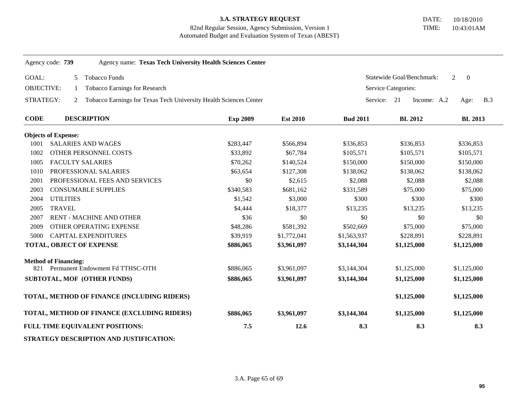| Agency code: 739                                               | Agency name: Texas Tech University Health Sciences Center         |                 |                 |                            |                                  |
|----------------------------------------------------------------|-------------------------------------------------------------------|-----------------|-----------------|----------------------------|----------------------------------|
| <b>Tobacco Funds</b><br>GOAL:<br>5                             |                                                                   |                 |                 | Statewide Goal/Benchmark:  | $\overline{2}$<br>$\overline{0}$ |
| <b>OBJECTIVE:</b><br><b>Tobacco Earnings for Research</b><br>1 |                                                                   |                 |                 | Service Categories:        |                                  |
| STRATEGY:<br>2                                                 | Tobacco Earnings for Texas Tech University Health Sciences Center |                 |                 | Service: 21<br>Income: A.2 | B.3<br>Age:                      |
| <b>CODE</b><br><b>DESCRIPTION</b>                              | <b>Exp 2009</b>                                                   | <b>Est 2010</b> | <b>Bud 2011</b> | <b>BL</b> 2012             | <b>BL</b> 2013                   |
| <b>Objects of Expense:</b>                                     |                                                                   |                 |                 |                            |                                  |
| <b>SALARIES AND WAGES</b><br>1001                              | \$283,447                                                         | \$566,894       | \$336,853       | \$336,853                  | \$336,853                        |
| OTHER PERSONNEL COSTS<br>1002                                  | \$33,892                                                          | \$67,784        | \$105,571       | \$105,571                  | \$105,571                        |
| <b>FACULTY SALARIES</b><br>1005                                | \$70,262                                                          | \$140,524       | \$150,000       | \$150,000                  | \$150,000                        |
| PROFESSIONAL SALARIES<br>1010                                  | \$63,654                                                          | \$127,308       | \$138,062       | \$138,062                  | \$138,062                        |
| 2001<br>PROFESSIONAL FEES AND SERVICES                         | \$0                                                               | \$2,615         | \$2,088         | \$2,088                    | \$2,088                          |
| 2003<br><b>CONSUMABLE SUPPLIES</b>                             | \$340,583                                                         | \$681,162       | \$331,589       | \$75,000                   | \$75,000                         |
| <b>UTILITIES</b><br>2004                                       | \$1,542                                                           | \$3,000         | \$300           | \$300                      | \$300                            |
| 2005<br><b>TRAVEL</b>                                          | \$4,444                                                           | \$18,377        | \$13,235        | \$13,235                   | \$13,235                         |
| 2007<br><b>RENT - MACHINE AND OTHER</b>                        | \$36                                                              | \$0             | \$0             | \$0                        | \$0                              |
| 2009<br>OTHER OPERATING EXPENSE                                | \$48,286                                                          | \$581,392       | \$502,669       | \$75,000                   | \$75,000                         |
| 5000<br><b>CAPITAL EXPENDITURES</b>                            | \$39,919                                                          | \$1,772,041     | \$1,563,937     | \$228,891                  | \$228,891                        |
| TOTAL, OBJECT OF EXPENSE                                       | \$886,065                                                         | \$3,961,097     | \$3,144,304     | \$1,125,000                | \$1,125,000                      |
| <b>Method of Financing:</b>                                    |                                                                   |                 |                 |                            |                                  |
| Permanent Endowment Fd TTHSC-OTH<br>821                        | \$886,065                                                         | \$3,961,097     | \$3,144,304     | \$1,125,000                | \$1,125,000                      |
| SUBTOTAL, MOF (OTHER FUNDS)                                    | \$886,065                                                         | \$3,961,097     | \$3,144,304     | \$1,125,000                | \$1,125,000                      |
| TOTAL, METHOD OF FINANCE (INCLUDING RIDERS)                    |                                                                   |                 |                 | \$1,125,000                | \$1,125,000                      |
| TOTAL, METHOD OF FINANCE (EXCLUDING RIDERS)                    | \$886,065                                                         | \$3,961,097     | \$3,144,304     | \$1,125,000                | \$1,125,000                      |
| FULL TIME EQUIVALENT POSITIONS:                                | 7.5                                                               | 12.6            | 8.3             | 8.3                        | 8.3                              |
| STRATEGY DESCRIPTION AND JUSTIFICATION:                        |                                                                   |                 |                 |                            |                                  |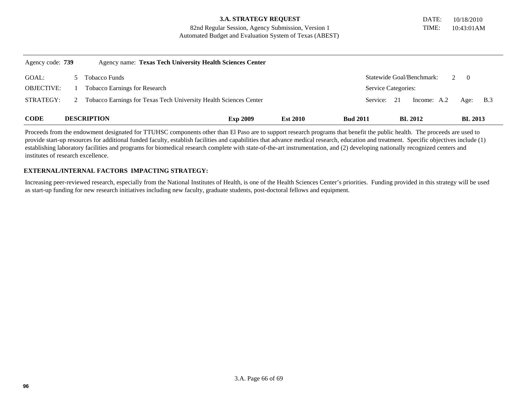| Agency code: 739  |   | <b>Agency name: Texas Tech University Health Sciences Center</b>  |                 |                 |                 |                     |                           |                |     |
|-------------------|---|-------------------------------------------------------------------|-----------------|-----------------|-----------------|---------------------|---------------------------|----------------|-----|
| GOAL:             |   | <b>Tobacco Funds</b>                                              |                 |                 |                 |                     | Statewide Goal/Benchmark: | $2 \quad 0$    |     |
| <b>OBJECTIVE:</b> |   | <b>Tobacco Earnings for Research</b>                              |                 |                 |                 | Service Categories: |                           |                |     |
| STRATEGY:         | 2 | Tobacco Earnings for Texas Tech University Health Sciences Center |                 |                 |                 | Service: 21         | Income: A.2               | Age:           | B.3 |
| <b>CODE</b>       |   | <b>DESCRIPTION</b>                                                | <b>Exp 2009</b> | <b>Est 2010</b> | <b>Bud 2011</b> |                     | <b>BL 2012</b>            | <b>BL 2013</b> |     |

Proceeds from the endowment designated for TTUHSC components other than El Paso are to support research programs that benefit the public health. The proceeds are used to provide start-up resources for additional funded faculty, establish facilities and capabilities that advance medical research, education and treatment. Specific objectives include (1) establishing laboratory facilities and programs for biomedical research complete with state-of-the-art instrumentation, and (2) developing nationally recognized centers and institutes of research excellence.

#### **EXTERNAL/INTERNAL FACTORS IMPACTING STRATEGY:**

Increasing peer-reviewed research, especially from the National Institutes of Health, is one of the Health Sciences Center's priorities. Funding provided in this strategy will be used as start-up funding for new research initiatives including new faculty, graduate students, post-doctoral fellows and equipment.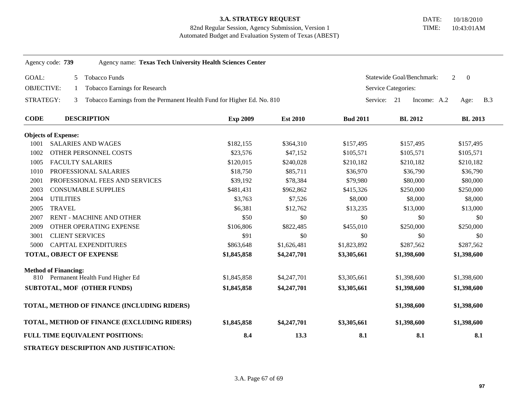|                   | Agency code: 739            | Agency name: Texas Tech University Health Sciences Center              |                 |                 |                 |                           |                       |
|-------------------|-----------------------------|------------------------------------------------------------------------|-----------------|-----------------|-----------------|---------------------------|-----------------------|
| GOAL:             | 5                           | <b>Tobacco Funds</b>                                                   |                 |                 |                 | Statewide Goal/Benchmark: | 2<br>$\boldsymbol{0}$ |
| <b>OBJECTIVE:</b> | 1                           | <b>Tobacco Earnings for Research</b>                                   |                 |                 |                 | Service Categories:       |                       |
| STRATEGY:         | 3                           | Tobacco Earnings from the Permanent Health Fund for Higher Ed. No. 810 |                 |                 | Service:        | 21<br>Income: A.2         | B.3<br>Age:           |
| <b>CODE</b>       | <b>DESCRIPTION</b>          |                                                                        | <b>Exp 2009</b> | <b>Est 2010</b> | <b>Bud 2011</b> | <b>BL</b> 2012            | <b>BL</b> 2013        |
|                   | <b>Objects of Expense:</b>  |                                                                        |                 |                 |                 |                           |                       |
| 1001              | <b>SALARIES AND WAGES</b>   |                                                                        | \$182,155       | \$364,310       | \$157,495       | \$157,495                 | \$157,495             |
| 1002              | OTHER PERSONNEL COSTS       |                                                                        | \$23,576        | \$47,152        | \$105,571       | \$105,571                 | \$105,571             |
| 1005              | <b>FACULTY SALARIES</b>     |                                                                        | \$120,015       | \$240,028       | \$210,182       | \$210,182                 | \$210,182             |
| 1010              | PROFESSIONAL SALARIES       |                                                                        | \$18,750        | \$85,711        | \$36,970        | \$36,790                  | \$36,790              |
| 2001              |                             | PROFESSIONAL FEES AND SERVICES                                         | \$39,192        | \$78,384        | \$79,980        | \$80,000                  | \$80,000              |
| 2003              | <b>CONSUMABLE SUPPLIES</b>  |                                                                        | \$481,431       | \$962,862       | \$415,326       | \$250,000                 | \$250,000             |
| 2004              | <b>UTILITIES</b>            |                                                                        | \$3,763         | \$7,526         | \$8,000         | \$8,000                   | \$8,000               |
| 2005              | <b>TRAVEL</b>               |                                                                        | \$6,381         | \$12,762        | \$13,235        | \$13,000                  | \$13,000              |
| 2007              |                             | <b>RENT - MACHINE AND OTHER</b>                                        | \$50            | \$0             | \$0             | \$0                       | \$0                   |
| 2009              |                             | OTHER OPERATING EXPENSE                                                | \$106,806       | \$822,485       | \$455,010       | \$250,000                 | \$250,000             |
| 3001              | <b>CLIENT SERVICES</b>      |                                                                        | \$91            | \$0             | \$0             | \$0                       | \$0                   |
| 5000              | <b>CAPITAL EXPENDITURES</b> |                                                                        | \$863,648       | \$1,626,481     | \$1,823,892     | \$287,562                 | \$287,562             |
|                   | TOTAL, OBJECT OF EXPENSE    |                                                                        | \$1,845,858     | \$4,247,701     | \$3,305,661     | \$1,398,600               | \$1,398,600           |
|                   | <b>Method of Financing:</b> |                                                                        |                 |                 |                 |                           |                       |
| 810               |                             | Permanent Health Fund Higher Ed                                        | \$1,845,858     | \$4,247,701     | \$3,305,661     | \$1,398,600               | \$1,398,600           |
|                   | SUBTOTAL, MOF (OTHER FUNDS) |                                                                        | \$1,845,858     | \$4,247,701     | \$3,305,661     | \$1,398,600               | \$1,398,600           |
|                   |                             | TOTAL, METHOD OF FINANCE (INCLUDING RIDERS)                            |                 |                 |                 | \$1,398,600               | \$1,398,600           |
|                   |                             | TOTAL, METHOD OF FINANCE (EXCLUDING RIDERS)                            | \$1,845,858     | \$4,247,701     | \$3,305,661     | \$1,398,600               | \$1,398,600           |
|                   |                             | FULL TIME EQUIVALENT POSITIONS:                                        | 8.4             | 13.3            | 8.1             | 8.1                       | 8.1                   |
|                   |                             | STRATEGY DESCRIPTION AND JUSTIFICATION:                                |                 |                 |                 |                           |                       |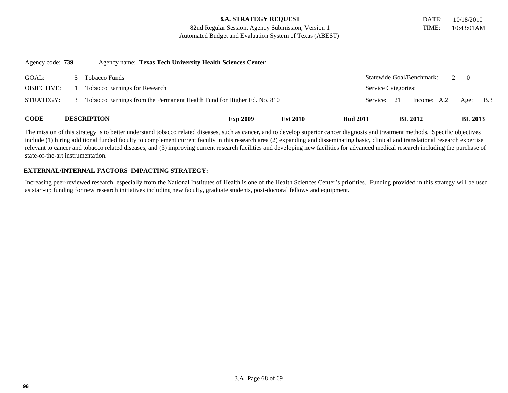| Agency code: 739  |   | Agency name: Texas Tech University Health Sciences Center              |                 |                 |                 |                     |                           |                |     |
|-------------------|---|------------------------------------------------------------------------|-----------------|-----------------|-----------------|---------------------|---------------------------|----------------|-----|
| GOAL:             |   | Tobacco Funds                                                          |                 |                 |                 |                     | Statewide Goal/Benchmark: | $2 \quad 0$    |     |
| <b>OBJECTIVE:</b> |   | <b>Tobacco Earnings for Research</b>                                   |                 |                 |                 | Service Categories: |                           |                |     |
| STRATEGY:         | 3 | Tobacco Earnings from the Permanent Health Fund for Higher Ed. No. 810 |                 |                 |                 | Service: 21         | Income: A.2               | Age:           | B.3 |
| <b>CODE</b>       |   | <b>DESCRIPTION</b>                                                     | <b>Exp 2009</b> | <b>Est 2010</b> | <b>Bud 2011</b> |                     | <b>BL 2012</b>            | <b>BL 2013</b> |     |

The mission of this strategy is to better understand tobacco related diseases, such as cancer, and to develop superior cancer diagnosis and treatment methods. Specific objectives include (1) hiring additional funded faculty to complement current faculty in this research area (2) expanding and disseminating basic, clinical and translational research expertise relevant to cancer and tobacco related diseases, and (3) improving current research facilities and developing new facilities for advanced medical research including the purchase of state-of-the-art instrumentation.

#### **EXTERNAL/INTERNAL FACTORS IMPACTING STRATEGY:**

Increasing peer-reviewed research, especially from the National Institutes of Health is one of the Health Sciences Center's priorities. Funding provided in this strategy will be used as start-up funding for new research initiatives including new faculty, graduate students, post-doctoral fellows and equipment.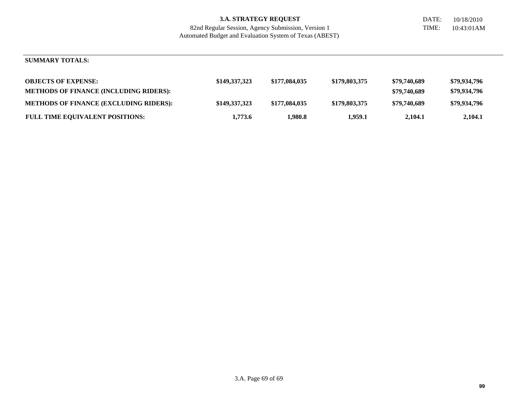Automated Budget and Evaluation System of Texas (ABEST) 82nd Regular Session, Agency Submission, Version 1 TIME: 10:43:01AM

#### **SUMMARY TOTALS:**

| <b>OBJECTS OF EXPENSE:</b><br><b>METHODS OF FINANCE (INCLUDING RIDERS):</b> | \$149,337,323 | \$177,084,035 | \$179,803,375 | \$79,740,689<br>\$79,740,689 | \$79,934,796<br>\$79,934,796 |
|-----------------------------------------------------------------------------|---------------|---------------|---------------|------------------------------|------------------------------|
| <b>METHODS OF FINANCE (EXCLUDING RIDERS):</b>                               | \$149,337,323 | \$177,084,035 | \$179,803,375 | \$79,740,689                 | \$79,934,796                 |
| <b>FULL TIME EQUIVALENT POSITIONS:</b>                                      | 1.773.6       | 1,980.8       | 1,959.1       | 2,104.1                      | 2,104.1                      |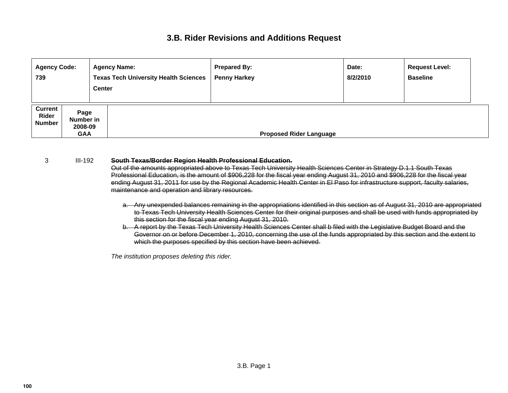## **3.B. Rider Revisions and Additions Request**

| <b>Agency Code:</b><br>739               |                                            | <b>Center</b> | <b>Agency Name:</b><br><b>Texas Tech University Health Sciences</b> | <b>Prepared By:</b><br><b>Penny Harkey</b> | Date:<br>8/2/2010 | <b>Request Level:</b><br><b>Baseline</b> |  |
|------------------------------------------|--------------------------------------------|---------------|---------------------------------------------------------------------|--------------------------------------------|-------------------|------------------------------------------|--|
| <b>Current</b><br>Rider<br><b>Number</b> | Page<br>Number in<br>2008-09<br><b>GAA</b> |               |                                                                     | <b>Proposed Rider Language</b>             |                   |                                          |  |

3 III-192 **South Texas/Border Region Health Professional Education.**

Out of the amounts appropriated above to Texas Tech University Health Sciences Center in Strategy D.1.1 South Texas Professional Education, is the amount of \$906,228 for the fiscal year ending August 31, 2010 and \$906,228 for the fiscal year ending August 31, 2011 for use by the Regional Academic Health Center in El Paso for infrastructure support, faculty salaries, maintenance and operation and library resources.

- a. Any unexpended balances remaining in the appropriations identified in this section as of August 31, 2010 are appropriated to Texas Tech University Health Sciences Center for their original purposes and shall be used with funds appropriated by this section for the fiscal year ending August 31, 2010.
- b. A report by the Texas Tech University Health Sciences Center shall b filed with the Legislative Budget Board and the Governor on or before December 1, 2010, concerning the use of the funds appropriated by this section and the extent to which the purposes specified by this section have been achieved.

*The institution proposes deleting this rider.*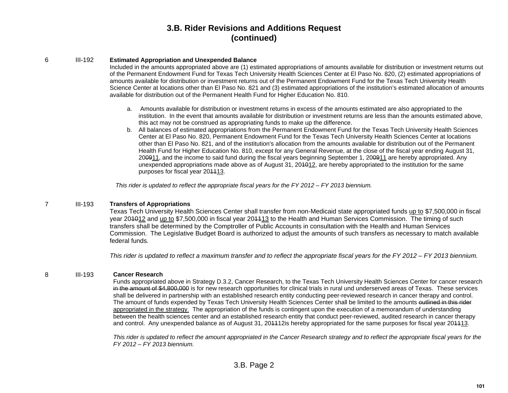## **3.B. Rider Revisions and Additions Request (continued)**

#### 6 III-192 **Estimated Appropriation and Unexpended Balance**

Included in the amounts appropriated above are (1) estimated appropriations of amounts available for distribution or investment returns out of the Permanent Endowment Fund for Texas Tech University Health Sciences Center at El Paso No. 820, (2) estimated appropriations of amounts available for distribution or investment returns out of the Permanent Endowment Fund for the Texas Tech University Health Science Center at locations other than El Paso No. 821 and (3) estimated appropriations of the institution's estimated allocation of amounts available for distribution out of the Permanent Health Fund for Higher Education No. 810.

- a. Amounts available for distribution or investment returns in excess of the amounts estimated are also appropriated to the institution. In the event that amounts available for distribution or investment returns are less than the amounts estimated above, this act may not be construed as appropriating funds to make up the difference.
- b. All balances of estimated appropriations from the Permanent Endowment Fund for the Texas Tech University Health Sciences Center at El Paso No. 820, Permanent Endowment Fund for the Texas Tech University Health Sciences Center at locations other than El Paso No. 821, and of the institution's allocation from the amounts available for distribution out of the Permanent Health Fund for Higher Education No. 810, except for any General Revenue, at the close of the fiscal year ending August 31, 200911, and the income to said fund during the fiscal years beginning September 1, 200911 are hereby appropriated. Any unexpended appropriations made above as of August 31, 20<del>1012</del>, are hereby appropriated to the institution for the same purposes for fiscal year 204413.

*This rider is updated to reflect the appropriate fiscal years for the FY 2012 – FY 2013 biennium.* 

### 7 III-193 **Transfers of Appropriations**

Texas Tech University Health Sciences Center shall transfer from non-Medicaid state appropriated funds up to \$7,500,000 in fiscal year 204012 and up to \$7,500,000 in fiscal year 204413 to the Health and Human Services Commission. The timing of such transfers shall be determined by the Comptroller of Public Accounts in consultation with the Health and Human Services Commission. The Legislative Budget Board is authorized to adjust the amounts of such transfers as necessary to match available federal funds.

*This rider is updated to reflect a maximum transfer and to reflect the appropriate fiscal years for the FY 2012 – FY 2013 biennium.* 

### 8 III-193 **Cancer Research**

Funds appropriated above in Strategy D.3.2, Cancer Research, to the Texas Tech University Health Sciences Center for cancer research in the amount of \$4,800,000 is for new research opportunities for clinical trials in rural und underserved areas of Texas. These services shall be delivered in partnership with an established research entity conducting peer-reviewed research in cancer therapy and control. The amount of funds expended by Texas Tech University Health Sciences Center shall be limited to the amounts outlined in this rider appropriated in the strategy. The appropriation of the funds is contingent upon the execution of a memorandum of understanding between the health sciences center and an established research entity that conduct peer-reviewed, audited research in cancer therapy and control. Any unexpended balance as of August 31, 204412 is hereby appropriated for the same purposes for fiscal year 204413.

*This rider is updated to reflect the amount appropriated in the Cancer Research strategy and to reflect the appropriate fiscal years for the FY 2012 – FY 2013 biennium.*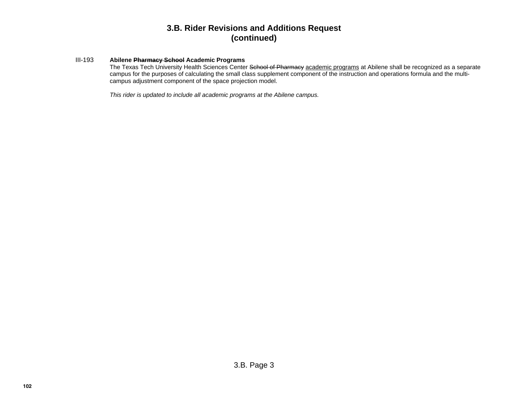## **3.B. Rider Revisions and Additions Request (continued)**

## III-193 **Abilene Pharmacy School Academic Programs**

The Texas Tech University Health Sciences Center School of Pharmacy academic programs at Abilene shall be recognized as a separate campus for the purposes of calculating the small class supplement component of the instruction and operations formula and the multicampus adjustment component of the space projection model.

*This rider is updated to include all academic programs at the Abilene campus.*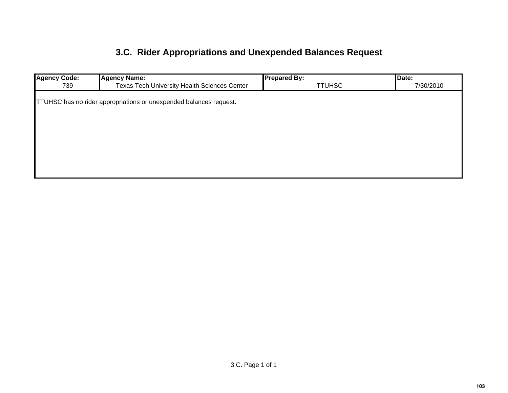## **3.C. Rider Appropriations and Unexpended Balances Request**

| <b>Agency Code:</b>                                                | <b>Agency Name:</b>                                 | <b>Prepared By:</b> | Date:     |  |  |  |  |  |  |  |
|--------------------------------------------------------------------|-----------------------------------------------------|---------------------|-----------|--|--|--|--|--|--|--|
| 739                                                                | <b>Texas Tech University Health Sciences Center</b> | <b>TTUHSC</b>       | 7/30/2010 |  |  |  |  |  |  |  |
| TTUHSC has no rider appropriations or unexpended balances request. |                                                     |                     |           |  |  |  |  |  |  |  |
|                                                                    |                                                     |                     |           |  |  |  |  |  |  |  |
|                                                                    |                                                     |                     |           |  |  |  |  |  |  |  |
|                                                                    |                                                     |                     |           |  |  |  |  |  |  |  |
|                                                                    |                                                     |                     |           |  |  |  |  |  |  |  |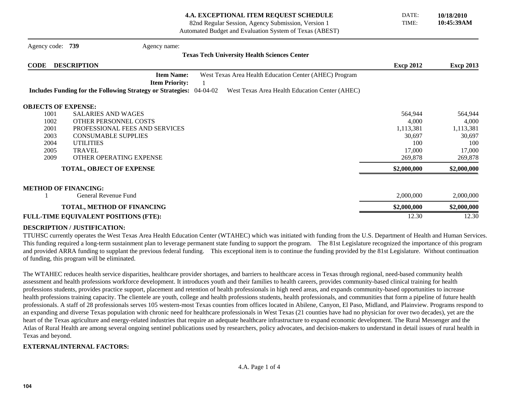**4.A. EXCEPTIONAL ITEM REQUEST SCHEDULE**

DATE:

TIME:

**10/18/2010**

**10:45:39AM**

82nd Regular Session, Agency Submission, Version 1

Automated Budget and Evaluation System of Texas (ABEST)

| Agency code: |      | 739                         | Agency name:                                                        |                                                        |                  |                  |
|--------------|------|-----------------------------|---------------------------------------------------------------------|--------------------------------------------------------|------------------|------------------|
|              |      |                             |                                                                     | <b>Texas Tech University Health Sciences Center</b>    |                  |                  |
| <b>CODE</b>  |      | <b>DESCRIPTION</b>          |                                                                     |                                                        | <b>Excp 2012</b> | <b>Excp 2013</b> |
|              |      |                             | <b>Item Name:</b><br><b>Item Priority:</b>                          | West Texas Area Health Education Center (AHEC) Program |                  |                  |
|              |      |                             | Includes Funding for the Following Strategy or Strategies: 04-04-02 | West Texas Area Health Education Center (AHEC)         |                  |                  |
|              |      | <b>OBJECTS OF EXPENSE:</b>  |                                                                     |                                                        |                  |                  |
|              | 1001 |                             | <b>SALARIES AND WAGES</b>                                           |                                                        | 564,944          | 564,944          |
|              | 1002 |                             | OTHER PERSONNEL COSTS                                               |                                                        | 4,000            | 4,000            |
|              | 2001 |                             | PROFESSIONAL FEES AND SERVICES                                      |                                                        | 1,113,381        | 1,113,381        |
|              | 2003 |                             | <b>CONSUMABLE SUPPLIES</b>                                          |                                                        | 30,697           | 30,697           |
|              | 2004 | <b>UTILITIES</b>            |                                                                     |                                                        | 100              | 100              |
|              | 2005 | <b>TRAVEL</b>               |                                                                     |                                                        | 17,000           | 17,000           |
|              | 2009 |                             | OTHER OPERATING EXPENSE                                             |                                                        | 269,878          | 269,878          |
|              |      |                             | <b>TOTAL, OBJECT OF EXPENSE</b>                                     |                                                        | \$2,000,000      | \$2,000,000      |
|              |      | <b>METHOD OF FINANCING:</b> |                                                                     |                                                        |                  |                  |
|              |      |                             | General Revenue Fund                                                |                                                        | 2,000,000        | 2,000,000        |
|              |      |                             | TOTAL, METHOD OF FINANCING                                          |                                                        | \$2,000,000      | \$2,000,000      |
|              |      |                             | <b>FULL-TIME EQUIVALENT POSITIONS (FTE):</b>                        |                                                        | 12.30            | 12.30            |

### **DESCRIPTION / JUSTIFICATION:**

TTUHSC currently operates the West Texas Area Health Education Center (WTAHEC) which was initiated with funding from the U.S. Department of Health and Human Services. This funding required a long-term sustainment plan to leverage permanent state funding to support the program. The 81st Legislature recognized the importance of this program and provided ARRA funding to supplant the previous federal funding. This exceptional item is to continue the funding provided by the 81st Legislature. Without continuation of funding, this program will be eliminated.

The WTAHEC reduces health service disparities, healthcare provider shortages, and barriers to healthcare access in Texas through regional, need-based community health assessment and health professions workforce development. It introduces youth and their families to health careers, provides community-based clinical training for health professions students, provides practice support, placement and retention of health professionals in high need areas, and expands community-based opportunities to increase health professions training capacity. The clientele are youth, college and health professions students, health professionals, and communities that form a pipeline of future health professionals. A staff of 28 professionals serves 105 western-most Texas counties from offices located in Abilene, Canyon, El Paso, Midland, and Plainview. Programs respond to an expanding and diverse Texas population with chronic need for healthcare professionals in West Texas (21 counties have had no physician for over two decades), yet are the heart of the Texas agriculture and energy-related industries that require an adequate healthcare infrastructure to expand economic development. The Rural Messenger and the Atlas of Rural Health are among several ongoing sentinel publications used by researchers, policy advocates, and decision-makers to understand in detail issues of rural health in Texas and beyond.

#### **EXTERNAL/INTERNAL FACTORS:**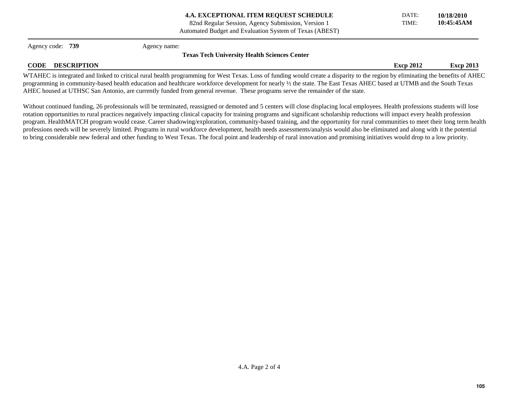#### DATE: **10/18/2010**TIME:**10:45:45AM**

Agency code: **739** Agency name:

## **Texas Tech University Health Sciences Center**

### **CODE DESCRIPTION**

**Excp 2012 Excp 2013**

WTAHEC is integrated and linked to critical rural health programming for West Texas. Loss of funding would create a disparity to the region by eliminating the benefits of AHEC programming in community-based health education and healthcare workforce development for nearly ½ the state. The East Texas AHEC based at UTMB and the South Texas AHEC housed at UTHSC San Antonio, are currently funded from general revenue. These programs serve the remainder of the state.

Without continued funding, 26 professionals will be terminated, reassigned or demoted and 5 centers will close displacing local employees. Health professions students will lose rotation opportunities to rural practices negatively impacting clinical capacity for training programs and significant scholarship reductions will impact every health profession program. HealthMATCH program would cease. Career shadowing/exploration, community-based training, and the opportunity for rural communities to meet their long term health professions needs will be severely limited. Programs in rural workforce development, health needs assessments/analysis would also be eliminated and along with it the potential to bring considerable new federal and other funding to West Texas. The focal point and leadership of rural innovation and promising initiatives would drop to a low priority.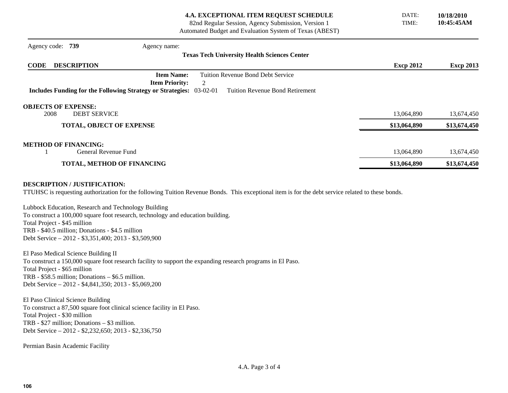**4.A. EXCEPTIONAL ITEM REQUEST SCHEDULE**

82nd Regular Session, Agency Submission, Version 1

Automated Budget and Evaluation System of Texas (ABEST)

DATE: **10/18/2010** TIME:**10:45:45AM**

| Agency code: |      | 739                                               | Agency name:                                                        |   |                                                                                                                                                   |                  |                  |
|--------------|------|---------------------------------------------------|---------------------------------------------------------------------|---|---------------------------------------------------------------------------------------------------------------------------------------------------|------------------|------------------|
|              |      |                                                   |                                                                     |   | <b>Texas Tech University Health Sciences Center</b>                                                                                               |                  |                  |
| <b>CODE</b>  |      | <b>DESCRIPTION</b>                                |                                                                     |   |                                                                                                                                                   | <b>Excp 2012</b> | <b>Excp 2013</b> |
|              |      |                                                   | <b>Item Name:</b><br><b>Item Priority:</b>                          | 2 | Tuition Revenue Bond Debt Service                                                                                                                 |                  |                  |
|              |      |                                                   | Includes Funding for the Following Strategy or Strategies: 03-02-01 |   | <b>Tuition Revenue Bond Retirement</b>                                                                                                            |                  |                  |
|              | 2008 | <b>OBJECTS OF EXPENSE:</b><br><b>DEBT SERVICE</b> |                                                                     |   |                                                                                                                                                   |                  |                  |
|              |      |                                                   |                                                                     |   |                                                                                                                                                   | 13,064,890       | 13,674,450       |
|              |      |                                                   | <b>TOTAL, OBJECT OF EXPENSE</b>                                     |   |                                                                                                                                                   | \$13,064,890     | \$13,674,450     |
|              |      | <b>METHOD OF FINANCING:</b>                       | General Revenue Fund                                                |   |                                                                                                                                                   | 13,064,890       | 13,674,450       |
|              |      |                                                   | TOTAL, METHOD OF FINANCING                                          |   |                                                                                                                                                   | \$13,064,890     | \$13,674,450     |
|              |      | DESCRIPTION / JUSTIFICATION:                      |                                                                     |   | TTUHSC is requesting authorization for the following Tuition Revenue Bonds. This exceptional item is for the debt service related to these bonds. |                  |                  |

Lubbock Education, Research and Technology Building To construct a 100,000 square foot research, technology and education building. Total Project - \$45 million TRB - \$40.5 million; Donations - \$4.5 million Debt Service – 2012 - \$3,351,400; 2013 - \$3,509,900

El Paso Medical Science Building II To construct a 150,000 square foot research facility to support the expanding research programs in El Paso. Total Project - \$65 million TRB - \$58.5 million; Donations – \$6.5 million. Debt Service – 2012 - \$4,841,350; 2013 - \$5,069,200

El Paso Clinical Science Building To construct a 87,500 square foot clinical science facility in El Paso. Total Project - \$30 million TRB - \$27 million; Donations – \$3 million. Debt Service – 2012 - \$2,232,650; 2013 - \$2,336,750

Permian Basin Academic Facility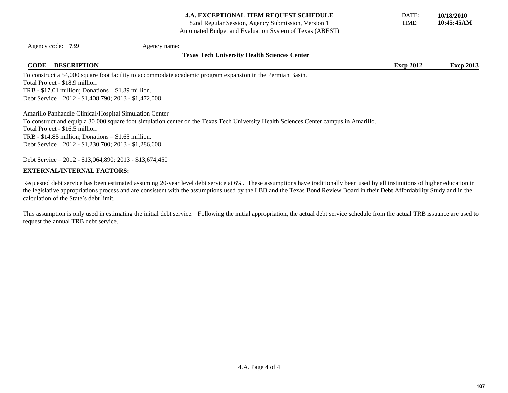82nd Regular Session, Agency Submission, Version 1

Automated Budget and Evaluation System of Texas (ABEST)

| Agency code: 739 |                                                      | Agency name:                                                                                                                          |                  |                  |
|------------------|------------------------------------------------------|---------------------------------------------------------------------------------------------------------------------------------------|------------------|------------------|
|                  |                                                      | <b>Texas Tech University Health Sciences Center</b>                                                                                   |                  |                  |
| <b>CODE</b>      | <b>DESCRIPTION</b>                                   |                                                                                                                                       | <b>Excp 2012</b> | <b>Excp 2013</b> |
|                  |                                                      | To construct a 54,000 square foot facility to accommodate academic program expansion in the Permian Basin.                            |                  |                  |
|                  | Total Project - \$18.9 million                       |                                                                                                                                       |                  |                  |
|                  | TRB - $$17.01$ million; Donations $- $1.89$ million. |                                                                                                                                       |                  |                  |
|                  |                                                      | Debt Service – 2012 - \$1,408,790; 2013 - \$1,472,000                                                                                 |                  |                  |
|                  |                                                      | Amarillo Panhandle Clinical/Hospital Simulation Center                                                                                |                  |                  |
|                  |                                                      | To construct and equip a 30,000 square foot simulation center on the Texas Tech University Health Sciences Center campus in Amarillo. |                  |                  |
|                  | Total Project - \$16.5 million                       |                                                                                                                                       |                  |                  |
|                  | TRB - $$14.85$ million; Donations $- $1.65$ million. |                                                                                                                                       |                  |                  |
|                  |                                                      | Debt Service – 2012 - \$1,230,700; 2013 - \$1,286,600                                                                                 |                  |                  |
|                  |                                                      | Debt Service - 2012 - \$13,064,890; 2013 - \$13,674,450                                                                               |                  |                  |
|                  | <b>EXTERNAL/INTERNAL FACTORS:</b>                    |                                                                                                                                       |                  |                  |

Requested debt service has been estimated assuming 20-year level debt service at 6%. These assumptions have traditionally been used by all institutions of higher education in the legislative appropriations process and are consistent with the assumptions used by the LBB and the Texas Bond Review Board in their Debt Affordability Study and in the calculation of the State's debt limit.

This assumption is only used in estimating the initial debt service. Following the initial appropriation, the actual debt service schedule from the actual TRB issuance are used to request the annual TRB debt service.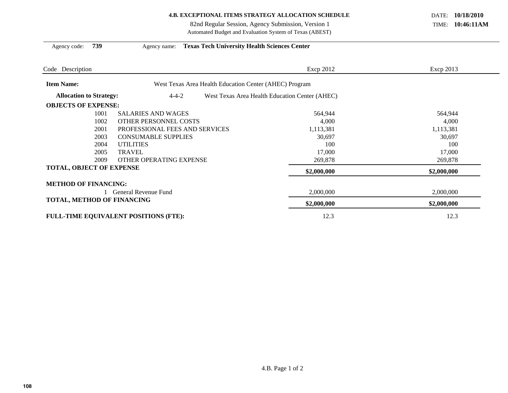#### **4.B. EXCEPTIONAL ITEMS STRATEGY ALLOCATION SCHEDULE**

Automated Budget and Evaluation System of Texas (ABEST) 82nd Regular Session, Agency Submission, Version 1

DATE: **10/18/2010**

TIME: **10:46:11AM**

Agency code: **739**

## **Texas Tech University Health Sciences Center**

| Code Description                |                                              | Excp 2012                                              | Excp 2013   |
|---------------------------------|----------------------------------------------|--------------------------------------------------------|-------------|
| <b>Item Name:</b>               |                                              | West Texas Area Health Education Center (AHEC) Program |             |
| <b>Allocation to Strategy:</b>  | $4 - 4 - 2$                                  | West Texas Area Health Education Center (AHEC)         |             |
| <b>OBJECTS OF EXPENSE:</b>      |                                              |                                                        |             |
| 1001                            | <b>SALARIES AND WAGES</b>                    | 564,944                                                | 564,944     |
| 1002                            | OTHER PERSONNEL COSTS                        | 4,000                                                  | 4,000       |
| 2001                            | PROFESSIONAL FEES AND SERVICES               | 1,113,381                                              | 1,113,381   |
| 2003                            | <b>CONSUMABLE SUPPLIES</b>                   | 30,697                                                 | 30,697      |
| 2004                            | <b>UTILITIES</b>                             | 100                                                    | 100         |
| 2005                            | <b>TRAVEL</b>                                | 17,000                                                 | 17,000      |
| 2009                            | OTHER OPERATING EXPENSE                      | 269,878                                                | 269,878     |
| <b>TOTAL, OBJECT OF EXPENSE</b> |                                              | \$2,000,000                                            | \$2,000,000 |
| <b>METHOD OF FINANCING:</b>     |                                              |                                                        |             |
|                                 | General Revenue Fund                         | 2,000,000                                              | 2,000,000   |
| TOTAL, METHOD OF FINANCING      |                                              | \$2,000,000                                            | \$2,000,000 |
|                                 | <b>FULL-TIME EQUIVALENT POSITIONS (FTE):</b> | 12.3                                                   | 12.3        |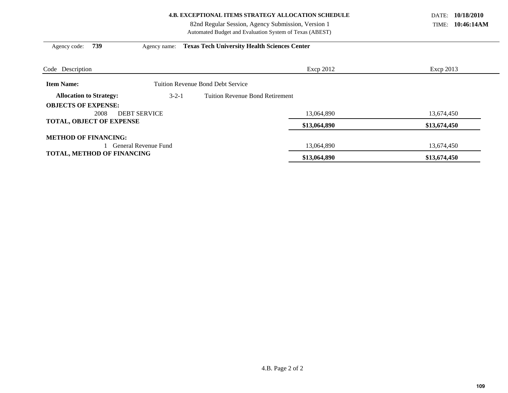#### **4.B. EXCEPTIONAL ITEMS STRATEGY ALLOCATION SCHEDULE**

Automated Budget and Evaluation System of Texas (ABEST) 82nd Regular Session, Agency Submission, Version 1

DATE: **10/18/2010**

TIME: **10:46:14AM**

Agency code: **739**

## **Texas Tech University Health Sciences Center**

| Code Description                |                             |                                   | Excp 2012    | Excp 2013    |
|---------------------------------|-----------------------------|-----------------------------------|--------------|--------------|
| <b>Item Name:</b>               |                             | Tuition Revenue Bond Debt Service |              |              |
| <b>Allocation to Strategy:</b>  | $3 - 2 - 1$                 | Tuition Revenue Bond Retirement   |              |              |
| <b>OBJECTS OF EXPENSE:</b>      |                             |                                   |              |              |
| 2008                            | <b>DEBT SERVICE</b>         |                                   | 13,064,890   | 13,674,450   |
| <b>TOTAL, OBJECT OF EXPENSE</b> |                             |                                   | \$13,064,890 | \$13,674,450 |
| <b>METHOD OF FINANCING:</b>     |                             |                                   |              |              |
|                                 | <b>General Revenue Fund</b> |                                   | 13,064,890   | 13,674,450   |
| TOTAL, METHOD OF FINANCING      |                             |                                   | \$13,064,890 | \$13,674,450 |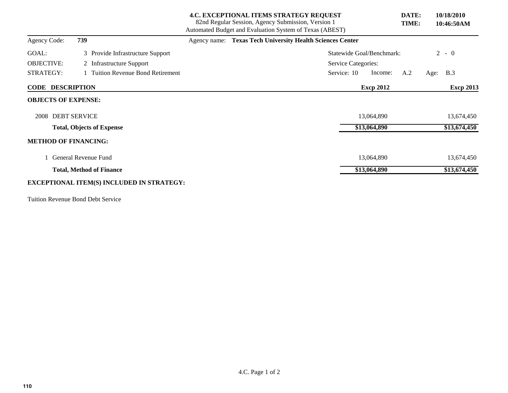|                             |     |                                           | <b>4.C. EXCEPTIONAL ITEMS STRATEGY REQUEST</b><br>82nd Regular Session, Agency Submission, Version 1<br>Automated Budget and Evaluation System of Texas (ABEST) | DATE:<br>TIME:                                      |                           | 10/18/2010<br>10:46:50AM |                  |              |
|-----------------------------|-----|-------------------------------------------|-----------------------------------------------------------------------------------------------------------------------------------------------------------------|-----------------------------------------------------|---------------------------|--------------------------|------------------|--------------|
| Agency Code:                | 739 |                                           | Agency name:                                                                                                                                                    | <b>Texas Tech University Health Sciences Center</b> |                           |                          |                  |              |
| GOAL:                       |     | 3 Provide Infrastructure Support          |                                                                                                                                                                 |                                                     | Statewide Goal/Benchmark: |                          |                  | $2 - 0$      |
| <b>OBJECTIVE:</b>           |     | 2 Infrastructure Support                  |                                                                                                                                                                 | Service Categories:                                 |                           |                          |                  |              |
| STRATEGY:                   |     | <b>Tuition Revenue Bond Retirement</b>    |                                                                                                                                                                 | Service: 10                                         | Income:                   | A.2                      | Age:             | B.3          |
| <b>CODE DESCRIPTION</b>     |     |                                           |                                                                                                                                                                 | <b>Excp 2012</b>                                    |                           |                          | <b>Excp 2013</b> |              |
| <b>OBJECTS OF EXPENSE:</b>  |     |                                           |                                                                                                                                                                 |                                                     |                           |                          |                  |              |
| <b>DEBT SERVICE</b><br>2008 |     |                                           |                                                                                                                                                                 |                                                     | 13,064,890                |                          |                  | 13,674,450   |
|                             |     | <b>Total, Objects of Expense</b>          |                                                                                                                                                                 |                                                     | \$13,064,890              |                          |                  | \$13,674,450 |
| <b>METHOD OF FINANCING:</b> |     |                                           |                                                                                                                                                                 |                                                     |                           |                          |                  |              |
|                             |     | General Revenue Fund                      |                                                                                                                                                                 |                                                     | 13,064,890                |                          |                  | 13,674,450   |
|                             |     | <b>Total, Method of Finance</b>           |                                                                                                                                                                 |                                                     | \$13,064,890              |                          |                  | \$13,674,450 |
|                             |     | EXCEPTIONAL ITEM(S) INCLUDED IN STRATEGY: |                                                                                                                                                                 |                                                     |                           |                          |                  |              |

#### Tuition Revenue Bond Debt Service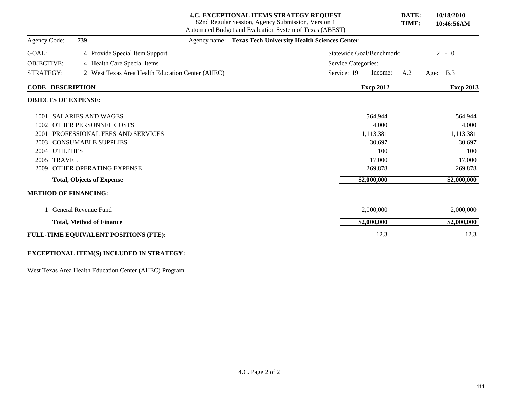|                                              |                                 |                                                                                                                                                                                                                  | <b>4.C. EXCEPTIONAL ITEMS STRATEGY REQUEST</b><br>82nd Regular Session, Agency Submission, Version 1<br>Automated Budget and Evaluation System of Texas (ABEST) | DATE:<br>TIME:                                                                     |     | 10/18/2010<br>10:46:56AM |                                                                                    |
|----------------------------------------------|---------------------------------|------------------------------------------------------------------------------------------------------------------------------------------------------------------------------------------------------------------|-----------------------------------------------------------------------------------------------------------------------------------------------------------------|------------------------------------------------------------------------------------|-----|--------------------------|------------------------------------------------------------------------------------|
| Agency Code:                                 |                                 | 739                                                                                                                                                                                                              |                                                                                                                                                                 | Agency name: Texas Tech University Health Sciences Center                          |     |                          |                                                                                    |
| GOAL:<br><b>OBJECTIVE:</b><br>STRATEGY:      |                                 | 4 Provide Special Item Support<br>4 Health Care Special Items<br>2 West Texas Area Health Education Center (AHEC)                                                                                                |                                                                                                                                                                 | Statewide Goal/Benchmark:<br>Service Categories:<br>Service: 19<br>Income:         | A.2 | Age:                     | $2 - 0$<br><b>B.3</b>                                                              |
| <b>CODE DESCRIPTION</b>                      |                                 |                                                                                                                                                                                                                  |                                                                                                                                                                 | <b>Excp 2012</b>                                                                   |     |                          | <b>Excp 2013</b>                                                                   |
|                                              |                                 | <b>OBJECTS OF EXPENSE:</b>                                                                                                                                                                                       |                                                                                                                                                                 |                                                                                    |     |                          |                                                                                    |
| 1001<br>1002<br>2001<br>2003<br>2005<br>2009 | 2004 UTILITIES<br><b>TRAVEL</b> | <b>SALARIES AND WAGES</b><br>OTHER PERSONNEL COSTS<br>PROFESSIONAL FEES AND SERVICES<br><b>CONSUMABLE SUPPLIES</b><br>OTHER OPERATING EXPENSE<br><b>Total, Objects of Expense</b><br><b>METHOD OF FINANCING:</b> |                                                                                                                                                                 | 564,944<br>4,000<br>1,113,381<br>30,697<br>100<br>17,000<br>269,878<br>\$2,000,000 |     |                          | 564,944<br>4,000<br>1,113,381<br>30,697<br>100<br>17,000<br>269,878<br>\$2,000,000 |
|                                              |                                 |                                                                                                                                                                                                                  |                                                                                                                                                                 |                                                                                    |     |                          |                                                                                    |
|                                              |                                 | General Revenue Fund                                                                                                                                                                                             |                                                                                                                                                                 | 2,000,000                                                                          |     |                          | 2,000,000                                                                          |
|                                              |                                 | <b>Total, Method of Finance</b>                                                                                                                                                                                  |                                                                                                                                                                 | \$2,000,000                                                                        |     |                          | \$2,000,000                                                                        |
|                                              |                                 | FULL-TIME EQUIVALENT POSITIONS (FTE):                                                                                                                                                                            |                                                                                                                                                                 | 12.3                                                                               |     |                          | 12.3                                                                               |

## **EXCEPTIONAL ITEM(S) INCLUDED IN STRATEGY:**

West Texas Area Health Education Center (AHEC) Program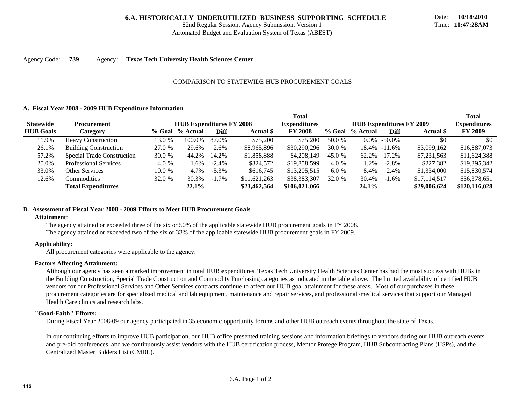COMPARISON TO STATEWIDE HUB PROCUREMENT GOALS

|                  |                                   |        |                                 |             |                  | <b>Total</b>        |        |                                 |              |                  | <b>Total</b>        |
|------------------|-----------------------------------|--------|---------------------------------|-------------|------------------|---------------------|--------|---------------------------------|--------------|------------------|---------------------|
| <b>Statewide</b> | Procurement                       |        | <b>HUB Expenditures FY 2008</b> |             |                  | <b>Expenditures</b> |        | <b>HUB Expenditures FY 2009</b> |              |                  | <b>Expenditures</b> |
| <b>HUB</b> Goals | Category                          | % Goal | % Actual                        | <b>Diff</b> | <b>Actual</b> \$ | <b>FY 2008</b>      | % Goal | % Actual                        | <b>Diff</b>  | <b>Actual</b> \$ | <b>FY 2009</b>      |
| 1.9%             | <b>Heavy Construction</b>         | 13.0 % | 100.0%                          | 87.0%       | \$75,200         | \$75,200            | 50.0 % | $0.0\%$                         | -50.0%       | \$0              | \$0                 |
| 26.1%            | <b>Building Construction</b>      | 27.0 % | 29.6%                           | 2.6%        | \$8,965,896      | \$30,290,296        | 30.0 % |                                 | 18.4% -11.6% | \$3,099,162      | \$16,887,073        |
| 57.2%            | <b>Special Trade Construction</b> | 30.0 % | 44.2%                           | 14.2%       | \$1,858,888      | \$4,208,149         | 45.0 % | 62.2%                           | 17.2%        | \$7,231,563      | \$11,624,388        |
| 20.0%            | <b>Professional Services</b>      | 4.0 %  | $1.6\%$                         | $-2.4\%$    | \$324,572        | \$19,858,599        | 4.0 %  | $.2\%$                          | $-2.8\%$     | \$227,382        | \$19,395,342        |
| 33.0%            | Other Services                    | 10.0 % | 4.7%                            | $-5.3\%$    | \$616,745        | \$13,205,515        | 6.0%   | 8.4%                            | 2.4%         | \$1,334,000      | \$15,830,574        |
| 12.6%            | Commodities                       | 32.0 % | 30.3%                           | $-1.7\%$    | \$11,621,263     | \$38,383,307        | 32.0 % | 30.4%                           | $-1.6\%$     | \$17,114,517     | \$56,378,651        |
|                  | <b>Total Expenditures</b>         |        | 22.1%                           |             | \$23,462,564     | \$106,021,066       |        | 24.1%                           |              | \$29,006,624     | \$120,116,028       |

## **B. Assessment of Fiscal Year 2008 - 2009 Efforts to Meet HUB Procurement Goals**

Agency Code: **739** Agency: **Texas Tech University Health Sciences Center**

**A. Fiscal Year 2008 - 2009 HUB Expenditure Information**

## **Attainment:**

The agency attained or exceeded three of the six or 50% of the applicable statewide HUB procurement goals in FY 2008. The agency attained or exceeded two of the six or 33% of the applicable statewide HUB procurement goals in FY 2009.

## **Applicability:**

All procurement categories were applicable to the agency.

## **Factors Affecting Attainment:**

Although our agency has seen a marked improvement in total HUB expenditures, Texas Tech University Health Sciences Center has had the most success with HUBs in the Building Construction, Special Trade Construction and Commodity Purchasing categories as indicated in the table above. The limited availability of certified HUB vendors for our Professional Services and Other Services contracts continue to affect our HUB goal attainment for these areas. Most of our purchases in these procurement categories are for specialized medical and lab equipment, maintenance and repair services, and professional /medical services that support our Managed Health Care clinics and research labs.

## **"Good-Faith" Efforts:**

During Fiscal Year 2008-09 our agency participated in 35 economic opportunity forums and other HUB outreach events throughout the state of Texas.

In our continuing efforts to improve HUB participation, our HUB office presented training sessions and information briefings to vendors during our HUB outreach events and pre-bid conferences, and we continuously assist vendors with the HUB certification process, Mentor Protege Program, HUB Subcontracting Plans (HSPs), and the Centralized Master Bidders List (CMBL).

Automated Budget and Evaluation System of Texas (ABEST) 82nd Regular Session, Agency Submission, Version 1

Date:Time: **10:47:28AM10/18/2010**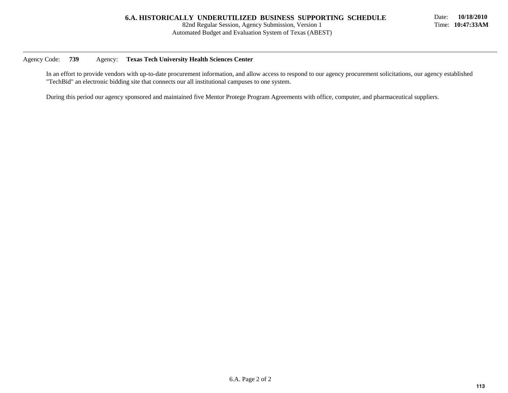## Agency Code: **739** Agency: **Texas Tech University Health Sciences Center**

In an effort to provide vendors with up-to-date procurement information, and allow access to respond to our agency procurement solicitations, our agency established "TechBid" an electronic bidding site that connects our all institutional campuses to one system.

During this period our agency sponsored and maintained five Mentor Protege Program Agreements with office, computer, and pharmaceutical suppliers.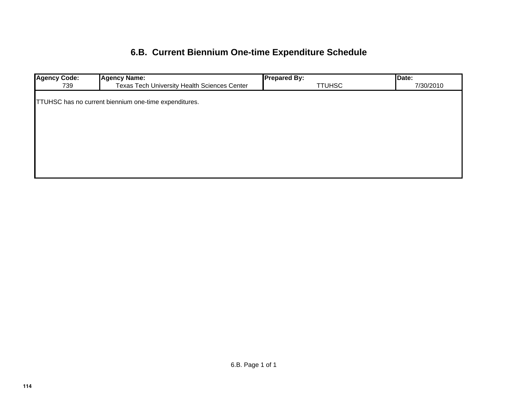# **6.B. Current Biennium One-time Expenditure Schedule**

| <b>Agency Code:</b>                                   |  | <b>Agency Name:</b>                                 | <b>Prepared By:</b> | Date:     |  |  |  |  |  |  |
|-------------------------------------------------------|--|-----------------------------------------------------|---------------------|-----------|--|--|--|--|--|--|
| 739                                                   |  | <b>Texas Tech University Health Sciences Center</b> | <b>TTUHSC</b>       | 7/30/2010 |  |  |  |  |  |  |
|                                                       |  |                                                     |                     |           |  |  |  |  |  |  |
| TTUHSC has no current biennium one-time expenditures. |  |                                                     |                     |           |  |  |  |  |  |  |
|                                                       |  |                                                     |                     |           |  |  |  |  |  |  |
|                                                       |  |                                                     |                     |           |  |  |  |  |  |  |
|                                                       |  |                                                     |                     |           |  |  |  |  |  |  |
|                                                       |  |                                                     |                     |           |  |  |  |  |  |  |
|                                                       |  |                                                     |                     |           |  |  |  |  |  |  |
|                                                       |  |                                                     |                     |           |  |  |  |  |  |  |
|                                                       |  |                                                     |                     |           |  |  |  |  |  |  |
|                                                       |  |                                                     |                     |           |  |  |  |  |  |  |
|                                                       |  |                                                     |                     |           |  |  |  |  |  |  |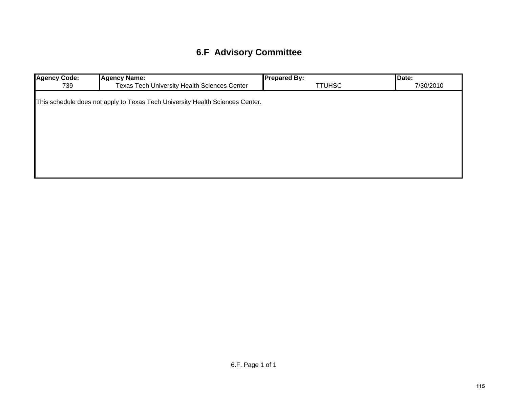# **6.F Advisory Committee**

| <b>Agency Code:</b> | <b>Agency Name:</b>                                                           | <b>Prepared By:</b> | Date:     |  |  |  |  |  |  |  |  |
|---------------------|-------------------------------------------------------------------------------|---------------------|-----------|--|--|--|--|--|--|--|--|
| 739                 | <b>Texas Tech University Health Sciences Center</b>                           | <b>TTUHSC</b>       | 7/30/2010 |  |  |  |  |  |  |  |  |
|                     |                                                                               |                     |           |  |  |  |  |  |  |  |  |
|                     | This schedule does not apply to Texas Tech University Health Sciences Center. |                     |           |  |  |  |  |  |  |  |  |
|                     |                                                                               |                     |           |  |  |  |  |  |  |  |  |
|                     |                                                                               |                     |           |  |  |  |  |  |  |  |  |
|                     |                                                                               |                     |           |  |  |  |  |  |  |  |  |
|                     |                                                                               |                     |           |  |  |  |  |  |  |  |  |
|                     |                                                                               |                     |           |  |  |  |  |  |  |  |  |
|                     |                                                                               |                     |           |  |  |  |  |  |  |  |  |
|                     |                                                                               |                     |           |  |  |  |  |  |  |  |  |
|                     |                                                                               |                     |           |  |  |  |  |  |  |  |  |
|                     |                                                                               |                     |           |  |  |  |  |  |  |  |  |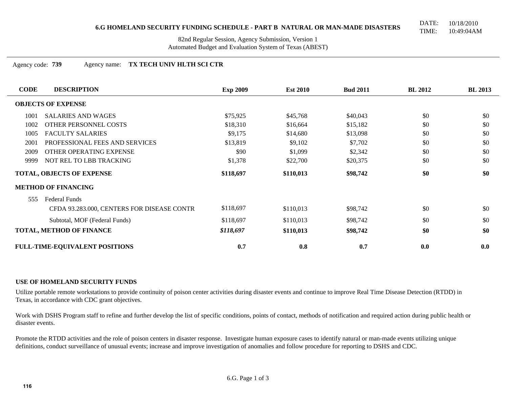DATE: 10/18/2010 TIME: 10:49:04AM

Automated Budget and Evaluation System of Texas (ABEST) 82nd Regular Session, Agency Submission, Version 1

#### Agency code: **739** Agency name: **TX TECH UNIV HLTH SCI CTR**

| <b>CODE</b> | <b>DESCRIPTION</b>                         | <b>Exp 2009</b> | <b>Est 2010</b> | <b>Bud 2011</b> | <b>BL 2012</b> | <b>BL</b> 2013 |
|-------------|--------------------------------------------|-----------------|-----------------|-----------------|----------------|----------------|
|             | <b>OBJECTS OF EXPENSE</b>                  |                 |                 |                 |                |                |
| 1001        | <b>SALARIES AND WAGES</b>                  | \$75,925        | \$45,768        | \$40,043        | \$0            | \$0            |
| 1002        | OTHER PERSONNEL COSTS                      | \$18,310        | \$16,664        | \$15,182        | \$0            | \$0            |
| 1005        | <b>FACULTY SALARIES</b>                    | \$9,175         | \$14,680        | \$13,098        | \$0            | \$0            |
| 2001        | PROFESSIONAL FEES AND SERVICES             | \$13,819        | \$9,102         | \$7,702         | \$0            | \$0            |
| 2009        | OTHER OPERATING EXPENSE                    | \$90            | \$1,099         | \$2,342         | \$0            | \$0            |
| 9999        | NOT REL TO LBB TRACKING                    | \$1,378         | \$22,700        | \$20,375        | \$0            | \$0            |
|             | <b>TOTAL, OBJECTS OF EXPENSE</b>           | \$118,697       | \$110,013       | \$98,742        | \$0            | \$0            |
|             | <b>METHOD OF FINANCING</b>                 |                 |                 |                 |                |                |
| 555         | <b>Federal Funds</b>                       |                 |                 |                 |                |                |
|             | CFDA 93.283.000, CENTERS FOR DISEASE CONTR | \$118,697       | \$110,013       | \$98,742        | \$0            | \$0            |
|             | Subtotal, MOF (Federal Funds)              | \$118,697       | \$110,013       | \$98,742        | \$0            | \$0            |
|             | TOTAL, METHOD OF FINANCE                   | \$118,697       | \$110,013       | \$98,742        | \$0            | \$0            |
|             | FULL-TIME-EQUIVALENT POSITIONS             | 0.7             | 0.8             | 0.7             | 0.0            | 0.0            |

#### **USE OF HOMELAND SECURITY FUNDS**

Utilize portable remote workstations to provide continuity of poison center activities during disaster events and continue to improve Real Time Disease Detection (RTDD) in Texas, in accordance with CDC grant objectives.

Work with DSHS Program staff to refine and further develop the list of specific conditions, points of contact, methods of notification and required action during public health or disaster events.

Promote the RTDD activities and the role of poison centers in disaster response. Investigate human exposure cases to identify natural or man-made events utilizing unique definitions, conduct surveillance of unusual events; increase and improve investigation of anomalies and follow procedure for reporting to DSHS and CDC.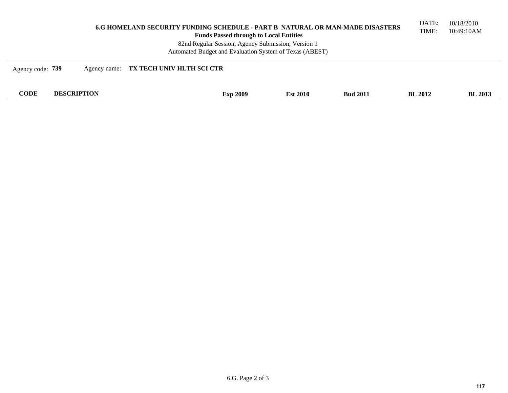|                                                                      | DATE:<br>6.G HOMELAND SECURITY FUNDING SCHEDULE - PART B NATURAL OR MAN-MADE DISASTERS<br>TIME: | 10/18/2010<br>10:49:10AM |                 |                 |                |                |  |  |
|----------------------------------------------------------------------|-------------------------------------------------------------------------------------------------|--------------------------|-----------------|-----------------|----------------|----------------|--|--|
| <b>TX TECH UNIV HLTH SCI CTR</b><br>Agency code: 739<br>Agency name: |                                                                                                 |                          |                 |                 |                |                |  |  |
| <b>CODE</b>                                                          | <b>DESCRIPTION</b>                                                                              | <b>Exp 2009</b>          | <b>Est 2010</b> | <b>Bud 2011</b> | <b>BL 2012</b> | <b>BL 2013</b> |  |  |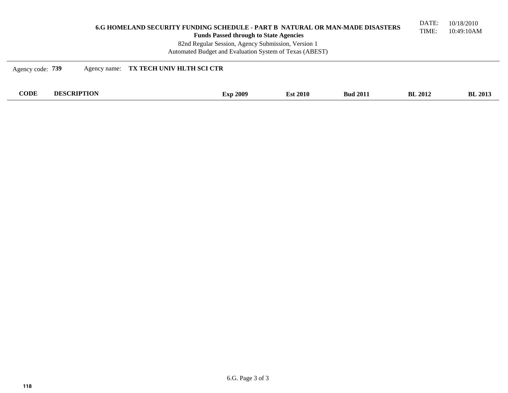|                                                            | DATE:<br>6.G HOMELAND SECURITY FUNDING SCHEDULE - PART B NATURAL OR MAN-MADE DISASTERS<br>TIME: | 10/18/2010<br>10:49:10AM |                 |                 |                 |                |                |  |  |
|------------------------------------------------------------|-------------------------------------------------------------------------------------------------|--------------------------|-----------------|-----------------|-----------------|----------------|----------------|--|--|
| Agency name: TX TECH UNIV HLTH SCI CTR<br>Agency code: 739 |                                                                                                 |                          |                 |                 |                 |                |                |  |  |
| <b>CODE</b>                                                | <b>DESCRIPTION</b>                                                                              |                          | <b>Exp 2009</b> | <b>Est 2010</b> | <b>Bud 2011</b> | <b>BL 2012</b> | <b>BL 2013</b> |  |  |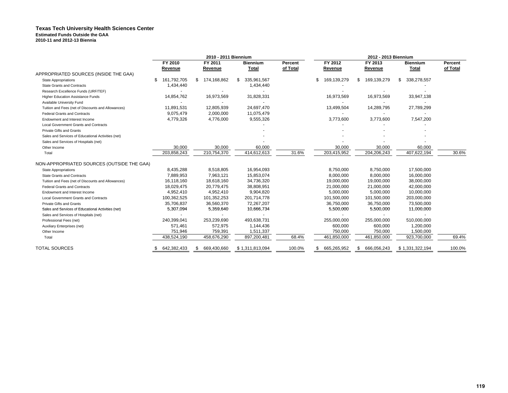#### **Texas Tech University Health Sciences Center Estimated Funds Outside the GAA 2010-11 and 2012-13 Biennia**

|                                                    | 2010 - 2011 Biennium |    |                    |   |                                 |                     | 2012 - 2013 Biennium |                    |    |                    |    |                                 |                     |
|----------------------------------------------------|----------------------|----|--------------------|---|---------------------------------|---------------------|----------------------|--------------------|----|--------------------|----|---------------------------------|---------------------|
|                                                    | FY 2010<br>Revenue   |    | FY 2011<br>Revenue |   | <b>Biennium</b><br><b>Total</b> | Percent<br>of Total |                      | FY 2012<br>Revenue |    | FY 2013<br>Revenue |    | <b>Biennium</b><br><b>Total</b> | Percent<br>of Total |
| APPROPRIATED SOURCES (INSIDE THE GAA)              |                      |    |                    |   |                                 |                     |                      |                    |    |                    |    |                                 |                     |
| <b>State Appropriations</b>                        | 161,792,705          | \$ | 174,168,862        | S | 335,961,567                     |                     |                      | 169,139,279        | \$ | 169,139,279        | \$ | 338,278,557                     |                     |
| <b>State Grants and Contracts</b>                  | 1,434,440            |    |                    |   | 1,434,440                       |                     |                      |                    |    |                    |    |                                 |                     |
| Research Excellence Funds (URF/TEF)                |                      |    |                    |   |                                 |                     |                      |                    |    |                    |    |                                 |                     |
| <b>Higher Education Assistance Funds</b>           | 14,854,762           |    | 16,973,569         |   | 31,828,331                      |                     |                      | 16,973,569         |    | 16,973,569         |    | 33,947,138                      |                     |
| Available University Fund                          |                      |    |                    |   |                                 |                     |                      |                    |    |                    |    |                                 |                     |
| Tuition and Fees (net of Discounts and Allowances) | 11,891,531           |    | 12,805,939         |   | 24,697,470                      |                     |                      | 13,499,504         |    | 14,289,795         |    | 27,789,299                      |                     |
| <b>Federal Grants and Contracts</b>                | 9,075,479            |    | 2,000,000          |   | 11,075,479                      |                     |                      |                    |    |                    |    |                                 |                     |
| Endowment and Interest Income                      | 4,779,326            |    | 4,776,000          |   | 9,555,326                       |                     |                      | 3,773,600          |    | 3,773,600          |    | 7,547,200                       |                     |
| <b>Local Government Grants and Contracts</b>       |                      |    |                    |   |                                 |                     |                      |                    |    |                    |    |                                 |                     |
| Private Gifts and Grants                           |                      |    |                    |   |                                 |                     |                      |                    |    |                    |    |                                 |                     |
| Sales and Services of Educational Activities (net) |                      |    |                    |   |                                 |                     |                      |                    |    |                    |    |                                 |                     |
| Sales and Services of Hospitals (net)              |                      |    |                    |   |                                 |                     |                      |                    |    |                    |    |                                 |                     |
| Other Income                                       | 30,000               |    | 30,000             |   | 60,000                          |                     |                      | 30,000             |    | 30,000             |    | 60,000                          |                     |
| Total                                              | 203,858,243          |    | 210,754,370        |   | 414,612,613                     | 31.6%               |                      | 203,415,952        |    | 204,206,243        |    | 407,622,194                     | 30.6%               |
| NON-APPROPRIATED SOURCES (OUTSIDE THE GAA)         |                      |    |                    |   |                                 |                     |                      |                    |    |                    |    |                                 |                     |
| <b>State Appropriations</b>                        | 8,435,288            |    | 8,518,805          |   | 16,954,093                      |                     |                      | 8,750,000          |    | 8,750,000          |    | 17,500,000                      |                     |
| <b>State Grants and Contracts</b>                  | 7,889,953            |    | 7,963,121          |   | 15,853,074                      |                     |                      | 8,000,000          |    | 8.000.000          |    | 16,000,000                      |                     |
| Tuition and Fees (net of Discounts and Allowances) | 16,118,160           |    | 18,618,160         |   | 34,736,320                      |                     |                      | 19,000,000         |    | 19,000,000         |    | 38,000,000                      |                     |
| <b>Federal Grants and Contracts</b>                | 18,029,475           |    | 20,779,475         |   | 38,808,951                      |                     |                      | 21,000,000         |    | 21,000,000         |    | 42,000,000                      |                     |
| Endowment and Interest Income                      | 4,952,410            |    | 4,952,410          |   | 9,904,820                       |                     |                      | 5,000,000          |    | 5,000,000          |    | 10,000,000                      |                     |
| <b>Local Government Grants and Contracts</b>       | 100,362,525          |    | 101,352,253        |   | 201,714,778                     |                     |                      | 101,500,000        |    | 101,500,000        |    | 203,000,000                     |                     |
| Private Gifts and Grants                           | 35,706,837           |    | 36,560,370         |   | 72,267,207                      |                     |                      | 36,750,000         |    | 36,750,000         |    | 73,500,000                      |                     |
| Sales and Services of Educational Activities (net) | 5,307,094            |    | 5,359,640          |   | 10,666,734                      |                     |                      | 5,500,000          |    | 5,500,000          |    | 11,000,000                      |                     |
| Sales and Services of Hospitals (net)              |                      |    |                    |   |                                 |                     |                      |                    |    |                    |    |                                 |                     |
| Professional Fees (net)                            | 240,399,041          |    | 253,239,690        |   | 493,638,731                     |                     |                      | 255,000,000        |    | 255,000,000        |    | 510,000,000                     |                     |
| Auxiliary Enterprises (net)                        | 571,461              |    | 572,975            |   | 1,144,436                       |                     |                      | 600,000            |    | 600,000            |    | 1,200,000                       |                     |
| Other Income                                       | 751,946              |    | 759,391            |   | 1,511,337                       |                     |                      | 750,000            |    | 750,000            |    | 1,500,000                       |                     |
| Total                                              | 438,524,190          |    | 458,676,290        |   | 897,200,481                     | 68.4%               |                      | 461,850,000        |    | 461,850,000        |    | 923,700,000                     | 69.4%               |
| <b>TOTAL SOURCES</b>                               | 642,382,433          | S  | 669,430,660        |   | \$1,311,813,094                 | 100.0%              |                      | 665,265,952        | S. | 666,056,243        |    | \$1,331,322,194                 | 100.0%              |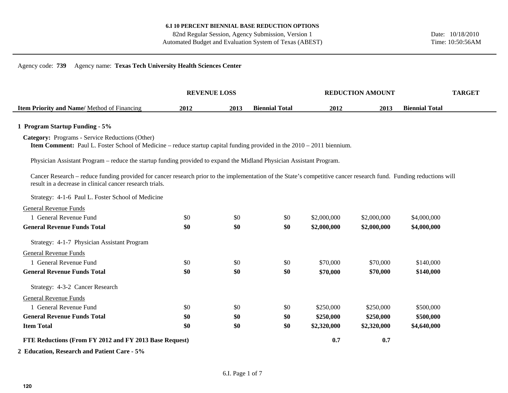Date: 10/18/2010 Time: 10:50:56AM

## Agency code: **739** Agency name: **Texas Tech University Health Sciences Center**

|                                                                                                                                                                                                                                | <b>REVENUE LOSS</b> |      |                       |             | <b>REDUCTION AMOUNT</b> |                       |  |
|--------------------------------------------------------------------------------------------------------------------------------------------------------------------------------------------------------------------------------|---------------------|------|-----------------------|-------------|-------------------------|-----------------------|--|
| Item Priority and Name/ Method of Financing                                                                                                                                                                                    | 2012                | 2013 | <b>Biennial Total</b> | 2012        | 2013                    | <b>Biennial Total</b> |  |
| 1 Program Startup Funding - 5%                                                                                                                                                                                                 |                     |      |                       |             |                         |                       |  |
| Category: Programs - Service Reductions (Other)<br><b>Item Comment:</b> Paul L. Foster School of Medicine – reduce startup capital funding provided in the $2010 - 2011$ biennium.                                             |                     |      |                       |             |                         |                       |  |
| Physician Assistant Program – reduce the startup funding provided to expand the Midland Physician Assistant Program.                                                                                                           |                     |      |                       |             |                         |                       |  |
| Cancer Research - reduce funding provided for cancer research prior to the implementation of the State's competitive cancer research fund. Funding reductions will<br>result in a decrease in clinical cancer research trials. |                     |      |                       |             |                         |                       |  |
| Strategy: 4-1-6 Paul L. Foster School of Medicine                                                                                                                                                                              |                     |      |                       |             |                         |                       |  |
| General Revenue Funds                                                                                                                                                                                                          |                     |      |                       |             |                         |                       |  |
| 1 General Revenue Fund                                                                                                                                                                                                         | \$0                 | \$0  | \$0                   | \$2,000,000 | \$2,000,000             | \$4,000,000           |  |
| <b>General Revenue Funds Total</b>                                                                                                                                                                                             | \$0                 | \$0  | \$0                   | \$2,000,000 | \$2,000,000             | \$4,000,000           |  |
| Strategy: 4-1-7 Physician Assistant Program                                                                                                                                                                                    |                     |      |                       |             |                         |                       |  |
| <b>General Revenue Funds</b>                                                                                                                                                                                                   |                     |      |                       |             |                         |                       |  |
| 1 General Revenue Fund                                                                                                                                                                                                         | \$0                 | \$0  | \$0                   | \$70,000    | \$70,000                | \$140,000             |  |
| <b>General Revenue Funds Total</b>                                                                                                                                                                                             | \$0                 | \$0  | \$0                   | \$70,000    | \$70,000                | \$140,000             |  |
| Strategy: 4-3-2 Cancer Research                                                                                                                                                                                                |                     |      |                       |             |                         |                       |  |
| General Revenue Funds                                                                                                                                                                                                          |                     |      |                       |             |                         |                       |  |
| 1 General Revenue Fund                                                                                                                                                                                                         | \$0                 | \$0  | \$0                   | \$250,000   | \$250,000               | \$500,000             |  |
| <b>General Revenue Funds Total</b>                                                                                                                                                                                             | \$0                 | \$0  | \$0                   | \$250,000   | \$250,000               | \$500,000             |  |
| <b>Item Total</b>                                                                                                                                                                                                              | \$0                 | \$0  | \$0                   | \$2,320,000 | \$2,320,000             | \$4,640,000           |  |
| FTE Reductions (From FY 2012 and FY 2013 Base Request)                                                                                                                                                                         |                     |      |                       | 0.7         | 0.7                     |                       |  |
| 2 Education, Research and Patient Care - 5%                                                                                                                                                                                    |                     |      |                       |             |                         |                       |  |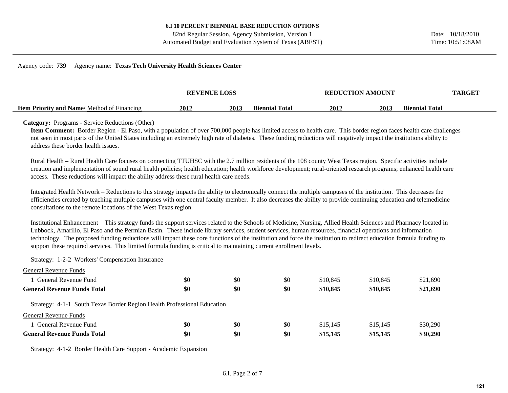Date: 10/18/2010 Time: 10:51:08AM

### Agency code: **739** Agency name: **Texas Tech University Health Sciences Center**

|                                                    |      | REVENUE LOSS |                       | <b>REDUCTION AMOUNT</b> |       |                       | <b>TARGET</b> |
|----------------------------------------------------|------|--------------|-----------------------|-------------------------|-------|-----------------------|---------------|
| <b>Item Priority and Name/</b> Method of Financing | 2012 | 2013         | <b>Biennial Total</b> | 2012                    | 201.7 | <b>Biennial Total</b> |               |

#### **Category:** Programs - Service Reductions (Other)

**Item Comment:** Border Region - El Paso, with a population of over 700,000 people has limited access to health care. This border region faces health care challenges not seen in most parts of the United States including an extremely high rate of diabetes. These funding reductions will negatively impact the institutions ability to address these border health issues.

Rural Health – Rural Health Care focuses on connecting TTUHSC with the 2.7 million residents of the 108 county West Texas region. Specific activities include creation and implementation of sound rural health policies; health education; health workforce development; rural-oriented research programs; enhanced health care access. These reductions will impact the ability address these rural health care needs.

Integrated Health Network – Reductions to this strategy impacts the ability to electronically connect the multiple campuses of the institution. This decreases the efficiencies created by teaching multiple campuses with one central faculty member. It also decreases the ability to provide continuing education and telemedicine consultations to the remote locations of the West Texas region.

Institutional Enhancement – This strategy funds the support services related to the Schools of Medicine, Nursing, Allied Health Sciences and Pharmacy located in Lubbock, Amarillo, El Paso and the Permian Basin. These include library services, student services, human resources, financial operations and information technology. The proposed funding reductions will impact these core functions of the institution and force the institution to redirect education formula funding to support these required services. This limited formula funding is critical to maintaining current enrollment levels.

Strategy: 1-2-2 Workers' Compensation Insurance

| General Revenue Funds                                                                            |     |     |     |          |          |          |
|--------------------------------------------------------------------------------------------------|-----|-----|-----|----------|----------|----------|
| 1 General Revenue Fund                                                                           | \$0 | \$0 | \$0 | \$10,845 | \$10,845 | \$21,690 |
| <b>General Revenue Funds Total</b>                                                               | \$0 | \$0 | \$0 | \$10,845 | \$10,845 | \$21,690 |
|                                                                                                  |     |     |     |          |          |          |
| Strategy: 4-1-1 South Texas Border Region Health Professional Education<br>General Revenue Funds |     |     |     |          |          |          |
| 1 General Revenue Fund                                                                           | \$0 | \$0 | \$0 | \$15,145 | \$15.145 | \$30,290 |

Strategy: 4-1-2 Border Health Care Support - Academic Expansion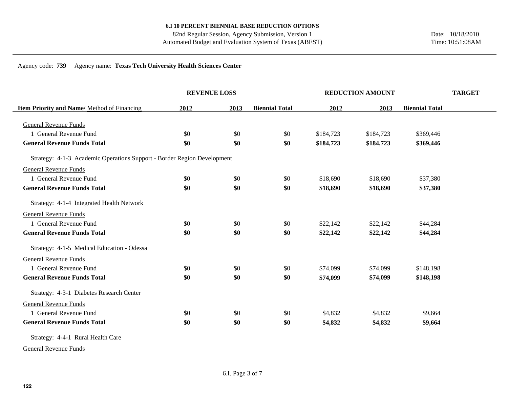Date: 10/18/2010 Time: 10:51:08AM

## Agency code: **739** Agency name: **Texas Tech University Health Sciences Center**

|                                                                         | <b>REVENUE LOSS</b> |      |                       | <b>REDUCTION AMOUNT</b> | <b>TARGET</b> |                       |  |
|-------------------------------------------------------------------------|---------------------|------|-----------------------|-------------------------|---------------|-----------------------|--|
| Item Priority and Name/ Method of Financing                             | 2012                | 2013 | <b>Biennial Total</b> | 2012                    | 2013          | <b>Biennial Total</b> |  |
| <b>General Revenue Funds</b>                                            |                     |      |                       |                         |               |                       |  |
| 1 General Revenue Fund                                                  | \$0                 | \$0  | \$0                   | \$184,723               | \$184,723     | \$369,446             |  |
| <b>General Revenue Funds Total</b>                                      | \$0                 | \$0  | \$0                   | \$184,723               | \$184,723     | \$369,446             |  |
| Strategy: 4-1-3 Academic Operations Support - Border Region Development |                     |      |                       |                         |               |                       |  |
| <b>General Revenue Funds</b>                                            |                     |      |                       |                         |               |                       |  |
| 1 General Revenue Fund                                                  | \$0                 | \$0  | \$0                   | \$18,690                | \$18,690      | \$37,380              |  |
| <b>General Revenue Funds Total</b>                                      | \$0                 | \$0  | \$0                   | \$18,690                | \$18,690      | \$37,380              |  |
| Strategy: 4-1-4 Integrated Health Network                               |                     |      |                       |                         |               |                       |  |
| <b>General Revenue Funds</b>                                            |                     |      |                       |                         |               |                       |  |
| 1 General Revenue Fund                                                  | \$0                 | \$0  | \$0                   | \$22,142                | \$22,142      | \$44,284              |  |
| <b>General Revenue Funds Total</b>                                      | \$0                 | \$0  | \$0                   | \$22,142                | \$22,142      | \$44,284              |  |
| Strategy: 4-1-5 Medical Education - Odessa                              |                     |      |                       |                         |               |                       |  |
| <b>General Revenue Funds</b>                                            |                     |      |                       |                         |               |                       |  |
| 1 General Revenue Fund                                                  | \$0                 | \$0  | \$0                   | \$74,099                | \$74,099      | \$148,198             |  |
| <b>General Revenue Funds Total</b>                                      | \$0                 | \$0  | \$0                   | \$74,099                | \$74,099      | \$148,198             |  |
| Strategy: 4-3-1 Diabetes Research Center                                |                     |      |                       |                         |               |                       |  |
| <b>General Revenue Funds</b>                                            |                     |      |                       |                         |               |                       |  |
| 1 General Revenue Fund                                                  | \$0                 | \$0  | \$0                   | \$4,832                 | \$4,832       | \$9,664               |  |
| <b>General Revenue Funds Total</b>                                      | \$0                 | \$0  | \$0                   | \$4,832                 | \$4,832       | \$9,664               |  |
| Strategy: 4-4-1 Rural Health Care                                       |                     |      |                       |                         |               |                       |  |

General Revenue Funds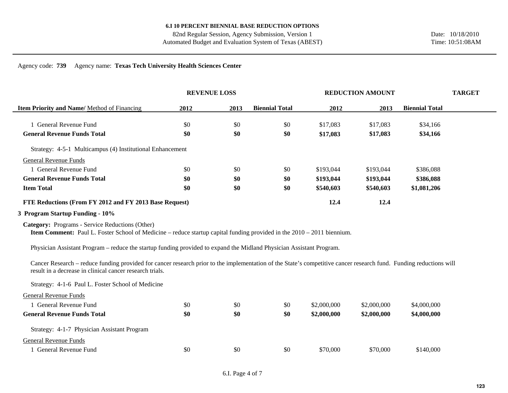#### **6.I 10 PERCENT BIENNIAL BASE REDUCTION OPTIONS**

Automated Budget and Evaluation System of Texas (ABEST) 82nd Regular Session, Agency Submission, Version 1

Date: 10/18/2010 Time: 10:51:08AM

## Agency code: **739** Agency name: **Texas Tech University Health Sciences Center**

|                                                                                                                                                                                                                                | <b>REVENUE LOSS</b> |      |                       |             | <b>REDUCTION AMOUNT</b> | <b>TARGET</b>         |  |
|--------------------------------------------------------------------------------------------------------------------------------------------------------------------------------------------------------------------------------|---------------------|------|-----------------------|-------------|-------------------------|-----------------------|--|
| Item Priority and Name/ Method of Financing                                                                                                                                                                                    | 2012                | 2013 | <b>Biennial Total</b> | 2012        | 2013                    | <b>Biennial Total</b> |  |
| 1 General Revenue Fund                                                                                                                                                                                                         | \$0                 | \$0  | \$0                   | \$17,083    | \$17,083                | \$34,166              |  |
| <b>General Revenue Funds Total</b>                                                                                                                                                                                             | \$0                 | \$0  | \$0                   | \$17,083    | \$17,083                | \$34,166              |  |
| Strategy: 4-5-1 Multicampus (4) Institutional Enhancement                                                                                                                                                                      |                     |      |                       |             |                         |                       |  |
| <b>General Revenue Funds</b>                                                                                                                                                                                                   |                     |      |                       |             |                         |                       |  |
| 1 General Revenue Fund                                                                                                                                                                                                         | \$0                 | \$0  | \$0                   | \$193,044   | \$193,044               | \$386,088             |  |
| <b>General Revenue Funds Total</b>                                                                                                                                                                                             | \$0                 | \$0  | \$0                   | \$193,044   | \$193,044               | \$386,088             |  |
| <b>Item Total</b>                                                                                                                                                                                                              | \$0                 | \$0  | \$0                   | \$540,603   | \$540,603               | \$1,081,206           |  |
| FTE Reductions (From FY 2012 and FY 2013 Base Request)                                                                                                                                                                         |                     |      |                       | 12.4        | 12.4                    |                       |  |
| 3 Program Startup Funding - 10%                                                                                                                                                                                                |                     |      |                       |             |                         |                       |  |
| Category: Programs - Service Reductions (Other)<br><b>Item Comment:</b> Paul L. Foster School of Medicine – reduce startup capital funding provided in the $2010 - 2011$ biennium.                                             |                     |      |                       |             |                         |                       |  |
| Physician Assistant Program – reduce the startup funding provided to expand the Midland Physician Assistant Program.                                                                                                           |                     |      |                       |             |                         |                       |  |
| Cancer Research – reduce funding provided for cancer research prior to the implementation of the State's competitive cancer research fund. Funding reductions will<br>result in a decrease in clinical cancer research trials. |                     |      |                       |             |                         |                       |  |
| Strategy: 4-1-6 Paul L. Foster School of Medicine                                                                                                                                                                              |                     |      |                       |             |                         |                       |  |
| <b>General Revenue Funds</b>                                                                                                                                                                                                   |                     |      |                       |             |                         |                       |  |
| 1 General Revenue Fund                                                                                                                                                                                                         | \$0                 | \$0  | \$0                   | \$2,000,000 | \$2,000,000             | \$4,000,000           |  |
| <b>General Revenue Funds Total</b>                                                                                                                                                                                             | \$0                 | \$0  | \$0                   | \$2,000,000 | \$2,000,000             | \$4,000,000           |  |
| Strategy: 4-1-7 Physician Assistant Program                                                                                                                                                                                    |                     |      |                       |             |                         |                       |  |
| General Revenue Funds                                                                                                                                                                                                          |                     |      |                       |             |                         |                       |  |
| 1 General Revenue Fund                                                                                                                                                                                                         | \$0                 | \$0  | \$0                   | \$70,000    | \$70,000                | \$140,000             |  |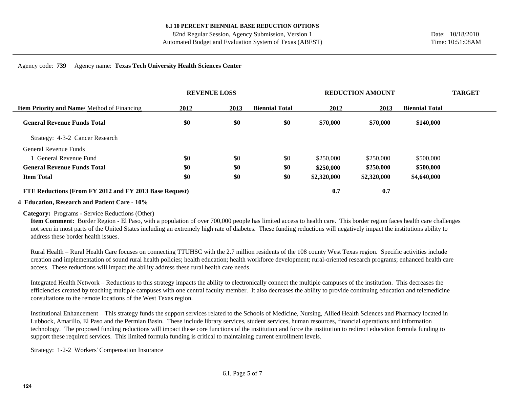Date: 10/18/2010Time: 10:51:08AM

## Agency code: **739** Agency name: **Texas Tech University Health Sciences Center**

| <b>REVENUE LOSS</b>                                    |      |      | <b>REDUCTION AMOUNT</b> | <b>TARGET</b> |             |                       |  |
|--------------------------------------------------------|------|------|-------------------------|---------------|-------------|-----------------------|--|
| <b>Item Priority and Name/</b> Method of Financing     | 2012 | 2013 | <b>Biennial Total</b>   | 2012          | 2013        | <b>Biennial Total</b> |  |
| <b>General Revenue Funds Total</b>                     | \$0  | \$0  | \$0                     | \$70,000      | \$70,000    | \$140,000             |  |
| Strategy: 4-3-2 Cancer Research                        |      |      |                         |               |             |                       |  |
| General Revenue Funds                                  |      |      |                         |               |             |                       |  |
| General Revenue Fund                                   | \$0  | \$0  | \$0                     | \$250,000     | \$250,000   | \$500,000             |  |
| <b>General Revenue Funds Total</b>                     | \$0  | \$0  | \$0                     | \$250,000     | \$250,000   | \$500,000             |  |
| <b>Item Total</b>                                      | \$0  | \$0  | \$0                     | \$2,320,000   | \$2,320,000 | \$4,640,000           |  |
| FTE Reductions (From FY 2012 and FY 2013 Base Request) |      |      |                         | 0.7           | 0.7         |                       |  |

#### **4 Education, Research and Patient Care - 10%**

**Category:** Programs - Service Reductions (Other)

**Item Comment:** Border Region - El Paso, with a population of over 700,000 people has limited access to health care. This border region faces health care challenges not seen in most parts of the United States including an extremely high rate of diabetes. These funding reductions will negatively impact the institutions ability to address these border health issues.

Rural Health – Rural Health Care focuses on connecting TTUHSC with the 2.7 million residents of the 108 county West Texas region. Specific activities include creation and implementation of sound rural health policies; health education; health workforce development; rural-oriented research programs; enhanced health care access. These reductions will impact the ability address these rural health care needs.

Integrated Health Network – Reductions to this strategy impacts the ability to electronically connect the multiple campuses of the institution. This decreases the efficiencies created by teaching multiple campuses with one central faculty member. It also decreases the ability to provide continuing education and telemedicine consultations to the remote locations of the West Texas region.

Institutional Enhancement – This strategy funds the support services related to the Schools of Medicine, Nursing, Allied Health Sciences and Pharmacy located in Lubbock, Amarillo, El Paso and the Permian Basin. These include library services, student services, human resources, financial operations and information technology. The proposed funding reductions will impact these core functions of the institution and force the institution to redirect education formula funding to support these required services. This limited formula funding is critical to maintaining current enrollment levels.

Strategy: 1-2-2 Workers' Compensation Insurance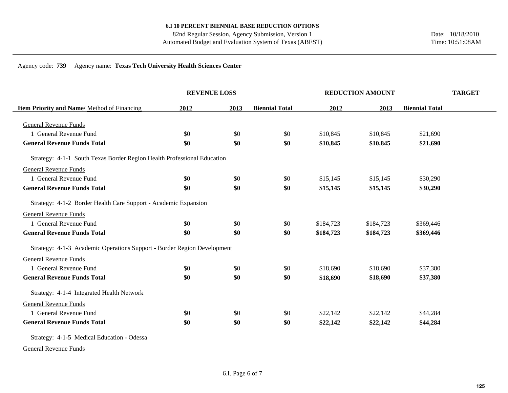Date: 10/18/2010 Time: 10:51:08AM

## Agency code: **739** Agency name: **Texas Tech University Health Sciences Center**

|                                                                         | <b>REVENUE LOSS</b><br><b>REDUCTION AMOUNT</b> |      |                       |           |           | <b>TARGET</b>         |  |
|-------------------------------------------------------------------------|------------------------------------------------|------|-----------------------|-----------|-----------|-----------------------|--|
| <b>Item Priority and Name/ Method of Financing</b>                      | 2012                                           | 2013 | <b>Biennial Total</b> | 2012      | 2013      | <b>Biennial Total</b> |  |
| <b>General Revenue Funds</b>                                            |                                                |      |                       |           |           |                       |  |
| 1 General Revenue Fund                                                  | \$0                                            |      | \$0                   |           |           |                       |  |
|                                                                         |                                                | \$0  |                       | \$10,845  | \$10,845  | \$21,690              |  |
| <b>General Revenue Funds Total</b>                                      | \$0                                            | \$0  | \$0                   | \$10,845  | \$10,845  | \$21,690              |  |
| Strategy: 4-1-1 South Texas Border Region Health Professional Education |                                                |      |                       |           |           |                       |  |
| <b>General Revenue Funds</b>                                            |                                                |      |                       |           |           |                       |  |
| 1 General Revenue Fund                                                  | \$0                                            | \$0  | \$0                   | \$15,145  | \$15,145  | \$30,290              |  |
| <b>General Revenue Funds Total</b>                                      | \$0                                            | \$0  | \$0                   | \$15,145  | \$15,145  | \$30,290              |  |
| Strategy: 4-1-2 Border Health Care Support - Academic Expansion         |                                                |      |                       |           |           |                       |  |
| General Revenue Funds                                                   |                                                |      |                       |           |           |                       |  |
| 1 General Revenue Fund                                                  | \$0                                            | \$0  | \$0                   | \$184,723 | \$184,723 | \$369,446             |  |
| <b>General Revenue Funds Total</b>                                      | \$0                                            | \$0  | \$0                   | \$184,723 | \$184,723 | \$369,446             |  |
| Strategy: 4-1-3 Academic Operations Support - Border Region Development |                                                |      |                       |           |           |                       |  |
| <b>General Revenue Funds</b>                                            |                                                |      |                       |           |           |                       |  |
| 1 General Revenue Fund                                                  | \$0                                            | \$0  | \$0                   | \$18,690  | \$18,690  | \$37,380              |  |
| <b>General Revenue Funds Total</b>                                      | \$0                                            | \$0  | \$0                   | \$18,690  | \$18,690  | \$37,380              |  |
| Strategy: 4-1-4 Integrated Health Network                               |                                                |      |                       |           |           |                       |  |
| <b>General Revenue Funds</b>                                            |                                                |      |                       |           |           |                       |  |
| 1 General Revenue Fund                                                  | \$0                                            | \$0  | \$0                   | \$22,142  | \$22,142  | \$44,284              |  |
| <b>General Revenue Funds Total</b>                                      | \$0                                            | \$0  | \$0                   | \$22,142  | \$22,142  | \$44,284              |  |
| Strategy: 4-1-5 Medical Education - Odessa                              |                                                |      |                       |           |           |                       |  |

General Revenue Funds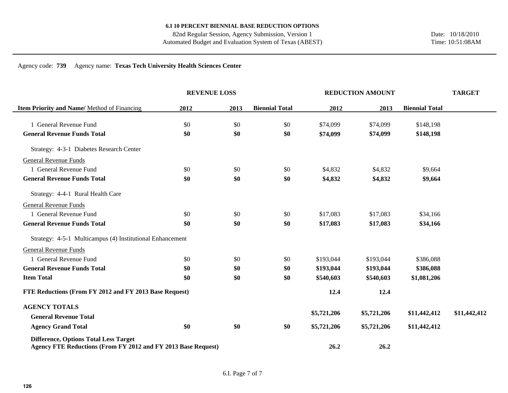#### **6.I 10 PERCENT BIENNIAL BASE REDUCTION OPTIONS**

Automated Budget and Evaluation System of Texas (ABEST) 82nd Regular Session, Agency Submission, Version 1

Date: 10/18/2010 Time: 10:51:08AM

## Agency code: **739** Agency name: **Texas Tech University Health Sciences Center**

|                                                                                                               | <b>REVENUE LOSS</b> |      |                       |             | <b>REDUCTION AMOUNT</b> |                       |              |  |
|---------------------------------------------------------------------------------------------------------------|---------------------|------|-----------------------|-------------|-------------------------|-----------------------|--------------|--|
| Item Priority and Name/ Method of Financing                                                                   | 2012                | 2013 | <b>Biennial Total</b> | 2012        | 2013                    | <b>Biennial Total</b> |              |  |
| 1 General Revenue Fund                                                                                        | \$0                 | \$0  | \$0                   | \$74,099    | \$74,099                | \$148,198             |              |  |
| <b>General Revenue Funds Total</b>                                                                            | \$0                 |      |                       |             |                         |                       |              |  |
|                                                                                                               |                     | \$0  | \$0                   | \$74,099    | \$74,099                | \$148,198             |              |  |
| Strategy: 4-3-1 Diabetes Research Center                                                                      |                     |      |                       |             |                         |                       |              |  |
| <b>General Revenue Funds</b>                                                                                  |                     |      |                       |             |                         |                       |              |  |
| 1 General Revenue Fund                                                                                        | \$0                 | \$0  | \$0                   | \$4,832     | \$4,832                 | \$9,664               |              |  |
| <b>General Revenue Funds Total</b>                                                                            | \$0                 | \$0  | \$0                   | \$4,832     | \$4,832                 | \$9,664               |              |  |
| Strategy: 4-4-1 Rural Health Care                                                                             |                     |      |                       |             |                         |                       |              |  |
| <b>General Revenue Funds</b>                                                                                  |                     |      |                       |             |                         |                       |              |  |
| 1 General Revenue Fund                                                                                        | \$0                 | \$0  | \$0                   | \$17,083    | \$17,083                | \$34,166              |              |  |
| <b>General Revenue Funds Total</b>                                                                            | \$0                 | \$0  | \$0                   | \$17,083    | \$17,083                | \$34,166              |              |  |
| Strategy: 4-5-1 Multicampus (4) Institutional Enhancement                                                     |                     |      |                       |             |                         |                       |              |  |
| General Revenue Funds                                                                                         |                     |      |                       |             |                         |                       |              |  |
| 1 General Revenue Fund                                                                                        | \$0                 | \$0  | \$0                   | \$193,044   | \$193,044               | \$386,088             |              |  |
| <b>General Revenue Funds Total</b>                                                                            | \$0                 | \$0  | \$0                   | \$193,044   | \$193,044               | \$386,088             |              |  |
| <b>Item Total</b>                                                                                             | \$0                 | \$0  | \$0                   | \$540,603   | \$540,603               | \$1,081,206           |              |  |
| FTE Reductions (From FY 2012 and FY 2013 Base Request)                                                        |                     |      |                       | 12.4        | 12.4                    |                       |              |  |
| <b>AGENCY TOTALS</b>                                                                                          |                     |      |                       |             |                         |                       |              |  |
| <b>General Revenue Total</b>                                                                                  |                     |      |                       | \$5,721,206 | \$5,721,206             | \$11,442,412          | \$11,442,412 |  |
| <b>Agency Grand Total</b>                                                                                     | \$0                 | \$0  | \$0                   | \$5,721,206 | \$5,721,206             | \$11,442,412          |              |  |
| <b>Difference, Options Total Less Target</b><br>Agency FTE Reductions (From FY 2012 and FY 2013 Base Request) |                     |      |                       | 26.2        | 26.2                    |                       |              |  |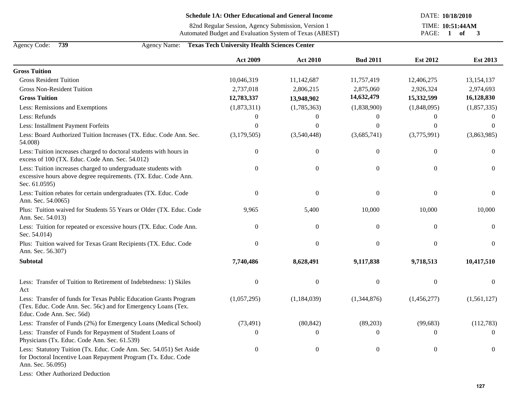#### **Schedule 1A: Other Educational and General Income**

Automated Budget and Evaluation System of Texas (ABEST) 82nd Regular Session, Agency Submission, Version 1

DATE: **10/18/2010**

**10:51:44AM** TIME:

**3**

**1** PAGE: **of**

| Agency Code:<br>739<br>Agency Name:                                                                                                                             | <b>Texas Tech University Health Sciences Center</b> |                  |                  |                  |                  |
|-----------------------------------------------------------------------------------------------------------------------------------------------------------------|-----------------------------------------------------|------------------|------------------|------------------|------------------|
|                                                                                                                                                                 | <b>Act 2009</b>                                     | <b>Act 2010</b>  | <b>Bud 2011</b>  | <b>Est 2012</b>  | <b>Est 2013</b>  |
| <b>Gross Tuition</b>                                                                                                                                            |                                                     |                  |                  |                  |                  |
| <b>Gross Resident Tuition</b>                                                                                                                                   | 10,046,319                                          | 11,142,687       | 11,757,419       | 12,406,275       | 13, 154, 137     |
| <b>Gross Non-Resident Tuition</b>                                                                                                                               | 2,737,018                                           | 2,806,215        | 2,875,060        | 2,926,324        | 2,974,693        |
| <b>Gross Tuition</b>                                                                                                                                            | 12,783,337                                          | 13,948,902       | 14,632,479       | 15,332,599       | 16,128,830       |
| Less: Remissions and Exemptions                                                                                                                                 | (1,873,311)                                         | (1,785,363)      | (1,838,900)      | (1,848,095)      | (1,857,335)      |
| Less: Refunds                                                                                                                                                   | $\boldsymbol{0}$                                    | $\boldsymbol{0}$ | $\Omega$         | $\boldsymbol{0}$ | $\Omega$         |
| Less: Installment Payment Forfeits                                                                                                                              | $\boldsymbol{0}$                                    | $\Omega$         | $\theta$         | $\theta$         | $\Omega$         |
| Less: Board Authorized Tuition Increases (TX. Educ. Code Ann. Sec.<br>54.008)                                                                                   | (3,179,505)                                         | (3,540,448)      | (3,685,741)      | (3,775,991)      | (3,863,985)      |
| Less: Tuition increases charged to doctoral students with hours in<br>excess of 100 (TX. Educ. Code Ann. Sec. 54.012)                                           | $\boldsymbol{0}$                                    | $\boldsymbol{0}$ | $\theta$         | $\boldsymbol{0}$ | $\boldsymbol{0}$ |
| Less: Tuition increases charged to undergraduate students with<br>excessive hours above degree requirements. (TX. Educ. Code Ann.<br>Sec. 61.0595)              | $\mathbf{0}$                                        | $\boldsymbol{0}$ | $\overline{0}$   | $\boldsymbol{0}$ | $\boldsymbol{0}$ |
| Less: Tuition rebates for certain undergraduates (TX. Educ. Code<br>Ann. Sec. 54.0065)                                                                          | $\mathbf{0}$                                        | $\boldsymbol{0}$ | $\boldsymbol{0}$ | $\boldsymbol{0}$ | $\boldsymbol{0}$ |
| Plus: Tuition waived for Students 55 Years or Older (TX. Educ. Code<br>Ann. Sec. 54.013)                                                                        | 9,965                                               | 5,400            | 10,000           | 10,000           | 10,000           |
| Less: Tuition for repeated or excessive hours (TX. Educ. Code Ann.<br>Sec. 54.014)                                                                              | $\mathbf{0}$                                        | $\boldsymbol{0}$ | $\theta$         | $\overline{0}$   | $\overline{0}$   |
| Plus: Tuition waived for Texas Grant Recipients (TX. Educ. Code<br>Ann. Sec. 56.307)                                                                            | $\mathbf{0}$                                        | $\mathbf{0}$     | $\overline{0}$   | $\boldsymbol{0}$ | $\boldsymbol{0}$ |
| <b>Subtotal</b>                                                                                                                                                 | 7,740,486                                           | 8,628,491        | 9,117,838        | 9,718,513        | 10,417,510       |
| Less: Transfer of Tuition to Retirement of Indebtedness: 1) Skiles<br>Act                                                                                       | $\boldsymbol{0}$                                    | $\boldsymbol{0}$ | $\boldsymbol{0}$ | $\boldsymbol{0}$ | $\boldsymbol{0}$ |
| Less: Transfer of funds for Texas Public Education Grants Program<br>(Tex. Educ. Code Ann. Sec. 56c) and for Emergency Loans (Tex.<br>Educ. Code Ann. Sec. 56d) | (1,057,295)                                         | (1, 184, 039)    | (1,344,876)      | (1,456,277)      | (1,561,127)      |
| Less: Transfer of Funds (2%) for Emergency Loans (Medical School)                                                                                               | (73, 491)                                           | (80, 842)        | (89,203)         | (99, 683)        | (112,783)        |
| Less: Transfer of Funds for Repayment of Student Loans of<br>Physicians (Tx. Educ. Code Ann. Sec. 61.539)                                                       | $\Omega$                                            | $\Omega$         | $\Omega$         | $\Omega$         | $\theta$         |
| Less: Statutory Tuition (Tx. Educ. Code Ann. Sec. 54.051) Set Aside<br>for Doctoral Incentive Loan Repayment Program (Tx. Educ. Code<br>Ann. Sec. 56.095)       | $\mathbf{0}$                                        | $\mathbf{0}$     | $\theta$         | $\mathbf{0}$     | $\boldsymbol{0}$ |
| Less: Other Authorized Deduction                                                                                                                                |                                                     |                  |                  |                  |                  |

**127**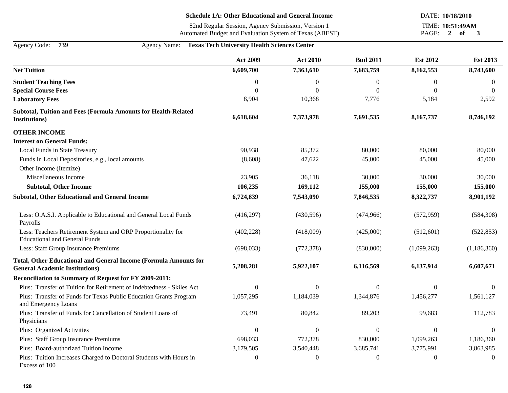#### **Schedule 1A: Other Educational and General Income**

Automated Budget and Evaluation System of Texas (ABEST) 82nd Regular Session, Agency Submission, Version 1

DATE: **10/18/2010 10:51:49AM** TIME:

**2** PAGE: **of 3** $\mathbf{3}$ 

| Agency Code:<br>739<br><b>Agency Name:</b><br><b>Texas Tech University Health Sciences Center</b>                |                  |                  |                  |                  |                 |  |  |  |  |
|------------------------------------------------------------------------------------------------------------------|------------------|------------------|------------------|------------------|-----------------|--|--|--|--|
|                                                                                                                  | <b>Act 2009</b>  | <b>Act 2010</b>  | <b>Bud 2011</b>  | <b>Est 2012</b>  | <b>Est 2013</b> |  |  |  |  |
| <b>Net Tuition</b>                                                                                               | 6,609,700        | 7,363,610        | 7,683,759        | 8,162,553        | 8,743,600       |  |  |  |  |
| <b>Student Teaching Fees</b>                                                                                     | $\mathbf{0}$     | $\overline{0}$   | $\theta$         | $\mathbf{0}$     |                 |  |  |  |  |
| <b>Special Course Fees</b>                                                                                       | $\Omega$         | $\Omega$         | $\theta$         | $\Omega$         | $\Omega$        |  |  |  |  |
| <b>Laboratory Fees</b>                                                                                           | 8,904            | 10,368           | 7,776            | 5,184            | 2,592           |  |  |  |  |
| <b>Subtotal, Tuition and Fees (Formula Amounts for Health-Related</b><br>Institutions)                           | 6,618,604        | 7,373,978        | 7,691,535        | 8,167,737        | 8,746,192       |  |  |  |  |
| <b>OTHER INCOME</b>                                                                                              |                  |                  |                  |                  |                 |  |  |  |  |
| <b>Interest on General Funds:</b>                                                                                |                  |                  |                  |                  |                 |  |  |  |  |
| Local Funds in State Treasury                                                                                    | 90,938           | 85,372           | 80,000           | 80,000           | 80,000          |  |  |  |  |
| Funds in Local Depositories, e.g., local amounts                                                                 | (8,608)          | 47,622           | 45,000           | 45,000           | 45,000          |  |  |  |  |
| Other Income (Itemize)                                                                                           |                  |                  |                  |                  |                 |  |  |  |  |
| Miscellaneous Income                                                                                             | 23,905           | 36,118           | 30,000           | 30,000           | 30,000          |  |  |  |  |
| <b>Subtotal, Other Income</b>                                                                                    | 106,235          | 169,112          | 155,000          | 155,000          | 155,000         |  |  |  |  |
| <b>Subtotal, Other Educational and General Income</b>                                                            | 6,724,839        | 7,543,090        | 7,846,535        | 8,322,737        | 8,901,192       |  |  |  |  |
| Less: O.A.S.I. Applicable to Educational and General Local Funds<br>Payrolls                                     | (416, 297)       | (430,596)        | (474,966)        | (572, 959)       | (584, 308)      |  |  |  |  |
| Less: Teachers Retirement System and ORP Proportionality for<br><b>Educational and General Funds</b>             | (402, 228)       | (418,009)        | (425,000)        | (512,601)        | (522, 853)      |  |  |  |  |
| Less: Staff Group Insurance Premiums                                                                             | (698, 033)       | (772, 378)       | (830,000)        | (1,099,263)      | (1, 186, 360)   |  |  |  |  |
| <b>Total, Other Educational and General Income (Formula Amounts for</b><br><b>General Academic Institutions)</b> | 5,208,281        | 5,922,107        | 6,116,569        | 6,137,914        | 6,607,671       |  |  |  |  |
| <b>Reconciliation to Summary of Request for FY 2009-2011:</b>                                                    |                  |                  |                  |                  |                 |  |  |  |  |
| Plus: Transfer of Tuition for Retirement of Indebtedness - Skiles Act                                            | $\boldsymbol{0}$ | $\boldsymbol{0}$ | $\theta$         | $\mathbf{0}$     |                 |  |  |  |  |
| Plus: Transfer of Funds for Texas Public Education Grants Program<br>and Emergency Loans                         | 1,057,295        | 1,184,039        | 1,344,876        | 1,456,277        | 1,561,127       |  |  |  |  |
| Plus: Transfer of Funds for Cancellation of Student Loans of<br>Physicians                                       | 73,491           | 80,842           | 89,203           | 99,683           | 112,783         |  |  |  |  |
| Plus: Organized Activities                                                                                       | $\boldsymbol{0}$ | $\boldsymbol{0}$ | $\boldsymbol{0}$ | $\boldsymbol{0}$ | $\Omega$        |  |  |  |  |
| Plus: Staff Group Insurance Premiums                                                                             | 698,033          | 772,378          | 830,000          | 1,099,263        | 1,186,360       |  |  |  |  |
| Plus: Board-authorized Tuition Income                                                                            | 3,179,505        | 3,540,448        | 3,685,741        | 3,775,991        | 3,863,985       |  |  |  |  |
| Plus: Tuition Increases Charged to Doctoral Students with Hours in<br>Excess of 100                              | $\mathbf{0}$     | $\theta$         | $\theta$         | 0                | $\theta$        |  |  |  |  |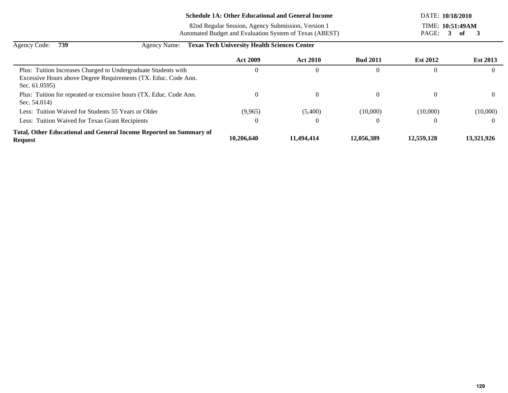#### **Schedule 1A: Other Educational and General Income**

Automated Budget and Evaluation System of Texas (ABEST) 82nd Regular Session, Agency Submission, Version 1

DATE: **10/18/2010**

**10:51:49AM** TIME: **3** PAGE: **of 3**

| <b>Agency Code:</b><br>739<br>Agency Name:                                                                                                        | <b>Texas Tech University Health Sciences Center</b> |                 |                 |                 |                 |  |  |  |
|---------------------------------------------------------------------------------------------------------------------------------------------------|-----------------------------------------------------|-----------------|-----------------|-----------------|-----------------|--|--|--|
|                                                                                                                                                   | <b>Act 2009</b>                                     | <b>Act 2010</b> | <b>Bud 2011</b> | <b>Est 2012</b> | <b>Est 2013</b> |  |  |  |
| Plus: Tuition Increases Charged to Undergraduate Students with<br>Excessive Hours above Degree Requirements (TX. Educ. Code Ann.<br>Sec. 61.0595) |                                                     | $\theta$        |                 | U               |                 |  |  |  |
| Plus: Tuition for repeated or excessive hours (TX. Educ. Code Ann.<br>Sec. 54.014)                                                                |                                                     | $\theta$        | 0               | $\left($        |                 |  |  |  |
| Less: Tuition Waived for Students 55 Years or Older                                                                                               | (9,965)                                             | (5,400)         | (10,000)        | (10,000)        | (10,000)        |  |  |  |
| Less: Tuition Waived for Texas Grant Recipients                                                                                                   |                                                     | $\theta$        |                 | $\left($        |                 |  |  |  |
| Total, Other Educational and General Income Reported on Summary of<br><b>Request</b>                                                              | 10.206.640                                          | 11.494.414      | 12,056,389      | 12,559,128      | 13.321.926      |  |  |  |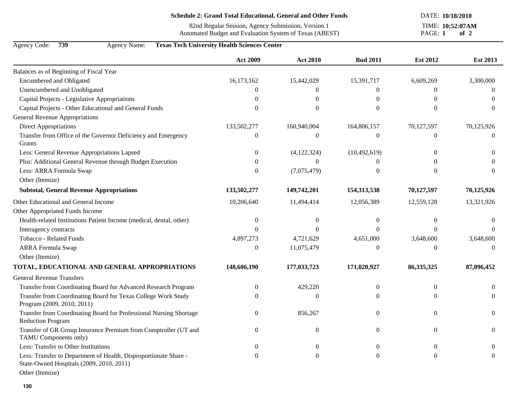## **Schedule 2: Grand Total Educational, General and Other Funds**

Automated Budget and Evaluation System of Texas (ABEST) 82nd Regular Session, Agency Submission, Version 1

DATE: **10/18/2010 10:52:07AM** TIME:

**1** PAGE: **of2**

| Agency Code:<br><b>Agency Name:</b><br><b>Texas Tech University Health Sciences Center</b><br>739                               |                  |                  |                  |                  |                  |  |  |  |
|---------------------------------------------------------------------------------------------------------------------------------|------------------|------------------|------------------|------------------|------------------|--|--|--|
|                                                                                                                                 | <b>Act 2009</b>  | <b>Act 2010</b>  | <b>Bud 2011</b>  | <b>Est 2012</b>  | <b>Est 2013</b>  |  |  |  |
| Balances as of Beginning of Fiscal Year                                                                                         |                  |                  |                  |                  |                  |  |  |  |
| <b>Encumbered and Obligated</b>                                                                                                 | 16,173,162       | 15,442,029       | 15,391,717       | 6,609,269        | 3,300,000        |  |  |  |
| Unencumbered and Unobligated                                                                                                    | 0                | $\overline{0}$   | $\theta$         | $\boldsymbol{0}$ | 0                |  |  |  |
| Capital Projects - Legislative Appropriations                                                                                   | $\mathbf{0}$     | $\Omega$         | $\Omega$         | $\theta$         | $\Omega$         |  |  |  |
| Capital Projects - Other Educational and General Funds                                                                          | $\boldsymbol{0}$ | $\overline{0}$   | $\boldsymbol{0}$ | $\boldsymbol{0}$ | $\boldsymbol{0}$ |  |  |  |
| <b>General Revenue Appropriations</b>                                                                                           |                  |                  |                  |                  |                  |  |  |  |
| <b>Direct Appropriations</b>                                                                                                    | 133,502,277      | 160,940,004      | 164,806,157      | 70,127,597       | 70,125,926       |  |  |  |
| Transfer from Office of the Governor Deficiency and Emergency<br>Grants                                                         | $\boldsymbol{0}$ | $\boldsymbol{0}$ | $\Omega$         | $\theta$         | $\Omega$         |  |  |  |
| Less: General Revenue Appropriations Lapsed                                                                                     | $\mathbf{0}$     | (4,122,324)      | (10, 492, 619)   | $\Omega$         | $\Omega$         |  |  |  |
| Plus: Additional General Revenue through Budget Execution                                                                       | $\Omega$         | $\Omega$         | $\Omega$         | $\Omega$         | $\Omega$         |  |  |  |
| Less: ARRA Formula Swap                                                                                                         | $\boldsymbol{0}$ | (7,075,479)      | $\theta$         | $\theta$         | $\boldsymbol{0}$ |  |  |  |
| Other (Itemize)                                                                                                                 |                  |                  |                  |                  |                  |  |  |  |
| <b>Subtotal, General Revenue Appropriations</b>                                                                                 | 133,502,277      | 149,742,201      | 154,313,538      | 70,127,597       | 70,125,926       |  |  |  |
| Other Educational and General Income                                                                                            | 10,206,640       | 11,494,414       | 12,056,389       | 12,559,128       | 13,321,926       |  |  |  |
| Other Appropriated Funds Income                                                                                                 |                  |                  |                  |                  |                  |  |  |  |
| Health-related Institutions Patient Income (medical, dental, other)                                                             | $\boldsymbol{0}$ | $\Omega$         | $\boldsymbol{0}$ | $\boldsymbol{0}$ | $\Omega$         |  |  |  |
| Interagency contracts                                                                                                           | $\Omega$         | $\theta$         | $\theta$         | $\theta$         | $\theta$         |  |  |  |
| Tobacco - Related Funds                                                                                                         | 4,897,273        | 4,721,629        | 4,651,000        | 3,648,600        | 3,648,600        |  |  |  |
| <b>ARRA Formula Swap</b>                                                                                                        | $\boldsymbol{0}$ | 11,075,479       | $\boldsymbol{0}$ | 0                | $\boldsymbol{0}$ |  |  |  |
| Other (Itemize)                                                                                                                 |                  |                  |                  |                  |                  |  |  |  |
| TOTAL, EDUCATIONAL AND GENERAL APPROPRIATIONS                                                                                   | 148,606,190      | 177,033,723      | 171,020,927      | 86,335,325       | 87,096,452       |  |  |  |
| <b>General Revenue Transfers</b>                                                                                                |                  |                  |                  |                  |                  |  |  |  |
| Transfer from Coordinating Board for Advanced Research Program                                                                  | $\boldsymbol{0}$ | 429,220          | $\overline{0}$   | $\boldsymbol{0}$ | $\boldsymbol{0}$ |  |  |  |
| Transfer from Coordinating Board for Texas College Work Study<br>Program (2009, 2010, 2011)                                     | $\Omega$         | $\Omega$         | $\Omega$         | $\Omega$         | $\Omega$         |  |  |  |
| Transfer from Coordinating Board for Professional Nursing Shortage                                                              | $\Omega$         | 856,267          | $\theta$         | $\mathbf{0}$     | $\Omega$         |  |  |  |
| <b>Reduction Program</b>                                                                                                        |                  |                  |                  |                  |                  |  |  |  |
| Transfer of GR Group Insurance Premium from Comptroller (UT and<br>TAMU Components only)                                        | $\Omega$         | $\overline{0}$   | $\theta$         | $\overline{0}$   | $\mathbf{0}$     |  |  |  |
| Less: Transfer to Other Institutions                                                                                            | $\Omega$         | $\overline{0}$   | $\overline{0}$   | $\mathbf{0}$     | $\boldsymbol{0}$ |  |  |  |
| Less: Transfer to Department of Health, Disproportionate Share -<br>State-Owned Hospitals (2009, 2010, 2011)<br>Other (Itemize) | $\theta$         | $\Omega$         | $\theta$         | $\Omega$         | $\Omega$         |  |  |  |

**130**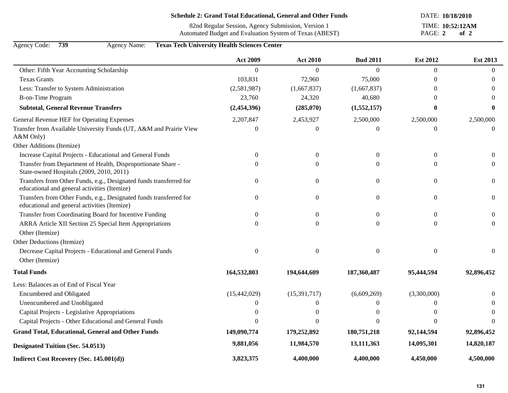## **Schedule 2: Grand Total Educational, General and Other Funds**

Automated Budget and Evaluation System of Texas (ABEST) 82nd Regular Session, Agency Submission, Version 1

DATE: **10/18/2010**

**10:52:12AM**TIME: **2 2** PAGE: **of**

|                                                                                                                    | <b>Act 2009</b>  | <b>Act 2010</b> | <b>Bud 2011</b>  | <b>Est 2012</b> | <b>Est 2013</b>  |
|--------------------------------------------------------------------------------------------------------------------|------------------|-----------------|------------------|-----------------|------------------|
| Other: Fifth Year Accounting Scholarship                                                                           | $\overline{0}$   | $\theta$        | $\boldsymbol{0}$ | $\Omega$        | $\Omega$         |
| <b>Texas Grants</b>                                                                                                | 103,831          | 72,960          | 75,000           | 0               | $\Omega$         |
| Less: Transfer to System Administration                                                                            | (2,581,987)      | (1,667,837)     | (1,667,837)      | ∩               | $\Omega$         |
| <b>B-on-Time Program</b>                                                                                           | 23,760           | 24,320          | 40,680           |                 | $\Omega$         |
| <b>Subtotal, General Revenue Transfers</b>                                                                         | (2,454,396)      | (285,070)       | (1,552,157)      |                 | $\mathbf{0}$     |
| General Revenue HEF for Operating Expenses                                                                         | 2,207,847        | 2,453,927       | 2,500,000        | 2,500,000       | 2,500,000        |
| Transfer from Available University Funds (UT, A&M and Prairie View<br>A&M Only)                                    | $\boldsymbol{0}$ | $\mathbf{0}$    | 0                | $\mathbf{0}$    | $\overline{0}$   |
| Other Additions (Itemize)                                                                                          |                  |                 |                  |                 |                  |
| Increase Capital Projects - Educational and General Funds                                                          | $\theta$         | $\mathbf{0}$    | $\mathbf{0}$     | $\mathbf{0}$    | $\overline{0}$   |
| Transfer from Department of Health, Disproportionate Share -<br>State-owned Hospitals (2009, 2010, 2011)           | $\Omega$         | $\Omega$        | $\Omega$         | 0               | $\Omega$         |
| Transfers from Other Funds, e.g., Designated funds transferred for<br>educational and general activities (Itemize) | $\theta$         | $\theta$        | $\boldsymbol{0}$ | $\Omega$        | $\overline{0}$   |
| Transfers from Other Funds, e.g., Designated funds transferred for<br>educational and general activities (Itemize) | $\theta$         | $\theta$        | 0                | $\Omega$        | $\theta$         |
| Transfer from Coordinating Board for Incentive Funding                                                             | $\mathbf{0}$     | $\theta$        | $\boldsymbol{0}$ | $\mathbf{0}$    | $\overline{0}$   |
| ARRA Article XII Section 25 Special Item Appropriations                                                            | $\Omega$         | $\Omega$        | $\theta$         | $\Omega$        | $\theta$         |
| Other (Itemize)                                                                                                    |                  |                 |                  |                 |                  |
| Other Deductions (Itemize)                                                                                         |                  |                 |                  |                 |                  |
| Decrease Capital Projects - Educational and General Funds                                                          | $\overline{0}$   | $\Omega$        | $\boldsymbol{0}$ | $\Omega$        | $\boldsymbol{0}$ |
| Other (Itemize)                                                                                                    |                  |                 |                  |                 |                  |
| <b>Total Funds</b>                                                                                                 | 164,532,803      | 194,644,609     | 187,360,487      | 95,444,594      | 92,896,452       |
| Less: Balances as of End of Fiscal Year                                                                            |                  |                 |                  |                 |                  |
| Encumbered and Obligated                                                                                           | (15, 442, 029)   | (15,391,717)    | (6,609,269)      | (3,300,000)     | $\Omega$         |
| Unencumbered and Unobligated                                                                                       | 0                | 0               | 0                |                 |                  |
| Capital Projects - Legislative Appropriations                                                                      | $_{0}$           | $\theta$        | 0                | $\Omega$        |                  |
| Capital Projects - Other Educational and General Funds                                                             | $\Omega$         | $\Omega$        | $\Omega$         | $\Omega$        | $\Omega$         |
| <b>Grand Total, Educational, General and Other Funds</b>                                                           | 149,090,774      | 179,252,892     | 180,751,218      | 92,144,594      | 92,896,452       |
| <b>Designated Tuition (Sec. 54.0513)</b>                                                                           | 9,881,056        | 11,984,570      | 13,111,363       | 14,095,301      | 14,820,187       |
| Indirect Cost Recovery (Sec. 145.001(d))                                                                           | 3,823,375        | 4,400,000       | 4,400,000        | 4,450,000       | 4,500,000        |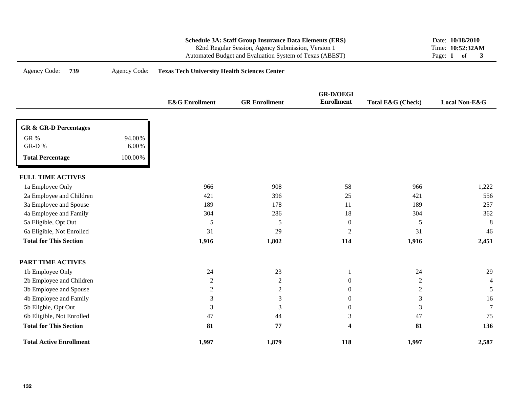|                                  |              | <b>Schedule 3A: Staff Group Insurance Data Elements (ERS)</b><br>82nd Regular Session, Agency Submission, Version 1<br>Automated Budget and Evaluation System of Texas (ABEST) | Date: 10/18/2010<br>Time: 10:52:32AM<br>Page: 1<br>of<br>3 |                                       |                   |                |  |  |  |
|----------------------------------|--------------|--------------------------------------------------------------------------------------------------------------------------------------------------------------------------------|------------------------------------------------------------|---------------------------------------|-------------------|----------------|--|--|--|
| Agency Code:<br>739              | Agency Code: |                                                                                                                                                                                | <b>Texas Tech University Health Sciences Center</b>        |                                       |                   |                |  |  |  |
|                                  |              | <b>E&amp;G</b> Enrollment                                                                                                                                                      | <b>GR</b> Enrollment                                       | <b>GR-D/OEGI</b><br><b>Enrollment</b> | Total E&G (Check) | Local Non-E&G  |  |  |  |
| <b>GR &amp; GR-D Percentages</b> |              |                                                                                                                                                                                |                                                            |                                       |                   |                |  |  |  |
| GR $\%$                          | 94.00%       |                                                                                                                                                                                |                                                            |                                       |                   |                |  |  |  |
| GR-D%                            | 6.00%        |                                                                                                                                                                                |                                                            |                                       |                   |                |  |  |  |
| <b>Total Percentage</b>          | 100.00%      |                                                                                                                                                                                |                                                            |                                       |                   |                |  |  |  |
| <b>FULL TIME ACTIVES</b>         |              |                                                                                                                                                                                |                                                            |                                       |                   |                |  |  |  |
| 1a Employee Only                 |              | 966                                                                                                                                                                            | 908                                                        | 58                                    | 966               | 1,222          |  |  |  |
| 2a Employee and Children         |              | 421                                                                                                                                                                            | 396                                                        | 25                                    | 421               | 556            |  |  |  |
| 3a Employee and Spouse           |              | 189                                                                                                                                                                            | 178                                                        | 11                                    | 189               | 257            |  |  |  |
| 4a Employee and Family           |              | 304                                                                                                                                                                            | 286                                                        | 18                                    | 304               | 362            |  |  |  |
| 5a Eligible, Opt Out             |              | 5                                                                                                                                                                              | 5                                                          | $\boldsymbol{0}$                      | 5                 | 8              |  |  |  |
| 6a Eligible, Not Enrolled        |              | 31                                                                                                                                                                             | 29                                                         | $\mathbf{2}$                          | 31                | 46             |  |  |  |
| <b>Total for This Section</b>    |              | 1,916                                                                                                                                                                          | 1,802                                                      | 114                                   | 1,916             | 2,451          |  |  |  |
| <b>PART TIME ACTIVES</b>         |              |                                                                                                                                                                                |                                                            |                                       |                   |                |  |  |  |
| 1b Employee Only                 |              | 24                                                                                                                                                                             | 23                                                         |                                       | 24                | 29             |  |  |  |
| 2b Employee and Children         |              | $\sqrt{2}$                                                                                                                                                                     | $\sqrt{2}$                                                 | $\theta$                              | $\overline{2}$    | 4              |  |  |  |
| 3b Employee and Spouse           |              | $\overline{2}$                                                                                                                                                                 | $\mathbf{2}$                                               | $\mathbf{0}$                          | $\sqrt{2}$        | 5              |  |  |  |
| 4b Employee and Family           |              | 3                                                                                                                                                                              | 3                                                          | $\mathbf{0}$                          | 3                 | 16             |  |  |  |
| 5b Eligble, Opt Out              |              | 3                                                                                                                                                                              | 3                                                          | $\Omega$                              | 3                 | $\overline{7}$ |  |  |  |
| 6b Eligible, Not Enrolled        |              | 47                                                                                                                                                                             | 44                                                         | 3                                     | 47                | 75             |  |  |  |
| <b>Total for This Section</b>    |              | 81                                                                                                                                                                             | 77                                                         | 4                                     | 81                | 136            |  |  |  |
| <b>Total Active Enrollment</b>   |              | 1,997                                                                                                                                                                          | 1,879                                                      | 118                                   | 1,997             | 2,587          |  |  |  |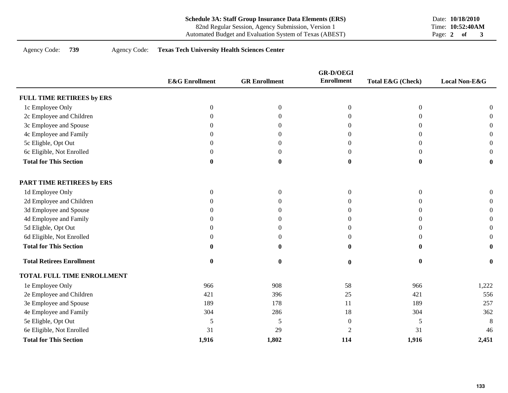## **Schedule 3A: Staff Group Insurance Data Elements (ERS)**

82nd Regular Session, Agency Submission, Version 1

Automated Budget and Evaluation System of Texas (ABEST)

Date: **10/18/2010** Time: **10:52:40AM** Page: **2 of 3** $\mathbf{3}$ 

Agency Code: **739** Agency Code: **Texas Tech University Health Sciences Center**

|                                   | <b>GR-D/OEGI</b>          |                      |                   |                   |                   |  |  |  |  |
|-----------------------------------|---------------------------|----------------------|-------------------|-------------------|-------------------|--|--|--|--|
|                                   | <b>E&amp;G</b> Enrollment | <b>GR</b> Enrollment | <b>Enrollment</b> | Total E&G (Check) | Local Non-E&G     |  |  |  |  |
| FULL TIME RETIREES by ERS         |                           |                      |                   |                   |                   |  |  |  |  |
| 1c Employee Only                  | $\mathbf{0}$              | $\boldsymbol{0}$     | $\overline{0}$    | $\mathbf{0}$      | $\Omega$          |  |  |  |  |
| 2c Employee and Children          | 0                         | 0                    | 0                 | 0                 |                   |  |  |  |  |
| 3c Employee and Spouse            | $\theta$                  | $\Omega$             | 0                 | $\theta$          | $\Omega$          |  |  |  |  |
| 4c Employee and Family            | 0                         | 0                    |                   |                   | $\mathbf{\Omega}$ |  |  |  |  |
| 5c Eligble, Opt Out               | 0                         | $\theta$             | 0                 | $\Omega$          | $\theta$          |  |  |  |  |
| 6c Eligible, Not Enrolled         | $\Omega$                  | 0                    | 0                 | $\Omega$          | 0                 |  |  |  |  |
| <b>Total for This Section</b>     | $\bf{0}$                  | $\mathbf{0}$         | 0                 | $\bf{0}$          | 0                 |  |  |  |  |
| PART TIME RETIREES by ERS         |                           |                      |                   |                   |                   |  |  |  |  |
| 1d Employee Only                  | $\mathbf{0}$              | $\theta$             | $\overline{0}$    | $\mathbf{0}$      | 0                 |  |  |  |  |
| 2d Employee and Children          | $\theta$                  | 0                    | 0                 | 0                 | 0                 |  |  |  |  |
| 3d Employee and Spouse            | 0                         | 0                    | 0                 | 0                 | $\Omega$          |  |  |  |  |
| 4d Employee and Family            | 0                         |                      |                   |                   | 0                 |  |  |  |  |
| 5d Eligble, Opt Out               | $\Omega$                  | $\theta$             | 0                 | $\theta$          | 0                 |  |  |  |  |
| 6d Eligible, Not Enrolled         | $\Omega$                  | $\theta$             | 0                 | $\Omega$          | $\theta$          |  |  |  |  |
| <b>Total for This Section</b>     | $\mathbf{0}$              | 0                    | 0                 | 0                 |                   |  |  |  |  |
| <b>Total Retirees Enrollment</b>  | $\mathbf{0}$              | $\mathbf{0}$         | $\bf{0}$          | $\bf{0}$          | $\bf{0}$          |  |  |  |  |
| <b>TOTAL FULL TIME ENROLLMENT</b> |                           |                      |                   |                   |                   |  |  |  |  |
| 1e Employee Only                  | 966                       | 908                  | 58                | 966               | 1,222             |  |  |  |  |
| 2e Employee and Children          | 421                       | 396                  | 25                | 421               | 556               |  |  |  |  |
| 3e Employee and Spouse            | 189                       | 178                  | 11                | 189               | 257               |  |  |  |  |
| 4e Employee and Family            | 304                       | 286                  | 18                | 304               | 362               |  |  |  |  |
| 5e Eligble, Opt Out               | 5                         | 5                    | $\overline{0}$    | 5                 | 8                 |  |  |  |  |
| 6e Eligible, Not Enrolled         | 31                        | 29                   | $\mathfrak{D}$    | 31                | 46                |  |  |  |  |
| <b>Total for This Section</b>     | 1,916                     | 1,802                | 114               | 1,916             | 2,451             |  |  |  |  |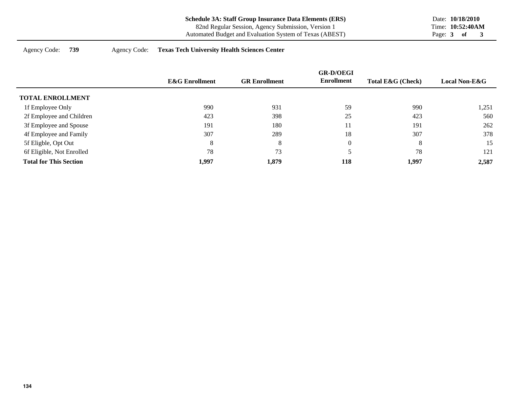## **Schedule 3A: Staff Group Insurance Data Elements (ERS)**

82nd Regular Session, Agency Submission, Version 1

Automated Budget and Evaluation System of Texas (ABEST)

Date: **10/18/2010** Time: **10:52:40AM** Page: **3 of 3** $\mathbf{3}$ 

Agency Code: **739** Agency Code: **Texas Tech University Health Sciences Center**

|                               |                           |                      | <b>GR-D/OEGI</b>  |                   |               |  |
|-------------------------------|---------------------------|----------------------|-------------------|-------------------|---------------|--|
|                               | <b>E&amp;G</b> Enrollment | <b>GR Enrollment</b> | <b>Enrollment</b> | Total E&G (Check) | Local Non-E&G |  |
| <b>TOTAL ENROLLMENT</b>       |                           |                      |                   |                   |               |  |
| 1f Employee Only              | 990                       | 931                  | 59                | 990               | 1,251         |  |
| 2f Employee and Children      | 423                       | 398                  | 25                | 423               | 560           |  |
| 3f Employee and Spouse        | 191                       | 180                  | 11                | 191               | 262           |  |
| 4f Employee and Family        | 307                       | 289                  | 18                | 307               | 378           |  |
| 5f Eligble, Opt Out           | 8                         | 8                    |                   | 8                 | 15            |  |
| 6f Eligible, Not Enrolled     | 78                        | 73                   |                   | 78                | 121           |  |
| <b>Total for This Section</b> | 1,997                     | 1,879                | 118               | 1,997             | 2,587         |  |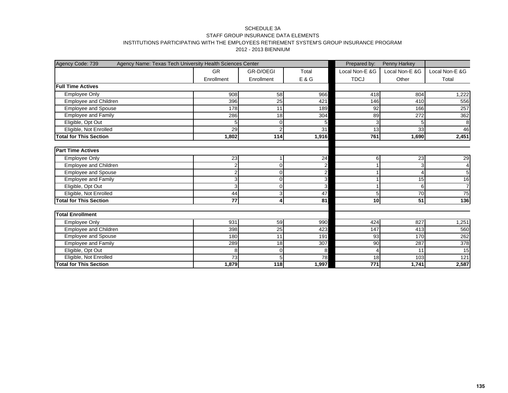#### SCHEDULE 3A STAFF GROUP INSURANCE DATA ELEMENTS INSTITUTIONS PARTICIPATING WITH THE EMPLOYEES RETIREMENT SYSTEM'S GROUP INSURANCE PROGRAM2012 - 2013 BIENNIUM

| Agency Code: 739<br>Agency Name: Texas Tech University Health Sciences Center | Prepared by: | Penny Harkey     |                |                |                |                |
|-------------------------------------------------------------------------------|--------------|------------------|----------------|----------------|----------------|----------------|
|                                                                               | <b>GR</b>    | <b>GR-D/OEGI</b> | Total          | Local Non-E &G | Local Non-E &G | Local Non-E &G |
|                                                                               | Enrollment   | Enrollment       | E & G          | <b>TDCJ</b>    | Other          | Total          |
| <b>Full Time Actives</b>                                                      |              |                  |                |                |                |                |
| Employee Only                                                                 | 908          | 58               | 966            | 418            | 804            | 1,222          |
| <b>Employee and Children</b>                                                  | 396          | 25               | 421            | 146            | 410            | 556            |
| Employee and Spouse                                                           | 178          | 11               | 189            | 92             | 166            | 257            |
| <b>Employee and Family</b>                                                    | 286          | 18               | 304            | 89             | 272            | 362            |
| Eligible, Opt Out                                                             | 5            | $\Omega$         | 5              | 3              | 5              | 8 <sup>1</sup> |
| Eligible, Not Enrolled                                                        | 29           |                  | 31             | 13             | 33             | 46             |
| <b>Total for This Section</b>                                                 | 1,802        | 114              | 1,916          | 761            | 1,690          | 2,451          |
|                                                                               |              |                  |                |                |                |                |
| <b>Part Time Actives</b>                                                      |              |                  |                |                |                |                |
| <b>Employee Only</b>                                                          | 23           |                  | 24             | 6              | 23             | 29             |
| Employee and Children                                                         | 2            | $\Omega$         | $\overline{2}$ |                | 3              | $\overline{4}$ |
| <b>Employee and Spouse</b>                                                    | 2            | $\Omega$         | $\overline{2}$ |                | 4              | 5 <sub>5</sub> |
| <b>Employee and Family</b>                                                    |              | $\Omega$         | 3              |                | 15             | 16             |
| Eligible, Opt Out                                                             |              | 0                | 3              |                | 6              | $\overline{7}$ |
| Eligible, Not Enrolled                                                        | 44           | 3                | 47             | 5              | 70             | 75             |
| <b>Total for This Section</b>                                                 | 77           |                  | 81             | 10             | 51             | 136            |
|                                                                               |              |                  |                |                |                |                |
| <b>Total Enrollment</b>                                                       |              |                  |                |                |                |                |
| <b>Employee Only</b>                                                          | 931          | 59               | 990            | 424            | 827            | 1,251          |
| <b>Employee and Children</b>                                                  | 398          | 25               | 423            | 147            | 413            | 560            |
| <b>Employee and Spouse</b>                                                    | 180          | 11               | 191            | 93             | 170            | 262            |
| <b>Employee and Family</b>                                                    | 289          | 18               | 307            | 90             | 287            | 378            |
| Eligible, Opt Out                                                             | 8            | $\Omega$         | 8              | 4              | 11             | 15             |
| Eligible, Not Enrolled                                                        | 73           |                  | 78             | 18             | 103            | 121            |
| <b>Total for This Section</b>                                                 | 1,879        | 118              | 1,997          | 771            | 1,741          | 2,587          |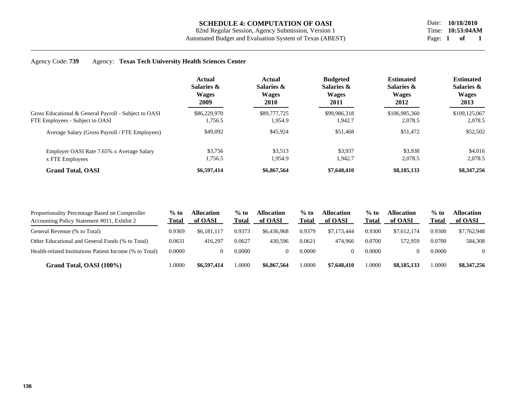## **SCHEDULE 4: COMPUTATION OF OASI**

82nd Regular Session, Agency Submission, Version 1

Automated Budget and Evaluation System of Texas (ABEST)

Date: **10/18/2010** Time: **10:53:04AM** Page: **1 of 1** $\mathbf{1}$ 

#### Agency Code: 739 **739 Texas Tech University Health Sciences Center**

|                                                       | <b>Actual</b><br>Salaries &<br><b>Wages</b><br>2009 | Actual<br>Salaries &<br><b>Wages</b><br><b>2010</b> | <b>Budgeted</b><br>Salaries &<br><b>Wages</b><br>2011 | <b>Estimated</b><br>Salaries &<br><b>Wages</b><br>2012 | <b>Estimated</b><br>Salaries &<br><b>Wages</b><br>2013 |
|-------------------------------------------------------|-----------------------------------------------------|-----------------------------------------------------|-------------------------------------------------------|--------------------------------------------------------|--------------------------------------------------------|
| Gross Educational & General Payroll - Subject to OASI | \$86,229,970                                        | \$89,777,725                                        | \$99,986,318                                          | \$106,985,360                                          | \$109,125,067                                          |
| FTE Employees - Subject to OASI                       | 1,756.5                                             | 1,954.9                                             | 1.942.7                                               | 2,078.5                                                | 2,078.5                                                |
| Average Salary (Gross Payroll / FTE Employees)        | \$49,092                                            | \$45,924                                            | \$51,468                                              | \$51.472                                               | \$52,502                                               |
| Employer OASI Rate 7.65% x Average Salary             | \$3,756                                             | \$3,513                                             | \$3,937                                               | \$3,938                                                | \$4,016                                                |
| x FTE Employees                                       | 1,756.5                                             | 1,954.9                                             | 1.942.7                                               | 2,078.5                                                | 2,078.5                                                |
| <b>Grand Total, OASI</b>                              | \$6,597,414                                         | \$6,867,564                                         | \$7,648,410                                           | \$8,185,133                                            | \$8,347,256                                            |

| Proportionality Percentage Based on Comptroller         | % to   | <b>Allocation</b> | $%$ to | <b>Allocation</b> | $%$ to       | <b>Allocation</b> | $%$ to       | <b>Allocation</b> | $%$ to | <b>Allocation</b> |
|---------------------------------------------------------|--------|-------------------|--------|-------------------|--------------|-------------------|--------------|-------------------|--------|-------------------|
| Accounting Policy Statement #011, Exhibit 2             | Total  | of OASI           | Total  | of OASI           | <b>Total</b> | of OASI           | <b>Total</b> | of OASI           | Total  | of OASI           |
| General Revenue (% to Total)                            | 0.9369 | \$6,181,117       | 0.9373 | \$6,436,968       | 0.9379       | \$7.173.444       | 0.9300       | \$7,612,174       | 0.9300 | \$7,762,948       |
| Other Educational and General Funds (% to Total)        | 0.0631 | 416.297           | 0.0627 | 430,596           | 0.0621       | 474.966           | 0.0700       | 572,959           | 0.0700 | 584,308           |
| Health-related Institutions Patient Income (% to Total) | 0.0000 |                   | 0.0000 |                   | 0.0000       |                   | 0.0000       |                   | 0.0000 | $\Omega$          |
| Grand Total, OASI (100%)                                | 1.0000 | \$6,597,414       | 0000.  | \$6,867,564       | .0000        | \$7,648,410       | 1.0000       | \$8,185,133       | 1.0000 | \$8,347,256       |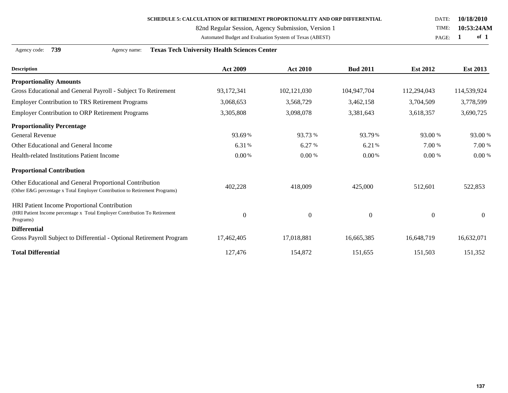#### **SCHEDULE 5: CALCULATION OF RETIREMENT PROPORTIONALITY AND ORP DIFFERENTIAL**

82nd Regular Session, Agency Submission, Version 1

Automated Budget and Evaluation System of Texas (ABEST) **b 1 of 1 of 1 of 1** 

TIME: **10:53:24AM10/18/2010** DATE: PAGE:

Agency code: **739** Agency name:

#### **Texas Tech University Health Sciences Center**

| <b>Description</b>                                                                                                                     | <b>Act 2009</b>  | <b>Act 2010</b> | <b>Bud 2011</b>  | <b>Est 2012</b> | <b>Est 2013</b> |
|----------------------------------------------------------------------------------------------------------------------------------------|------------------|-----------------|------------------|-----------------|-----------------|
| <b>Proportionality Amounts</b>                                                                                                         |                  |                 |                  |                 |                 |
| Gross Educational and General Payroll - Subject To Retirement                                                                          | 93,172,341       | 102,121,030     | 104,947,704      | 112,294,043     | 114,539,924     |
| <b>Employer Contribution to TRS Retirement Programs</b>                                                                                | 3,068,653        | 3,568,729       | 3,462,158        | 3,704,509       | 3,778,599       |
| <b>Employer Contribution to ORP Retirement Programs</b>                                                                                | 3,305,808        | 3,098,078       | 3,381,643        | 3,618,357       | 3,690,725       |
| <b>Proportionality Percentage</b>                                                                                                      |                  |                 |                  |                 |                 |
| General Revenue                                                                                                                        | 93.69%           | 93.73 %         | 93.79%           | 93.00 %         | 93.00 %         |
| Other Educational and General Income                                                                                                   | 6.31%            | 6.27 %          | 6.21%            | 7.00 %          | 7.00 %          |
| Health-related Institutions Patient Income                                                                                             | $0.00\,\%$       | $0.00\;\%$      | $0.00\%$         | 0.00 %          | 0.00 %          |
| <b>Proportional Contribution</b>                                                                                                       |                  |                 |                  |                 |                 |
| Other Educational and General Proportional Contribution<br>(Other E&G percentage x Total Employer Contribution to Retirement Programs) | 402,228          | 418,009         | 425,000          | 512,601         | 522,853         |
| HRI Patient Income Proportional Contribution<br>(HRI Patient Income percentage x Total Employer Contribution To Retirement             | $\boldsymbol{0}$ | $\mathbf{0}$    | $\boldsymbol{0}$ | $\mathbf{0}$    | $\theta$        |
| Programs)<br><b>Differential</b>                                                                                                       |                  |                 |                  |                 |                 |
|                                                                                                                                        |                  |                 |                  |                 |                 |
| Gross Payroll Subject to Differential - Optional Retirement Program                                                                    | 17,462,405       | 17,018,881      | 16,665,385       | 16,648,719      | 16,632,071      |
| <b>Total Differential</b>                                                                                                              | 127,476          | 154,872         | 151,655          | 151,503         | 151,352         |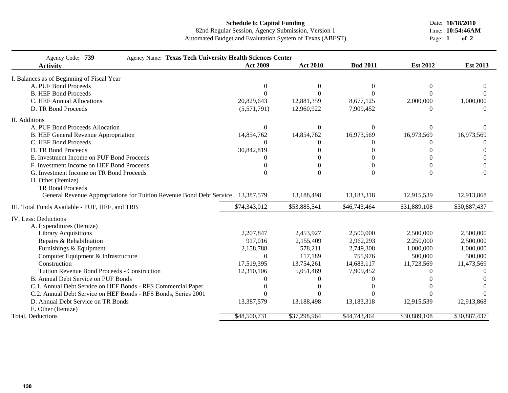**Schedule 6: Capital Funding**

82nd Regular Session, Agency Submission, Version 1

Automated Budget and Evalutation System of Texas (ABEST)

**10/18/2010** Date: **10:54:46AM** Time:

**1**Page: **of 2**

| <b>Agency Name: Texas Tech University Health Sciences Center</b><br>Agency Code: 739<br><b>Activity</b> | <b>Act 2009</b> | <b>Act 2010</b> | <b>Bud 2011</b> | <b>Est 2012</b> | <b>Est 2013</b> |
|---------------------------------------------------------------------------------------------------------|-----------------|-----------------|-----------------|-----------------|-----------------|
| I. Balances as of Beginning of Fiscal Year                                                              |                 |                 |                 |                 |                 |
| A. PUF Bond Proceeds                                                                                    | $\Omega$        | $\theta$        | $\Omega$        | $\theta$        |                 |
| <b>B. HEF Bond Proceeds</b>                                                                             |                 | 0               |                 | $\Omega$        |                 |
| C. HEF Annual Allocations                                                                               | 20,829,643      | 12,881,359      | 8,677,125       | 2,000,000       | 1,000,000       |
| D. TR Bond Proceeds                                                                                     | (5,571,791)     | 12,960,922      | 7,909,452       | $\Omega$        |                 |
|                                                                                                         |                 |                 |                 |                 |                 |
| II. Additions                                                                                           |                 |                 |                 |                 |                 |
| A. PUF Bond Proceeds Allocation                                                                         | 0               | $\mathbf{0}$    | $\Omega$        | $\Omega$        |                 |
| B. HEF General Revenue Appropriation                                                                    | 14,854,762      | 14,854,762      | 16,973,569      | 16,973,569      | 16,973,569      |
| C. HEF Bond Proceeds                                                                                    | $\Omega$        | 0               |                 | 0               |                 |
| D. TR Bond Proceeds                                                                                     | 30,842,819      | 0               |                 | 0               |                 |
| E. Investment Income on PUF Bond Proceeds                                                               | 0               | $\Omega$        |                 | $\Omega$        |                 |
| F. Investment Income on HEF Bond Proceeds                                                               | 0               | 0               |                 | 0               |                 |
| G. Investment Income on TR Bond Proceeds                                                                | 0               | $\Omega$        | $\Omega$        | $\Omega$        |                 |
| H. Other (Itemize)                                                                                      |                 |                 |                 |                 |                 |
| <b>TR Bond Proceeds</b>                                                                                 |                 |                 |                 |                 |                 |
| General Revenue Appropriations for Tuition Revenue Bond Debt Service 13,387,579                         |                 | 13,188,498      | 13,183,318      | 12,915,539      | 12,913,868      |
| III. Total Funds Available - PUF, HEF, and TRB                                                          | \$74,343,012    | \$53,885,541    | \$46,743,464    | \$31,889,108    | \$30,887,437    |
| IV. Less: Deductions                                                                                    |                 |                 |                 |                 |                 |
| A. Expenditures (Itemize)                                                                               |                 |                 |                 |                 |                 |
| <b>Library Acquisitions</b>                                                                             | 2,207,847       | 2,453,927       | 2,500,000       | 2,500,000       | 2,500,000       |
| Repairs & Rehabilitation                                                                                | 917,016         | 2,155,409       | 2,962,293       | 2,250,000       | 2,500,000       |
| Furnishings & Equipment                                                                                 | 2,158,788       | 578,211         | 2,749,308       | 1,000,000       | 1,000,000       |
| Computer Equipment & Infrastructure                                                                     | $\Omega$        | 117,189         | 755,976         | 500,000         | 500,000         |
| Construction                                                                                            | 17,519,395      | 13,754,261      | 14,683,117      | 11,723,569      | 11,473,569      |
| Tuition Revenue Bond Proceeds - Construction                                                            | 12,310,106      | 5,051,469       | 7,909,452       |                 |                 |
| B. Annual Debt Service on PUF Bonds                                                                     |                 |                 |                 |                 |                 |
| C.1. Annual Debt Service on HEF Bonds - RFS Commercial Paper                                            |                 |                 |                 |                 |                 |
| C.2. Annual Debt Service on HEF Bonds - RFS Bonds, Series 2001                                          | 0               | 0               |                 | 0               |                 |
| D. Annual Debt Service on TR Bonds                                                                      | 13,387,579      | 13,188,498      | 13,183,318      | 12,915,539      | 12,913,868      |
| E. Other (Itemize)                                                                                      |                 |                 |                 |                 |                 |
|                                                                                                         |                 |                 |                 |                 |                 |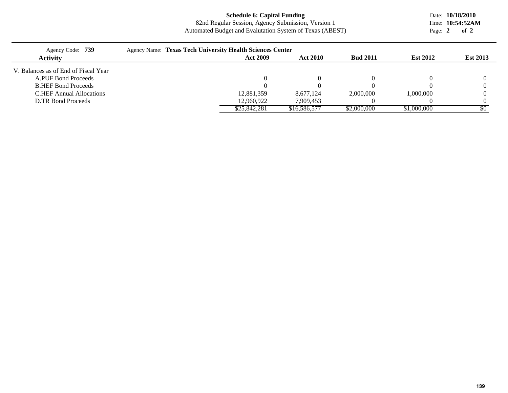**Schedule 6: Capital Funding**

# 82nd Regular Session, Agency Submission, Version 1

Automated Budget and Evalutation System of Texas (ABEST)

**10/18/2010** Date:

**10:54:52AM** Time: **2**Page: **of 2**

| Agency Code: 739                     | Agency Name: Texas Tech University Health Sciences Center |                 |                 |                 |                 |
|--------------------------------------|-----------------------------------------------------------|-----------------|-----------------|-----------------|-----------------|
| <b>Activity</b>                      | <b>Act 2009</b>                                           | <b>Act 2010</b> | <b>Bud 2011</b> | <b>Est 2012</b> | <b>Est 2013</b> |
| V. Balances as of End of Fiscal Year |                                                           |                 |                 |                 |                 |
| A.PUF Bond Proceeds                  |                                                           |                 |                 |                 |                 |
| <b>B.HEF Bond Proceeds</b>           |                                                           |                 |                 |                 |                 |
| <b>C.HEF Annual Allocations</b>      | 12,881,359                                                | 8.677.124       | 2,000,000       | 1,000,000       |                 |
| <b>D.TR Bond Proceeds</b>            | 12,960,922                                                | 7.909.453       |                 |                 |                 |
|                                      | \$25,842,281                                              | \$16,586,577    | \$2,000,000     | \$1,000,000     |                 |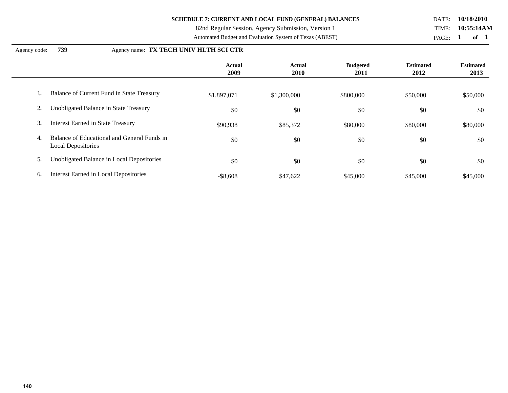#### **SCHEDULE 7: CURRENT AND LOCAL FUND (GENERAL) BALANCES**

82nd Regular Session, Agency Submission, Version 1 TIME: **10:55:14AM**

Automated Budget and Evaluation System of Texas (ABEST) **b PAGE: 1** of **1** 

**10/18/2010**DATE:

PAGE:

# **2009 2010 2011 2012 2013 739**Agency code: **739** • **Agency name: TX TECH UNIV HLTH SCI CTR Actual Actual Budgeted Estimated Estimated** 1. Balance of Current Fund in State Treasury  $$1,897,071$   $$1,300,000$   $$800,000$   $$50,000$   $$50,000$ 2. Unobligated Balance in State Treasury  $$0$   $$0$   $$0$   $$0$   $$0$   $$0$ 3. Interest Earned in State Treasury **\$90,938** \$85,372 \$80,000 \$80,000 \$80,000 \$80,000 4. Balance of Educational and General Funds in  $\qquad \qquad$  \$0  $\qquad \qquad$  \$0  $\qquad \qquad$  \$0  $\qquad \qquad$  \$0  $\qquad \qquad$  \$0  $\qquad \qquad$  \$0 Local Depositories 5. Unobligated Balance in Local Depositories  $$0$   $$0$   $$0$   $$0$   $$0$   $$0$ -\$8,608 \$47,622 \$45,000 \$45,000 \$45,000 6.**.** Interest Earned in Local Depositories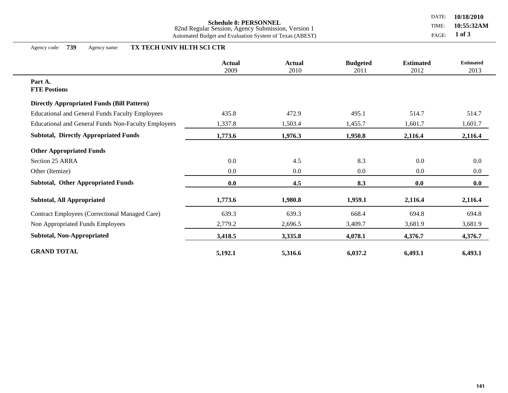**Schedule 8: PERSONNEL**<br>
82nd Regular Session, Agency Submission, Version 1 **1 of 3**<br>
1 of 3<sup>1</sup>

Automated Budget and Evaluation System of Texas (ABEST)

TIME: **10:55:32AM 10/18/2010** DATE:

PAGE: 1 of 3

#### Agency code: **739** Agency name: **9** Agency name: **TX TECH UNIV HLTH SCI CTR**

|                                                            | <b>Actual</b><br>2009 | <b>Actual</b><br>2010 | <b>Budgeted</b><br>2011 | <b>Estimated</b><br>2012 | <b>Estimated</b><br>2013 |
|------------------------------------------------------------|-----------------------|-----------------------|-------------------------|--------------------------|--------------------------|
| Part A.<br><b>FTE Postions</b>                             |                       |                       |                         |                          |                          |
| <b>Directly Appropriated Funds (Bill Pattern)</b>          |                       |                       |                         |                          |                          |
| <b>Educational and General Funds Faculty Employees</b>     | 435.8                 | 472.9                 | 495.1                   | 514.7                    | 514.7                    |
| <b>Educational and General Funds Non-Faculty Employees</b> | 1,337.8               | 1,503.4               | 1,455.7                 | 1,601.7                  | 1,601.7                  |
| <b>Subtotal, Directly Appropriated Funds</b>               | 1,773.6               | 1,976.3               | 1,950.8                 | 2,116.4                  | 2,116.4                  |
| <b>Other Appropriated Funds</b>                            |                       |                       |                         |                          |                          |
| Section 25 ARRA                                            | 0.0                   | 4.5                   | 8.3                     | 0.0                      | $0.0\,$                  |
| Other (Itemize)                                            | 0.0                   | 0.0                   | 0.0                     | 0.0                      | $0.0\,$                  |
| <b>Subtotal, Other Appropriated Funds</b>                  | 0.0                   | 4.5                   | 8.3                     | 0.0                      | 0.0                      |
| <b>Subtotal, All Appropriated</b>                          | 1,773.6               | 1,980.8               | 1,959.1                 | 2,116.4                  | 2,116.4                  |
| <b>Contract Employees (Correctional Managed Care)</b>      | 639.3                 | 639.3                 | 668.4                   | 694.8                    | 694.8                    |
| Non Appropriated Funds Employees                           | 2,779.2               | 2,696.5               | 3,409.7                 | 3,681.9                  | 3,681.9                  |
| <b>Subtotal, Non-Appropriated</b>                          | 3,418.5               | 3,335.8               | 4,078.1                 | 4,376.7                  | 4,376.7                  |
| <b>GRAND TOTAL</b>                                         | 5,192.1               | 5,316.6               | 6,037.2                 | 6,493.1                  | 6,493.1                  |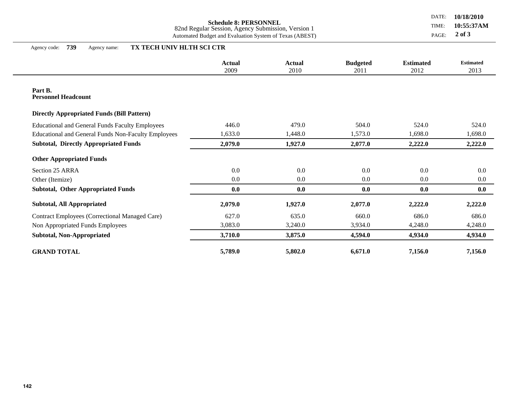|                                                                  | <b>Schedule 8: PERSONNEL</b><br>82nd Regular Session, Agency Submission, Version 1<br>Automated Budget and Evaluation System of Texas (ABEST) |                       |                         | TIME:<br>PAGE:           | 10:55:37AM<br>$2$ of $3$ |
|------------------------------------------------------------------|-----------------------------------------------------------------------------------------------------------------------------------------------|-----------------------|-------------------------|--------------------------|--------------------------|
| TX TECH UNIV HLTH SCI CTR<br>739<br>Agency code:<br>Agency name: |                                                                                                                                               |                       |                         |                          |                          |
|                                                                  | <b>Actual</b><br>2009                                                                                                                         | <b>Actual</b><br>2010 | <b>Budgeted</b><br>2011 | <b>Estimated</b><br>2012 | <b>Estimated</b><br>2013 |
| Part B.<br><b>Personnel Headcount</b>                            |                                                                                                                                               |                       |                         |                          |                          |
| <b>Directly Appropriated Funds (Bill Pattern)</b>                |                                                                                                                                               |                       |                         |                          |                          |
| <b>Educational and General Funds Faculty Employees</b>           | 446.0                                                                                                                                         | 479.0                 | 504.0                   | 524.0                    | 524.0                    |
| <b>Educational and General Funds Non-Faculty Employees</b>       | 1,633.0                                                                                                                                       | 1,448.0               | 1,573.0                 | 1,698.0                  | 1,698.0                  |
| <b>Subtotal, Directly Appropriated Funds</b>                     | 2,079.0                                                                                                                                       | 1,927.0               | 2,077.0                 | 2,222.0                  | 2,222.0                  |
| <b>Other Appropriated Funds</b>                                  |                                                                                                                                               |                       |                         |                          |                          |
| Section 25 ARRA                                                  | 0.0                                                                                                                                           | 0.0                   | 0.0                     | 0.0                      | 0.0                      |
| Other (Itemize)                                                  | 0.0                                                                                                                                           | 0.0                   | 0.0                     | 0.0                      | 0.0                      |
| <b>Subtotal, Other Appropriated Funds</b>                        | 0.0                                                                                                                                           | 0.0                   | 0.0                     | 0.0                      | 0.0                      |
| <b>Subtotal, All Appropriated</b>                                | 2,079.0                                                                                                                                       | 1,927.0               | 2,077.0                 | 2,222.0                  | 2,222.0                  |
| <b>Contract Employees (Correctional Managed Care)</b>            | 627.0                                                                                                                                         | 635.0                 | 660.0                   | 686.0                    | 686.0                    |
| Non Appropriated Funds Employees                                 | 3,083.0                                                                                                                                       | 3,240.0               | 3,934.0                 | 4,248.0                  | 4,248.0                  |
| Subtotal, Non-Appropriated                                       | 3,710.0                                                                                                                                       | 3,875.0               | 4,594.0                 | 4,934.0                  | 4,934.0                  |
| <b>GRAND TOTAL</b>                                               | 5,789.0                                                                                                                                       | 5,802.0               | 6,671.0                 | 7,156.0                  | 7,156.0                  |

TIME: **10:55:37AM 10/18/2010** DATE: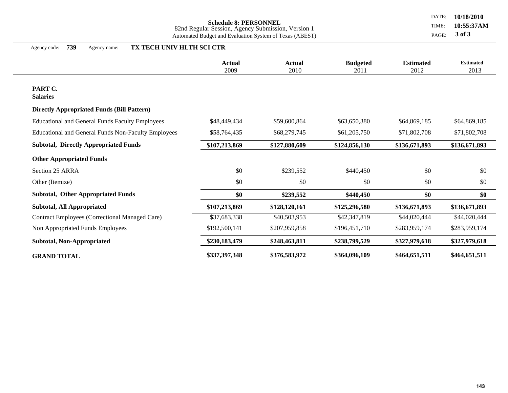| DATE: | 10/18/2010 |
|-------|------------|
| TIME: | 10:55:37A  |

# **Schedule 8: PERSONNEL**<br>
82nd Regular Session, Agency Submission, Version 1 **301 3 of 3**<br>
3 of 3

Automated Budget and Evaluation System of Texas (ABEST)

PAGE: 3 of 3

**10:55:37AM**

|                                                            | Actual<br>2009 | Actual<br>2010 | <b>Budgeted</b><br>2011 | <b>Estimated</b><br>2012 | <b>Estimated</b><br>2013 |
|------------------------------------------------------------|----------------|----------------|-------------------------|--------------------------|--------------------------|
| PART C.<br><b>Salaries</b>                                 |                |                |                         |                          |                          |
| <b>Directly Appropriated Funds (Bill Pattern)</b>          |                |                |                         |                          |                          |
| <b>Educational and General Funds Faculty Employees</b>     | \$48,449,434   | \$59,600,864   | \$63,650,380            | \$64,869,185             | \$64,869,185             |
| <b>Educational and General Funds Non-Faculty Employees</b> | \$58,764,435   | \$68,279,745   | \$61,205,750            | \$71,802,708             | \$71,802,708             |
| <b>Subtotal, Directly Appropriated Funds</b>               | \$107,213,869  | \$127,880,609  | \$124,856,130           | \$136,671,893            | \$136,671,893            |
| <b>Other Appropriated Funds</b>                            |                |                |                         |                          |                          |
| Section 25 ARRA                                            | \$0            | \$239,552      | \$440,450               | \$0                      | \$0                      |
| Other (Itemize)                                            | \$0            | \$0            | \$0                     | \$0                      | \$0                      |
| <b>Subtotal, Other Appropriated Funds</b>                  | \$0            | \$239,552      | \$440,450               | \$0                      | \$0                      |
| <b>Subtotal, All Appropriated</b>                          | \$107,213,869  | \$128,120,161  | \$125,296,580           | \$136,671,893            | \$136,671,893            |
| <b>Contract Employees (Correctional Managed Care)</b>      | \$37,683,338   | \$40,503,953   | \$42,347,819            | \$44,020,444             | \$44,020,444             |
| Non Appropriated Funds Employees                           | \$192,500,141  | \$207,959,858  | \$196,451,710           | \$283,959,174            | \$283,959,174            |
| Subtotal, Non-Appropriated                                 | \$230,183,479  | \$248,463,811  | \$238,799,529           | \$327,979,618            | \$327,979,618            |
| <b>GRAND TOTAL</b>                                         | \$337,397,348  | \$376,583,972  | \$364,096,109           | \$464,651,511            | \$464,651,511            |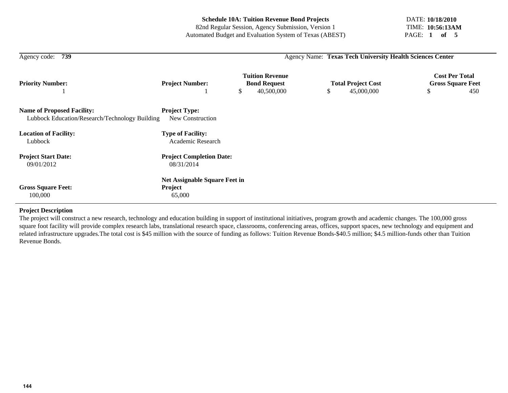82nd Regular Session, Agency Submission, Version 1

Automated Budget and Evaluation System of Texas (ABEST) PAGE: **1 of 5**

TIME: **10:56:13AM** DATE: **10/18/2010**

| Agency code:<br>739                                                                 |                                                                  | Agency Name: Texas Tech University Health Sciences Center   |  |    |                                         |  |                                                         |     |
|-------------------------------------------------------------------------------------|------------------------------------------------------------------|-------------------------------------------------------------|--|----|-----------------------------------------|--|---------------------------------------------------------|-----|
| <b>Priority Number:</b>                                                             | <b>Project Number:</b><br>\$                                     | <b>Tuition Revenue</b><br><b>Bond Request</b><br>40,500,000 |  | \$ | <b>Total Project Cost</b><br>45,000,000 |  | <b>Cost Per Total</b><br><b>Gross Square Feet</b><br>\$ | 450 |
| <b>Name of Proposed Facility:</b><br>Lubbock Education/Research/Technology Building | <b>Project Type:</b><br>New Construction                         |                                                             |  |    |                                         |  |                                                         |     |
| <b>Location of Facility:</b><br>Lubbock                                             | <b>Type of Facility:</b><br>Academic Research                    |                                                             |  |    |                                         |  |                                                         |     |
| <b>Project Start Date:</b><br>09/01/2012                                            | <b>Project Completion Date:</b><br>08/31/2014                    |                                                             |  |    |                                         |  |                                                         |     |
| <b>Gross Square Feet:</b><br>100,000                                                | <b>Net Assignable Square Feet in</b><br><b>Project</b><br>65,000 |                                                             |  |    |                                         |  |                                                         |     |

### **Project Description**

The project will construct a new research, technology and education building in support of institutional initiatives, program growth and academic changes. The 100,000 gross square foot facility will provide complex research labs, translational research space, classrooms, conferencing areas, offices, support spaces, new technology and equipment and related infrastructure upgrades.The total cost is \$45 million with the source of funding as follows: Tuition Revenue Bonds-\$40.5 million; \$4.5 million-funds other than Tuition Revenue Bonds.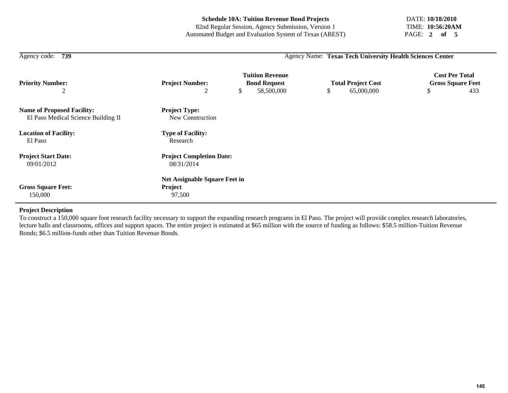Automated Budget and Evaluation System of Texas (ABEST) PAGE: **2 of 5** 82nd Regular Session, Agency Submission, Version 1

TIME: **10:56:20AM**DATE: **10/18/2010**

| 739<br>Agency Name: Texas Tech University Health Sciences Center<br>Agency code: |                                                                  |    |                                                             |    |                                         |                                                                |
|----------------------------------------------------------------------------------|------------------------------------------------------------------|----|-------------------------------------------------------------|----|-----------------------------------------|----------------------------------------------------------------|
| <b>Priority Number:</b><br>2                                                     | <b>Project Number:</b><br>2                                      | \$ | <b>Tuition Revenue</b><br><b>Bond Request</b><br>58,500,000 | \$ | <b>Total Project Cost</b><br>65,000,000 | \$<br><b>Cost Per Total</b><br><b>Gross Square Feet</b><br>433 |
| <b>Name of Proposed Facility:</b><br>El Paso Medical Science Building II         | <b>Project Type:</b><br>New Construction                         |    |                                                             |    |                                         |                                                                |
| <b>Location of Facility:</b><br>El Paso                                          | <b>Type of Facility:</b><br>Research                             |    |                                                             |    |                                         |                                                                |
| <b>Project Start Date:</b><br>09/01/2012                                         | <b>Project Completion Date:</b><br>08/31/2014                    |    |                                                             |    |                                         |                                                                |
| <b>Gross Square Feet:</b><br>150,000                                             | <b>Net Assignable Square Feet in</b><br><b>Project</b><br>97,500 |    |                                                             |    |                                         |                                                                |

# **Project Description**

To construct a 150,000 square foot research facility necessary to support the expanding research programs in El Paso. The project will provide complex research laboratories, lecture halls and classrooms, offices and support spaces. The entire project is estimated at \$65 million with the source of funding as follows: \$58.5 million-Tuition Revenue Bonds; \$6.5 million-funds other than Tuition Revenue Bonds.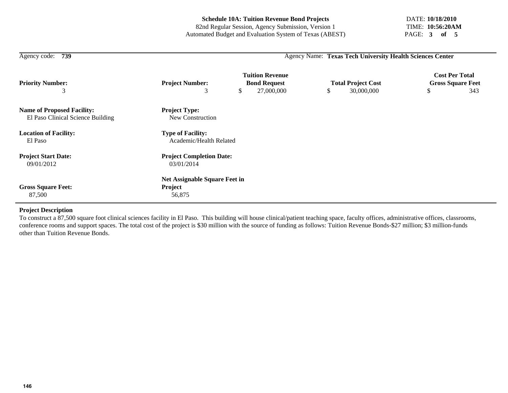Automated Budget and Evaluation System of Texas (ABEST) PAGE: **3 of 5** 82nd Regular Session, Agency Submission, Version 1

TIME: **10:56:20AM** DATE: **10/18/2010**

| 739<br><b>Agency Name: Texas Tech University Health Sciences Center</b><br>Agency code: |                                                           |    |                                                             |    |                                         |                                                                |
|-----------------------------------------------------------------------------------------|-----------------------------------------------------------|----|-------------------------------------------------------------|----|-----------------------------------------|----------------------------------------------------------------|
| <b>Priority Number:</b><br>3                                                            | <b>Project Number:</b><br>3                               | \$ | <b>Tuition Revenue</b><br><b>Bond Request</b><br>27,000,000 | \$ | <b>Total Project Cost</b><br>30,000,000 | \$<br><b>Cost Per Total</b><br><b>Gross Square Feet</b><br>343 |
| <b>Name of Proposed Facility:</b><br>El Paso Clinical Science Building                  | <b>Project Type:</b><br>New Construction                  |    |                                                             |    |                                         |                                                                |
| <b>Location of Facility:</b><br>El Paso                                                 | <b>Type of Facility:</b><br>Academic/Health Related       |    |                                                             |    |                                         |                                                                |
| <b>Project Start Date:</b><br>09/01/2012                                                | <b>Project Completion Date:</b><br>03/01/2014             |    |                                                             |    |                                         |                                                                |
| <b>Gross Square Feet:</b><br>87,500                                                     | <b>Net Assignable Square Feet in</b><br>Project<br>56,875 |    |                                                             |    |                                         |                                                                |

# **Project Description**

To construct a 87,500 square foot clinical sciences facility in El Paso. This building will house clinical/patient teaching space, faculty offices, administrative offices, classrooms, conference rooms and support spaces. The total cost of the project is \$30 million with the source of funding as follows: Tuition Revenue Bonds-\$27 million; \$3 million-funds other than Tuition Revenue Bonds.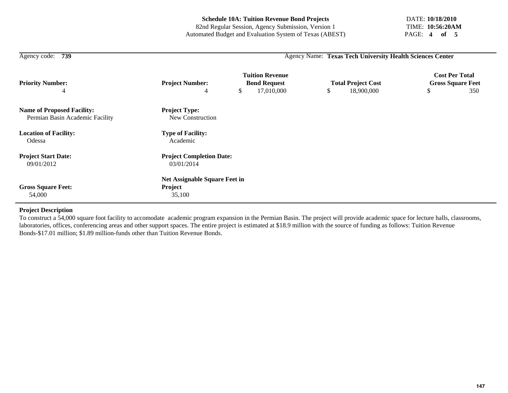Automated Budget and Evaluation System of Texas (ABEST) PAGE: **4 of 5** 82nd Regular Session, Agency Submission, Version 1

TIME: **10:56:20AM** DATE: **10/18/2010**

| Agency code:<br>739                                                  | Agency Name: Texas Tech University Health Sciences Center |    |                                                             |    |                                         |    |                                                          |
|----------------------------------------------------------------------|-----------------------------------------------------------|----|-------------------------------------------------------------|----|-----------------------------------------|----|----------------------------------------------------------|
| <b>Priority Number:</b><br>$\overline{4}$                            | <b>Project Number:</b><br>4                               | \$ | <b>Tuition Revenue</b><br><b>Bond Request</b><br>17,010,000 | \$ | <b>Total Project Cost</b><br>18,900,000 | \$ | <b>Cost Per Total</b><br><b>Gross Square Feet</b><br>350 |
| <b>Name of Proposed Facility:</b><br>Permian Basin Academic Facility | <b>Project Type:</b><br>New Construction                  |    |                                                             |    |                                         |    |                                                          |
| <b>Location of Facility:</b><br>Odessa                               | <b>Type of Facility:</b><br>Academic                      |    |                                                             |    |                                         |    |                                                          |
| <b>Project Start Date:</b><br>09/01/2012                             | <b>Project Completion Date:</b><br>03/01/2014             |    |                                                             |    |                                         |    |                                                          |
| <b>Gross Square Feet:</b><br>54,000                                  | Net Assignable Square Feet in<br>Project<br>35,100        |    |                                                             |    |                                         |    |                                                          |

# **Project Description**

To construct a 54,000 square foot facility to accomodate academic program expansion in the Permian Basin. The project will provide academic space for lecture halls, classrooms, laboratories, offices, conferencing areas and other support spaces. The entire project is estimated at \$18.9 million with the source of funding as follows: Tuition Revenue Bonds-\$17.01 million; \$1.89 million-funds other than Tuition Revenue Bonds.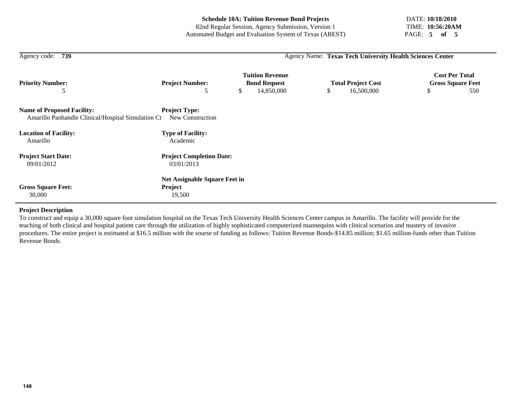Automated Budget and Evaluation System of Texas (ABEST) PAGE: **5 of 5** 82nd Regular Session, Agency Submission, Version 1

TIME: **10:56:20AM**DATE: **10/18/2010**

| 739<br>Agency code:                                                                     |                                                           | Agency Name: Texas Tech University Health Sciences Center |                                                             |    |                                         |                                                         |     |  |
|-----------------------------------------------------------------------------------------|-----------------------------------------------------------|-----------------------------------------------------------|-------------------------------------------------------------|----|-----------------------------------------|---------------------------------------------------------|-----|--|
| <b>Priority Number:</b>                                                                 | <b>Project Number:</b><br>5                               | \$                                                        | <b>Tuition Revenue</b><br><b>Bond Request</b><br>14,850,000 | \$ | <b>Total Project Cost</b><br>16,500,000 | <b>Cost Per Total</b><br><b>Gross Square Feet</b><br>\$ | 550 |  |
| <b>Name of Proposed Facility:</b><br>Amarillo Panhandle Clinical/Hospital Simulation Ct | <b>Project Type:</b><br>New Construction                  |                                                           |                                                             |    |                                         |                                                         |     |  |
| <b>Location of Facility:</b><br>Amarillo                                                | <b>Type of Facility:</b><br>Academic                      |                                                           |                                                             |    |                                         |                                                         |     |  |
| <b>Project Start Date:</b><br>09/01/2012                                                | <b>Project Completion Date:</b><br>03/01/2013             |                                                           |                                                             |    |                                         |                                                         |     |  |
| <b>Gross Square Feet:</b><br>30,000                                                     | <b>Net Assignable Square Feet in</b><br>Project<br>19,500 |                                                           |                                                             |    |                                         |                                                         |     |  |

# **Project Description**

To construct and equip a 30,000 square foot simulation hospital on the Texas Tech University Health Sciences Center campus in Amarillo. The facility will provide for the teaching of both clinical and hospital patient care through the utilization of highly sophisticated computerized mannequins with clinical scenarios and mastery of invasive procedures. The entire project is estimated at \$16.5 million with the sourse of funding as follows: Tuition Revenue Bonds-\$14.85 million; \$1.65 million-funds other than Tuition Revenue Bonds.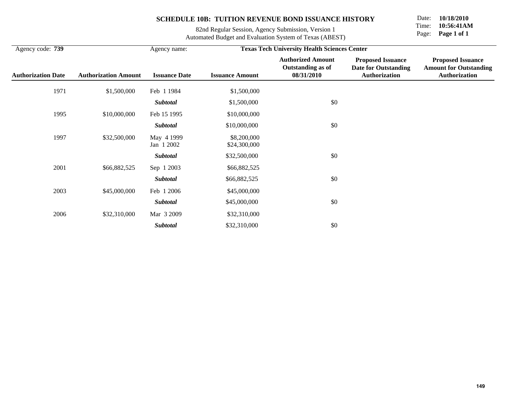# **SCHEDULE 10B: TUITION REVENUE BOND ISSUANCE HISTORY**

Automated Budget and Evaluation System of Texas (ABEST) 82nd Regular Session, Agency Submission, Version 1

Date: **10/18/2010** Time: **10:56:41AM** Page: **Page 1 of 1**

| Agency code: 739          | <b>Texas Tech University Health Sciences Center</b><br>Agency name: |                          |                             |                                                             |                                                                          |                                                                            |
|---------------------------|---------------------------------------------------------------------|--------------------------|-----------------------------|-------------------------------------------------------------|--------------------------------------------------------------------------|----------------------------------------------------------------------------|
| <b>Authorization Date</b> | <b>Authorization Amount</b>                                         | <b>Issuance Date</b>     | <b>Issuance Amount</b>      | <b>Authorized Amount</b><br>Outstanding as of<br>08/31/2010 | <b>Proposed Issuance</b><br><b>Date for Outstanding</b><br>Authorization | <b>Proposed Issuance</b><br><b>Amount for Outstanding</b><br>Authorization |
| 1971                      | \$1,500,000                                                         | Feb 1 1984               | \$1,500,000                 |                                                             |                                                                          |                                                                            |
|                           |                                                                     | Subtotal                 | \$1,500,000                 | \$0                                                         |                                                                          |                                                                            |
| 1995                      | \$10,000,000                                                        | Feb 15 1995              | \$10,000,000                |                                                             |                                                                          |                                                                            |
|                           |                                                                     | Subtotal                 | \$10,000,000                | \$0                                                         |                                                                          |                                                                            |
| 1997                      | \$32,500,000                                                        | May 4 1999<br>Jan 1 2002 | \$8,200,000<br>\$24,300,000 |                                                             |                                                                          |                                                                            |
|                           |                                                                     | Subtotal                 | \$32,500,000                | \$0                                                         |                                                                          |                                                                            |
| 2001                      | \$66,882,525                                                        | Sep 1 2003               | \$66,882,525                |                                                             |                                                                          |                                                                            |
|                           |                                                                     | Subtotal                 | \$66,882,525                | \$0                                                         |                                                                          |                                                                            |
| 2003                      | \$45,000,000                                                        | Feb 1 2006               | \$45,000,000                |                                                             |                                                                          |                                                                            |
|                           |                                                                     | Subtotal                 | \$45,000,000                | \$0                                                         |                                                                          |                                                                            |
| 2006                      | \$32,310,000                                                        | Mar 3 2009               | \$32,310,000                |                                                             |                                                                          |                                                                            |
|                           |                                                                     | Subtotal                 | \$32,310,000                | \$0                                                         |                                                                          |                                                                            |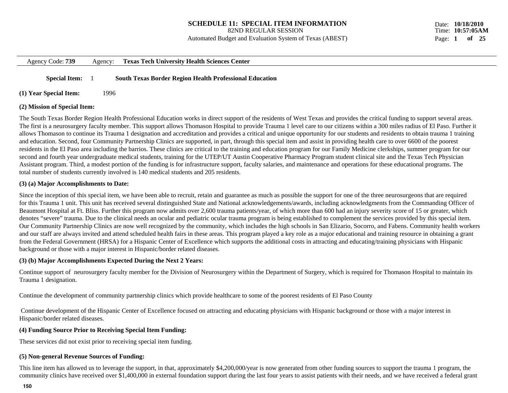Date:**10/18/2010**Time:**10:57:05AM**Page: **1 of 25**

#### Agency Code: **739** Agency: **Texas Tech University Health Sciences Center**

**Special Item:** 1 **South Texas Border Region Health Professional Education**

**(1) Year Special Item:** 1996

#### **(2) Mission of Special Item:**

The South Texas Border Region Health Professional Education works in direct support of the residents of West Texas and provides the critical funding to support several areas. The first is a neurosurgery faculty member. This support allows Thomason Hospital to provide Trauma 1 level care to our citizens within a 300 miles radius of El Paso. Further it allows Thomason to continue its Trauma 1 designation and accreditation and provides a critical and unique opportunity for our students and residents to obtain trauma 1 training and education. Second, four Community Partnership Clinics are supported, in part, through this special item and assist in providing health care to over 6600 of the poorest residents in the El Paso area including the barrios. These clinics are critical to the training and education program for our Family Medicine clerkships, summer program for our second and fourth year undergraduate medical students, training for the UTEP/UT Austin Cooperative Pharmacy Program student clinical site and the Texas Tech Physician Assistant program. Third, a modest portion of the funding is for infrastructure support, faculty salaries, and maintenance and operations for these educational programs. The total number of students currently involved is 140 medical students and 205 residents.

#### **(3) (a) Major Accomplishments to Date:**

Since the inception of this special item, we have been able to recruit, retain and guarantee as much as possible the support for one of the three neurosurgeons that are required for this Trauma 1 unit. This unit has received several distinguished State and National acknowledgements/awards, including acknowledgments from the Commanding Officer of Beaumont Hospital at Ft. Bliss. Further this program now admits over 2,600 trauma patients/year, of which more than 600 had an injury severity score of 15 or greater, which denotes "severe" trauma. Due to the clinical needs an ocular and pediatric ocular trauma program is being established to complement the services provided by this special item. Our Community Partnership Clinics are now well recognized by the community, which includes the high schools in San Elizario, Socorro, and Fabens. Community health workers and our staff are always invited and attend scheduled health fairs in these areas. This program played a key role as a major educational and training resource in obtaining a grant from the Federal Government (HRSA) for a Hispanic Center of Excellence which supports the additional costs in attracting and educating/training physicians with Hispanic background or those with a major interest in Hispanic/border related diseases.

#### **(3) (b) Major Accomplishments Expected During the Next 2 Years:**

Continue support of neurosurgery faculty member for the Division of Neurosurgery within the Department of Surgery, which is required for Thomason Hospital to maintain its Trauma 1 designation.

Continue the development of community partnership clinics which provide healthcare to some of the poorest residents of El Paso County

 Continue development of the Hispanic Center of Excellence focused on attracting and educating physicians with Hispanic background or those with a major interest in Hispanic/border related diseases.

#### **(4) Funding Source Prior to Receiving Special Item Funding:**

These services did not exist prior to receiving special item funding.

#### **(5) Non-general Revenue Sources of Funding:**

This line item has allowed us to leverage the support, in that, approximately \$4,200,000/year is now generated from other funding sources to support the trauma 1 program, the community clinics have received over \$1,400,000 in external foundation support during the last four years to assist patients with their needs, and we have received a federal grant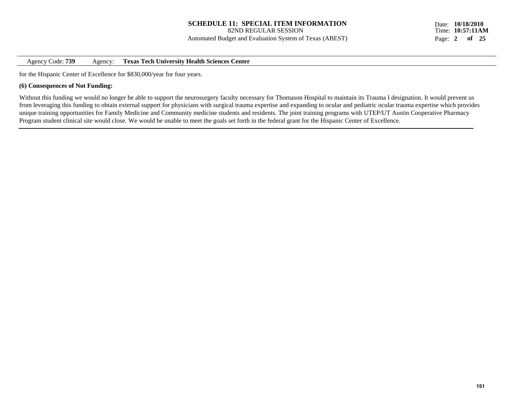Date:**10/18/2010**Time: **10:57:11AM**Page: **2 of 25**

#### Agency Code: **739** Agency: **Texas Tech University Health Sciences Center**

for the Hispanic Center of Excellence for \$830,000/year for four years.

#### **(6) Consequences of Not Funding:**

Without this funding we would no longer be able to support the neurosurgery faculty necessary for Thomason Hospital to maintain its Trauma I designation. It would prevent us from leveraging this funding to obtain external support for physicians with surgical trauma expertise and expanding to ocular and pediatric ocular trauma expertise which provides unique training opportunities for Family Medicine and Community medicine students and residents. The joint training programs with UTEP/UT Austin Cooperative Pharmacy Program student clinical site would close. We would be unable to meet the goals set forth in the federal grant for the Hispanic Center of Excellence.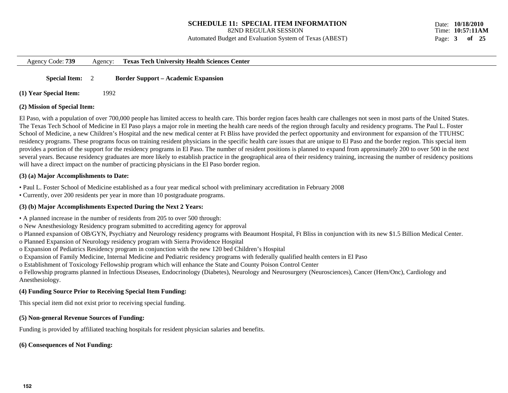Date:**10/18/2010**Time:**10:57:11AM**Page: **3 of 25**

#### Agency Code: **739** Agency: **Texas Tech University Health Sciences Center**

**Special Item:** 2 **Border Support – Academic Expansion**

**(1) Year Special Item:** 1992

#### **(2) Mission of Special Item:**

El Paso, with a population of over 700,000 people has limited access to health care. This border region faces health care challenges not seen in most parts of the United States. The Texas Tech School of Medicine in El Paso plays a major role in meeting the health care needs of the region through faculty and residency programs. The Paul L. Foster School of Medicine, a new Children's Hospital and the new medical center at Ft Bliss have provided the perfect opportunity and environment for expansion of the TTUHSC residency programs. These programs focus on training resident physicians in the specific health care issues that are unique to El Paso and the border region. This special item provides a portion of the support for the residency programs in El Paso. The number of resident positions is planned to expand from approximately 200 to over 500 in the next several years. Because residency graduates are more likely to establish practice in the geographical area of their residency training, increasing the number of residency positions will have a direct impact on the number of practicing physicians in the El Paso border region.

#### **(3) (a) Major Accomplishments to Date:**

• Paul L. Foster School of Medicine established as a four year medical school with preliminary accreditation in February 2008

• Currently, over 200 residents per year in more than 10 postgraduate programs.

### **(3) (b) Major Accomplishments Expected During the Next 2 Years:**

• A planned increase in the number of residents from 205 to over 500 through:

o New Anesthesiology Residency program submitted to accrediting agency for approval

o Planned expansion of OB/GYN, Psychiatry and Neurology residency programs with Beaumont Hospital, Ft Bliss in conjunction with its new \$1.5 Billion Medical Center.

o Planned Expansion of Neurology residency program with Sierra Providence Hospital

o Expansion of Pediatrics Residency program in conjunction with the new 120 bed Children's Hospital

o Expansion of Family Medicine, Internal Medicine and Pediatric residency programs with federally qualified health centers in El Paso

o Establishment of Toxicology Fellowship program which will enhance the State and County Poison Control Center

o Fellowship programs planned in Infectious Diseases, Endocrinology (Diabetes), Neurology and Neurosurgery (Neurosciences), Cancer (Hem/Onc), Cardiology and Anesthesiology.

### **(4) Funding Source Prior to Receiving Special Item Funding:**

This special item did not exist prior to receiving special funding.

### **(5) Non-general Revenue Sources of Funding:**

Funding is provided by affiliated teaching hospitals for resident physician salaries and benefits.

#### **(6) Consequences of Not Funding:**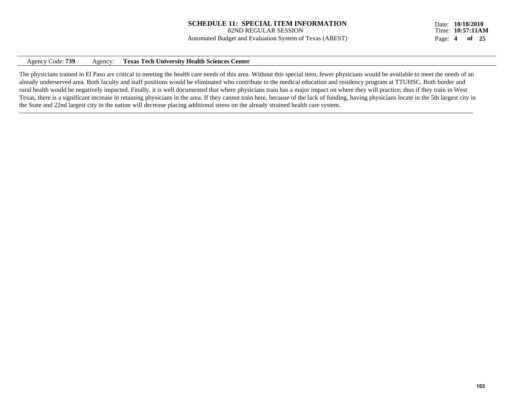# **SCHEDULE 11: SPECIAL ITEM INFORMATION**

82ND REGULAR SESSION

Automated Budget and Evaluation System of Texas (ABEST)

Date:**10/18/2010**Time: **10:57:11AM**Page: **4 of 25**

#### Agency Code: **739** Agency: **Texas Tech University Health Sciences Center**

The physicians trained in El Paso are critical to meeting the health care needs of this area. Without this special item, fewer physicians would be available to meet the needs of an already underserved area. Both faculty and staff positions would be eliminated who contribute to the medical education and residency program at TTUHSC. Both border and rural health would be negatively impacted. Finally, it is well documented that where physicians train has a major impact on where they will practice; thus if they train in West Texas, there is a significant increase in retaining physicians in the area. If they cannot train here, because of the lack of funding, having physicians locate in the 5th largest city in the State and 22nd largest city in the nation will decrease placing additional stress on the already strained health care system.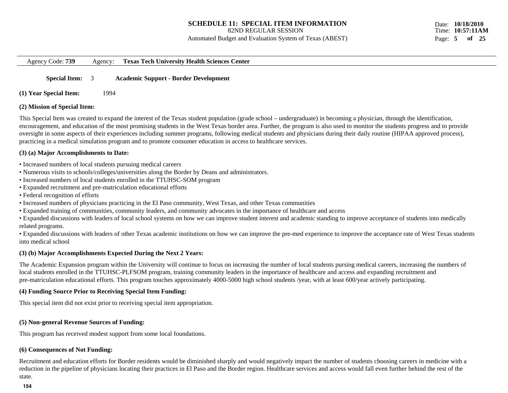# **SCHEDULE 11: SPECIAL ITEM INFORMATION**82ND REGULAR SESSION

Automated Budget and Evaluation System of Texas (ABEST)

Date:**10/18/2010**Time:**10:57:11AM**Page: **5 of 25**

#### Agency Code: **739** Agency: **Texas Tech University Health Sciences Center**

**Special Item:** 3 **Academic Support - Border Development**

**(1) Year Special Item:** 1994

#### **(2) Mission of Special Item:**

This Special Item was created to expand the interest of the Texas student population (grade school – undergraduate) in becoming a physician, through the identification, encouragement, and education of the most promising students in the West Texas border area. Further, the program is also used to monitor the students progress and to provide oversight in some aspects of their experiences including summer programs, following medical students and physicians during their daily routine (HIPAA approved process), practicing in a medical simulation program and to promote consumer education in access to healthcare services.

#### **(3) (a) Major Accomplishments to Date:**

- Increased numbers of local students pursuing medical careers
- Numerous visits to schools/colleges/universities along the Border by Deans and administrators.
- Increased numbers of local students enrolled in the TTUHSC-SOM program
- Expanded recruitment and pre-matriculation educational efforts
- Federal recognition of efforts
- Increased numbers of physicians practicing in the El Paso community, West Texas, and other Texas communities
- Expanded training of communities, community leaders, and community advocates in the importance of healthcare and access
- Expanded discussions with leaders of local school systems on how we can improve student interest and academic standing to improve acceptance of students into medically related programs.

• Expanded discussions with leaders of other Texas academic institutions on how we can improve the pre-med experience to improve the acceptance rate of West Texas students into medical school

#### **(3) (b) Major Accomplishments Expected During the Next 2 Years:**

The Academic Expansion program within the University will continue to focus on increasing the number of local students pursing medical careers, increasing the numbers of local students enrolled in the TTUHSC-PLFSOM program, training community leaders in the importance of healthcare and access and expanding recruitment and pre-matriculation educational efforts. This program touches approximately 4000-5000 high school students /year, with at least 600/year actively participating.

#### **(4) Funding Source Prior to Receiving Special Item Funding:**

This special item did not exist prior to receiving special item appropriation.

#### **(5) Non-general Revenue Sources of Funding:**

This program has received modest support from some local foundations.

#### **(6) Consequences of Not Funding:**

Recruitment and education efforts for Border residents would be diminished sharply and would negatively impact the number of students choosing careers in medicine with a reduction in the pipeline of physicians locating their practices in El Paso and the Border region. Healthcare services and access would fall even further behind the rest of the state.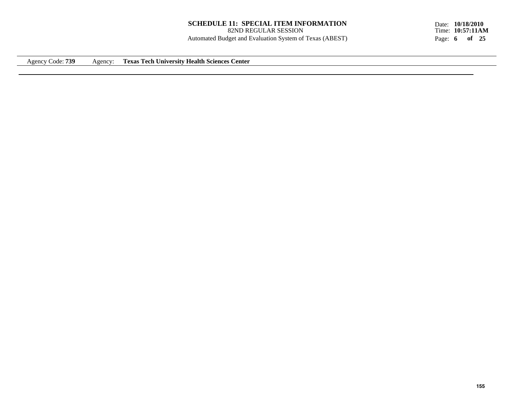# **SCHEDULE 11: SPECIAL ITEM INFORMATION**

82ND REGULAR SESSION

Automated Budget and Evaluation System of Texas (ABEST)

Date: Time: **10:57:11AM** Page: **6 of 25 10/18/2010**

Agency Code: **739** Agency: **Texas Tech University Health Sciences Center**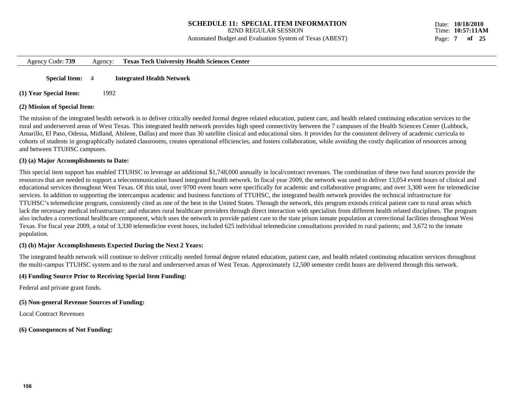Date:**10/18/2010**Time:**10:57:11AM**Page: **7 of 25**

#### Agency Code: **739** Agency: **Texas Tech University Health Sciences Center**

**Special Item:** 4 **Integrated Health Network**

**(1) Year Special Item:** 1992

#### **(2) Mission of Special Item:**

The mission of the integrated health network is to deliver critically needed formal degree related education, patient care, and health related continuing education services to the rural and underserved areas of West Texas. This integrated health network provides high speed connectivity between the 7 campuses of the Health Sciences Center (Lubbock, Amarillo, El Paso, Odessa, Midland, Abilene, Dallas) and more than 30 satellite clinical and educational sites. It provides for the consistent delivery of academic curricula to cohorts of students in geographically isolated classrooms, creates operational efficiencies, and fosters collaboration, while avoiding the costly duplication of resources among and between TTUHSC campuses.

#### **(3) (a) Major Accomplishments to Date:**

This special item support has enabled TTUHSC to leverage an additional \$1,748,000 annually in local/contract revenues. The combination of these two fund sources provide the resources that are needed to support a telecommunication based integrated health network. In fiscal year 2009, the network was used to deliver 13,054 event hours of clinical and educational services throughout West Texas. Of this total, over 9700 event hours were specifically for academic and collaborative programs; and over 3,300 were for telemedicine services. In addition to supporting the intercampus academic and business functions of TTUHSC, the integrated health network provides the technical infrastructure for TTUHSC's telemedicine program, consistently cited as one of the best in the United States. Through the network, this program extends critical patient care to rural areas which lack the necessary medical infrastructure; and educates rural healthcare providers through direct interaction with specialists from different health related disciplines. The program also includes a correctional healthcare component, which uses the network to provide patient care to the state prison inmate population at correctional facilities throughout West Texas. For fiscal year 2009, a total of 3,330 telemedicine event hours, included 625 individual telemedicine consultations provided to rural patients; and 3,672 to the inmate population.

#### **(3) (b) Major Accomplishments Expected During the Next 2 Years:**

The integrated health network will continue to deliver critically needed formal degree related education, patient care, and health related continuing education services throughout the multi-campus TTUHSC system and to the rural and underserved areas of West Texas. Approximately 12,500 semester credit hours are delivered through this network.

#### **(4) Funding Source Prior to Receiving Special Item Funding:**

Federal and private grant funds.

#### **(5) Non-general Revenue Sources of Funding:**

Local Contract Revenues

#### **(6) Consequences of Not Funding:**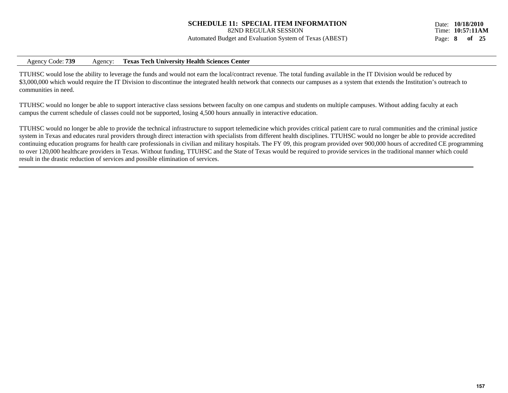Date:**10/18/2010**Time:**10:57:11AM**Page: **8 of 25**

#### Agency Code: **739** Agency: **Texas Tech University Health Sciences Center**

TTUHSC would lose the ability to leverage the funds and would not earn the local/contract revenue. The total funding available in the IT Division would be reduced by \$3,000,000 which would require the IT Division to discontinue the integrated health network that connects our campuses as a system that extends the Institution's outreach to communities in need.

TTUHSC would no longer be able to support interactive class sessions between faculty on one campus and students on multiple campuses. Without adding faculty at each campus the current schedule of classes could not be supported, losing 4,500 hours annually in interactive education.

TTUHSC would no longer be able to provide the technical infrastructure to support telemedicine which provides critical patient care to rural communities and the criminal justice system in Texas and educates rural providers through direct interaction with specialists from different health disciplines. TTUHSC would no longer be able to provide accredited continuing education programs for health care professionals in civilian and military hospitals. The FY 09, this program provided over 900,000 hours of accredited CE programming to over 120,000 healthcare providers in Texas. Without funding, TTUHSC and the State of Texas would be required to provide services in the traditional manner which could result in the drastic reduction of services and possible elimination of services.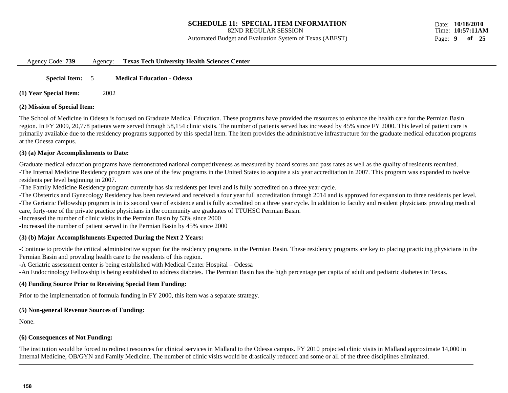Date:**10/18/2010**Time:**10:57:11AM**Page: **9 of 25**

#### Agency Code: **739** Agency: **Texas Tech University Health Sciences Center**

**Special Item:** 5 **Medical Education - Odessa**

**(1) Year Special Item:** 2002

#### **(2) Mission of Special Item:**

The School of Medicine in Odessa is focused on Graduate Medical Education. These programs have provided the resources to enhance the health care for the Permian Basin region. In FY 2009, 20,778 patients were served through 58,154 clinic visits. The number of patients served has increased by 45% since FY 2000. This level of patient care is primarily available due to the residency programs supported by this special item. The item provides the administrative infrastructure for the graduate medical education programs at the Odessa campus.

#### **(3) (a) Major Accomplishments to Date:**

Graduate medical education programs have demonstrated national competitiveness as measured by board scores and pass rates as well as the quality of residents recruited. -The Internal Medicine Residency program was one of the few programs in the United States to acquire a six year accreditation in 2007. This program was expanded to twelve residents per level beginning in 2007.

-The Family Medicine Residency program currently has six residents per level and is fully accredited on a three year cycle.

-The Obstetrics and Gynecology Residency has been reviewed and received a four year full accreditation through 2014 and is approved for expansion to three residents per level. -The Geriatric Fellowship program is in its second year of existence and is fully accredited on a three year cycle. In addition to faculty and resident physicians providing medical care, forty-one of the private practice physicians in the community are graduates of TTUHSC Permian Basin.

-Increased the number of clinic visits in the Permian Basin by 53% since 2000

-Increased the number of patient served in the Permian Basin by 45% since 2000

### **(3) (b) Major Accomplishments Expected During the Next 2 Years:**

-Continue to provide the critical administrative support for the residency programs in the Permian Basin. These residency programs are key to placing practicing physicians in the Permian Basin and providing health care to the residents of this region.

-A Geriatric assessment center is being established with Medical Center Hospital – Odessa

-An Endocrinology Fellowship is being established to address diabetes. The Permian Basin has the high percentage per capita of adult and pediatric diabetes in Texas.

#### **(4) Funding Source Prior to Receiving Special Item Funding:**

Prior to the implementation of formula funding in FY 2000, this item was a separate strategy.

### **(5) Non-general Revenue Sources of Funding:**

None.

#### **(6) Consequences of Not Funding:**

The institution would be forced to redirect resources for clinical services in Midland to the Odessa campus. FY 2010 projected clinic visits in Midland approximate 14,000 in Internal Medicine, OB/GYN and Family Medicine. The number of clinic visits would be drastically reduced and some or all of the three disciplines eliminated.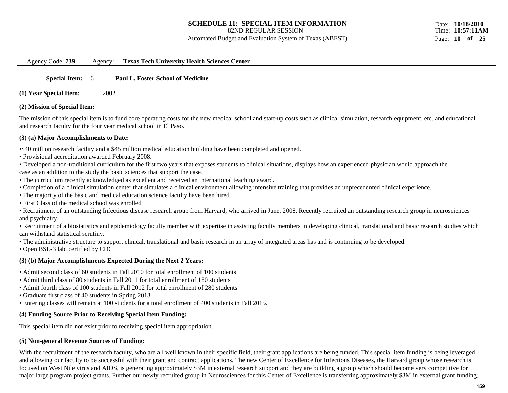Date:**10/18/2010**Time:**10:57:11AM**Page: **10 of 25**

#### Agency Code: **739** Agency: **Texas Tech University Health Sciences Center**

**Special Item:** 6 **Paul L. Foster School of Medicine**

**(1) Year Special Item:** 2002

#### **(2) Mission of Special Item:**

The mission of this special item is to fund core operating costs for the new medical school and start-up costs such as clinical simulation, research equipment, etc. and educational and research faculty for the four year medical school in El Paso.

#### **(3) (a) Major Accomplishments to Date:**

•\$40 million research facility and a \$45 million medical education building have been completed and opened.

• Provisional accreditation awarded February 2008.

• Developed a non-traditional curriculum for the first two years that exposes students to clinical situations, displays how an experienced physician would approach the case as an addition to the study the basic sciences that support the case.

- The curriculum recently acknowledged as excellent and received an international teaching award.
- Completion of a clinical simulation center that simulates a clinical environment allowing intensive training that provides an unprecedented clinical experience.
- The majority of the basic and medical education science faculty have been hired.
- First Class of the medical school was enrolled

• Recruitment of an outstanding Infectious disease research group from Harvard, who arrived in June, 2008. Recently recruited an outstanding research group in neurosciences and psychiatry.

• Recruitment of a biostatistics and epidemiology faculty member with expertise in assisting faculty members in developing clinical, translational and basic research studies which can withstand statistical scrutiny.

• The administrative structure to support clinical, translational and basic research in an array of integrated areas has and is continuing to be developed.

• Open BSL-3 lab, certified by CDC

#### **(3) (b) Major Accomplishments Expected During the Next 2 Years:**

- Admit second class of 60 students in Fall 2010 for total enrollment of 100 students
- Admit third class of 80 students in Fall 2011 for total enrollment of 180 students
- Admit fourth class of 100 students in Fall 2012 for total enrollment of 280 students
- Graduate first class of 40 students in Spring 2013
- Entering classes will remain at 100 students for a total enrollment of 400 students in Fall 2015.

#### **(4) Funding Source Prior to Receiving Special Item Funding:**

This special item did not exist prior to receiving special item appropriation.

### **(5) Non-general Revenue Sources of Funding:**

With the recruitment of the research faculty, who are all well known in their specific field, their grant applications are being funded. This special item funding is being leveraged and allowing our faculty to be successful with their grant and contract applications. The new Center of Excellence for Infectious Diseases, the Harvard group whose research is focused on West Nile virus and AIDS, is generating approximately \$3M in external research support and they are building a group which should become very competitive for major large program project grants. Further our newly recruited group in Neurosciences for this Center of Excellence is transferring approximately \$3M in external grant funding,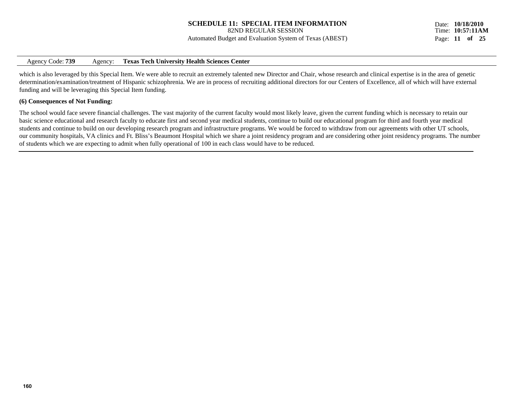# **SCHEDULE 11: SPECIAL ITEM INFORMATION**82ND REGULAR SESSION

Automated Budget and Evaluation System of Texas (ABEST)

Date:**10/18/2010**Time:**10:57:11AM**Page: **11 of 25**

#### Agency Code: **739** Agency: **Texas Tech University Health Sciences Center**

which is also leveraged by this Special Item. We were able to recruit an extremely talented new Director and Chair, whose research and clinical expertise is in the area of genetic determination/examination/treatment of Hispanic schizophrenia. We are in process of recruiting additional directors for our Centers of Excellence, all of which will have external funding and will be leveraging this Special Item funding.

#### **(6) Consequences of Not Funding:**

The school would face severe financial challenges. The vast majority of the current faculty would most likely leave, given the current funding which is necessary to retain our basic science educational and research faculty to educate first and second year medical students, continue to build our educational program for third and fourth year medical students and continue to build on our developing research program and infrastructure programs. We would be forced to withdraw from our agreements with other UT schools, our community hospitals, VA clinics and Ft. Bliss's Beaumont Hospital which we share a joint residency program and are considering other joint residency programs. The number of students which we are expecting to admit when fully operational of 100 in each class would have to be reduced.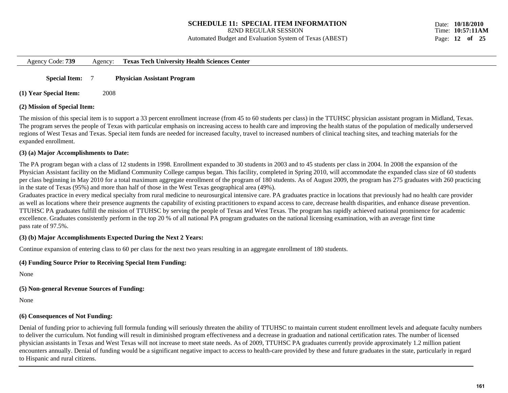Date:**10/18/2010**Time:**10:57:11AM**Page: **12 of 25**

#### Agency Code: **739** Agency: **Texas Tech University Health Sciences Center**

**Special Item:** 7 **Physician Assistant Program**

**(1) Year Special Item:** 2008

#### **(2) Mission of Special Item:**

The mission of this special item is to support a 33 percent enrollment increase (from 45 to 60 students per class) in the TTUHSC physician assistant program in Midland, Texas. The program serves the people of Texas with particular emphasis on increasing access to health care and improving the health status of the population of medically underserved regions of West Texas and Texas. Special item funds are needed for increased faculty, travel to increased numbers of clinical teaching sites, and teaching materials for the expanded enrollment.

#### **(3) (a) Major Accomplishments to Date:**

The PA program began with a class of 12 students in 1998. Enrollment expanded to 30 students in 2003 and to 45 students per class in 2004. In 2008 the expansion of the Physician Assistant facility on the Midland Community College campus began. This facility, completed in Spring 2010, will accommodate the expanded class size of 60 students per class beginning in May 2010 for a total maximum aggregate enrollment of the program of 180 students. As of August 2009, the program has 275 graduates with 260 practicing in the state of Texas (95%) and more than half of those in the West Texas geographical area (49%).

Graduates practice in every medical specialty from rural medicine to neurosurgical intensive care. PA graduates practice in locations that previously had no health care provider as well as locations where their presence augments the capability of existing practitioners to expand access to care, decrease health disparities, and enhance disease prevention. TTUHSC PA graduates fulfill the mission of TTUHSC by serving the people of Texas and West Texas. The program has rapidly achieved national prominence for academic excellence. Graduates consistently perform in the top 20 % of all national PA program graduates on the national licensing examination, with an average first time pass rate of 97.5%.

### **(3) (b) Major Accomplishments Expected During the Next 2 Years:**

Continue expansion of entering class to 60 per class for the next two years resulting in an aggregate enrollment of 180 students.

### **(4) Funding Source Prior to Receiving Special Item Funding:**

None

### **(5) Non-general Revenue Sources of Funding:**

None

#### **(6) Consequences of Not Funding:**

Denial of funding prior to achieving full formula funding will seriously threaten the ability of TTUHSC to maintain current student enrollment levels and adequate faculty numbers to deliver the curriculum. Not funding will result in diminished program effectiveness and a decrease in graduation and national certification rates. The number of licensed physician assistants in Texas and West Texas will not increase to meet state needs. As of 2009, TTUHSC PA graduates currently provide approximately 1.2 million patient encounters annually. Denial of funding would be a significant negative impact to access to health-care provided by these and future graduates in the state, particularly in regard to Hispanic and rural citizens.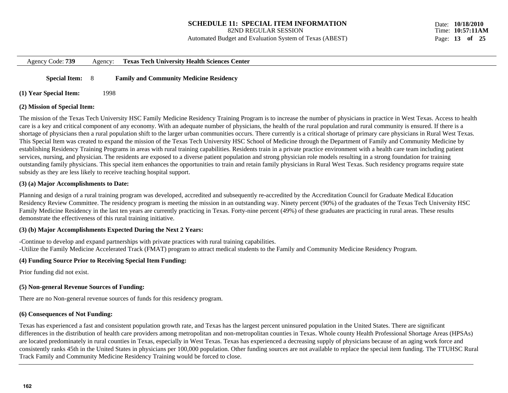Date:**10/18/2010**Time:**10:57:11AM**Page: **13 of 25**

#### Agency Code: **739** Agency: **Texas Tech University Health Sciences Center**

**Special Item:** 8 **Family and Community Medicine Residency**

**(1) Year Special Item:** 1998

#### **(2) Mission of Special Item:**

The mission of the Texas Tech University HSC Family Medicine Residency Training Program is to increase the number of physicians in practice in West Texas. Access to health care is a key and critical component of any economy. With an adequate number of physicians, the health of the rural population and rural community is ensured. If there is a shortage of physicians then a rural population shift to the larger urban communities occurs. There currently is a critical shortage of primary care physicians in Rural West Texas. This Special Item was created to expand the mission of the Texas Tech University HSC School of Medicine through the Department of Family and Community Medicine by establishing Residency Training Programs in areas with rural training capabilities. Residents train in a private practice environment with a health care team including patient services, nursing, and physician. The residents are exposed to a diverse patient population and strong physician role models resulting in a strong foundation for training outstanding family physicians. This special item enhances the opportunities to train and retain family physicians in Rural West Texas. Such residency programs require state subsidy as they are less likely to receive teaching hospital support.

#### **(3) (a) Major Accomplishments to Date:**

Planning and design of a rural training program was developed, accredited and subsequently re-accredited by the Accreditation Council for Graduate Medical Education Residency Review Committee. The residency program is meeting the mission in an outstanding way. Ninety percent (90%) of the graduates of the Texas Tech University HSC Family Medicine Residency in the last ten years are currently practicing in Texas. Forty-nine percent (49%) of these graduates are practicing in rural areas. These results demonstrate the effectiveness of this rural training initiative.

#### **(3) (b) Major Accomplishments Expected During the Next 2 Years:**

-Continue to develop and expand partnerships with private practices with rural training capabilities. -Utilize the Family Medicine Accelerated Track (FMAT) program to attract medical students to the Family and Community Medicine Residency Program.

### **(4) Funding Source Prior to Receiving Special Item Funding:**

Prior funding did not exist.

### **(5) Non-general Revenue Sources of Funding:**

There are no Non-general revenue sources of funds for this residency program.

#### **(6) Consequences of Not Funding:**

Texas has experienced a fast and consistent population growth rate, and Texas has the largest percent uninsured population in the United States. There are significant differences in the distribution of health care providers among metropolitan and non-metropolitan counties in Texas. Whole county Health Professional Shortage Areas (HPSAs) are located predominately in rural counties in Texas, especially in West Texas. Texas has experienced a decreasing supply of physicians because of an aging work force and consistently ranks 45th in the United States in physicians per 100,000 population. Other funding sources are not available to replace the special item funding. The TTUHSC Rural Track Family and Community Medicine Residency Training would be forced to close.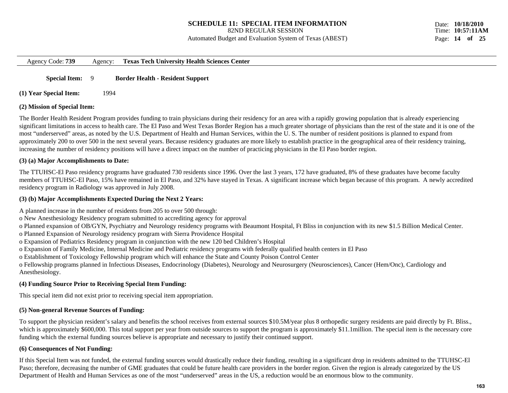Date:**10/18/2010**Time:**10:57:11AM**Page: **14 of 25**

#### Agency Code: **739** Agency: **Texas Tech University Health Sciences Center**

**Special Item:** 9 **Border Health - Resident Support**

**(1) Year Special Item:** 1994

#### **(2) Mission of Special Item:**

The Border Health Resident Program provides funding to train physicians during their residency for an area with a rapidly growing population that is already experiencing significant limitations in access to health care. The El Paso and West Texas Border Region has a much greater shortage of physicians than the rest of the state and it is one of the most "underserved" areas, as noted by the U.S. Department of Health and Human Services, within the U. S. The number of resident positions is planned to expand from approximately 200 to over 500 in the next several years. Because residency graduates are more likely to establish practice in the geographical area of their residency training, increasing the number of residency positions will have a direct impact on the number of practicing physicians in the El Paso border region.

#### **(3) (a) Major Accomplishments to Date:**

The TTUHSC-El Paso residency programs have graduated 730 residents since 1996. Over the last 3 years, 172 have graduated, 8% of these graduates have become faculty members of TTUHSC-El Paso, 15% have remained in El Paso, and 32% have stayed in Texas. A significant increase which began because of this program. A newly accredited residency program in Radiology was approved in July 2008.

#### **(3) (b) Major Accomplishments Expected During the Next 2 Years:**

A planned increase in the number of residents from 205 to over 500 through:

- o New Anesthesiology Residency program submitted to accrediting agency for approval
- o Planned expansion of OB/GYN, Psychiatry and Neurology residency programs with Beaumont Hospital, Ft Bliss in conjunction with its new \$1.5 Billion Medical Center.
- o Planned Expansion of Neurology residency program with Sierra Providence Hospital
- o Expansion of Pediatrics Residency program in conjunction with the new 120 bed Children's Hospital
- o Expansion of Family Medicine, Internal Medicine and Pediatric residency programs with federally qualified health centers in El Paso
- o Establishment of Toxicology Fellowship program which will enhance the State and County Poison Control Center
- o Fellowship programs planned in Infectious Diseases, Endocrinology (Diabetes), Neurology and Neurosurgery (Neurosciences), Cancer (Hem/Onc), Cardiology and Anesthesiology.

#### **(4) Funding Source Prior to Receiving Special Item Funding:**

This special item did not exist prior to receiving special item appropriation.

#### **(5) Non-general Revenue Sources of Funding:**

To support the physician resident's salary and benefits the school receives from external sources \$10.5M/year plus 8 orthopedic surgery residents are paid directly by Ft. Bliss., which is approximately \$600,000. This total support per year from outside sources to support the program is approximately \$11.1million. The special item is the necessary core funding which the external funding sources believe is appropriate and necessary to justify their continued support.

#### **(6) Consequences of Not Funding:**

If this Special Item was not funded, the external funding sources would drastically reduce their funding, resulting in a significant drop in residents admitted to the TTUHSC-El Paso; therefore, decreasing the number of GME graduates that could be future health care providers in the border region. Given the region is already categorized by the US Department of Health and Human Services as one of the most "underserved" areas in the US, a reduction would be an enormous blow to the community.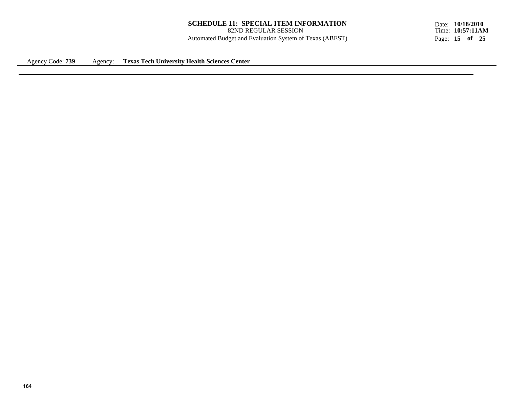# **SCHEDULE 11: SPECIAL ITEM INFORMATION**

82ND REGULAR SESSION

Automated Budget and Evaluation System of Texas (ABEST)

Date: Time: **10:57:11AM** Page: **15 of 25 10/18/2010**

Agency Code: **739** Agency: **Texas Tech University Health Sciences Center**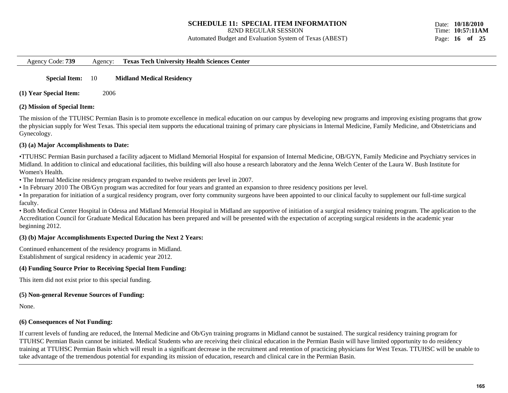Date:**10/18/2010**Time:**10:57:11AM**Page: **16 of 25**

#### Agency Code: **739** Agency: **Texas Tech University Health Sciences Center**

**Special Item:** 10 **Midland Medical Residency**

**(1) Year Special Item:** 2006

#### **(2) Mission of Special Item:**

The mission of the TTUHSC Permian Basin is to promote excellence in medical education on our campus by developing new programs and improving existing programs that grow the physician supply for West Texas. This special item supports the educational training of primary care physicians in Internal Medicine, Family Medicine, and Obstetricians and Gynecology.

#### **(3) (a) Major Accomplishments to Date:**

•TTUHSC Permian Basin purchased a facility adjacent to Midland Memorial Hospital for expansion of Internal Medicine, OB/GYN, Family Medicine and Psychiatry services in Midland. In addition to clinical and educational facilities, this building will also house a research laboratory and the Jenna Welch Center of the Laura W. Bush Institute for Women's Health.

• The Internal Medicine residency program expanded to twelve residents per level in 2007.

• In February 2010 The OB/Gyn program was accredited for four years and granted an expansion to three residency positions per level.

• In preparation for initiation of a surgical residency program, over forty community surgeons have been appointed to our clinical faculty to supplement our full-time surgical faculty.

• Both Medical Center Hospital in Odessa and Midland Memorial Hospital in Midland are supportive of initiation of a surgical residency training program. The application to the Accreditation Council for Graduate Medical Education has been prepared and will be presented with the expectation of accepting surgical residents in the academic year beginning 2012.

#### **(3) (b) Major Accomplishments Expected During the Next 2 Years:**

Continued enhancement of the residency programs in Midland. Establishment of surgical residency in academic year 2012.

#### **(4) Funding Source Prior to Receiving Special Item Funding:**

This item did not exist prior to this special funding.

#### **(5) Non-general Revenue Sources of Funding:**

None.

#### **(6) Consequences of Not Funding:**

If current levels of funding are reduced, the Internal Medicine and Ob/Gyn training programs in Midland cannot be sustained. The surgical residency training program for TTUHSC Permian Basin cannot be initiated. Medical Students who are receiving their clinical education in the Permian Basin will have limited opportunity to do residency training at TTUHSC Permian Basin which will result in a significant decrease in the recruitment and retention of practicing physicians for West Texas. TTUHSC will be unable to take advantage of the tremendous potential for expanding its mission of education, research and clinical care in the Permian Basin.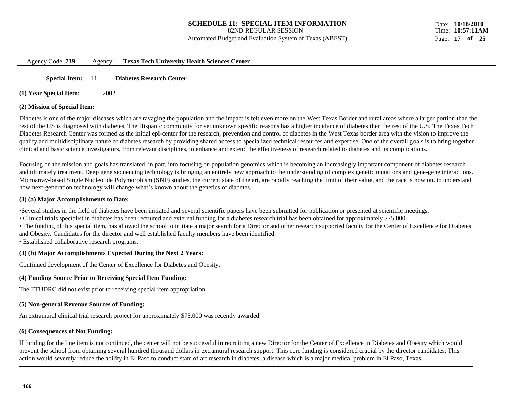Date:**10/18/2010**Time:**10:57:11AM**Page: **17 of 25**

#### Agency Code: **739** Agency: **Texas Tech University Health Sciences Center**

**Special Item:** 11 **Diabetes Research Center**

**(1) Year Special Item:** 2002

#### **(2) Mission of Special Item:**

Diabetes is one of the major diseases which are ravaging the population and the impact is felt even more on the West Texas Border and rural areas where a larger portion than the rest of the US is diagnosed with diabetes. The Hispanic community for yet unknown specific reasons has a higher incidence of diabetes then the rest of the U.S. The Texas Tech Diabetes Research Center was formed as the initial epi-center for the research, prevention and control of diabetes in the West Texas border area with the vision to improve the quality and multidisciplinary nature of diabetes research by providing shared access to specialized technical resources and expertise. One of the overall goals is to bring together clinical and basic science investigators, from relevant disciplines, to enhance and extend the effectiveness of research related to diabetes and its complications.

Focusing on the mission and goals has translated, in part, into focusing on population genomics which is becoming an increasingly important component of diabetes research and ultimately treatment. Deep gene sequencing technology is bringing an entirely new approach to the understanding of complex genetic mutations and gene-gene interactions. Microarray-based Single Nucleotide Polymorphism (SNP) studies, the current state of the art, are rapidly reaching the limit of their value, and the race is now on. to understand how next-generation technology will change what's known about the genetics of diabetes.

#### **(3) (a) Major Accomplishments to Date:**

•Several studies in the field of diabetes have been initiated and several scientific papers have been submitted for publication or presented at scientific meetings.

• Clinical trials specialist in diabetes has been recruited and external funding for a diabetes research trial has been obtained for approximately \$75,000.

• The funding of this special item, has allowed the school to initiate a major search for a Director and other research supported faculty for the Center of Excellence for Diabetes and Obesity. Candidates for the director and well established faculty members have been identified.

• Established collaborative research programs.

#### **(3) (b) Major Accomplishments Expected During the Next 2 Years:**

Continued development of the Center of Excellence for Diabetes and Obesity.

### **(4) Funding Source Prior to Receiving Special Item Funding:**

The TTUDRC did not exist prior to receiving special item appropriation.

### **(5) Non-general Revenue Sources of Funding:**

An extramural clinical trial research project for approximately \$75,000 was recently awarded.

# **(6) Consequences of Not Funding:**

If funding for the line item is not continued, the center will not be successful in recruiting a new Director for the Center of Excellence in Diabetes and Obesity which would prevent the school from obtaining several hundred thousand dollars in extramural research support. This core funding is considered crucial by the director candidates. This action would severely reduce the ability in El Paso to conduct state of art research in diabetes, a disease which is a major medical problem in El Paso, Texas.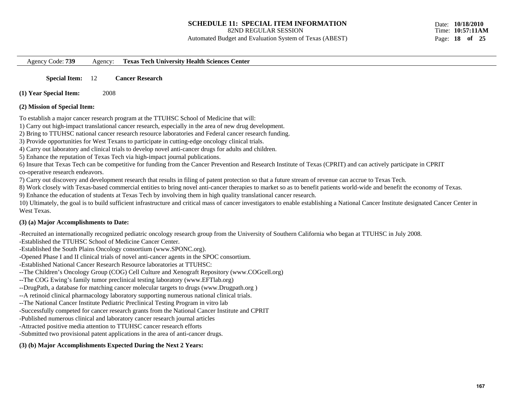Date:**10/18/2010**Time:**10:57:11AM**Page: **18 of 25**

#### Agency Code: **739** Agency: **Texas Tech University Health Sciences Center**

**Special Item:** 12 **Cancer Research**

**(1) Year Special Item:** 2008

#### **(2) Mission of Special Item:**

To establish a major cancer research program at the TTUHSC School of Medicine that will:

1) Carry out high-impact translational cancer research, especially in the area of new drug development.

2) Bring to TTUHSC national cancer research resource laboratories and Federal cancer research funding.

3) Provide opportunities for West Texans to participate in cutting-edge oncology clinical trials.

4) Carry out laboratory and clinical trials to develop novel anti-cancer drugs for adults and children.

5) Enhance the reputation of Texas Tech via high-impact journal publications.

6) Insure that Texas Tech can be competitive for funding from the Cancer Prevention and Research Institute of Texas (CPRIT) and can actively participate in CPRIT co-operative research endeavors.

7) Carry out discovery and development research that results in filing of patent protection so that a future stream of revenue can accrue to Texas Tech.

8) Work closely with Texas-based commercial entities to bring novel anti-cancer therapies to market so as to benefit patients world-wide and benefit the economy of Texas.

9) Enhance the education of students at Texas Tech by involving them in high quality translational cancer research.

10) Ultimately, the goal is to build sufficient infrastructure and critical mass of cancer investigators to enable establishing a National Cancer Institute designated Cancer Center in West Texas.

#### **(3) (a) Major Accomplishments to Date:**

-Recruited an internationally recognized pediatric oncology research group from the University of Southern California who began at TTUHSC in July 2008.

-Established the TTUHSC School of Medicine Cancer Center.

-Established the South Plains Oncology consortium (www.SPONC.org).

-Opened Phase I and II clinical trials of novel anti-cancer agents in the SPOC consortium.

-Established National Cancer Research Resource laboratories at TTUHSC:

--The Children's Oncology Group (COG) Cell Culture and Xenograft Repository (www.COGcell.org)

--The COG Ewing's family tumor preclinical testing laboratory (www.EFTlab.org)

--DrugPath, a database for matching cancer molecular targets to drugs (www.Drugpath.org )

--A retinoid clinical pharmacology laboratory supporting numerous national clinical trials.

--The National Cancer Institute Pediatric Preclinical Testing Program in vitro lab

-Successfully competed for cancer research grants from the National Cancer Institute and CPRIT

-Published numerous clinical and laboratory cancer research journal articles

-Attracted positive media attention to TTUHSC cancer research efforts

-Submitted two provisional patent applications in the area of anti-cancer drugs.

#### **(3) (b) Major Accomplishments Expected During the Next 2 Years:**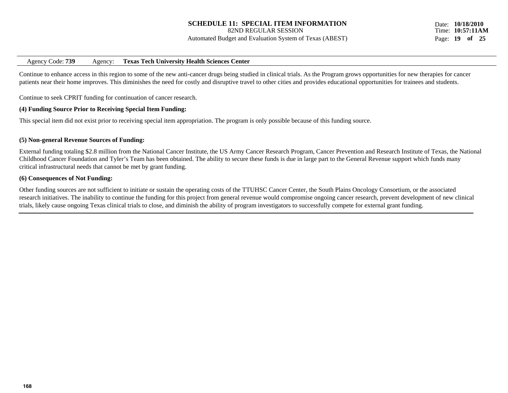Date:**10/18/2010**Time:**10:57:11AM**Page: **19 of 25**

#### Agency Code: **739** Agency: **Texas Tech University Health Sciences Center**

Continue to enhance access in this region to some of the new anti-cancer drugs being studied in clinical trials. As the Program grows opportunities for new therapies for cancer patients near their home improves. This diminishes the need for costly and disruptive travel to other cities and provides educational opportunities for trainees and students.

Continue to seek CPRIT funding for continuation of cancer research.

#### **(4) Funding Source Prior to Receiving Special Item Funding:**

This special item did not exist prior to receiving special item appropriation. The program is only possible because of this funding source.

#### **(5) Non-general Revenue Sources of Funding:**

External funding totaling \$2.8 million from the National Cancer Institute, the US Army Cancer Research Program, Cancer Prevention and Research Institute of Texas, the National Childhood Cancer Foundation and Tyler's Team has been obtained. The ability to secure these funds is due in large part to the General Revenue support which funds many critical infrastructural needs that cannot be met by grant funding.

#### **(6) Consequences of Not Funding:**

Other funding sources are not sufficient to initiate or sustain the operating costs of the TTUHSC Cancer Center, the South Plains Oncology Consortium, or the associated research initiatives. The inability to continue the funding for this project from general revenue would compromise ongoing cancer research, prevent development of new clinical trials, likely cause ongoing Texas clinical trials to close, and diminish the ability of program investigators to successfully compete for external grant funding.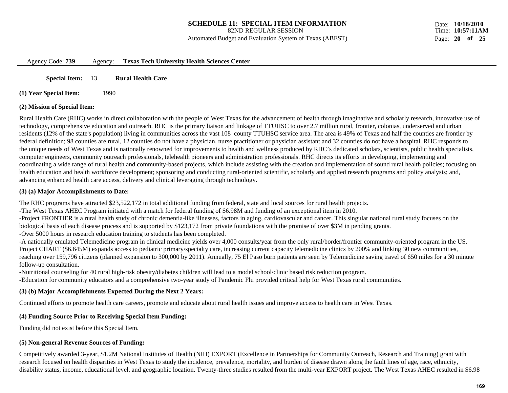Date:**10/18/2010**Time:**10:57:11AM**Page: **20 of 25**

#### Agency Code: **739** Agency: **Texas Tech University Health Sciences Center**

**Special Item:** 13 **Rural Health Care**

**(1) Year Special Item:** 1990

#### **(2) Mission of Special Item:**

Rural Health Care (RHC) works in direct collaboration with the people of West Texas for the advancement of health through imaginative and scholarly research, innovative use of technology, comprehensive education and outreach. RHC is the primary liaison and linkage of TTUHSC to over 2.7 million rural, frontier, colonias, underserved and urban residents (12% of the state's population) living in communities across the vast 108–county TTUHSC service area. The area is 49% of Texas and half the counties are frontier by federal definition; 98 counties are rural, 12 counties do not have a physician, nurse practitioner or physician assistant and 32 counties do not have a hospital. RHC responds to the unique needs of West Texas and is nationally renowned for improvements to health and wellness produced by RHC's dedicated scholars, scientists, public health specialists, computer engineers, community outreach professionals, telehealth pioneers and administration professionals. RHC directs its efforts in developing, implementing and coordinating a wide range of rural health and community-based projects, which include assisting with the creation and implementation of sound rural health policies; focusing on health education and health workforce development; sponsoring and conducting rural-oriented scientific, scholarly and applied research programs and policy analysis; and, advancing enhanced health care access, delivery and clinical leveraging through technology.

#### **(3) (a) Major Accomplishments to Date:**

The RHC programs have attracted \$23,522,172 in total additional funding from federal, state and local sources for rural health projects.

-The West Texas AHEC Program initiated with a match for federal funding of \$6.98M and funding of an exceptional item in 2010.

-Project FRONTIER is a rural health study of chronic dementia-like illnesses, factors in aging, cardiovascular and cancer. This singular national rural study focuses on the biological basis of each disease process and is supported by \$123,172 from private foundations with the promise of over \$3M in pending grants.

-Over 5000 hours in research education training to students has been completed.

-A nationally emulated Telemedicine program in clinical medicine yields over 4,000 consults/year from the only rural/border/frontier community-oriented program in the US. Project CHART (\$6.645M) expands access to pediatric primary/specialty care, increasing current capacity telemedicine clinics by 200% and linking 30 new communities, reaching over 159,796 citizens (planned expansion to 300,000 by 2011). Annually, 75 El Paso burn patients are seen by Telemedicine saving travel of 650 miles for a 30 minute follow-up consultation.

-Nutritional counseling for 40 rural high-risk obesity/diabetes children will lead to a model school/clinic based risk reduction program.

-Education for community educators and a comprehensive two-year study of Pandemic Flu provided critical help for West Texas rural communities.

#### **(3) (b) Major Accomplishments Expected During the Next 2 Years:**

Continued efforts to promote health care careers, promote and educate about rural health issues and improve access to health care in West Texas.

#### **(4) Funding Source Prior to Receiving Special Item Funding:**

Funding did not exist before this Special Item.

#### **(5) Non-general Revenue Sources of Funding:**

Competitively awarded 3-year, \$1.2M National Institutes of Health (NIH) EXPORT (Excellence in Partnerships for Community Outreach, Research and Training) grant with research focused on health disparities in West Texas to study the incidence, prevalence, mortality, and burden of disease drawn along the fault lines of age, race, ethnicity, disability status, income, educational level, and geographic location. Twenty-three studies resulted from the multi-year EXPORT project. The West Texas AHEC resulted in \$6.98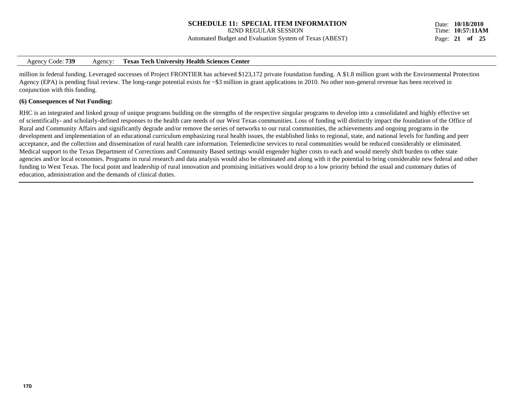Date:**10/18/2010**Time:**10:57:11AM**Page: **21 of 25**

#### Agency Code: **739** Agency: **Texas Tech University Health Sciences Center**

million in federal funding. Leveraged successes of Project FRONTIER has achieved \$123,172 private foundation funding. A \$1.8 million grant with the Environmental Protection Agency (EPA) is pending final review. The long-range potential exists for ~\$3 million in grant applications in 2010. No other non-general revenue has been received in conjunction with this funding.

#### **(6) Consequences of Not Funding:**

RHC is an integrated and linked group of unique programs building on the strengths of the respective singular programs to develop into a consolidated and highly effective set of scientifically- and scholarly-defined responses to the health care needs of our West Texas communities. Loss of funding will distinctly impact the foundation of the Office of Rural and Community Affairs and significantly degrade and/or remove the series of networks to our rural communities, the achievements and ongoing programs in the development and implementation of an educational curriculum emphasizing rural health issues, the established links to regional, state, and national levels for funding and peer acceptance, and the collection and dissemination of rural health care information. Telemedicine services to rural communities would be reduced considerably or eliminated. Medical support to the Texas Department of Corrections and Community Based settings would engender higher costs to each and would merely shift burden to other state agencies and/or local economies. Programs in rural research and data analysis would also be eliminated and along with it the potential to bring considerable new federal and other funding to West Texas. The focal point and leadership of rural innovation and promising initiatives would drop to a low priority behind the usual and customary duties of education, administration and the demands of clinical duties.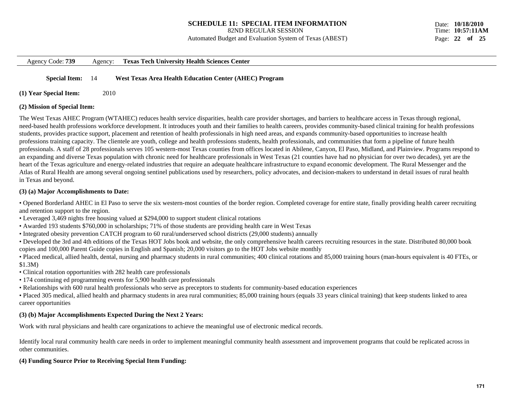# **SCHEDULE 11: SPECIAL ITEM INFORMATION**82ND REGULAR SESSION

Automated Budget and Evaluation System of Texas (ABEST)

Date:**10/18/2010**Time:**10:57:11AM**Page: **22 of 25**

#### Agency Code: **739** Agency: **Texas Tech University Health Sciences Center**

**Special Item:** 14 **West Texas Area Health Education Center (AHEC) Program**

**(1) Year Special Item:** 2010

#### **(2) Mission of Special Item:**

The West Texas AHEC Program (WTAHEC) reduces health service disparities, health care provider shortages, and barriers to healthcare access in Texas through regional, need-based health professions workforce development. It introduces youth and their families to health careers, provides community-based clinical training for health professions students, provides practice support, placement and retention of health professionals in high need areas, and expands community-based opportunities to increase health professions training capacity. The clientele are youth, college and health professions students, health professionals, and communities that form a pipeline of future health professionals. A staff of 28 professionals serves 105 western-most Texas counties from offices located in Abilene, Canyon, El Paso, Midland, and Plainview. Programs respond to an expanding and diverse Texas population with chronic need for healthcare professionals in West Texas (21 counties have had no physician for over two decades), yet are the heart of the Texas agriculture and energy-related industries that require an adequate healthcare infrastructure to expand economic development. The Rural Messenger and the Atlas of Rural Health are among several ongoing sentinel publications used by researchers, policy advocates, and decision-makers to understand in detail issues of rural health in Texas and beyond.

#### **(3) (a) Major Accomplishments to Date:**

• Opened Borderland AHEC in El Paso to serve the six western-most counties of the border region. Completed coverage for entire state, finally providing health career recruiting and retention support to the region.

- Leveraged 3,469 nights free housing valued at \$294,000 to support student clinical rotations
- Awarded 193 students \$760,000 in scholarships; 71% of those students are providing health care in West Texas
- Integrated obesity prevention CATCH program to 60 rural/underserved school districts (29,000 students) annually

• Developed the 3rd and 4th editions of the Texas HOT Jobs book and website, the only comprehensive health careers recruiting resources in the state. Distributed 80,000 book copies and 100,000 Parent Guide copies in English and Spanish; 20,000 visitors go to the HOT Jobs website monthly

- Placed medical, allied health, dental, nursing and pharmacy students in rural communities; 400 clinical rotations and 85,000 training hours (man-hours equivalent is 40 FTEs, or \$1.3M)
- Clinical rotation opportunities with 282 health care professionals
- 174 continuing ed programming events for 5,900 health care professionals
- Relationships with 600 rural health professionals who serve as preceptors to students for community-based education experiences
- Placed 305 medical, allied health and pharmacy students in area rural communities; 85,000 training hours (equals 33 years clinical training) that keep students linked to area career opportunities

#### **(3) (b) Major Accomplishments Expected During the Next 2 Years:**

Work with rural physicians and health care organizations to achieve the meaningful use of electronic medical records.

Identify local rural community health care needs in order to implement meaningful community health assessment and improvement programs that could be replicated across in other communities.

### **(4) Funding Source Prior to Receiving Special Item Funding:**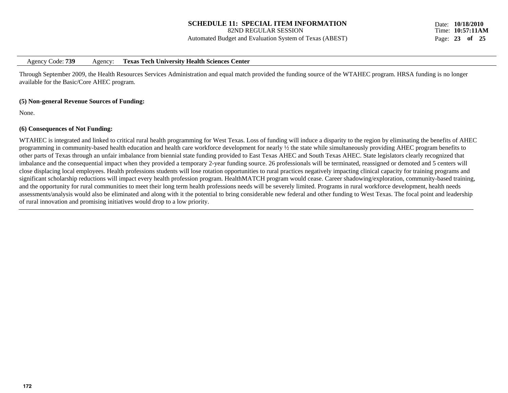Date:**10/18/2010**Time:**10:57:11AM**Page: **23 of 25**

#### Agency Code: **739** Agency: **Texas Tech University Health Sciences Center**

Through September 2009, the Health Resources Services Administration and equal match provided the funding source of the WTAHEC program. HRSA funding is no longer available for the Basic/Core AHEC program.

#### **(5) Non-general Revenue Sources of Funding:**

None.

#### **(6) Consequences of Not Funding:**

WTAHEC is integrated and linked to critical rural health programming for West Texas. Loss of funding will induce a disparity to the region by eliminating the benefits of AHEC programming in community-based health education and health care workforce development for nearly ½ the state while simultaneously providing AHEC program benefits to other parts of Texas through an unfair imbalance from biennial state funding provided to East Texas AHEC and South Texas AHEC. State legislators clearly recognized that imbalance and the consequential impact when they provided a temporary 2-year funding source. 26 professionals will be terminated, reassigned or demoted and 5 centers will close displacing local employees. Health professions students will lose rotation opportunities to rural practices negatively impacting clinical capacity for training programs and significant scholarship reductions will impact every health profession program. HealthMATCH program would cease. Career shadowing/exploration, community-based training, and the opportunity for rural communities to meet their long term health professions needs will be severely limited. Programs in rural workforce development, health needs assessments/analysis would also be eliminated and along with it the potential to bring considerable new federal and other funding to West Texas. The focal point and leadership of rural innovation and promising initiatives would drop to a low priority.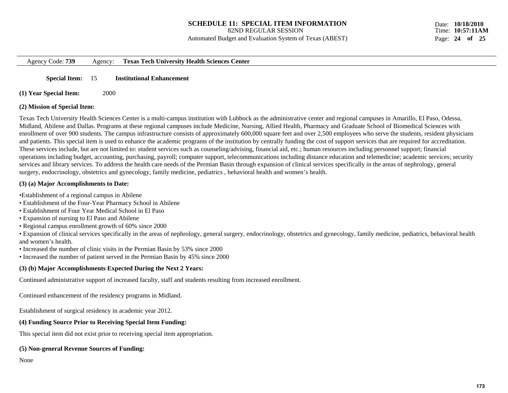## **SCHEDULE 11: SPECIAL ITEM INFORMATION**Automated Budget and Evaluation System of Texas (ABEST) 82ND REGULAR SESSION

Date:**10/18/2010**Time:**10:57:11AM**Page: **24 of 25**

#### Agency Code: **739** Agency: **Texas Tech University Health Sciences Center**

**Special Item:** 15 **Institutional Enhancement**

**(1) Year Special Item:** 2000

### **(2) Mission of Special Item:**

Texas Tech University Health Sciences Center is a multi-campus institution with Lubbock as the administrative center and regional campuses in Amarillo, El Paso, Odessa, Midland, Abilene and Dallas. Programs at these regional campuses include Medicine, Nursing, Allied Health, Pharmacy and Graduate School of Biomedical Sciences with enrollment of over 900 students. The campus infrastructure consists of approximately 600,000 square feet and over 2,500 employees who serve the students, resident physicians and patients. This special item is used to enhance the academic programs of the institution by centrally funding the cost of support services that are required for accreditation. These services include, but are not limited to: student services such as counseling/advising, financial aid, etc.; human resources including personnel support; financial operations including budget, accounting, purchasing, payroll; computer support, telecommunications including distance education and telemedicine; academic services; security services and library services. To address the health care needs of the Permian Basin through expansion of clinical services specifically in the areas of nephrology, general surgery, endocrinology, obstetrics and gynecology, family medicine, pediatrics , behavioral health and women's health.

### **(3) (a) Major Accomplishments to Date:**

•Establishment of a regional campus in Abilene

- Establishment of the Four-Year Pharmacy School in Abilene
- Establishment of Four Year Medical School in El Paso
- Expansion of nursing to El Paso and Abilene
- Regional campus enrollment growth of 60% since 2000

• Expansion of clinical services specifically in the areas of nephrology, general surgery, endocrinology, obstetrics and gynecology, family medicine, pediatrics, behavioral health and women's health.

- Increased the number of clinic visits in the Permian Basin by 53% since 2000
- Increased the number of patient served in the Permian Basin by 45% since 2000

## **(3) (b) Major Accomplishments Expected During the Next 2 Years:**

Continued administrative support of increased faculty, staff and students resulting from increased enrollment.

Continued enhancement of the residency programs in Midland.

Establishment of surgical residency in academic year 2012.

# **(4) Funding Source Prior to Receiving Special Item Funding:**

This special item did not exist prior to receiving special item appropriation.

# **(5) Non-general Revenue Sources of Funding:**

None